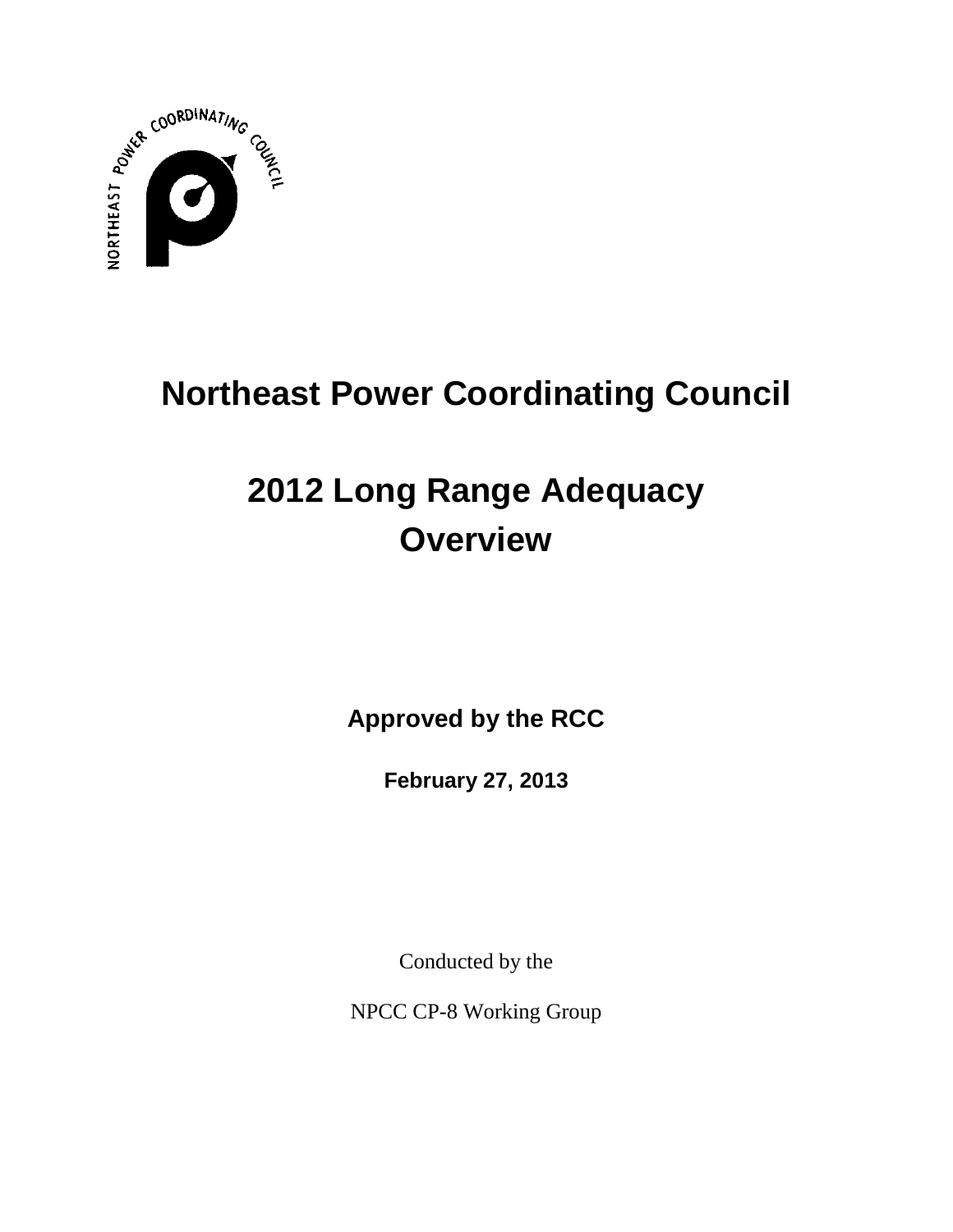

# **Northeast Power Coordinating Council**

# **2012 Long Range Adequacy Overview**

**Approved by the RCC**

**February 27, 2013**

Conducted by the

NPCC CP-8 Working Group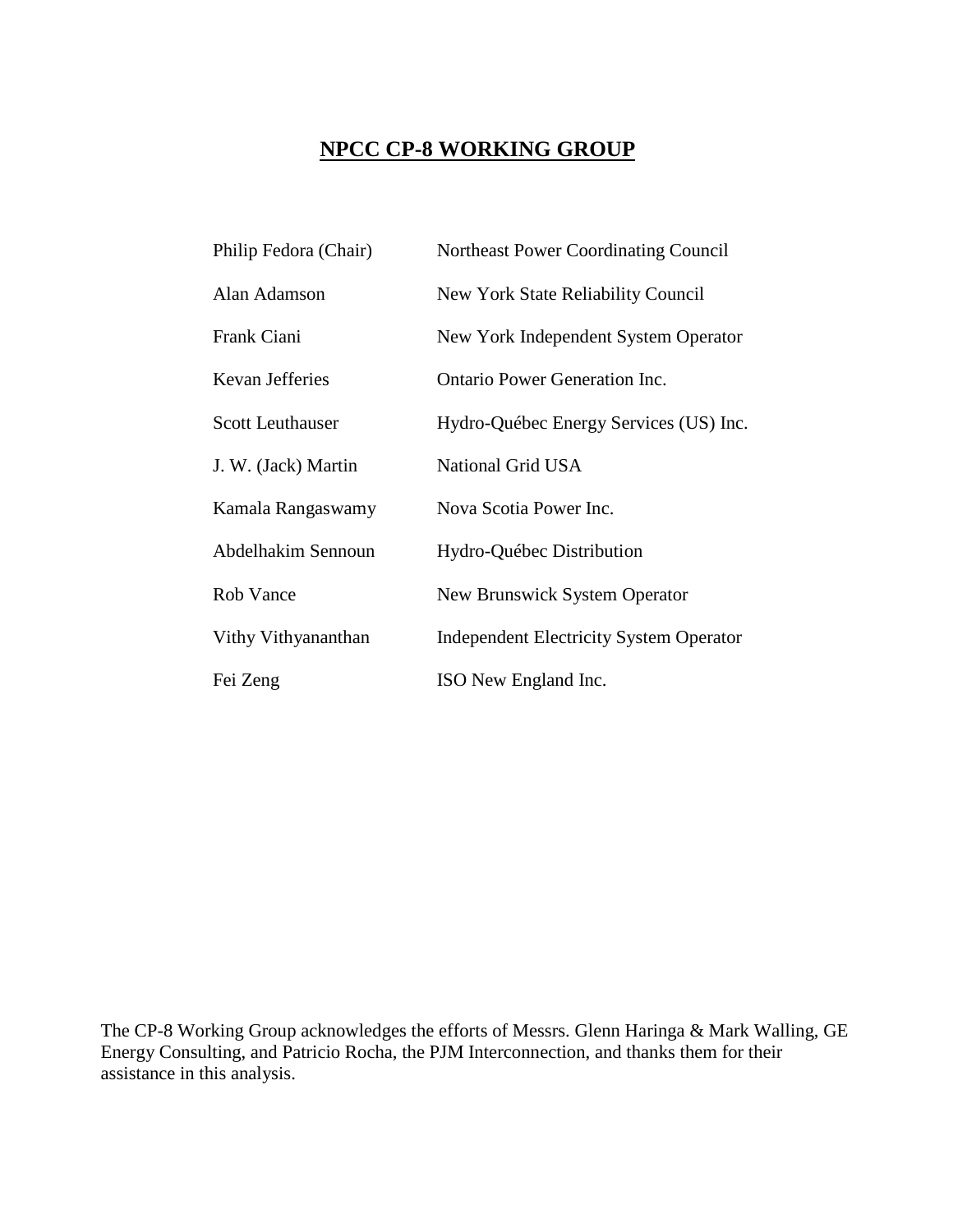# **NPCC CP-8 WORKING GROUP**

| Philip Fedora (Chair)   | Northeast Power Coordinating Council           |
|-------------------------|------------------------------------------------|
| Alan Adamson            | New York State Reliability Council             |
| Frank Ciani             | New York Independent System Operator           |
| <b>Kevan Jefferies</b>  | <b>Ontario Power Generation Inc.</b>           |
| <b>Scott Leuthauser</b> | Hydro-Québec Energy Services (US) Inc.         |
| J. W. (Jack) Martin     | National Grid USA                              |
| Kamala Rangaswamy       | Nova Scotia Power Inc.                         |
| Abdelhakim Sennoun      | Hydro-Québec Distribution                      |
| Rob Vance               | New Brunswick System Operator                  |
| Vithy Vithyananthan     | <b>Independent Electricity System Operator</b> |
| Fei Zeng                | ISO New England Inc.                           |

The CP-8 Working Group acknowledges the efforts of Messrs. Glenn Haringa & Mark Walling, GE Energy Consulting, and Patricio Rocha, the PJM Interconnection, and thanks them for their assistance in this analysis.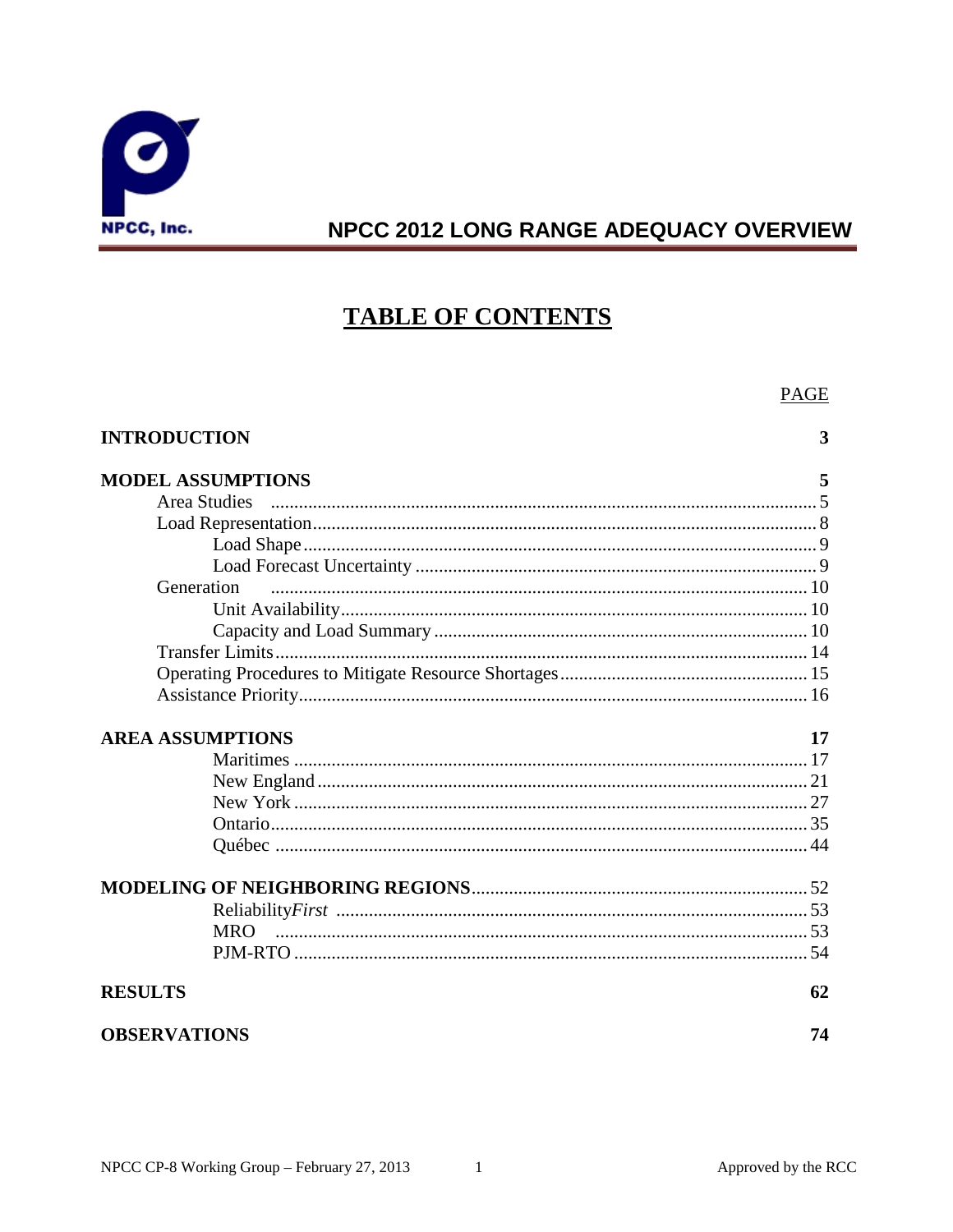

# **TABLE OF CONTENTS**

|                          | <b>PAGE</b> |
|--------------------------|-------------|
| <b>INTRODUCTION</b>      | 3           |
| <b>MODEL ASSUMPTIONS</b> | 5           |
| <b>Area Studies</b>      |             |
|                          |             |
|                          |             |
|                          |             |
| Generation               |             |
|                          |             |
|                          |             |
|                          |             |
|                          |             |
|                          |             |
| <b>AREA ASSUMPTIONS</b>  | 17          |
|                          |             |
|                          |             |
|                          |             |
|                          |             |
|                          |             |
|                          |             |
|                          |             |
| <b>MRO</b>               |             |
|                          |             |
| <b>RESULTS</b>           | 62          |
| <b>OBSERVATIONS</b>      | 74          |

 $\sim$   $\sim$  1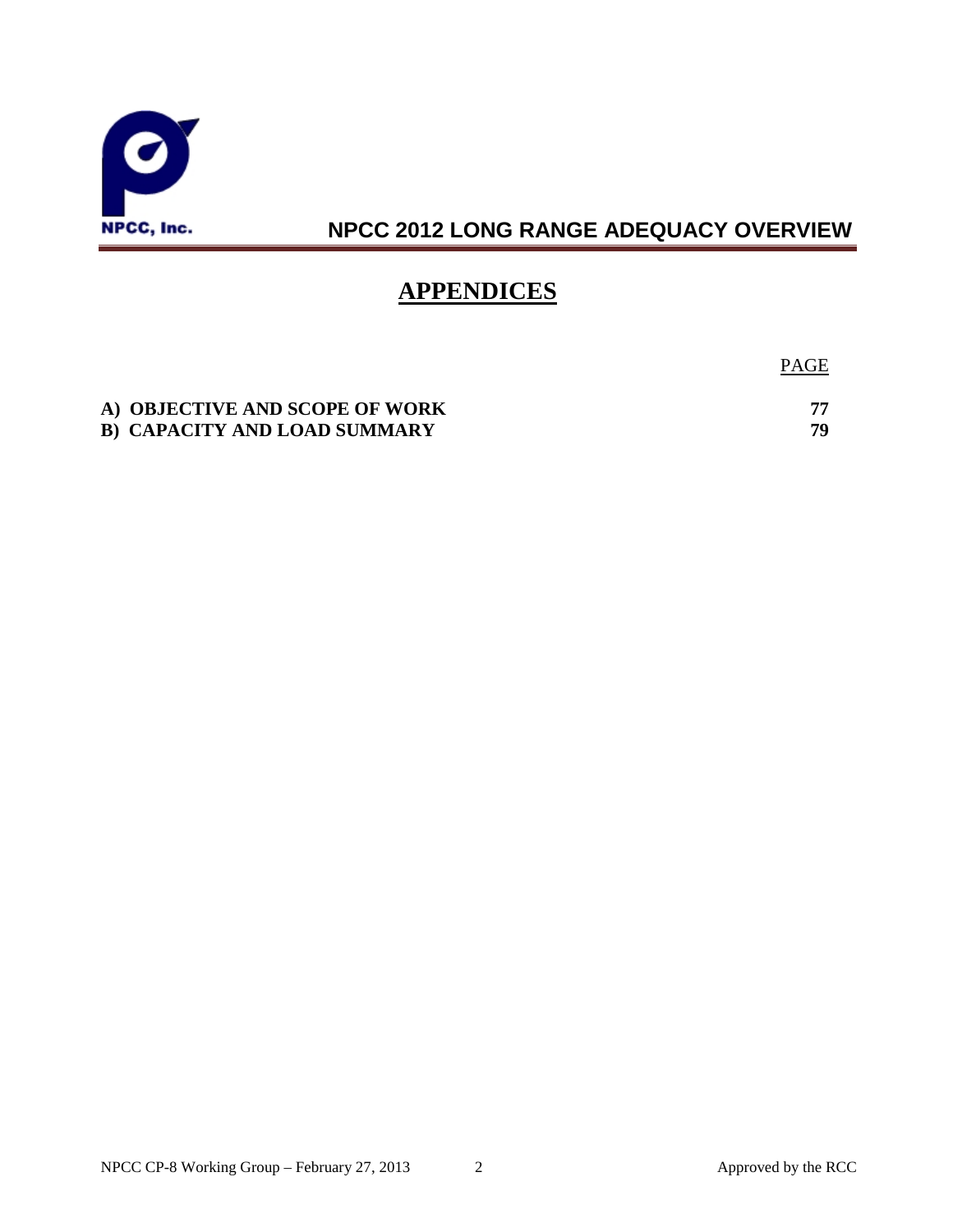

## **APPENDICES**

PAGE

| A) OBJECTIVE AND SCOPE OF WORK      |    |
|-------------------------------------|----|
| <b>B) CAPACITY AND LOAD SUMMARY</b> | 70 |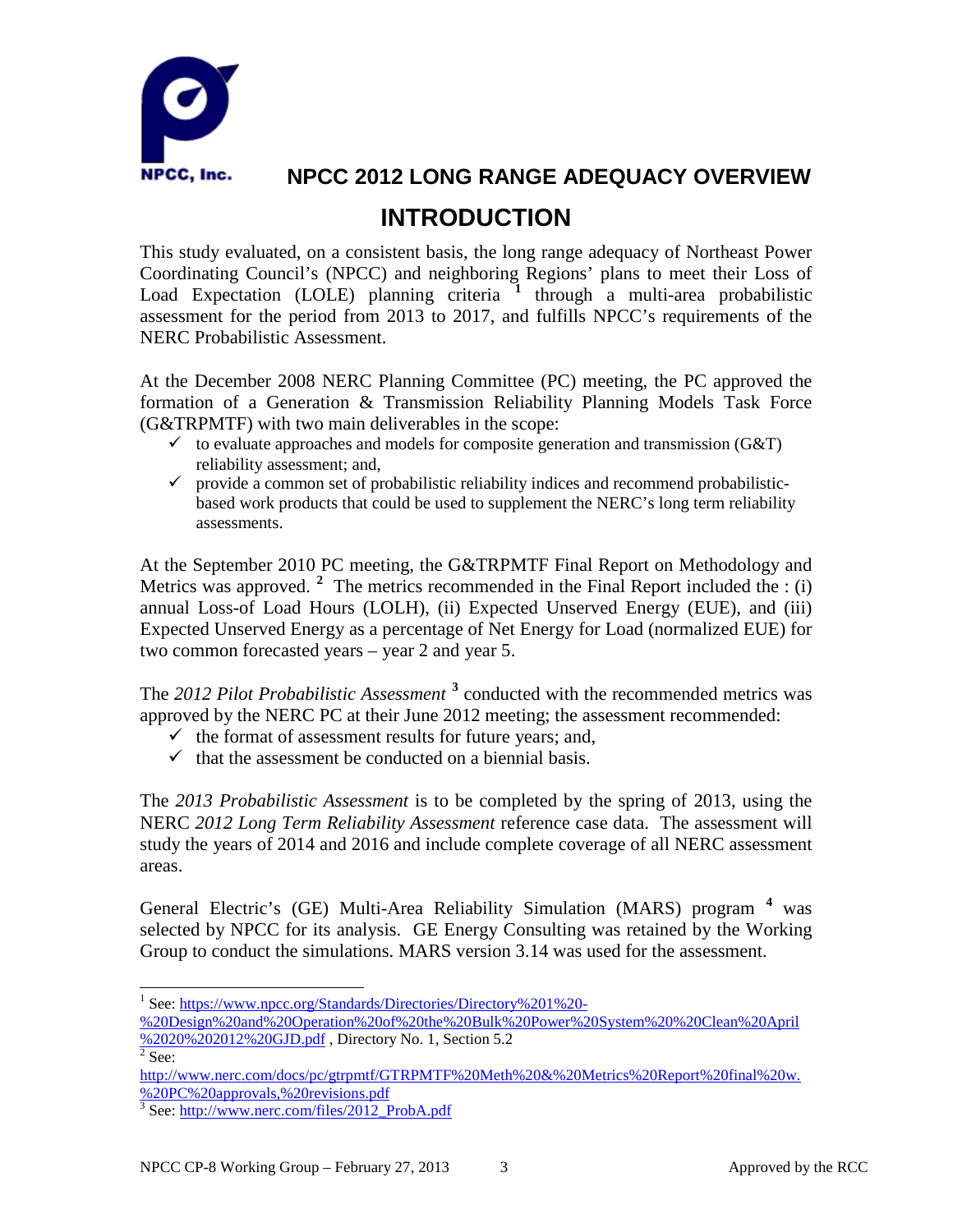

# **NPCC 2012 LONG RANGE ADEQUACY OVERVIEW INTRODUCTION**

This study evaluated, on a consistent basis, the long range adequacy of Northeast Power Coordinating Council's (NPCC) and neighboring Regions' plans to meet their Loss of Load Expectation (LOLE) planning criteria **[1](#page-4-0)** through a multi-area probabilistic assessment for the period from 2013 to 2017, and fulfills NPCC's requirements of the NERC Probabilistic Assessment.

At the December 2008 NERC Planning Committee (PC) meeting, the PC approved the formation of a Generation & Transmission Reliability Planning Models Task Force (G&TRPMTF) with two main deliverables in the scope:

- $\checkmark$  to evaluate approaches and models for composite generation and transmission (G&T) reliability assessment; and,
- $\checkmark$  provide a common set of probabilistic reliability indices and recommend probabilisticbased work products that could be used to supplement the NERC's long term reliability assessments.

At the September 2010 PC meeting, the G&TRPMTF Final Report on Methodology and Metrics was approved. <sup>[2](#page-4-1)</sup> The metrics recommended in the Final Report included the : (i) annual Loss-of Load Hours (LOLH), (ii) Expected Unserved Energy (EUE), and (iii) Expected Unserved Energy as a percentage of Net Energy for Load (normalized EUE) for two common forecasted years – year 2 and year 5.

The *2012 Pilot Probabilistic Assessment* **[3](#page-4-2)** conducted with the recommended metrics was approved by the NERC PC at their June 2012 meeting; the assessment recommended:

- $\checkmark$  the format of assessment results for future years; and,
- $\checkmark$  that the assessment be conducted on a biennial basis.

The *2013 Probabilistic Assessment* is to be completed by the spring of 2013, using the NERC *2012 Long Term Reliability Assessment* reference case data. The assessment will study the years of 2014 and 2016 and include complete coverage of all NERC assessment areas.

General Electric's (GE) Multi-Area Reliability Simulation (MARS) program **[4](#page-4-3)** was selected by NPCC for its analysis. GE Energy Consulting was retained by the Working Group to conduct the simulations. MARS version 3.14 was used for the assessment.

<span id="page-4-0"></span><sup>&</sup>lt;sup>1</sup> See: [https://www.npcc.org/Standards/Directories/Directory%201%20-](https://www.npcc.org/Standards/Directories/Directory%201%20-%20Design%20and%20Operation%20of%20the%20Bulk%20Power%20System%20%20Clean%20April%2020%202012%20GJD.pdf)

[<sup>%20</sup>Design%20and%20Operation%20of%20the%20Bulk%20Power%20System%20%20Clean%20April](https://www.npcc.org/Standards/Directories/Directory%201%20-%20Design%20and%20Operation%20of%20the%20Bulk%20Power%20System%20%20Clean%20April%2020%202012%20GJD.pdf)  $\frac{\%2020\%202012\%20\text{GJD}}{2 \text{ sec}}$ , Directory No. 1, Section 5.2

<span id="page-4-3"></span><span id="page-4-1"></span>[http://www.nerc.com/docs/pc/gtrpmtf/GTRPMTF%20Meth%20&%20Metrics%20Report%20final%20w.](http://www.nerc.com/docs/pc/gtrpmtf/GTRPMTF%20Meth%20&%20Metrics%20Report%20final%20w.%20PC%20approvals,%20revisions.pdf) [%20PC%20approvals,%20revisions.pdf](http://www.nerc.com/docs/pc/gtrpmtf/GTRPMTF%20Meth%20&%20Metrics%20Report%20final%20w.%20PC%20approvals,%20revisions.pdf)

<span id="page-4-2"></span><sup>3</sup> See: [http://www.nerc.com/files/2012\\_ProbA.pdf](http://www.nerc.com/files/2012_ProbA.pdf)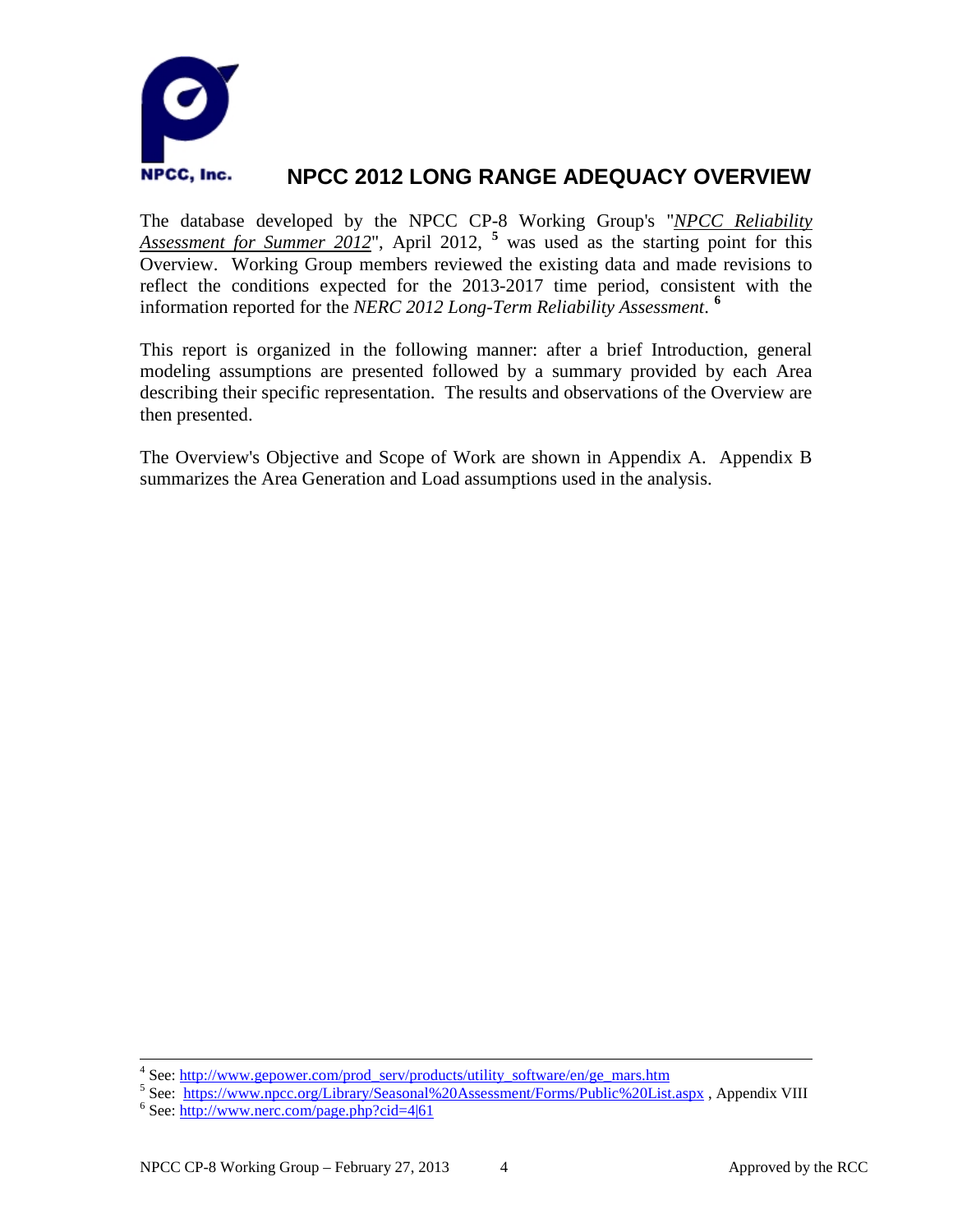

The database developed by the NPCC CP-8 Working Group's "*NPCC Reliability Assessment for Summer 2012*", April 2012, **[5](#page-5-0)** was used as the starting point for this Overview. Working Group members reviewed the existing data and made revisions to reflect the conditions expected for the 2013-2017 time period, consistent with the information reported for the *NERC 2012 Long-Term Reliability Assessment*. **[6](#page-5-1)**

This report is organized in the following manner: after a brief Introduction, general modeling assumptions are presented followed by a summary provided by each Area describing their specific representation. The results and observations of the Overview are then presented.

The Overview's Objective and Scope of Work are shown in Appendix A. Appendix B summarizes the Area Generation and Load assumptions used in the analysis.

<span id="page-5-0"></span><sup>&</sup>lt;sup>4</sup> See: [http://www.gepower.com/prod\\_serv/products/utility\\_software/en/ge\\_mars.htm](http://www.gepower.com/prod_serv/products/utility_software/en/ge_mars.htm) 5 See: <https://www.npcc.org/Library/Seasonal%20Assessment/Forms/Public%20List.aspx> , Appendix VIII 6 See: http://www.nerc.com/page.php?cid

<span id="page-5-1"></span>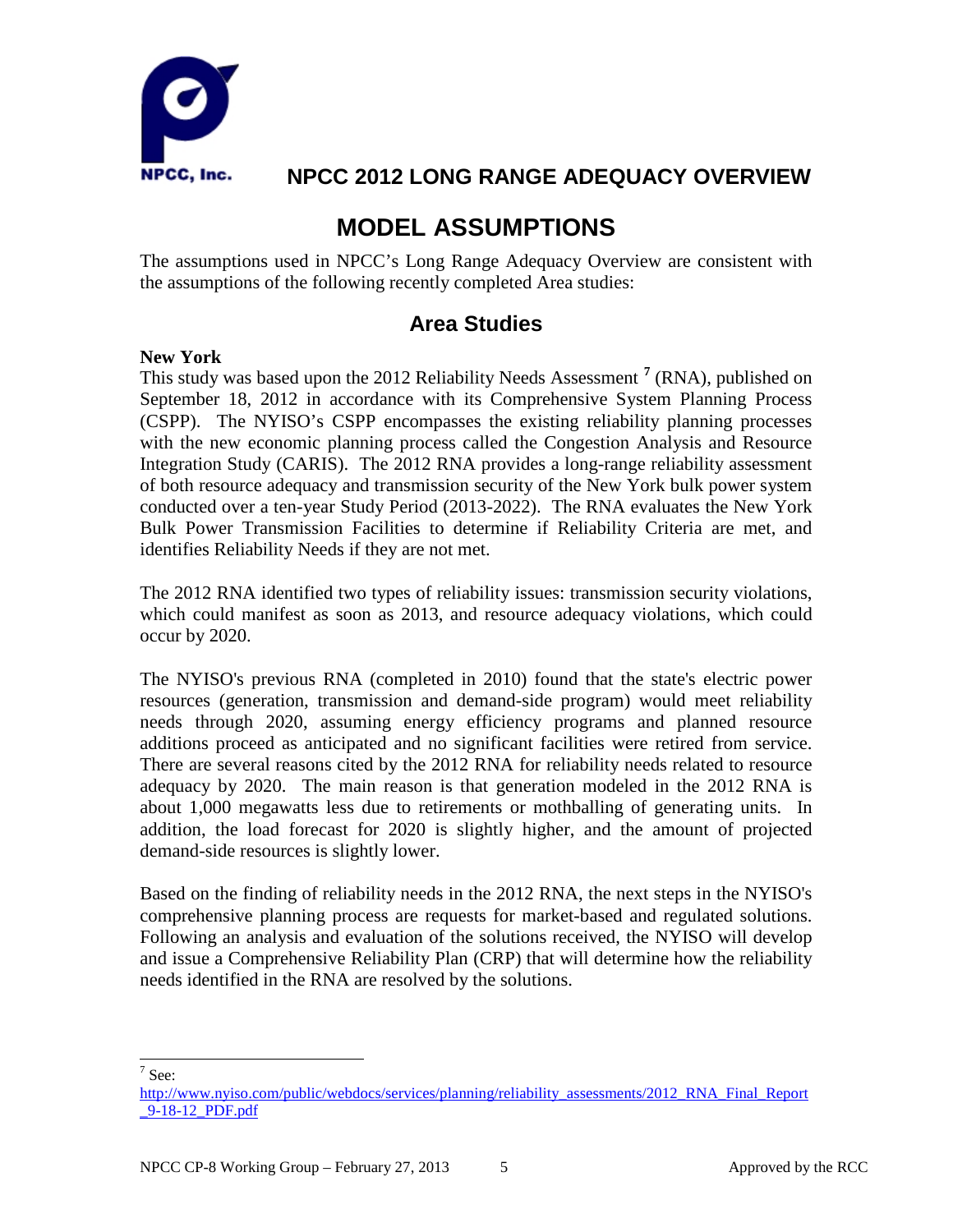

## **MODEL ASSUMPTIONS**

The assumptions used in NPCC's Long Range Adequacy Overview are consistent with the assumptions of the following recently completed Area studies:

### **Area Studies**

#### **New York**

This study was based upon the 2012 Reliability Needs Assessment **[7](#page-6-0)** (RNA), published on September 18, 2012 in accordance with its Comprehensive System Planning Process (CSPP). The NYISO's CSPP encompasses the existing reliability planning processes with the new economic planning process called the Congestion Analysis and Resource Integration Study (CARIS). The 2012 RNA provides a long-range reliability assessment of both resource adequacy and transmission security of the New York bulk power system conducted over a ten-year Study Period (2013-2022). The RNA evaluates the New York Bulk Power Transmission Facilities to determine if Reliability Criteria are met, and identifies Reliability Needs if they are not met.

The 2012 RNA identified two types of reliability issues: transmission security violations, which could manifest as soon as 2013, and resource adequacy violations, which could occur by 2020.

The NYISO's previous RNA (completed in 2010) found that the state's electric power resources (generation, transmission and demand-side program) would meet reliability needs through 2020, assuming energy efficiency programs and planned resource additions proceed as anticipated and no significant facilities were retired from service. There are several reasons cited by the 2012 RNA for reliability needs related to resource adequacy by 2020. The main reason is that generation modeled in the 2012 RNA is about 1,000 megawatts less due to retirements or mothballing of generating units. In addition, the load forecast for 2020 is slightly higher, and the amount of projected demand-side resources is slightly lower.

Based on the finding of reliability needs in the 2012 RNA, the next steps in the NYISO's comprehensive planning process are requests for market-based and regulated solutions. Following an analysis and evaluation of the solutions received, the NYISO will develop and issue a Comprehensive Reliability Plan (CRP) that will determine how the reliability needs identified in the RNA are resolved by the solutions.

<span id="page-6-0"></span>7 See:

[http://www.nyiso.com/public/webdocs/services/planning/reliability\\_assessments/2012\\_RNA\\_Final\\_Report](http://www.nyiso.com/public/webdocs/services/planning/reliability_assessments/2012_RNA_Final_Report_9-18-12_PDF.pdf) [\\_9-18-12\\_PDF.pdf](http://www.nyiso.com/public/webdocs/services/planning/reliability_assessments/2012_RNA_Final_Report_9-18-12_PDF.pdf)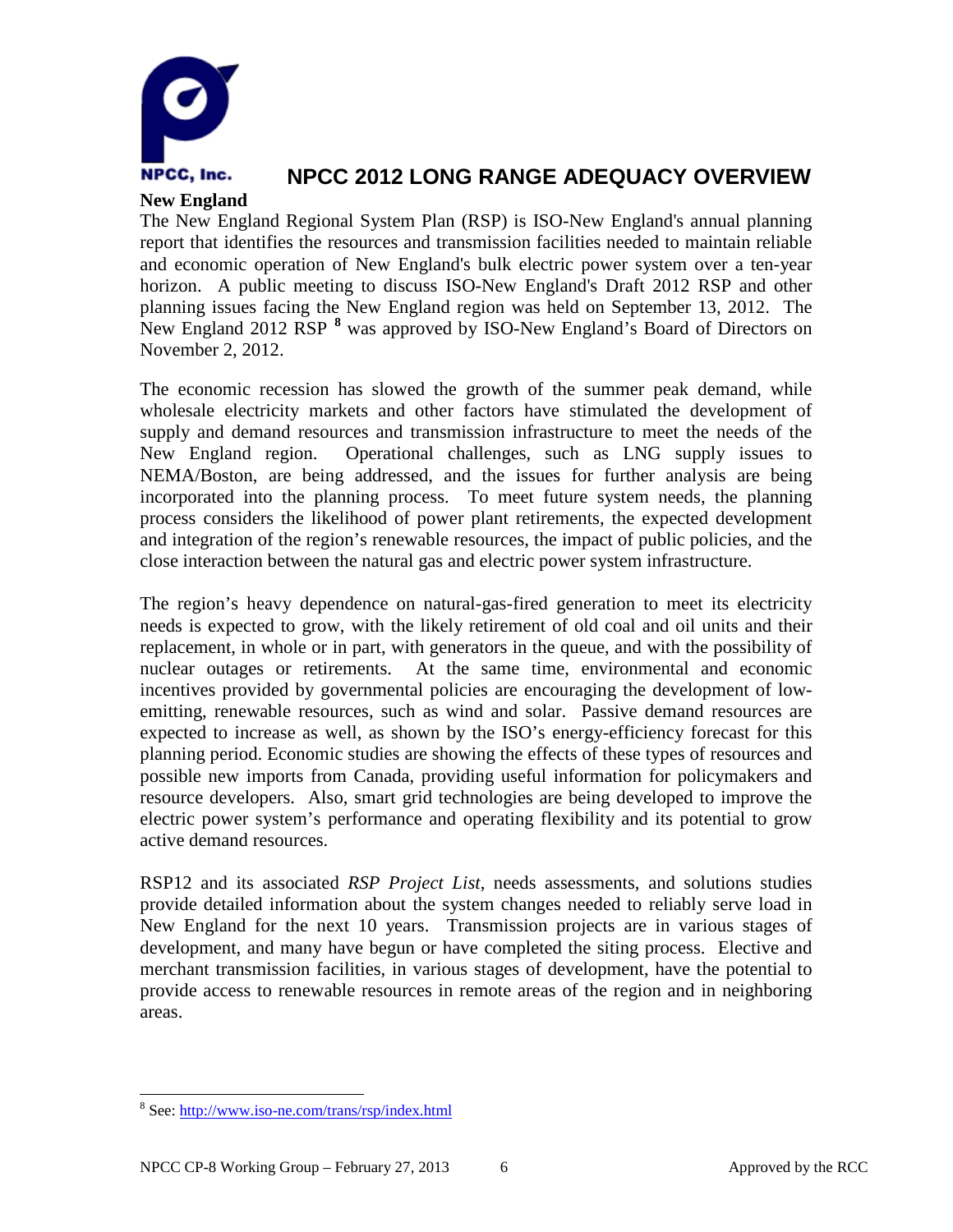

#### **New England**

The New England Regional System Plan (RSP) is ISO-New England's annual planning report that identifies the resources and transmission facilities needed to maintain reliable and economic operation of New England's bulk electric power system over a ten-year horizon. A public meeting to discuss ISO-New England's Draft 2012 RSP and other planning issues facing the New England region was held on September 13, 2012. The New England 2012 RSP **[8](#page-7-0)** was approved by ISO-New England's Board of Directors on November 2, 2012.

The economic recession has slowed the growth of the summer peak demand, while wholesale electricity markets and other factors have stimulated the development of supply and demand resources and transmission infrastructure to meet the needs of the New England region. Operational challenges, such as LNG supply issues to NEMA/Boston, are being addressed, and the issues for further analysis are being incorporated into the planning process. To meet future system needs, the planning process considers the likelihood of power plant retirements, the expected development and integration of the region's renewable resources, the impact of public policies, and the close interaction between the natural gas and electric power system infrastructure.

The region's heavy dependence on natural-gas-fired generation to meet its electricity needs is expected to grow, with the likely retirement of old coal and oil units and their replacement, in whole or in part, with generators in the queue, and with the possibility of nuclear outages or retirements. At the same time, environmental and economic incentives provided by governmental policies are encouraging the development of lowemitting, renewable resources, such as wind and solar. Passive demand resources are expected to increase as well, as shown by the ISO's energy-efficiency forecast for this planning period. Economic studies are showing the effects of these types of resources and possible new imports from Canada, providing useful information for policymakers and resource developers. Also, smart grid technologies are being developed to improve the electric power system's performance and operating flexibility and its potential to grow active demand resources.

RSP12 and its associated *RSP Project List*, needs assessments, and solutions studies provide detailed information about the system changes needed to reliably serve load in New England for the next 10 years. Transmission projects are in various stages of development, and many have begun or have completed the siting process. Elective and merchant transmission facilities, in various stages of development, have the potential to provide access to renewable resources in remote areas of the region and in neighboring areas.

<span id="page-7-0"></span> <sup>8</sup> See:<http://www.iso-ne.com/trans/rsp/index.html>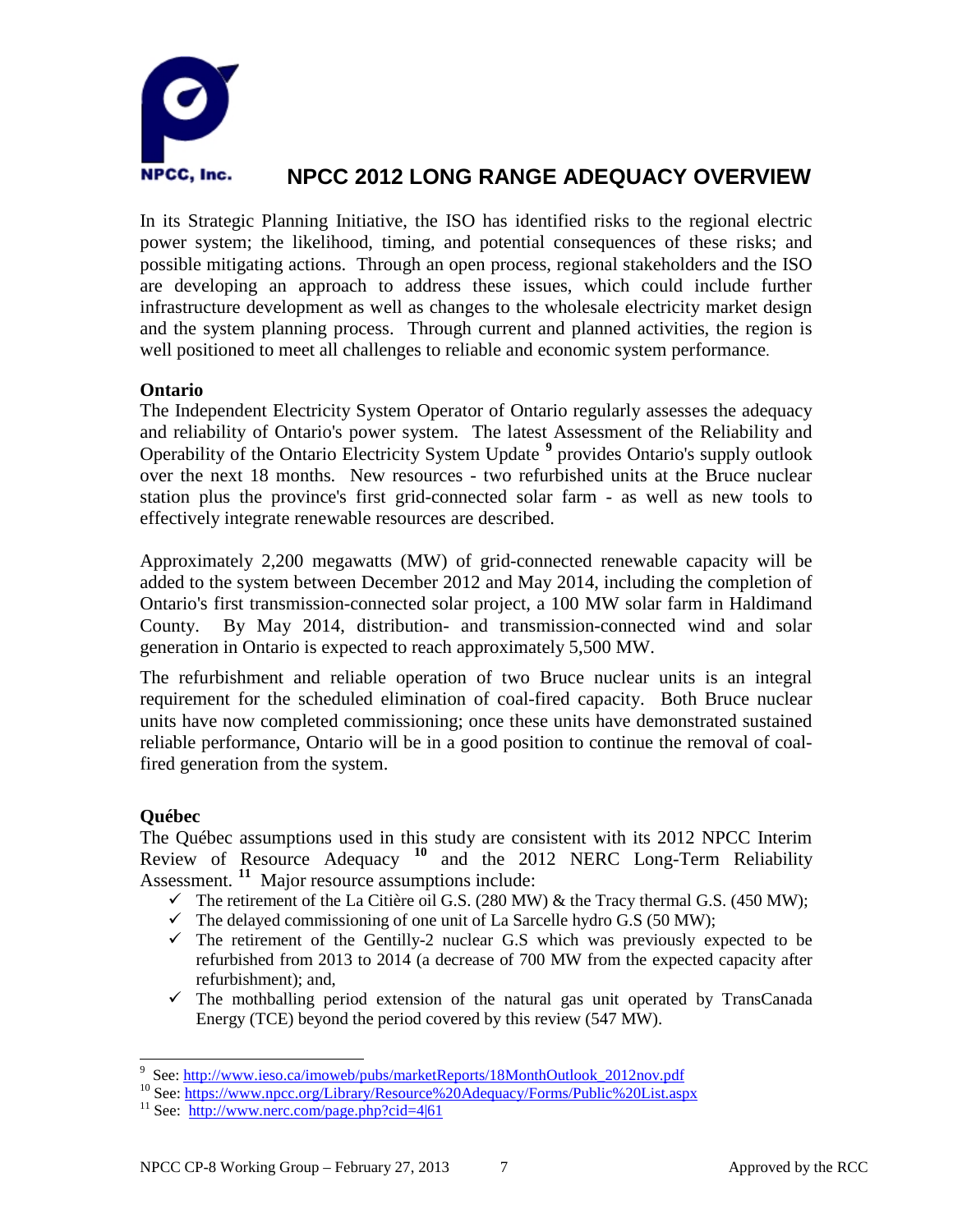

In its Strategic Planning Initiative, the ISO has identified risks to the regional electric power system; the likelihood, timing, and potential consequences of these risks; and possible mitigating actions. Through an open process, regional stakeholders and the ISO are developing an approach to address these issues, which could include further infrastructure development as well as changes to the wholesale electricity market design and the system planning process. Through current and planned activities, the region is well positioned to meet all challenges to reliable and economic system performance.

#### **Ontario**

The Independent Electricity System Operator of Ontario regularly assesses the adequacy and reliability of Ontario's power system. The latest Assessment of the Reliability and Operability of the Ontario Electricity System Update **[9](#page-8-0)** provides Ontario's supply outlook over the next 18 months. New resources - two refurbished units at the Bruce nuclear station plus the province's first grid-connected solar farm - as well as new tools to effectively integrate renewable resources are described.

Approximately 2,200 megawatts (MW) of grid-connected renewable capacity will be added to the system between December 2012 and May 2014, including the completion of Ontario's first transmission-connected solar project, a 100 MW solar farm in Haldimand County. By May 2014, distribution- and transmission-connected wind and solar generation in Ontario is expected to reach approximately 5,500 MW.

The refurbishment and reliable operation of two Bruce nuclear units is an integral requirement for the scheduled elimination of coal-fired capacity. Both Bruce nuclear units have now completed commissioning; once these units have demonstrated sustained reliable performance, Ontario will be in a good position to continue the removal of coalfired generation from the system.

#### **Québec**

The Québec assumptions used in this study are consistent with its 2012 NPCC Interim Review of Resource Adequacy **[10](#page-8-1)** and the 2012 NERC Long-Term Reliability Assessment.<sup>[11](#page-8-2)</sup> Major resource assumptions include:

- $\checkmark$  The retirement of the La Citière oil G.S. (280 MW) & the Tracy thermal G.S. (450 MW);
- $\checkmark$  The delayed commissioning of one unit of La Sarcelle hydro G.S (50 MW);
- $\checkmark$  The retirement of the Gentilly-2 nuclear G.S which was previously expected to be refurbished from 2013 to 2014 (a decrease of 700 MW from the expected capacity after refurbishment); and,
- $\checkmark$  The mothballing period extension of the natural gas unit operated by TransCanada Energy (TCE) beyond the period covered by this review (547 MW).

<span id="page-8-0"></span><sup>&</sup>lt;sup>9</sup> See: http://www.ieso.ca/imoweb/pubs/marketReports/18MonthOutlook 2012nov.pdf

<span id="page-8-1"></span><sup>&</sup>lt;sup>10</sup> See[: https://www.npcc.org/Library/Resource%20Adequacy/Forms/Public%20List.aspx](https://www.npcc.org/Library/Resource%20Adequacy/Forms/Public%20List.aspx) <sup>11</sup> See: <http://www.nerc.com/page.php?cid=4|61>

<span id="page-8-2"></span>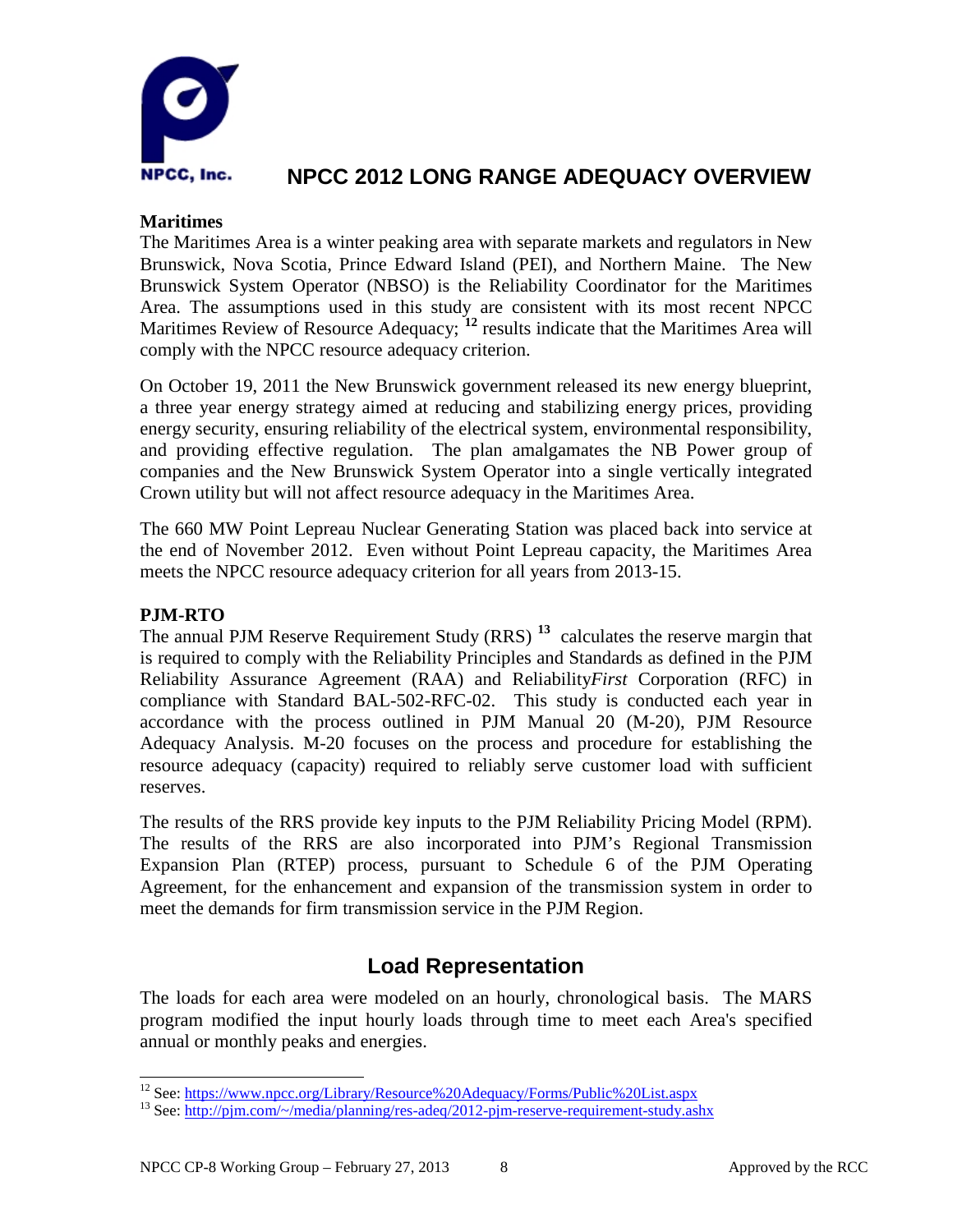

#### **Maritimes**

The Maritimes Area is a winter peaking area with separate markets and regulators in New Brunswick, Nova Scotia, Prince Edward Island (PEI), and Northern Maine. The New Brunswick System Operator (NBSO) is the Reliability Coordinator for the Maritimes Area. The assumptions used in this study are consistent with its most recent NPCC Maritimes Review of Resource Adequacy; <sup>[12](#page-9-0)</sup> results indicate that the Maritimes Area will comply with the NPCC resource adequacy criterion.

On October 19, 2011 the New Brunswick government released its new energy blueprint, a three year energy strategy aimed at reducing and stabilizing energy prices, providing energy security, ensuring reliability of the electrical system, environmental responsibility, and providing effective regulation. The plan amalgamates the NB Power group of companies and the New Brunswick System Operator into a single vertically integrated Crown utility but will not affect resource adequacy in the Maritimes Area.

The 660 MW Point Lepreau Nuclear Generating Station was placed back into service at the end of November 2012. Even without Point Lepreau capacity, the Maritimes Area meets the NPCC resource adequacy criterion for all years from 2013-15.

#### **PJM-RTO**

The annual PJM Reserve Requirement Study (RRS) **[13](#page-9-1)** calculates the reserve margin that is required to comply with the Reliability Principles and Standards as defined in the PJM Reliability Assurance Agreement (RAA) and Reliability*First* Corporation (RFC) in compliance with Standard BAL-502-RFC-02. This study is conducted each year in accordance with the process outlined in PJM Manual 20 (M-20), PJM Resource Adequacy Analysis. M-20 focuses on the process and procedure for establishing the resource adequacy (capacity) required to reliably serve customer load with sufficient reserves.

The results of the RRS provide key inputs to the PJM Reliability Pricing Model (RPM). The results of the RRS are also incorporated into PJM's Regional Transmission Expansion Plan (RTEP) process, pursuant to Schedule 6 of the PJM Operating Agreement, for the enhancement and expansion of the transmission system in order to meet the demands for firm transmission service in the PJM Region.

### **Load Representation**

The loads for each area were modeled on an hourly, chronological basis. The MARS program modified the input hourly loads through time to meet each Area's specified annual or monthly peaks and energies.

<span id="page-9-1"></span><span id="page-9-0"></span><sup>&</sup>lt;sup>12</sup> See[: https://www.npcc.org/Library/Resource%20Adequacy/Forms/Public%20List.aspx](https://www.npcc.org/Library/Resource%20Adequacy/Forms/Public%20List.aspx) <sup>13</sup> See: http://pjm.com/~/media/planning/res-adeq/2012-pjm-reserve-requirement-study.ashx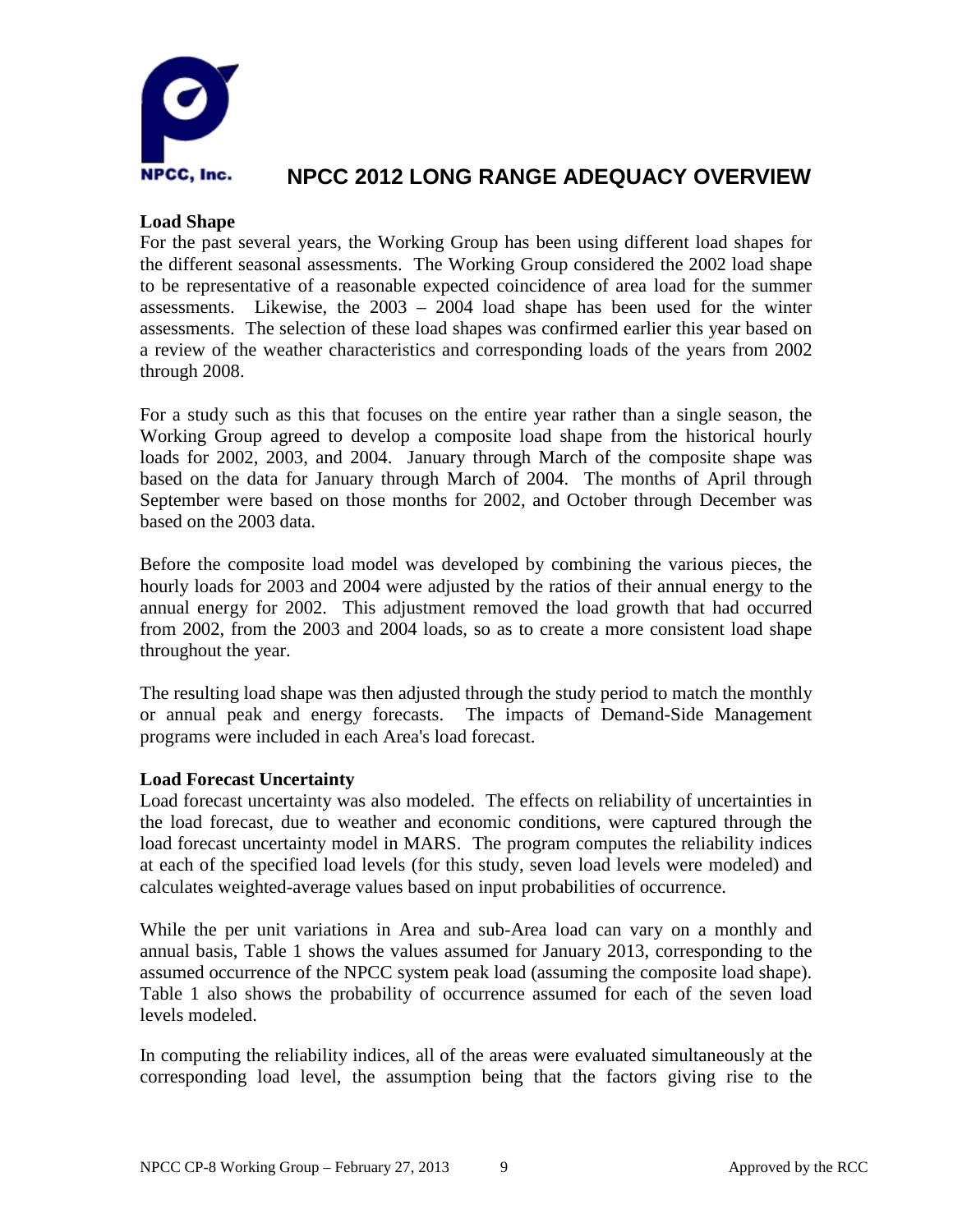

#### **Load Shape**

For the past several years, the Working Group has been using different load shapes for the different seasonal assessments. The Working Group considered the 2002 load shape to be representative of a reasonable expected coincidence of area load for the summer assessments. Likewise, the 2003 – 2004 load shape has been used for the winter assessments. The selection of these load shapes was confirmed earlier this year based on a review of the weather characteristics and corresponding loads of the years from 2002 through 2008.

For a study such as this that focuses on the entire year rather than a single season, the Working Group agreed to develop a composite load shape from the historical hourly loads for 2002, 2003, and 2004. January through March of the composite shape was based on the data for January through March of 2004. The months of April through September were based on those months for 2002, and October through December was based on the 2003 data.

Before the composite load model was developed by combining the various pieces, the hourly loads for 2003 and 2004 were adjusted by the ratios of their annual energy to the annual energy for 2002. This adjustment removed the load growth that had occurred from 2002, from the 2003 and 2004 loads, so as to create a more consistent load shape throughout the year.

The resulting load shape was then adjusted through the study period to match the monthly or annual peak and energy forecasts. The impacts of Demand-Side Management programs were included in each Area's load forecast.

#### **Load Forecast Uncertainty**

Load forecast uncertainty was also modeled.The effects on reliability of uncertainties in the load forecast, due to weather and economic conditions, were captured through the load forecast uncertainty model in MARS. The program computes the reliability indices at each of the specified load levels (for this study, seven load levels were modeled) and calculates weighted-average values based on input probabilities of occurrence.

While the per unit variations in Area and sub-Area load can vary on a monthly and annual basis, Table 1 shows the values assumed for January 2013, corresponding to the assumed occurrence of the NPCC system peak load (assuming the composite load shape). Table 1 also shows the probability of occurrence assumed for each of the seven load levels modeled.

In computing the reliability indices, all of the areas were evaluated simultaneously at the corresponding load level, the assumption being that the factors giving rise to the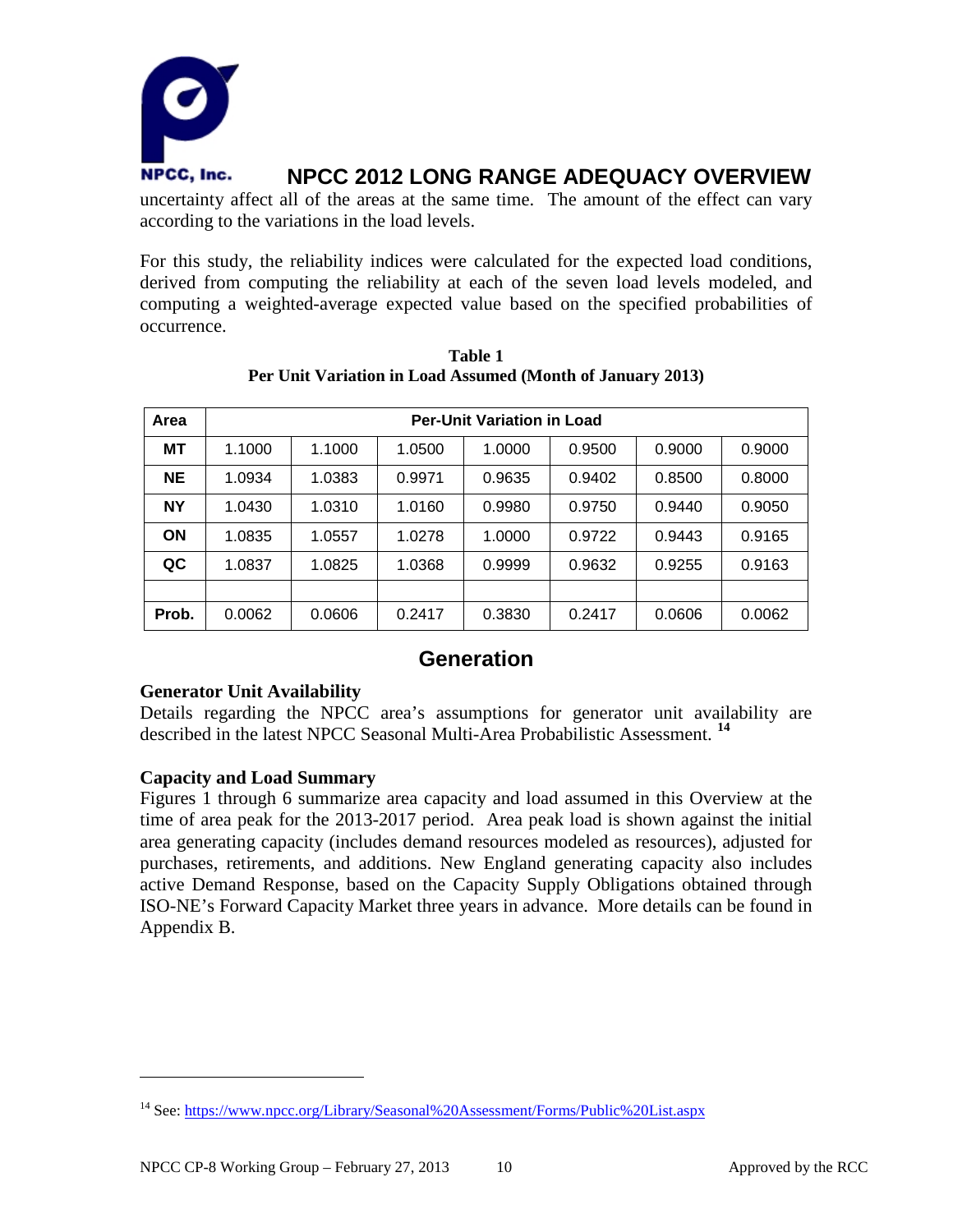

uncertainty affect all of the areas at the same time. The amount of the effect can vary according to the variations in the load levels.

For this study, the reliability indices were calculated for the expected load conditions, derived from computing the reliability at each of the seven load levels modeled, and computing a weighted-average expected value based on the specified probabilities of occurrence.

| Area      | <b>Per-Unit Variation in Load</b> |        |        |        |        |        |        |
|-----------|-----------------------------------|--------|--------|--------|--------|--------|--------|
| <b>MT</b> | 1.1000                            | 1.1000 | 1.0500 | 1.0000 | 0.9500 | 0.9000 | 0.9000 |
| <b>NE</b> | 1.0934                            | 1.0383 | 0.9971 | 0.9635 | 0.9402 | 0.8500 | 0.8000 |
| <b>NY</b> | 1.0430                            | 1.0310 | 1.0160 | 0.9980 | 0.9750 | 0.9440 | 0.9050 |
| <b>ON</b> | 1.0835                            | 1.0557 | 1.0278 | 1.0000 | 0.9722 | 0.9443 | 0.9165 |
| QC        | 1.0837                            | 1.0825 | 1.0368 | 0.9999 | 0.9632 | 0.9255 | 0.9163 |
|           |                                   |        |        |        |        |        |        |
| Prob.     | 0.0062                            | 0.0606 | 0.2417 | 0.3830 | 0.2417 | 0.0606 | 0.0062 |

**Table 1 Per Unit Variation in Load Assumed (Month of January 2013)**

### **Generation**

#### **Generator Unit Availability**

Details regarding the NPCC area's assumptions for generator unit availability are described in the latest NPCC Seasonal Multi-Area Probabilistic Assessment. **[14](#page-11-0)**

#### **Capacity and Load Summary**

 $\overline{a}$ 

Figures 1 through 6 summarize area capacity and load assumed in this Overview at the time of area peak for the 2013-2017 period. Area peak load is shown against the initial area generating capacity (includes demand resources modeled as resources), adjusted for purchases, retirements, and additions. New England generating capacity also includes active Demand Response, based on the Capacity Supply Obligations obtained through ISO-NE's Forward Capacity Market three years in advance. More details can be found in Appendix B.

<span id="page-11-0"></span><sup>14</sup> See[: https://www.npcc.org/Library/Seasonal%20Assessment/Forms/Public%20List.aspx](https://www.npcc.org/Library/Seasonal%20Assessment/Forms/Public%20List.aspx)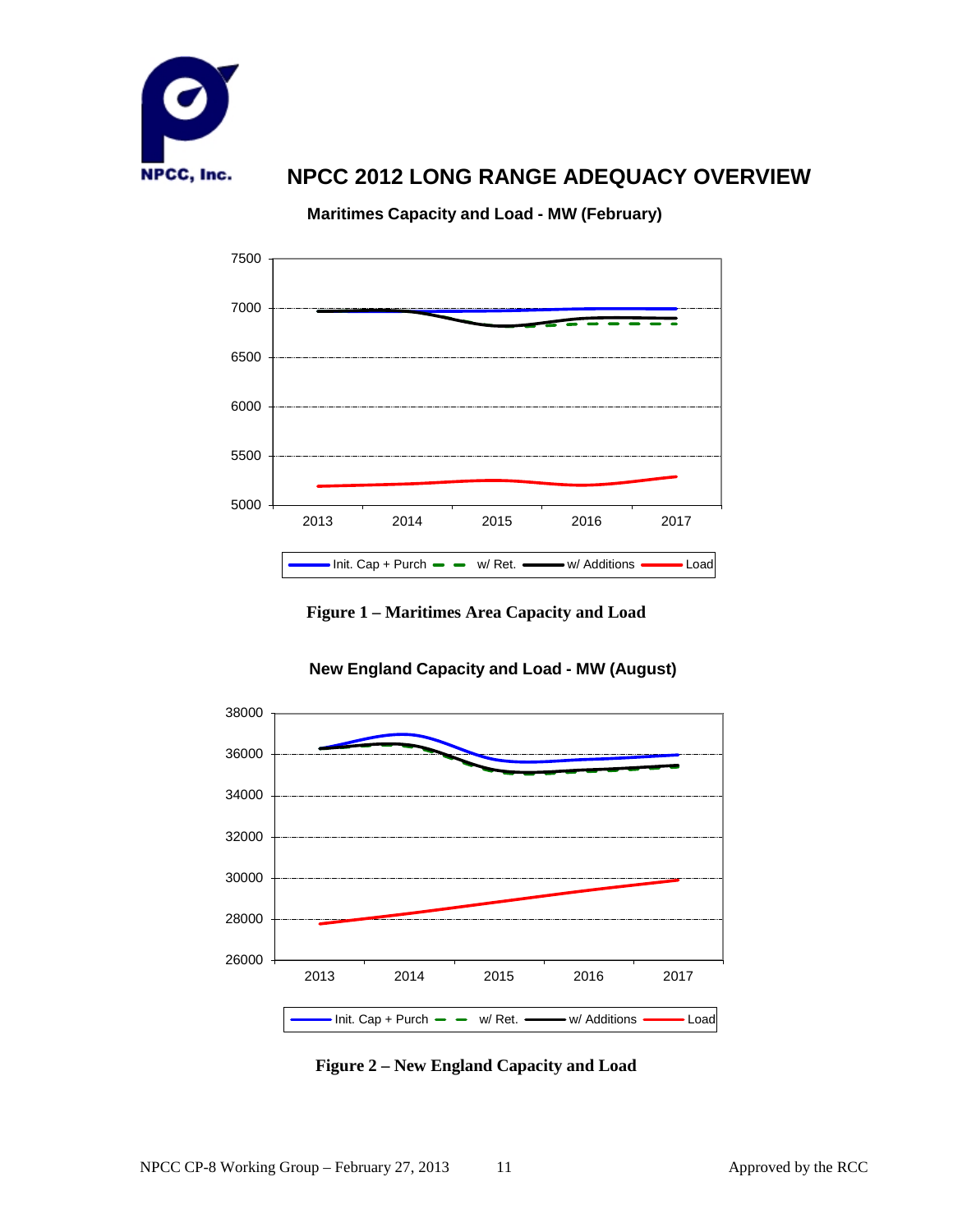

**Maritimes Capacity and Load - MW (February)**



**Figure 1 – Maritimes Area Capacity and Load**



#### **New England Capacity and Load - MW (August)**

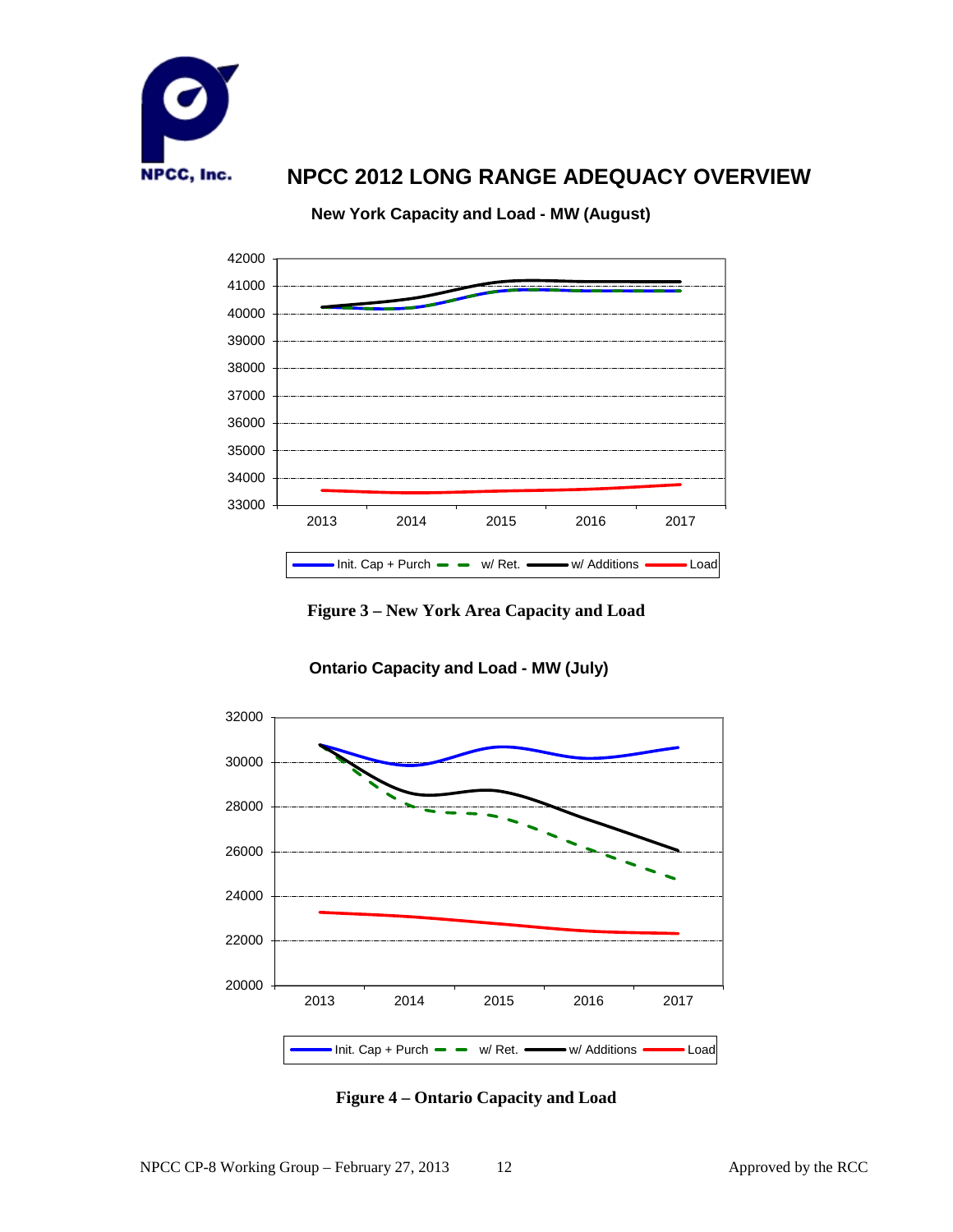

**New York Capacity and Load - MW (August)**



**Figure 3 – New York Area Capacity and Load**



**Ontario Capacity and Load - MW (July)**

**Figure 4 – Ontario Capacity and Load**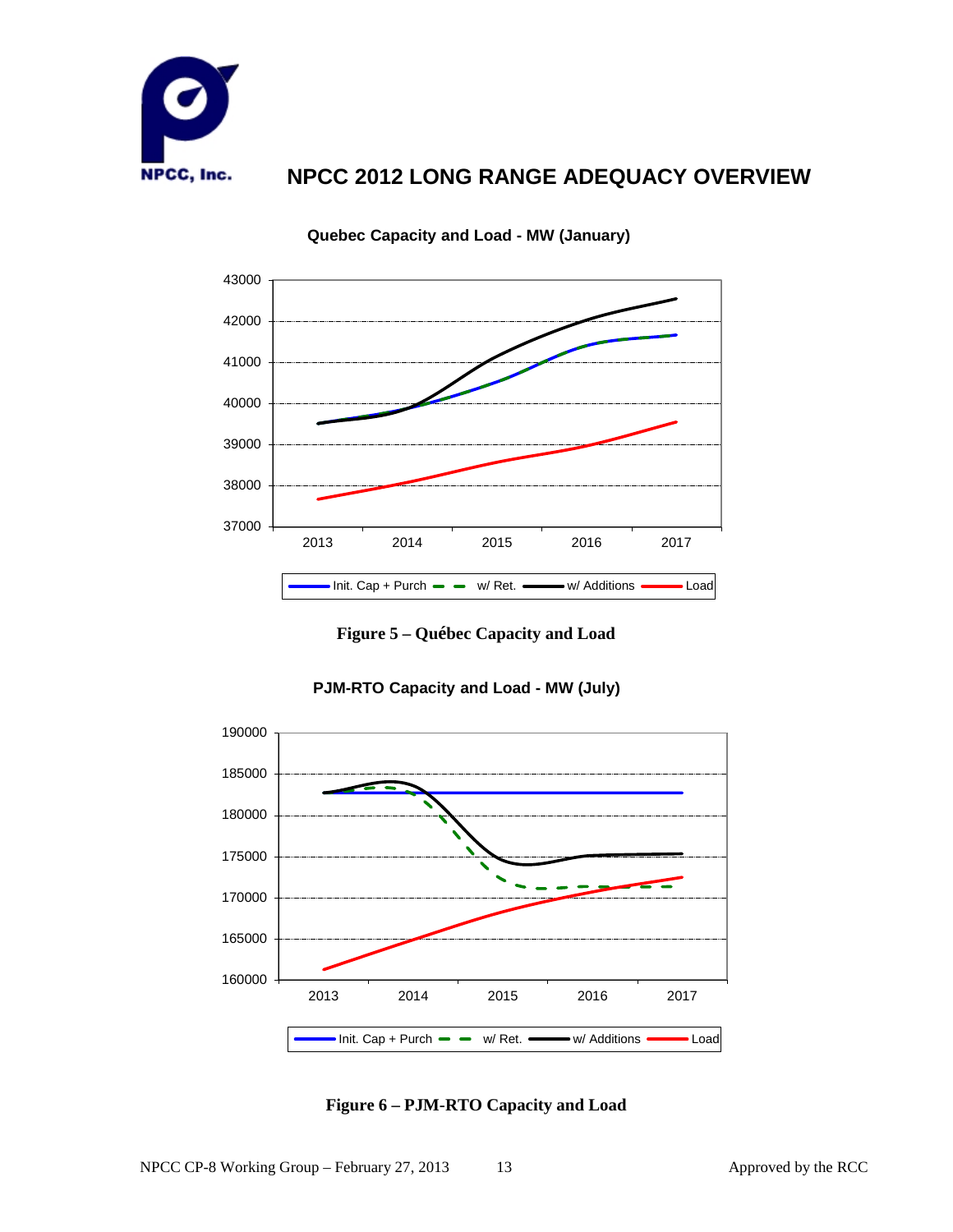



#### **Quebec Capacity and Load - MW (January)**

**Figure 5 – Québec Capacity and Load**



#### **PJM-RTO Capacity and Load - MW (July)**

**Figure 6 – PJM-RTO Capacity and Load**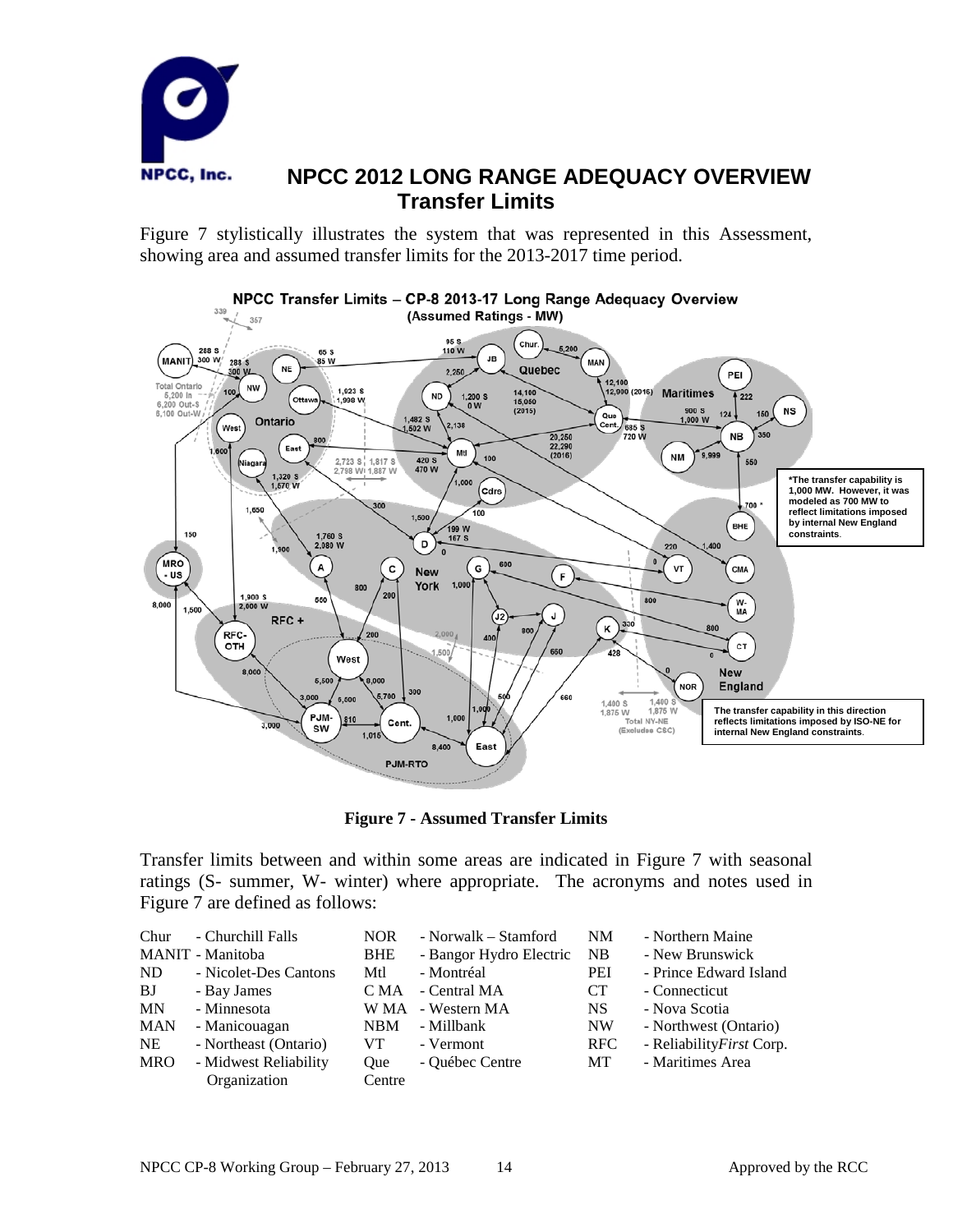

### **NPCC 2012 LONG RANGE ADEQUACY OVERVIEW Transfer Limits**

Figure 7 stylistically illustrates the system that was represented in this Assessment, showing area and assumed transfer limits for the 2013-2017 time period.



**Figure 7 - Assumed Transfer Limits** 

Transfer limits between and within some areas are indicated in Figure 7 with seasonal ratings (S- summer, W- winter) where appropriate. The acronyms and notes used in Figure 7 are defined as follows:

| - Churchill Falls<br>Chur<br>MANIT - Manitoba<br>ND<br>- Nicolet-Des Cantons<br>BJ<br>- Bay James<br><b>MN</b><br>- Minnesota<br><b>MAN</b><br>- Manicouagan<br>- Northeast (Ontario)<br><b>NE</b><br>- Midwest Reliability<br><b>MRO</b><br>Organization | <b>NOR</b><br><b>BHE</b><br>Mtl<br>C MA<br><b>NBM</b><br>VT.<br>Oue<br>Centre | - Norwalk – Stamford<br>- Bangor Hydro Electric<br>- Montréal<br>- Central MA<br>W MA - Western MA<br>- Millbank<br>- Vermont<br>- Québec Centre | NM<br>NB<br>PEI<br><b>CT</b><br><b>NS</b><br><b>NW</b><br>RFC<br>МT | - Northern Maine<br>- New Brunswick<br>- Prince Edward Island<br>- Connecticut<br>- Nova Scotia<br>- Northwest (Ontario)<br>- Reliability First Corp.<br>- Maritimes Area |
|-----------------------------------------------------------------------------------------------------------------------------------------------------------------------------------------------------------------------------------------------------------|-------------------------------------------------------------------------------|--------------------------------------------------------------------------------------------------------------------------------------------------|---------------------------------------------------------------------|---------------------------------------------------------------------------------------------------------------------------------------------------------------------------|
|-----------------------------------------------------------------------------------------------------------------------------------------------------------------------------------------------------------------------------------------------------------|-------------------------------------------------------------------------------|--------------------------------------------------------------------------------------------------------------------------------------------------|---------------------------------------------------------------------|---------------------------------------------------------------------------------------------------------------------------------------------------------------------------|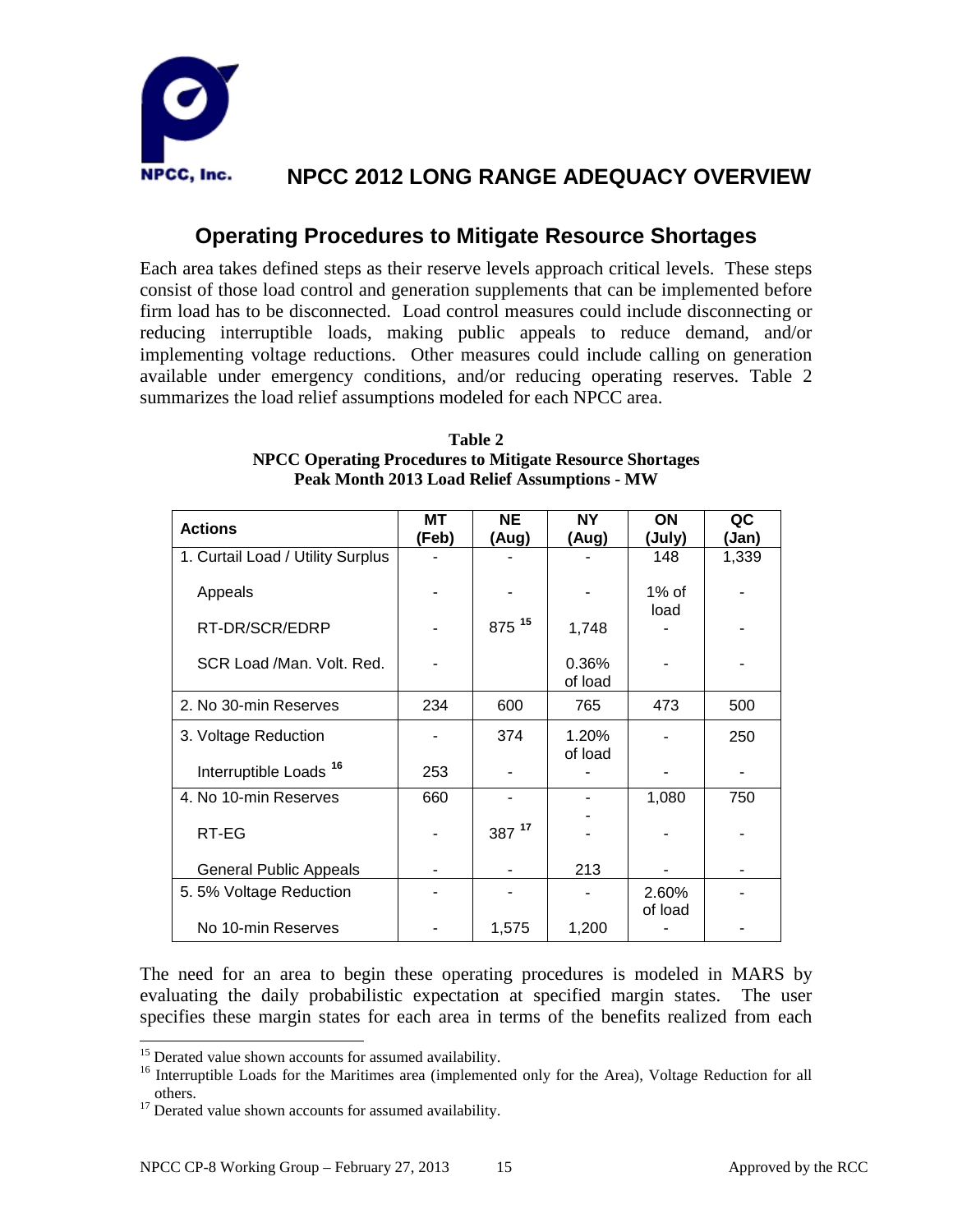

### **Operating Procedures to Mitigate Resource Shortages**

Each area takes defined steps as their reserve levels approach critical levels. These steps consist of those load control and generation supplements that can be implemented before firm load has to be disconnected. Load control measures could include disconnecting or reducing interruptible loads, making public appeals to reduce demand, and/or implementing voltage reductions. Other measures could include calling on generation available under emergency conditions, and/or reducing operating reserves. Table 2 summarizes the load relief assumptions modeled for each NPCC area.

| <b>Actions</b>                    | МT<br>(Feb) | <b>NE</b><br>(Aug) | <b>NY</b><br>(Aug) | ON<br>(July)     | QC<br>(Jan) |
|-----------------------------------|-------------|--------------------|--------------------|------------------|-------------|
| 1. Curtail Load / Utility Surplus |             |                    |                    | 148              | 1,339       |
| Appeals                           |             |                    |                    | $1\%$ of<br>load |             |
| RT-DR/SCR/EDRP                    |             | 875 15             | 1,748              |                  |             |
| SCR Load /Man. Volt. Red.         |             |                    | 0.36%<br>of load   |                  |             |
| 2. No 30-min Reserves             | 234         | 600                | 765                | 473              | 500         |
| 3. Voltage Reduction              |             | 374                | 1.20%<br>of load   |                  | 250         |
| Interruptible Loads <sup>16</sup> | 253         |                    |                    |                  |             |
| 4. No 10-min Reserves             | 660         |                    |                    | 1,080            | 750         |
| RT-EG                             |             | 387 $17$           |                    |                  |             |
| <b>General Public Appeals</b>     |             |                    | 213                |                  |             |
| 5.5% Voltage Reduction            |             |                    |                    | 2.60%            |             |
| No 10-min Reserves                |             | 1,575              | 1,200              | of load          |             |

**Table 2 NPCC Operating Procedures to Mitigate Resource Shortages Peak Month 2013 Load Relief Assumptions - MW**

The need for an area to begin these operating procedures is modeled in MARS by evaluating the daily probabilistic expectation at specified margin states. The user specifies these margin states for each area in terms of the benefits realized from each

<span id="page-16-1"></span><span id="page-16-0"></span><sup>&</sup>lt;sup>15</sup> Derated value shown accounts for assumed availability.<br><sup>16</sup> Interruptible Loads for the Maritimes area (implemented only for the Area), Voltage Reduction for all others. <sup>17</sup> Derated value shown accounts for assumed availability.

<span id="page-16-2"></span>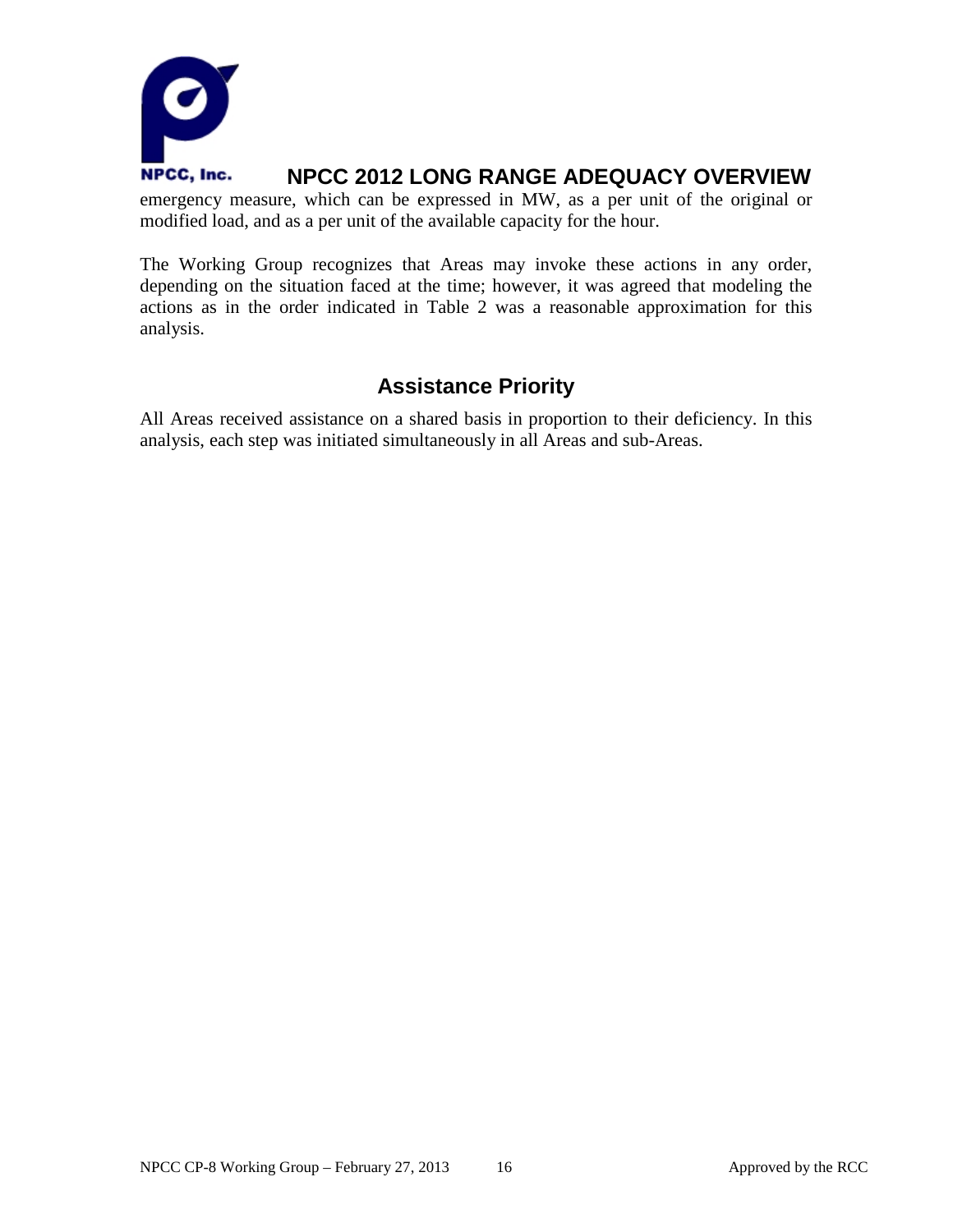

emergency measure, which can be expressed in MW, as a per unit of the original or modified load, and as a per unit of the available capacity for the hour.

The Working Group recognizes that Areas may invoke these actions in any order, depending on the situation faced at the time; however, it was agreed that modeling the actions as in the order indicated in Table 2 was a reasonable approximation for this analysis.

### **Assistance Priority**

All Areas received assistance on a shared basis in proportion to their deficiency. In this analysis, each step was initiated simultaneously in all Areas and sub-Areas.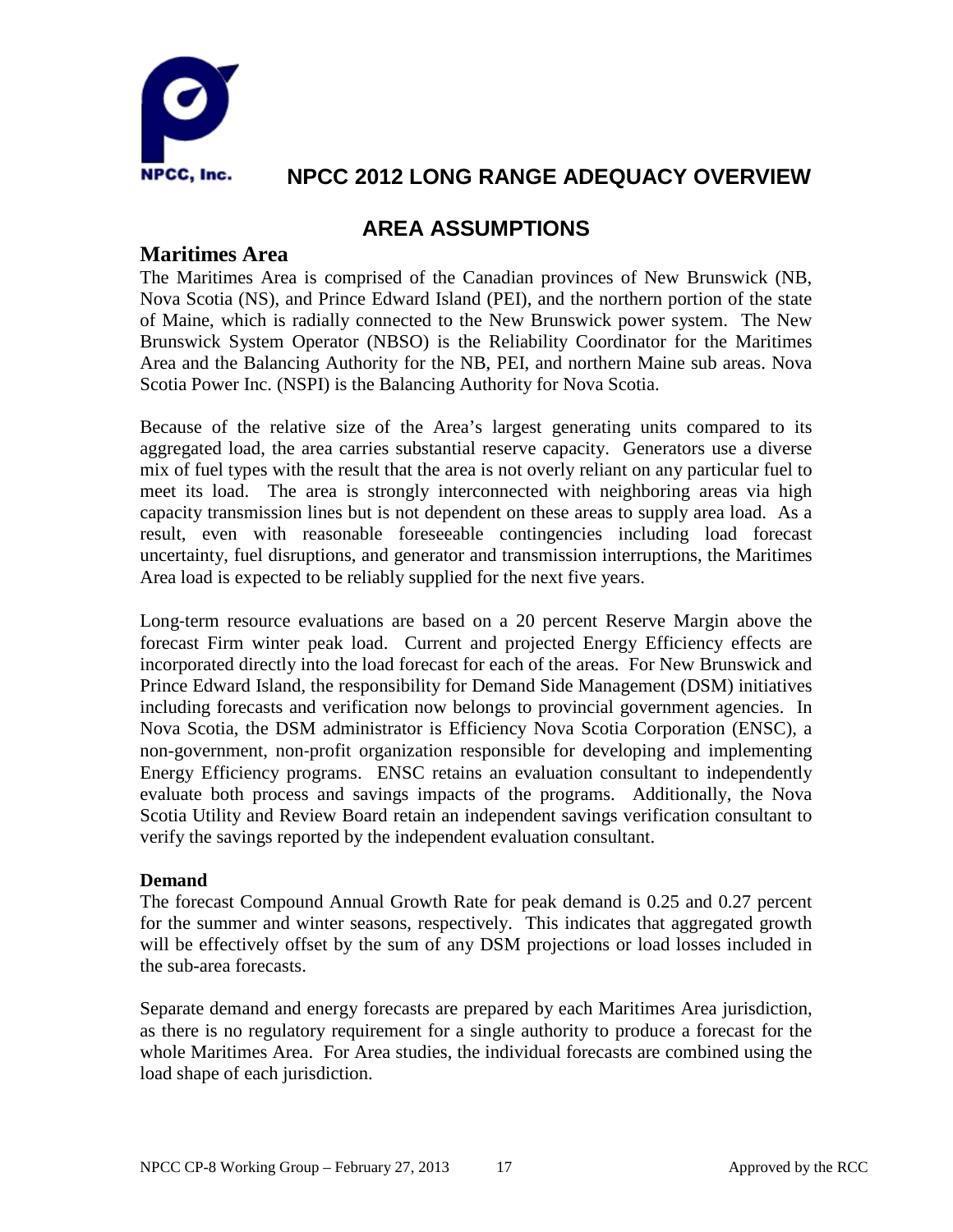

### **AREA ASSUMPTIONS**

#### **Maritimes Area**

The Maritimes Area is comprised of the Canadian provinces of New Brunswick (NB, Nova Scotia (NS), and Prince Edward Island (PEI), and the northern portion of the state of Maine, which is radially connected to the New Brunswick power system. The New Brunswick System Operator (NBSO) is the Reliability Coordinator for the Maritimes Area and the Balancing Authority for the NB, PEI, and northern Maine sub areas. Nova Scotia Power Inc. (NSPI) is the Balancing Authority for Nova Scotia.

Because of the relative size of the Area's largest generating units compared to its aggregated load, the area carries substantial reserve capacity. Generators use a diverse mix of fuel types with the result that the area is not overly reliant on any particular fuel to meet its load. The area is strongly interconnected with neighboring areas via high capacity transmission lines but is not dependent on these areas to supply area load. As a result, even with reasonable foreseeable contingencies including load forecast uncertainty, fuel disruptions, and generator and transmission interruptions, the Maritimes Area load is expected to be reliably supplied for the next five years.

Long-term resource evaluations are based on a 20 percent Reserve Margin above the forecast Firm winter peak load. Current and projected Energy Efficiency effects are incorporated directly into the load forecast for each of the areas. For New Brunswick and Prince Edward Island, the responsibility for Demand Side Management (DSM) initiatives including forecasts and verification now belongs to provincial government agencies. In Nova Scotia, the DSM administrator is Efficiency Nova Scotia Corporation (ENSC), a non-government, non‐profit organization responsible for developing and implementing Energy Efficiency programs. ENSC retains an evaluation consultant to independently evaluate both process and savings impacts of the programs. Additionally, the Nova Scotia Utility and Review Board retain an independent savings verification consultant to verify the savings reported by the independent evaluation consultant.

#### **Demand**

The forecast Compound Annual Growth Rate for peak demand is 0.25 and 0.27 percent for the summer and winter seasons, respectively. This indicates that aggregated growth will be effectively offset by the sum of any DSM projections or load losses included in the sub-area forecasts.

Separate demand and energy forecasts are prepared by each Maritimes Area jurisdiction, as there is no regulatory requirement for a single authority to produce a forecast for the whole Maritimes Area. For Area studies, the individual forecasts are combined using the load shape of each jurisdiction.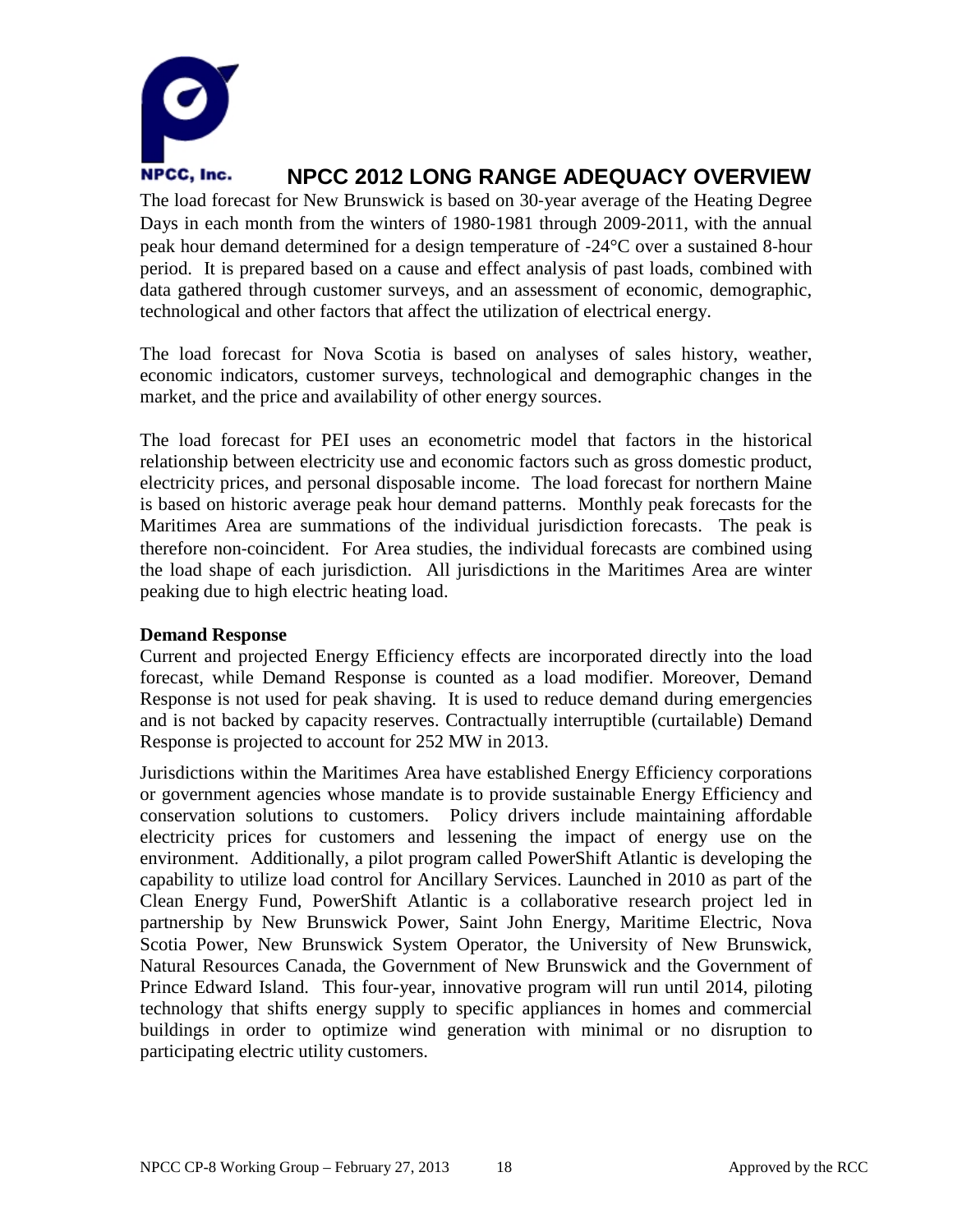

The load forecast for New Brunswick is based on 30‐year average of the Heating Degree Days in each month from the winters of 1980-1981 through 2009-2011, with the annual peak hour demand determined for a design temperature of ‐24°C over a sustained 8‐hour period. It is prepared based on a cause and effect analysis of past loads, combined with data gathered through customer surveys, and an assessment of economic, demographic, technological and other factors that affect the utilization of electrical energy.

The load forecast for Nova Scotia is based on analyses of sales history, weather, economic indicators, customer surveys, technological and demographic changes in the market, and the price and availability of other energy sources.

The load forecast for PEI uses an econometric model that factors in the historical relationship between electricity use and economic factors such as gross domestic product, electricity prices, and personal disposable income. The load forecast for northern Maine is based on historic average peak hour demand patterns. Monthly peak forecasts for the Maritimes Area are summations of the individual jurisdiction forecasts. The peak is therefore non‐coincident. For Area studies, the individual forecasts are combined using the load shape of each jurisdiction. All jurisdictions in the Maritimes Area are winter peaking due to high electric heating load.

#### **Demand Response**

Current and projected Energy Efficiency effects are incorporated directly into the load forecast, while Demand Response is counted as a load modifier. Moreover, Demand Response is not used for peak shaving. It is used to reduce demand during emergencies and is not backed by capacity reserves. Contractually interruptible (curtailable) Demand Response is projected to account for 252 MW in 2013.

Jurisdictions within the Maritimes Area have established Energy Efficiency corporations or government agencies whose mandate is to provide sustainable Energy Efficiency and conservation solutions to customers. Policy drivers include maintaining affordable electricity prices for customers and lessening the impact of energy use on the environment. Additionally, a pilot program called PowerShift Atlantic is developing the capability to utilize load control for Ancillary Services. Launched in 2010 as part of the Clean Energy Fund, PowerShift Atlantic is a collaborative research project led in partnership by New Brunswick Power, Saint John Energy, Maritime Electric, Nova Scotia Power, New Brunswick System Operator, the University of New Brunswick, Natural Resources Canada, the Government of New Brunswick and the Government of Prince Edward Island. This four-year, innovative program will run until 2014, piloting technology that shifts energy supply to specific appliances in homes and commercial buildings in order to optimize wind generation with minimal or no disruption to participating electric utility customers.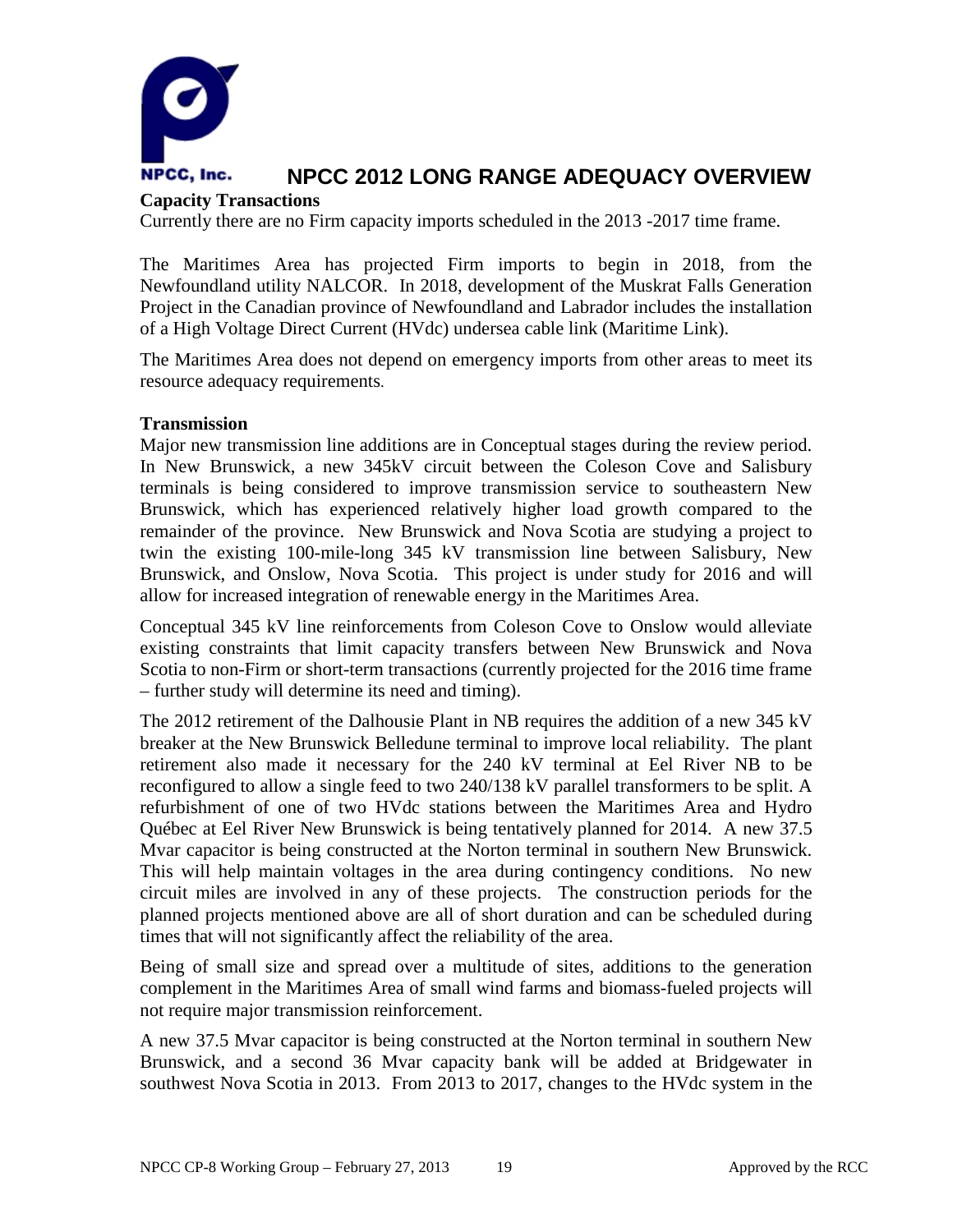

#### **Capacity Transactions**

Currently there are no Firm capacity imports scheduled in the 2013 -2017 time frame.

The Maritimes Area has projected Firm imports to begin in 2018, from the Newfoundland utility NALCOR. In 2018, development of the Muskrat Falls Generation Project in the Canadian province of Newfoundland and Labrador includes the installation of a High Voltage Direct Current (HVdc) undersea cable link (Maritime Link).

The Maritimes Area does not depend on emergency imports from other areas to meet its resource adequacy requirements.

#### **Transmission**

Major new transmission line additions are in Conceptual stages during the review period. In New Brunswick, a new 345kV circuit between the Coleson Cove and Salisbury terminals is being considered to improve transmission service to southeastern New Brunswick, which has experienced relatively higher load growth compared to the remainder of the province. New Brunswick and Nova Scotia are studying a project to twin the existing 100-mile-long 345 kV transmission line between Salisbury, New Brunswick, and Onslow, Nova Scotia. This project is under study for 2016 and will allow for increased integration of renewable energy in the Maritimes Area.

Conceptual 345 kV line reinforcements from Coleson Cove to Onslow would alleviate existing constraints that limit capacity transfers between New Brunswick and Nova Scotia to non-Firm or short-term transactions (currently projected for the 2016 time frame – further study will determine its need and timing).

The 2012 retirement of the Dalhousie Plant in NB requires the addition of a new 345 kV breaker at the New Brunswick Belledune terminal to improve local reliability. The plant retirement also made it necessary for the 240 kV terminal at Eel River NB to be reconfigured to allow a single feed to two 240/138 kV parallel transformers to be split. A refurbishment of one of two HVdc stations between the Maritimes Area and Hydro Québec at Eel River New Brunswick is being tentatively planned for 2014. A new 37.5 Mvar capacitor is being constructed at the Norton terminal in southern New Brunswick. This will help maintain voltages in the area during contingency conditions. No new circuit miles are involved in any of these projects. The construction periods for the planned projects mentioned above are all of short duration and can be scheduled during times that will not significantly affect the reliability of the area.

Being of small size and spread over a multitude of sites, additions to the generation complement in the Maritimes Area of small wind farms and biomass-fueled projects will not require major transmission reinforcement.

A new 37.5 Mvar capacitor is being constructed at the Norton terminal in southern New Brunswick, and a second 36 Mvar capacity bank will be added at Bridgewater in southwest Nova Scotia in 2013. From 2013 to 2017, changes to the HVdc system in the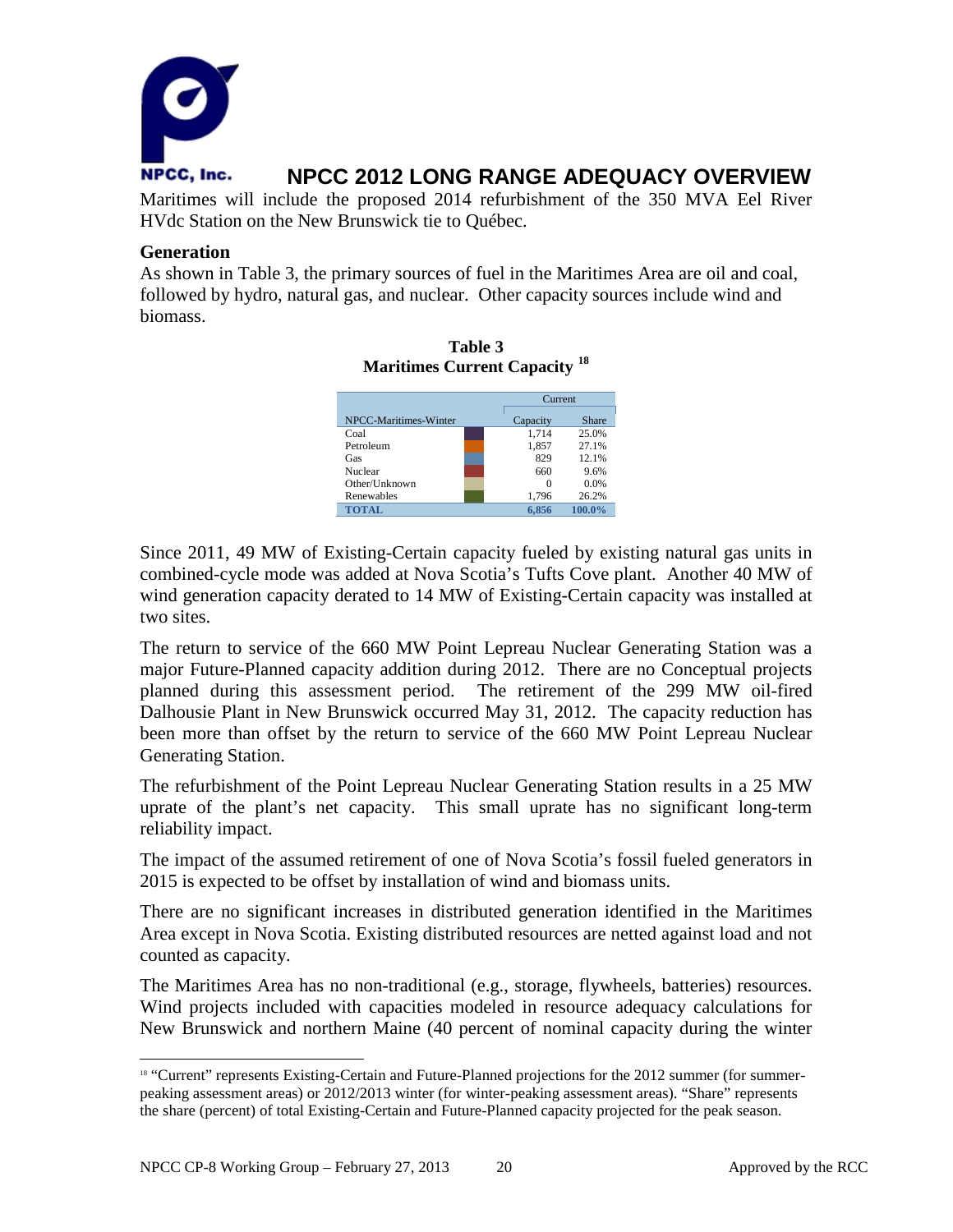

Maritimes will include the proposed 2014 refurbishment of the 350 MVA Eel River HVdc Station on the New Brunswick tie to Québec.

#### **Generation**

As shown in Table 3, the primary sources of fuel in the Maritimes Area are oil and coal, followed by hydro, natural gas, and nuclear. Other capacity sources include wind and biomass.

**Table 3**

| -18<br><b>Maritimes Current Capacity</b> |          |         |  |  |
|------------------------------------------|----------|---------|--|--|
|                                          |          | Current |  |  |
| NPCC-Maritimes-Winter                    | Capacity | Share   |  |  |
| Coal                                     | 1.714    | 25.0%   |  |  |
| Petroleum                                | 1,857    | 27.1%   |  |  |
| Gas                                      | 829      | 12.1%   |  |  |
| Nuclear                                  | 660      | 9.6%    |  |  |
| Other/Unknown                            | $\Omega$ | 0.0%    |  |  |
| Renewables                               | 1,796    | 26.2%   |  |  |
| <b>TOTAL</b>                             | 6.856    | 100.0%  |  |  |

Since 2011, 49 MW of Existing-Certain capacity fueled by existing natural gas units in combined-cycle mode was added at Nova Scotia's Tufts Cove plant. Another 40 MW of wind generation capacity derated to 14 MW of Existing-Certain capacity was installed at two sites.

The return to service of the 660 MW Point Lepreau Nuclear Generating Station was a major Future-Planned capacity addition during 2012. There are no Conceptual projects planned during this assessment period. The retirement of the 299 MW oil-fired Dalhousie Plant in New Brunswick occurred May 31, 2012. The capacity reduction has been more than offset by the return to service of the 660 MW Point Lepreau Nuclear Generating Station.

The refurbishment of the Point Lepreau Nuclear Generating Station results in a 25 MW uprate of the plant's net capacity. This small uprate has no significant long-term reliability impact.

The impact of the assumed retirement of one of Nova Scotia's fossil fueled generators in 2015 is expected to be offset by installation of wind and biomass units.

There are no significant increases in distributed generation identified in the Maritimes Area except in Nova Scotia. Existing distributed resources are netted against load and not counted as capacity.

The Maritimes Area has no non-traditional (e.g., storage, flywheels, batteries) resources. Wind projects included with capacities modeled in resource adequacy calculations for New Brunswick and northern Maine (40 percent of nominal capacity during the winter

<span id="page-21-0"></span><sup>&</sup>lt;sup>18</sup> "Current" represents Existing-Certain and Future-Planned projections for the 2012 summer (for summerpeaking assessment areas) or 2012/2013 winter (for winter-peaking assessment areas). "Share" represents the share (percent) of total Existing-Certain and Future-Planned capacity projected for the peak season.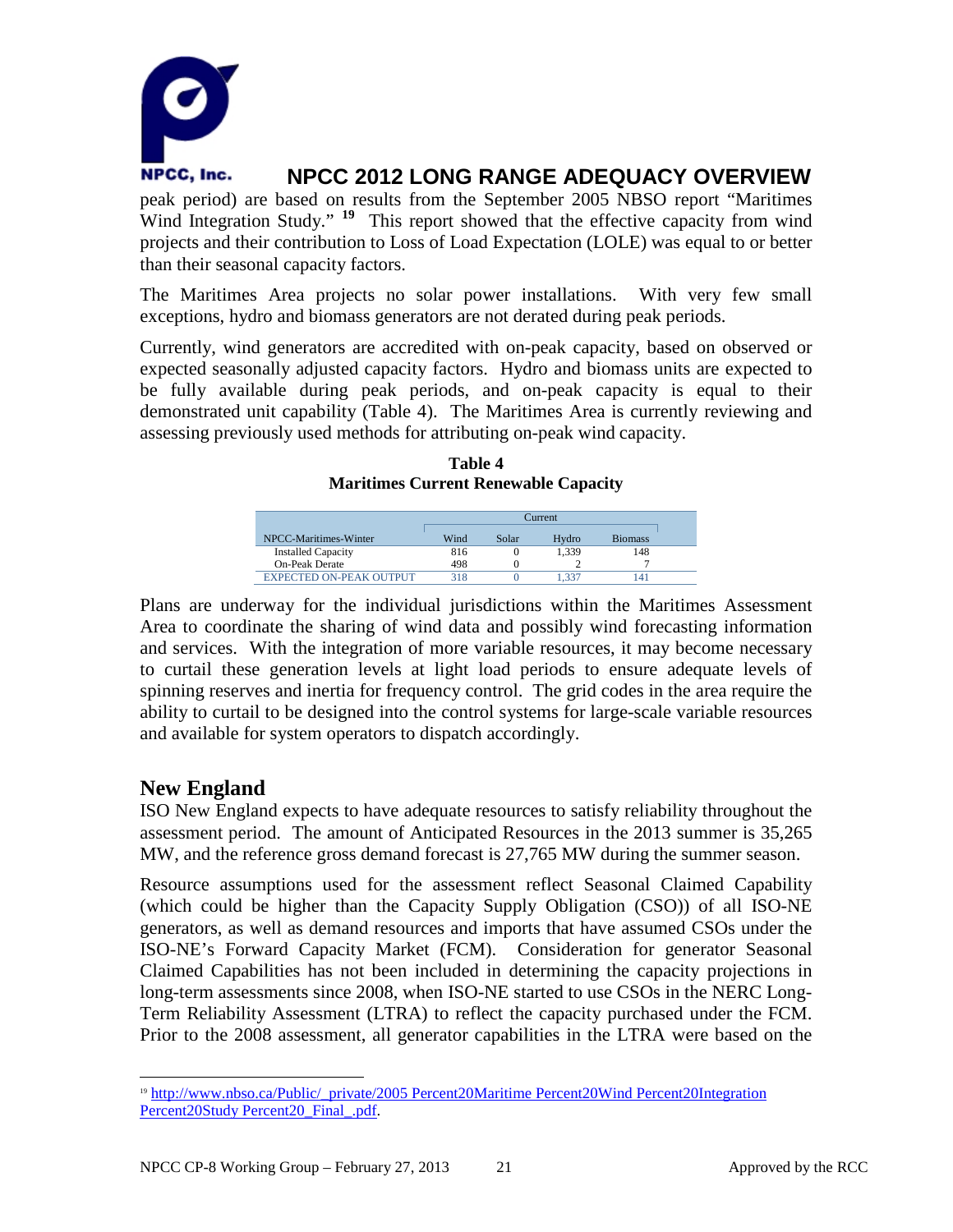

peak period) are based on results from the September 2005 NBSO report "Maritimes Wind Integration Study." <sup>[19](#page-22-0)</sup> This report showed that the effective capacity from wind projects and their contribution to Loss of Load Expectation (LOLE) was equal to or better than their seasonal capacity factors.

The Maritimes Area projects no solar power installations. With very few small exceptions, hydro and biomass generators are not derated during peak periods.

Currently, wind generators are accredited with on-peak capacity, based on observed or expected seasonally adjusted capacity factors. Hydro and biomass units are expected to be fully available during peak periods, and on-peak capacity is equal to their demonstrated unit capability (Table 4). The Maritimes Area is currently reviewing and assessing previously used methods for attributing on-peak wind capacity.

| Table 4                                     |  |
|---------------------------------------------|--|
| <b>Maritimes Current Renewable Capacity</b> |  |

|                                | Current |       |       |                |  |
|--------------------------------|---------|-------|-------|----------------|--|
| NPCC-Maritimes-Winter          | Wind    | Solar | Hydro | <b>Biomass</b> |  |
| <b>Installed Capacity</b>      | 816     |       | 1.339 | 148            |  |
| <b>On-Peak Derate</b>          | 498     |       |       |                |  |
| <b>EXPECTED ON-PEAK OUTPUT</b> | 318     |       | 337   | 141            |  |

Plans are underway for the individual jurisdictions within the Maritimes Assessment Area to coordinate the sharing of wind data and possibly wind forecasting information and services. With the integration of more variable resources, it may become necessary to curtail these generation levels at light load periods to ensure adequate levels of spinning reserves and inertia for frequency control. The grid codes in the area require the ability to curtail to be designed into the control systems for large-scale variable resources and available for system operators to dispatch accordingly.

### **New England**

ISO New England expects to have adequate resources to satisfy reliability throughout the assessment period. The amount of Anticipated Resources in the 2013 summer is 35,265 MW, and the reference gross demand forecast is 27,765 MW during the summer season.

Resource assumptions used for the assessment reflect Seasonal Claimed Capability (which could be higher than the Capacity Supply Obligation (CSO)) of all ISO-NE generators, as well as demand resources and imports that have assumed CSOs under the ISO-NE's Forward Capacity Market (FCM). Consideration for generator Seasonal Claimed Capabilities has not been included in determining the capacity projections in long-term assessments since 2008, when ISO-NE started to use CSOs in the NERC Long-Term Reliability Assessment (LTRA) to reflect the capacity purchased under the FCM. Prior to the 2008 assessment, all generator capabilities in the LTRA were based on the

<span id="page-22-0"></span> <sup>19</sup> [http://www.nbso.ca/Public/\\_private/2005 Percent20Maritime Percent20Wind Percent20Integration](http://www.nbso.ca/Public/_private/2005%20Maritime%20Wind%20Integration%20Study%20_Final_.pdf)  [Percent20Study Percent20\\_Final\\_.pdf.](http://www.nbso.ca/Public/_private/2005%20Maritime%20Wind%20Integration%20Study%20_Final_.pdf)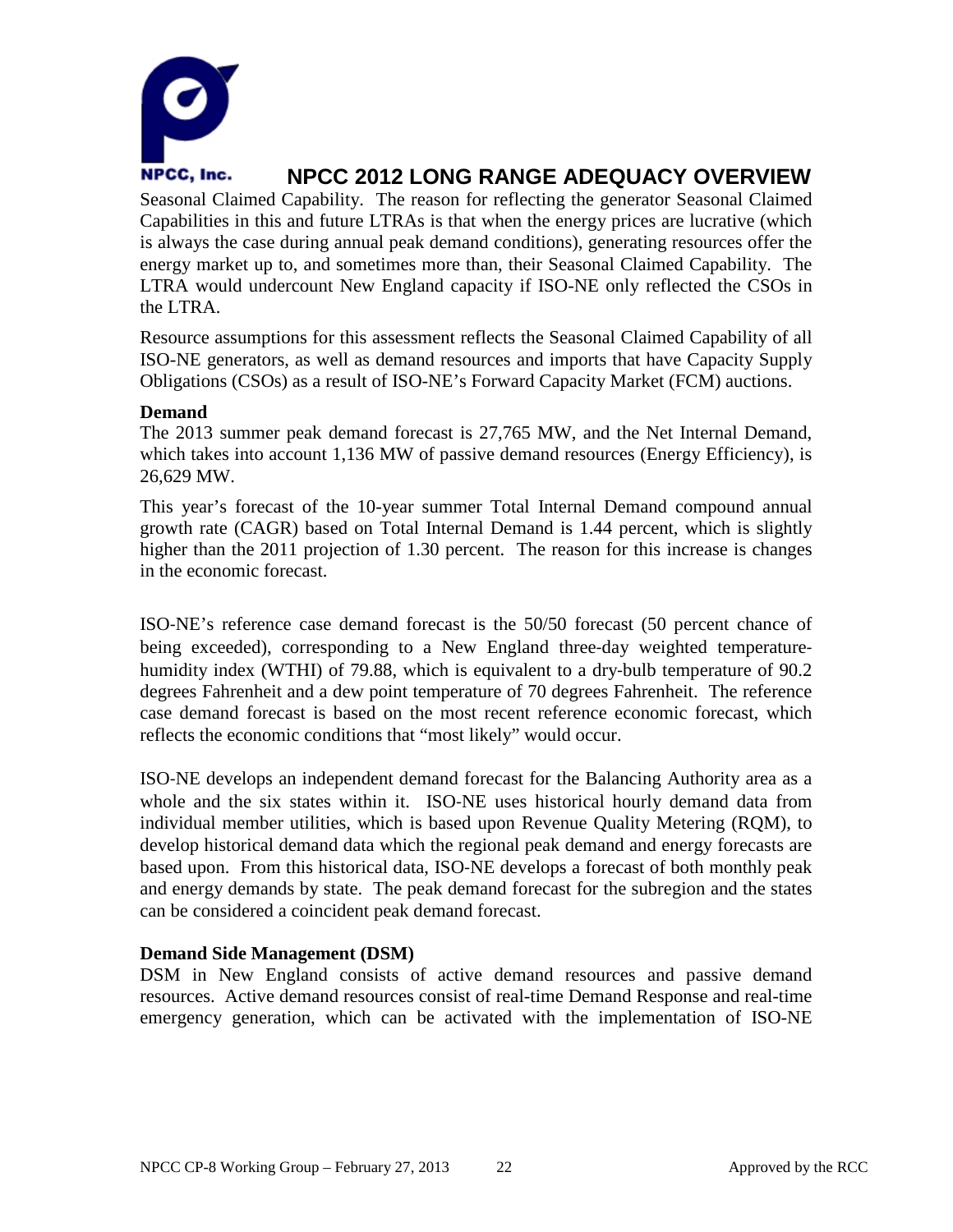

Seasonal Claimed Capability. The reason for reflecting the generator Seasonal Claimed Capabilities in this and future LTRAs is that when the energy prices are lucrative (which is always the case during annual peak demand conditions), generating resources offer the energy market up to, and sometimes more than, their Seasonal Claimed Capability. The LTRA would undercount New England capacity if ISO-NE only reflected the CSOs in the LTRA.

Resource assumptions for this assessment reflects the Seasonal Claimed Capability of all ISO-NE generators, as well as demand resources and imports that have Capacity Supply Obligations (CSOs) as a result of ISO-NE's Forward Capacity Market (FCM) auctions.

#### **Demand**

The 2013 summer peak demand forecast is 27,765 MW, and the Net Internal Demand, which takes into account 1,136 MW of passive demand resources (Energy Efficiency), is 26,629 MW.

This year's forecast of the 10-year summer Total Internal Demand compound annual growth rate (CAGR) based on Total Internal Demand is 1.44 percent, which is slightly higher than the 2011 projection of 1.30 percent. The reason for this increase is changes in the economic forecast.

ISO‐NE's reference case demand forecast is the 50/50 forecast (50 percent chance of being exceeded), corresponding to a New England three-day weighted temperaturehumidity index (WTHI) of 79.88, which is equivalent to a dry-bulb temperature of 90.2 degrees Fahrenheit and a dew point temperature of 70 degrees Fahrenheit. The reference case demand forecast is based on the most recent reference economic forecast, which reflects the economic conditions that "most likely" would occur.

ISO‐NE develops an independent demand forecast for the Balancing Authority area as a whole and the six states within it. ISO-NE uses historical hourly demand data from individual member utilities, which is based upon Revenue Quality Metering (RQM), to develop historical demand data which the regional peak demand and energy forecasts are based upon. From this historical data, ISO‐NE develops a forecast of both monthly peak and energy demands by state. The peak demand forecast for the subregion and the states can be considered a coincident peak demand forecast.

#### **Demand Side Management (DSM)**

DSM in New England consists of active demand resources and passive demand resources. Active demand resources consist of real-time Demand Response and real-time emergency generation, which can be activated with the implementation of ISO-NE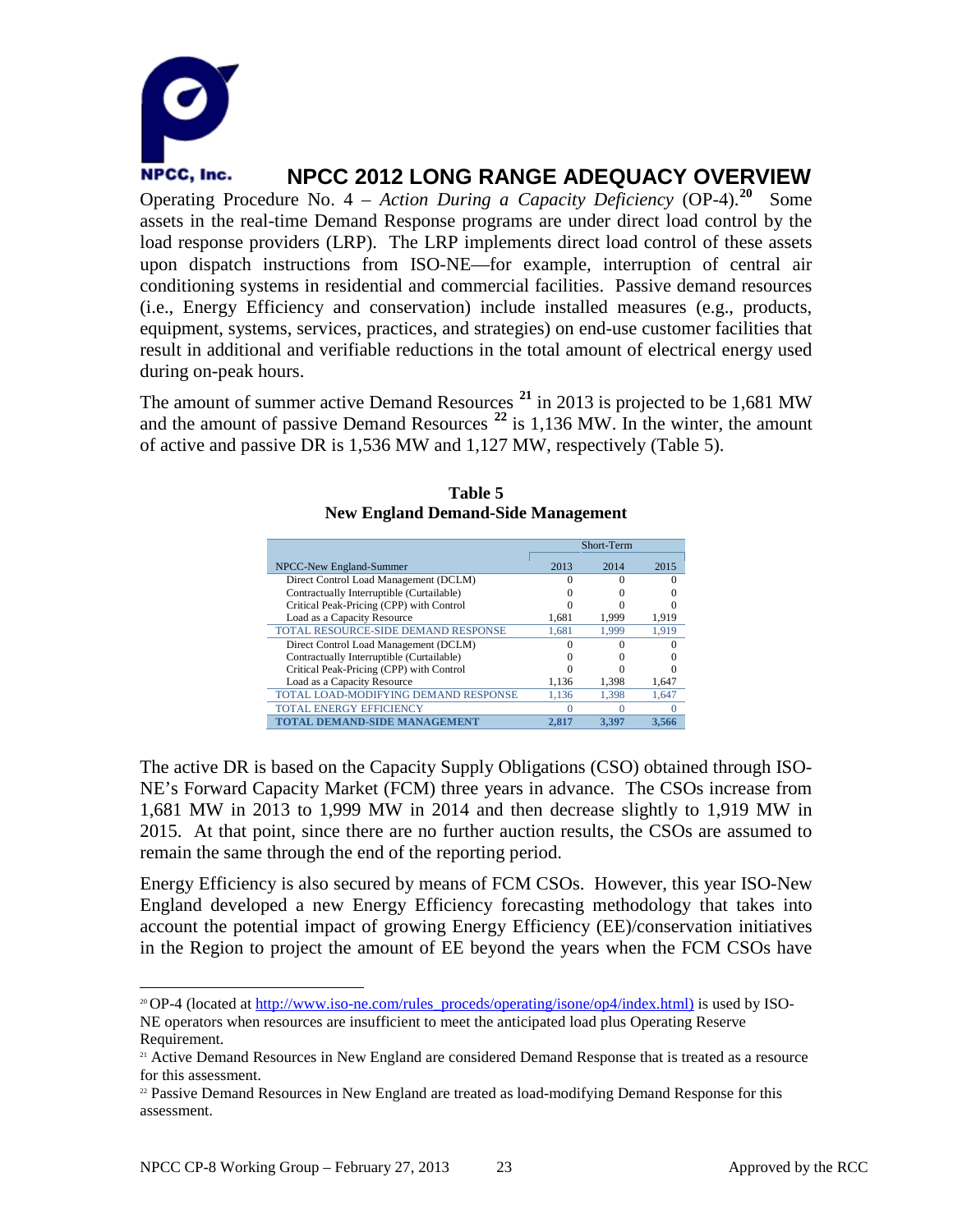

Operating Procedure No. 4 – *Action During a Capacity Deficiency* (OP-4).**[20](#page-24-0)** Some assets in the real-time Demand Response programs are under direct load control by the load response providers (LRP). The LRP implements direct load control of these assets upon dispatch instructions from ISO-NE—for example, interruption of central air conditioning systems in residential and commercial facilities. Passive demand resources (i.e., Energy Efficiency and conservation) include installed measures (e.g., products, equipment, systems, services, practices, and strategies) on end-use customer facilities that result in additional and verifiable reductions in the total amount of electrical energy used during on-peak hours.

The amount of summer active Demand Resources **[21](#page-24-1)** in 2013 is projected to be 1,681 MW and the amount of passive Demand Resources **[22](#page-24-2)** is 1,136 MW. In the winter, the amount of active and passive DR is 1,536 MW and 1,127 MW, respectively (Table 5).

|                                           |       | Short-Term  |       |
|-------------------------------------------|-------|-------------|-------|
| NPCC-New England-Summer                   | 2013  | 2014        | 2015  |
| Direct Control Load Management (DCLM)     |       |             |       |
| Contractually Interruptible (Curtailable) |       |             |       |
| Critical Peak-Pricing (CPP) with Control  |       |             |       |
| Load as a Capacity Resource               | 1,681 | 1,999       | 1,919 |
| TOTAL RESOURCE-SIDE DEMAND RESPONSE       | 1.681 | 1.999       | 1.919 |
| Direct Control Load Management (DCLM)     |       |             |       |
| Contractually Interruptible (Curtailable) |       |             |       |
| Critical Peak-Pricing (CPP) with Control  |       |             |       |
| Load as a Capacity Resource               | 1,136 | 1.398       | 1,647 |
| TOTAL LOAD-MODIFYING DEMAND RESPONSE      | 1.136 | 1.398       | 1.647 |
| <b>TOTAL ENERGY EFFICIENCY</b>            |       |             |       |
| TOTAL DEMAND-SIDE MANAGEM                 | 2.817 | <b>3.39</b> | 3.566 |

#### **Table 5 New England Demand-Side Management**

The active DR is based on the Capacity Supply Obligations (CSO) obtained through ISO-NE's Forward Capacity Market (FCM) three years in advance. The CSOs increase from 1,681 MW in 2013 to 1,999 MW in 2014 and then decrease slightly to 1,919 MW in 2015. At that point, since there are no further auction results, the CSOs are assumed to remain the same through the end of the reporting period.

Energy Efficiency is also secured by means of FCM CSOs. However, this year ISO-New England developed a new Energy Efficiency forecasting methodology that takes into account the potential impact of growing Energy Efficiency (EE)/conservation initiatives in the Region to project the amount of EE beyond the years when the FCM CSOs have

<span id="page-24-0"></span><sup>&</sup>lt;sup>20</sup> OP-4 (located at http://www.iso-ne.com/rules\_proceds/operating/isone/op4/index.html) is used by ISO-NE operators when resources are insufficient to meet the anticipated load plus Operating Reserve Requirement.

<span id="page-24-1"></span><sup>&</sup>lt;sup>21</sup> Active Demand Resources in New England are considered Demand Response that is treated as a resource for this assessment.

<span id="page-24-2"></span><sup>&</sup>lt;sup>22</sup> Passive Demand Resources in New England are treated as load-modifying Demand Response for this assessment.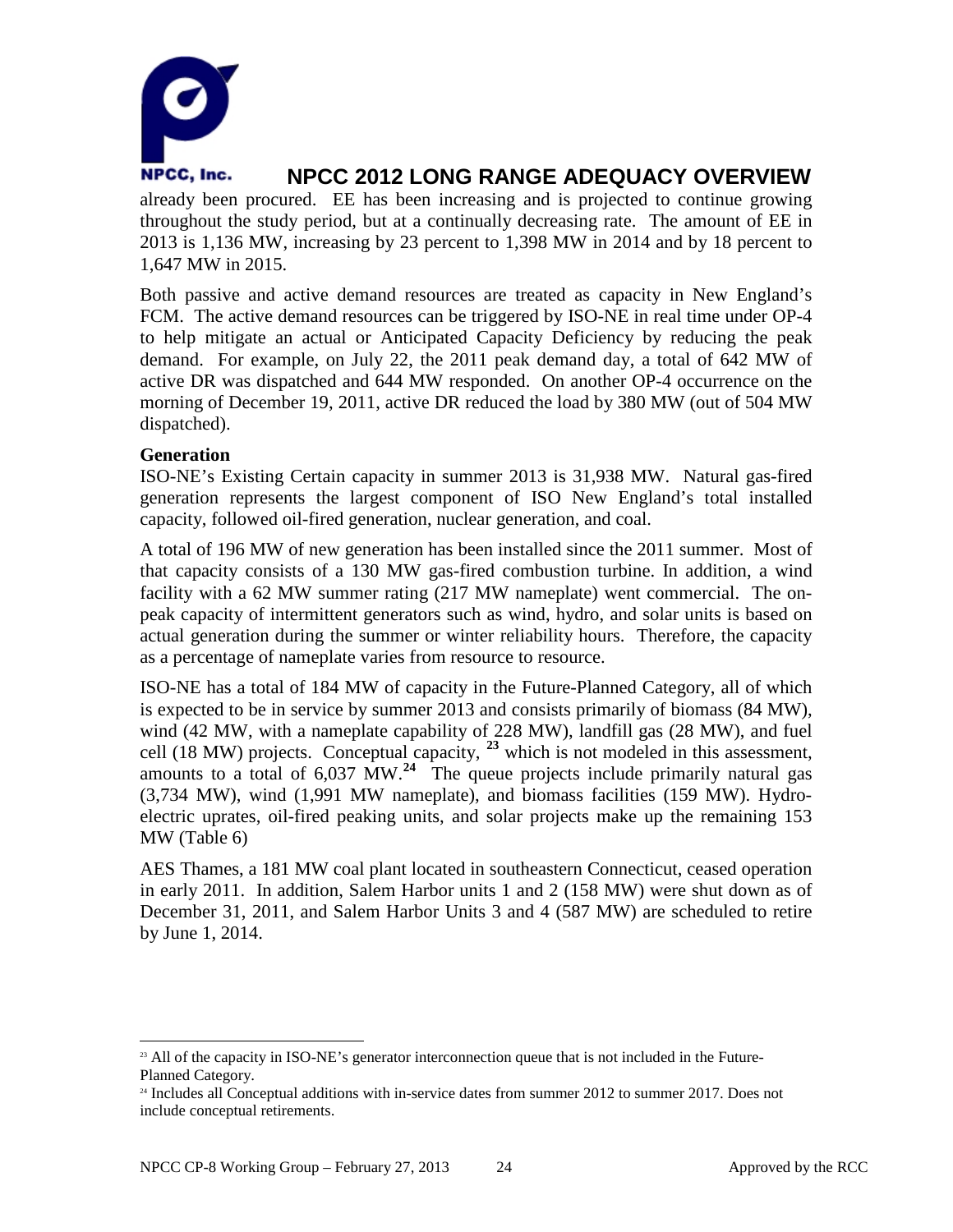

already been procured. EE has been increasing and is projected to continue growing throughout the study period, but at a continually decreasing rate. The amount of EE in 2013 is 1,136 MW, increasing by 23 percent to 1,398 MW in 2014 and by 18 percent to 1,647 MW in 2015.

Both passive and active demand resources are treated as capacity in New England's FCM. The active demand resources can be triggered by ISO-NE in real time under OP-4 to help mitigate an actual or Anticipated Capacity Deficiency by reducing the peak demand. For example, on July 22, the 2011 peak demand day, a total of 642 MW of active DR was dispatched and 644 MW responded. On another OP-4 occurrence on the morning of December 19, 2011, active DR reduced the load by 380 MW (out of 504 MW dispatched).

#### **Generation**

ISO-NE's Existing Certain capacity in summer 2013 is 31,938 MW. Natural gas-fired generation represents the largest component of ISO New England's total installed capacity, followed oil-fired generation, nuclear generation, and coal.

A total of 196 MW of new generation has been installed since the 2011 summer. Most of that capacity consists of a 130 MW gas-fired combustion turbine. In addition, a wind facility with a 62 MW summer rating (217 MW nameplate) went commercial. The onpeak capacity of intermittent generators such as wind, hydro, and solar units is based on actual generation during the summer or winter reliability hours. Therefore, the capacity as a percentage of nameplate varies from resource to resource.

ISO-NE has a total of 184 MW of capacity in the Future-Planned Category, all of which is expected to be in service by summer 2013 and consists primarily of biomass (84 MW), wind (42 MW, with a nameplate capability of 228 MW), landfill gas (28 MW), and fuel cell (18 MW) projects. Conceptual capacity, **[23](#page-25-0)** which is not modeled in this assessment, amounts to a total of 6,037 MW. **[24](#page-25-1)** The queue projects include primarily natural gas (3,734 MW), wind (1,991 MW nameplate), and biomass facilities (159 MW). Hydroelectric uprates, oil-fired peaking units, and solar projects make up the remaining 153 MW (Table 6)

AES Thames, a 181 MW coal plant located in southeastern Connecticut, ceased operation in early 2011. In addition, Salem Harbor units 1 and 2 (158 MW) were shut down as of December 31, 2011, and Salem Harbor Units 3 and 4 (587 MW) are scheduled to retire by June 1, 2014.

<span id="page-25-0"></span><sup>&</sup>lt;sup>23</sup> All of the capacity in ISO-NE's generator interconnection queue that is not included in the Future-Planned Category.

<span id="page-25-1"></span><sup>24</sup> Includes all Conceptual additions with in-service dates from summer 2012 to summer 2017. Does not include conceptual retirements.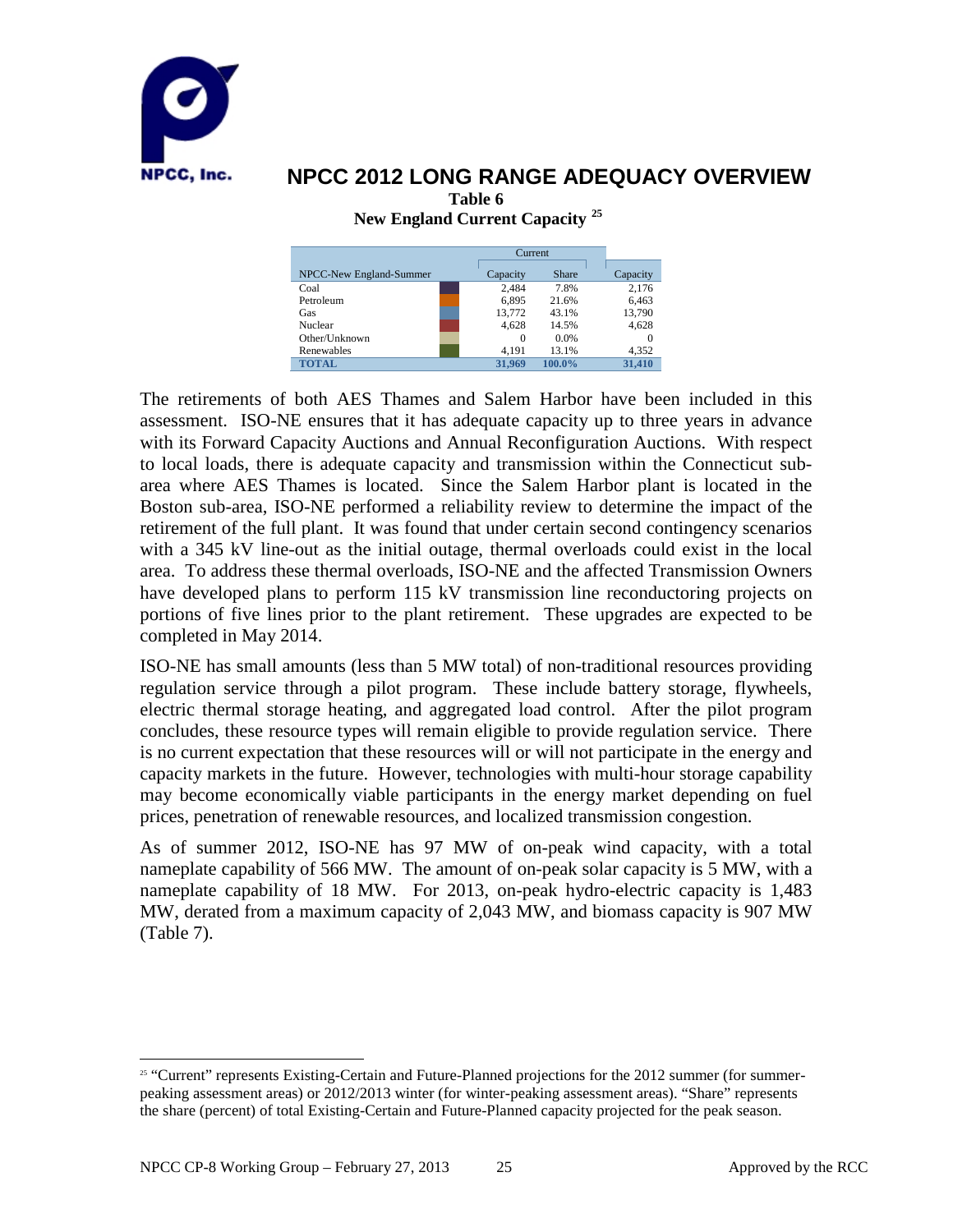

**New England Current Capacity [25](#page-26-0)**

|                         |          | Current      |          |  |
|-------------------------|----------|--------------|----------|--|
| NPCC-New England-Summer | Capacity | <b>Share</b> | Capacity |  |
| Coal                    | 2.484    | 7.8%         | 2,176    |  |
| Petroleum               | 6.895    | 21.6%        | 6,463    |  |
| Gas                     | 13.772   | 43.1%        | 13,790   |  |
| Nuclear                 | 4,628    | 14.5%        | 4,628    |  |
| Other/Unknown           | 0        | 0.0%         | 0        |  |
| Renewables              | 4.191    | 13.1%        | 4.352    |  |
| <b>TOTAL</b>            | 31,969   | 100.0%       | 31.410   |  |

The retirements of both AES Thames and Salem Harbor have been included in this assessment. ISO-NE ensures that it has adequate capacity up to three years in advance with its Forward Capacity Auctions and Annual Reconfiguration Auctions. With respect to local loads, there is adequate capacity and transmission within the Connecticut subarea where AES Thames is located. Since the Salem Harbor plant is located in the Boston sub-area, ISO-NE performed a reliability review to determine the impact of the retirement of the full plant. It was found that under certain second contingency scenarios with a 345 kV line-out as the initial outage, thermal overloads could exist in the local area. To address these thermal overloads, ISO-NE and the affected Transmission Owners have developed plans to perform 115 kV transmission line reconductoring projects on portions of five lines prior to the plant retirement. These upgrades are expected to be completed in May 2014.

ISO-NE has small amounts (less than 5 MW total) of non-traditional resources providing regulation service through a pilot program. These include battery storage, flywheels, electric thermal storage heating, and aggregated load control. After the pilot program concludes, these resource types will remain eligible to provide regulation service. There is no current expectation that these resources will or will not participate in the energy and capacity markets in the future. However, technologies with multi-hour storage capability may become economically viable participants in the energy market depending on fuel prices, penetration of renewable resources, and localized transmission congestion.

As of summer 2012, ISO-NE has 97 MW of on-peak wind capacity, with a total nameplate capability of 566 MW. The amount of on-peak solar capacity is 5 MW, with a nameplate capability of 18 MW. For 2013, on-peak hydro-electric capacity is 1,483 MW, derated from a maximum capacity of 2,043 MW, and biomass capacity is 907 MW (Table 7).

<span id="page-26-0"></span><sup>&</sup>lt;sup>25</sup> "Current" represents Existing-Certain and Future-Planned projections for the 2012 summer (for summerpeaking assessment areas) or 2012/2013 winter (for winter-peaking assessment areas). "Share" represents the share (percent) of total Existing-Certain and Future-Planned capacity projected for the peak season.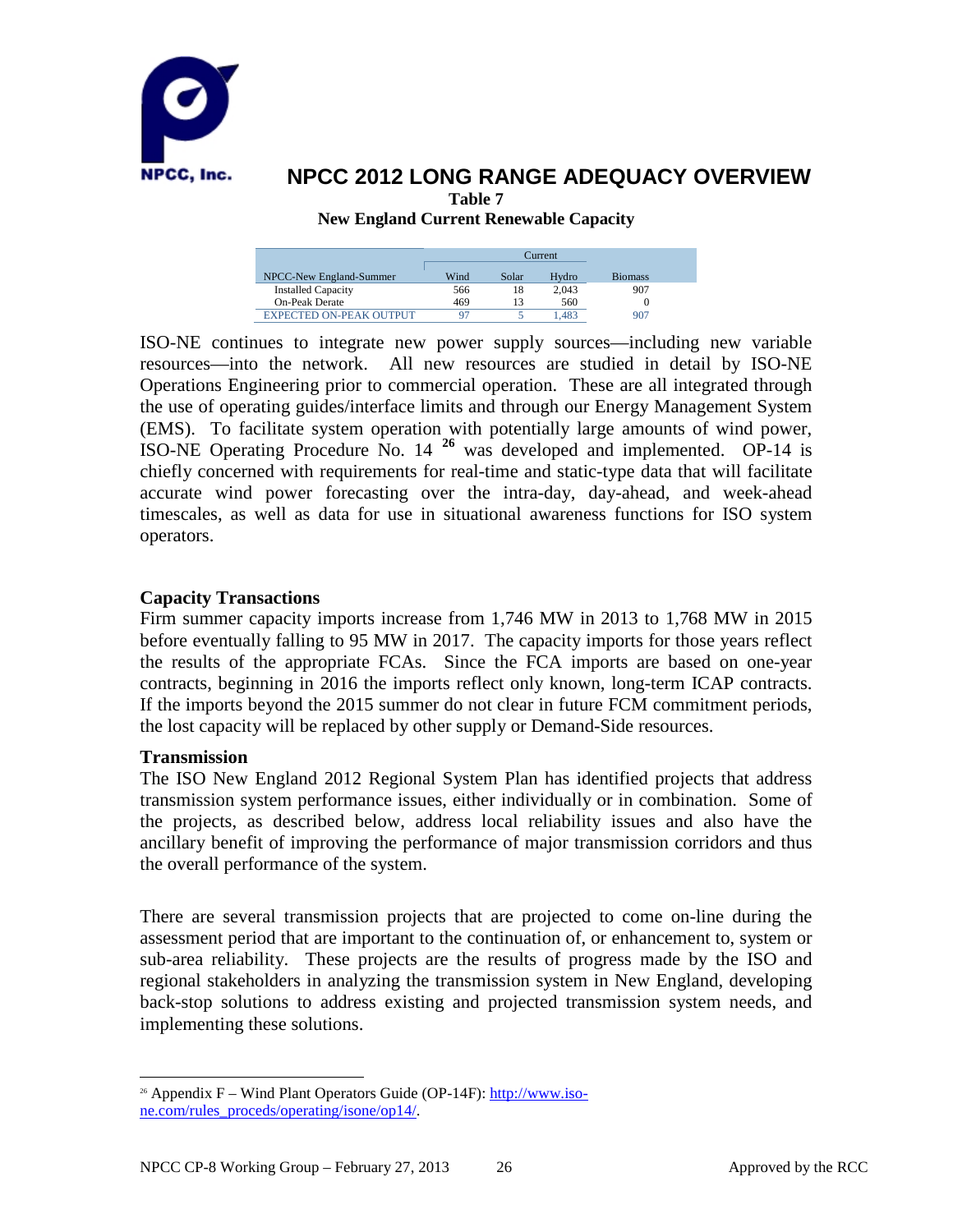

#### **NPCC 2012 LONG RANGE ADEQUACY OVERVIEW Table 7 New England Current Renewable Capacity**

Current NPCC-New England-Summer Wind Solar Hydro Biomass<br>Installed Capacity 566 18 2.043 907 Installed Capacity 566 18 2,043 907 On-Peak Derate 469 13 560<br>
XPECTED ON-PEAK OUTPUT 97 5 1.483 907 EXPECTED ON-PEAK OUTPUT 97 5 1,483

ISO-NE continues to integrate new power supply sources—including new variable resources—into the network. All new resources are studied in detail by ISO-NE Operations Engineering prior to commercial operation. These are all integrated through the use of operating guides/interface limits and through our Energy Management System (EMS). To facilitate system operation with potentially large amounts of wind power, ISO-NE Operating Procedure No. 14 **[26](#page-27-0)** was developed and implemented. OP-14 is chiefly concerned with requirements for real-time and static-type data that will facilitate accurate wind power forecasting over the intra-day, day-ahead, and week-ahead timescales, as well as data for use in situational awareness functions for ISO system operators.

#### **Capacity Transactions**

Firm summer capacity imports increase from 1,746 MW in 2013 to 1,768 MW in 2015 before eventually falling to 95 MW in 2017. The capacity imports for those years reflect the results of the appropriate FCAs. Since the FCA imports are based on one-year contracts, beginning in 2016 the imports reflect only known, long-term ICAP contracts. If the imports beyond the 2015 summer do not clear in future FCM commitment periods, the lost capacity will be replaced by other supply or Demand-Side resources.

#### **Transmission**

The ISO New England 2012 Regional System Plan has identified projects that address transmission system performance issues, either individually or in combination. Some of the projects, as described below, address local reliability issues and also have the ancillary benefit of improving the performance of major transmission corridors and thus the overall performance of the system.

There are several transmission projects that are projected to come on-line during the assessment period that are important to the continuation of, or enhancement to, system or sub-area reliability. These projects are the results of progress made by the ISO and regional stakeholders in analyzing the transmission system in New England, developing back-stop solutions to address existing and projected transmission system needs, and implementing these solutions.

<span id="page-27-0"></span><sup>&</sup>lt;sup>26</sup> Appendix F – Wind Plant Operators Guide (OP-14F):  $\frac{http://www.iso-14F)}{http://www.iso-14F)}$ [ne.com/rules\\_proceds/operating/isone/op14/.](http://www.iso-ne.com/rules_proceds/operating/isone/op14/)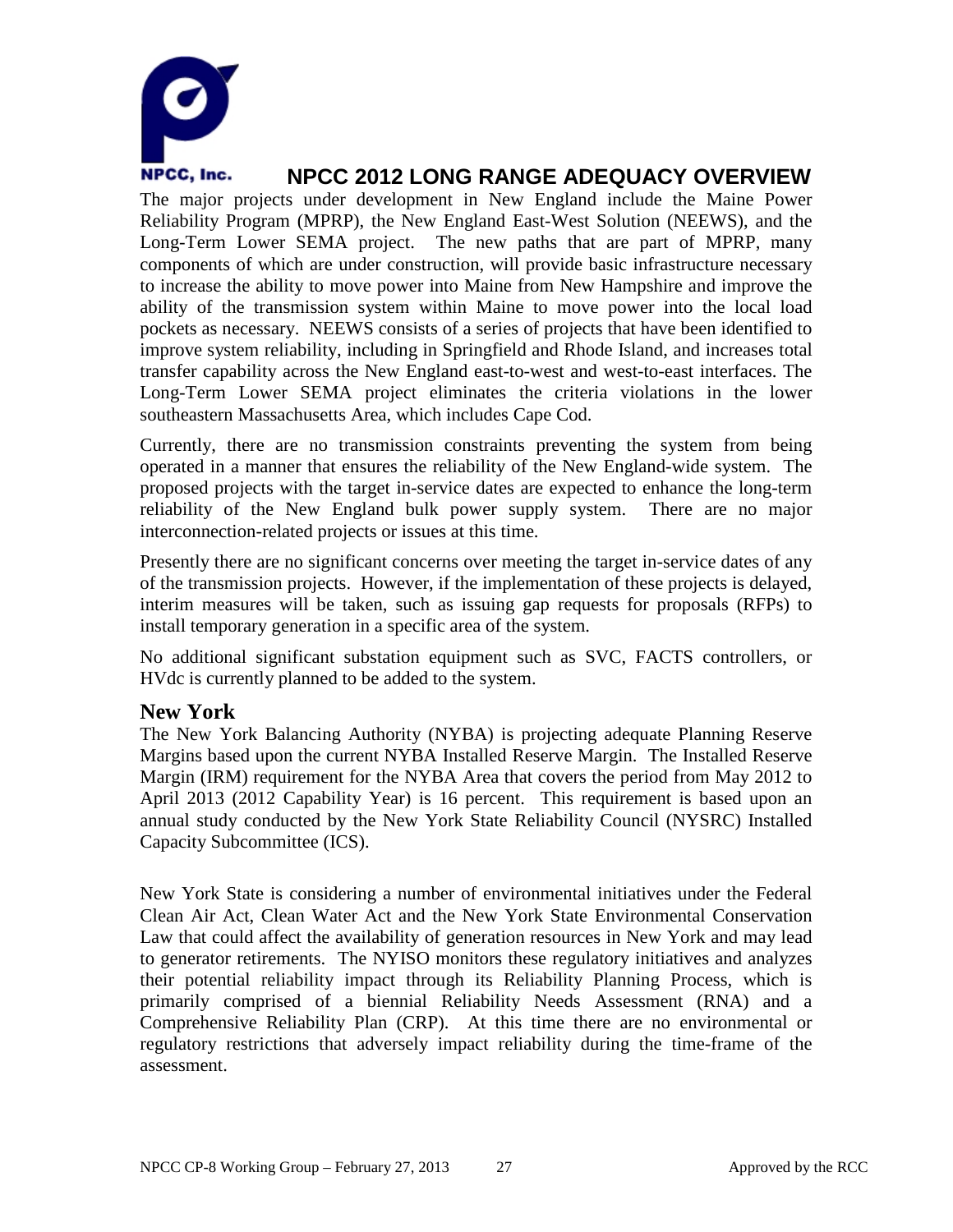

The major projects under development in New England include the Maine Power Reliability Program (MPRP), the New England East-West Solution (NEEWS), and the Long-Term Lower SEMA project. The new paths that are part of MPRP, many components of which are under construction, will provide basic infrastructure necessary to increase the ability to move power into Maine from New Hampshire and improve the ability of the transmission system within Maine to move power into the local load pockets as necessary. NEEWS consists of a series of projects that have been identified to improve system reliability, including in Springfield and Rhode Island, and increases total transfer capability across the New England east-to-west and west-to-east interfaces. The Long-Term Lower SEMA project eliminates the criteria violations in the lower southeastern Massachusetts Area, which includes Cape Cod.

Currently, there are no transmission constraints preventing the system from being operated in a manner that ensures the reliability of the New England-wide system. The proposed projects with the target in-service dates are expected to enhance the long-term reliability of the New England bulk power supply system. There are no major interconnection-related projects or issues at this time.

Presently there are no significant concerns over meeting the target in-service dates of any of the transmission projects. However, if the implementation of these projects is delayed, interim measures will be taken, such as issuing gap requests for proposals (RFPs) to install temporary generation in a specific area of the system.

No additional significant substation equipment such as SVC, FACTS controllers, or HVdc is currently planned to be added to the system.

### **New York**

The New York Balancing Authority (NYBA) is projecting adequate Planning Reserve Margins based upon the current NYBA Installed Reserve Margin. The Installed Reserve Margin (IRM) requirement for the NYBA Area that covers the period from May 2012 to April 2013 (2012 Capability Year) is 16 percent. This requirement is based upon an annual study conducted by the New York State Reliability Council (NYSRC) Installed Capacity Subcommittee (ICS).

New York State is considering a number of environmental initiatives under the Federal Clean Air Act, Clean Water Act and the New York State Environmental Conservation Law that could affect the availability of generation resources in New York and may lead to generator retirements. The NYISO monitors these regulatory initiatives and analyzes their potential reliability impact through its Reliability Planning Process, which is primarily comprised of a biennial Reliability Needs Assessment (RNA) and a Comprehensive Reliability Plan (CRP). At this time there are no environmental or regulatory restrictions that adversely impact reliability during the time-frame of the assessment.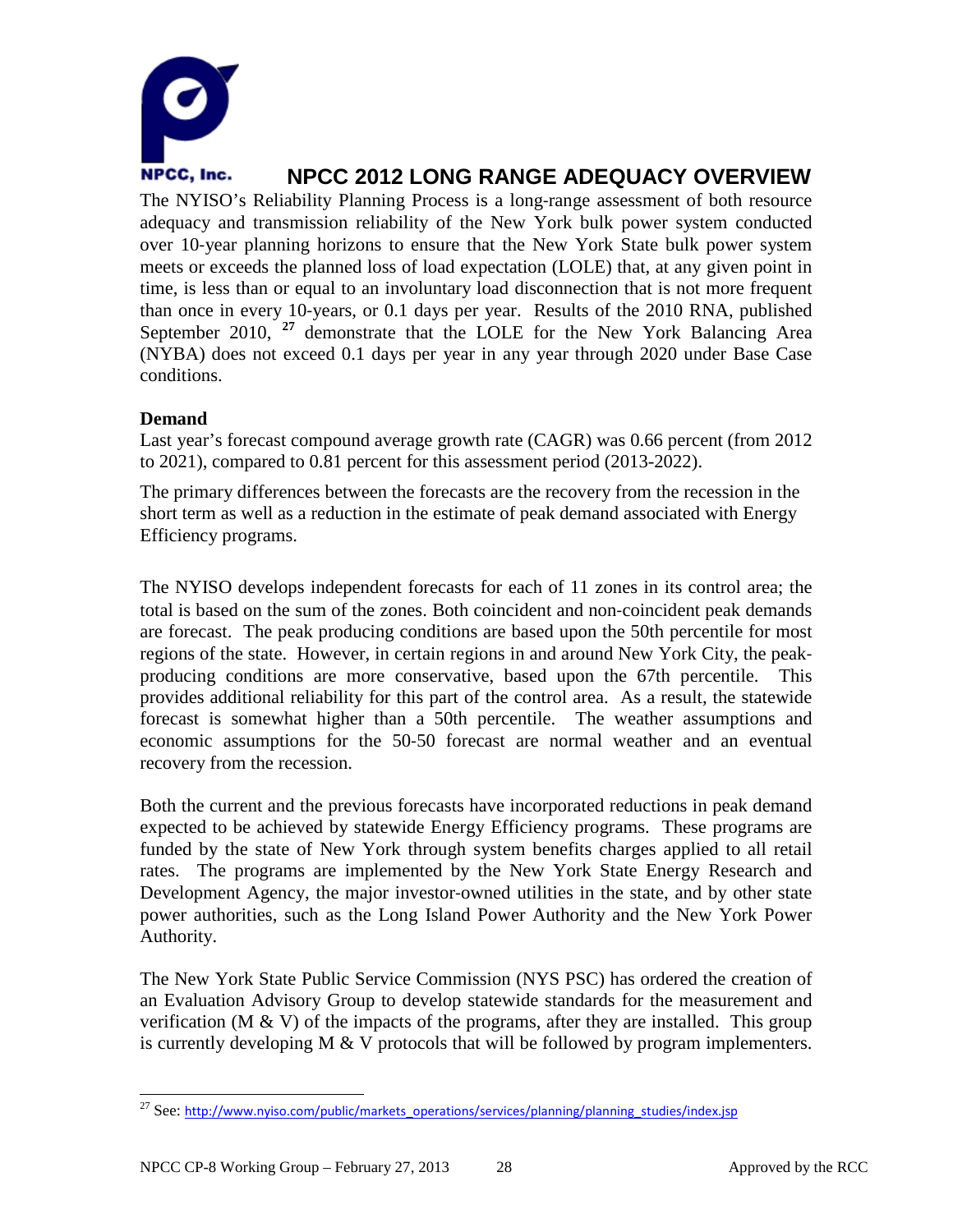

The NYISO's Reliability Planning Process is a long-range assessment of both resource adequacy and transmission reliability of the New York bulk power system conducted over 10‐year planning horizons to ensure that the New York State bulk power system meets or exceeds the planned loss of load expectation (LOLE) that, at any given point in time, is less than or equal to an involuntary load disconnection that is not more frequent than once in every 10‐years, or 0.1 days per year. Results of the 2010 RNA, published September 2010, <sup>[27](#page-29-0)</sup> demonstrate that the LOLE for the New York Balancing Area (NYBA) does not exceed 0.1 days per year in any year through 2020 under Base Case conditions.

#### **Demand**

Last year's forecast compound average growth rate (CAGR) was 0.66 percent (from 2012 to 2021), compared to 0.81 percent for this assessment period (2013-2022).

The primary differences between the forecasts are the recovery from the recession in the short term as well as a reduction in the estimate of peak demand associated with Energy Efficiency programs.

The NYISO develops independent forecasts for each of 11 zones in its control area; the total is based on the sum of the zones. Both coincident and non‐coincident peak demands are forecast. The peak producing conditions are based upon the 50th percentile for most regions of the state. However, in certain regions in and around New York City, the peak‐ producing conditions are more conservative, based upon the 67th percentile. This provides additional reliability for this part of the control area. As a result, the statewide forecast is somewhat higher than a 50th percentile. The weather assumptions and economic assumptions for the 50‐50 forecast are normal weather and an eventual recovery from the recession.

Both the current and the previous forecasts have incorporated reductions in peak demand expected to be achieved by statewide Energy Efficiency programs. These programs are funded by the state of New York through system benefits charges applied to all retail rates. The programs are implemented by the New York State Energy Research and Development Agency, the major investor-owned utilities in the state, and by other state power authorities, such as the Long Island Power Authority and the New York Power Authority.

The New York State Public Service Commission (NYS PSC) has ordered the creation of an Evaluation Advisory Group to develop statewide standards for the measurement and verification (M  $\&$  V) of the impacts of the programs, after they are installed. This group is currently developing  $M & V$  protocols that will be followed by program implementers.

<span id="page-29-0"></span><sup>&</sup>lt;sup>27</sup> See: [http://www.nyiso.com/public/markets\\_operations/services/planning/planning\\_studies/index.jsp](http://www.nyiso.com/public/markets_operations/services/planning/planning_studies/index.jsp)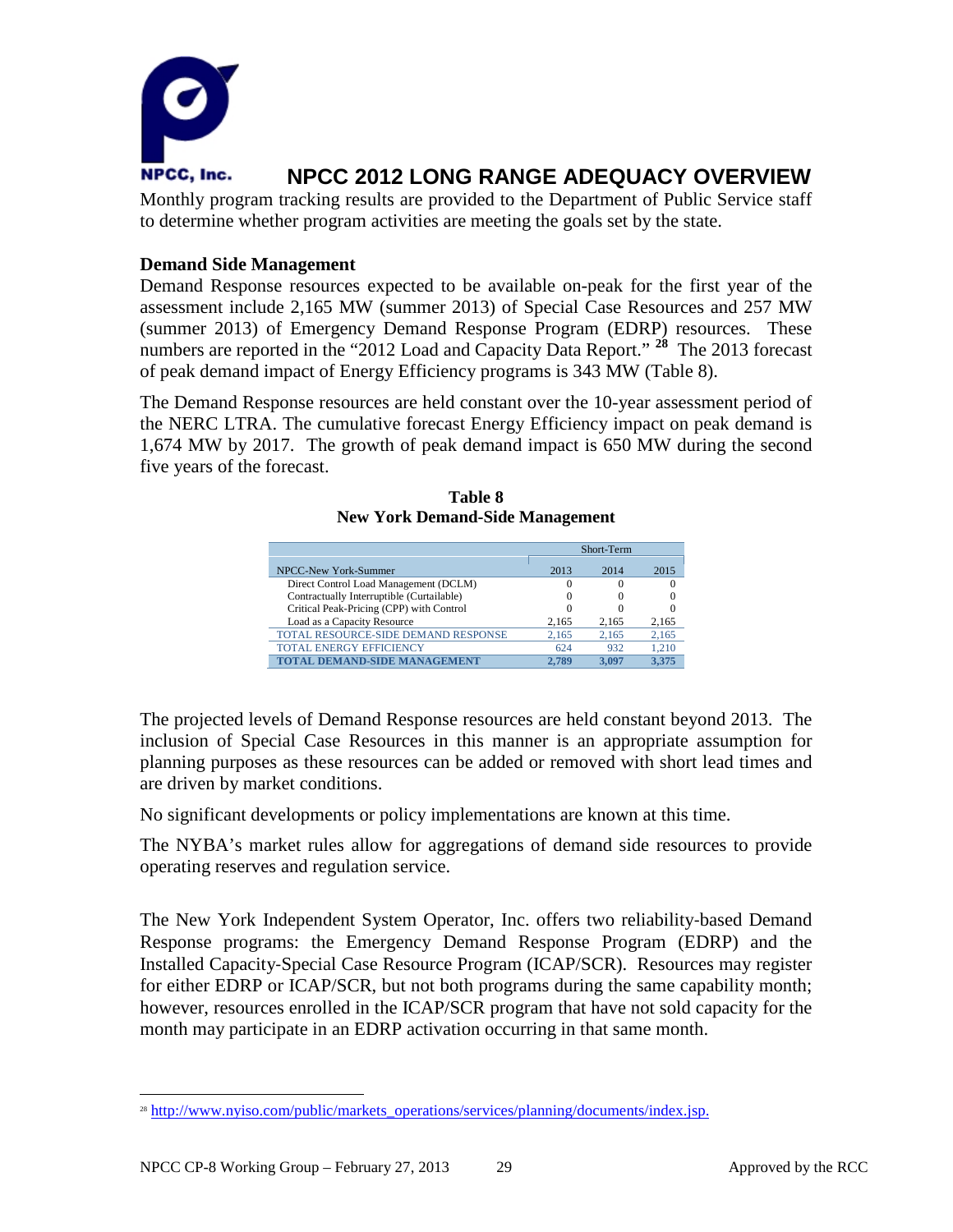

Monthly program tracking results are provided to the Department of Public Service staff to determine whether program activities are meeting the goals set by the state.

#### **Demand Side Management**

Demand Response resources expected to be available on-peak for the first year of the assessment include 2,165 MW (summer 2013) of Special Case Resources and 257 MW (summer 2013) of Emergency Demand Response Program (EDRP) resources. These numbers are reported in the "2012 Load and Capacity Data Report." **[28](#page-30-0)** The 2013 forecast of peak demand impact of Energy Efficiency programs is 343 MW (Table 8).

The Demand Response resources are held constant over the 10-year assessment period of the NERC LTRA. The cumulative forecast Energy Efficiency impact on peak demand is 1,674 MW by 2017. The growth of peak demand impact is 650 MW during the second five years of the forecast.

| Table 8                                |  |
|----------------------------------------|--|
| <b>New York Demand-Side Management</b> |  |

|                                           | Short-Term |       |       |
|-------------------------------------------|------------|-------|-------|
| NPCC-New York-Summer                      | 2013       | 2014  | 2015  |
| Direct Control Load Management (DCLM)     | $\Omega$   |       |       |
| Contractually Interruptible (Curtailable) | $\theta$   |       |       |
| Critical Peak-Pricing (CPP) with Control  | $\Omega$   |       |       |
| Load as a Capacity Resource               | 2.165      | 2.165 | 2.165 |
| TOTAL RESOURCE-SIDE DEMAND RESPONSE       | 2.165      | 2.165 | 2.165 |
| <b>TOTAL ENERGY EFFICIENCY</b>            | 624        | 932   | 1.210 |
| <b>TOTAL DEMAND-SIDE MANAGEMENT</b>       | 2.789      | 3.097 | 3.375 |

The projected levels of Demand Response resources are held constant beyond 2013. The inclusion of Special Case Resources in this manner is an appropriate assumption for planning purposes as these resources can be added or removed with short lead times and are driven by market conditions.

No significant developments or policy implementations are known at this time.

The NYBA's market rules allow for aggregations of demand side resources to provide operating reserves and regulation service.

The New York Independent System Operator, Inc. offers two reliability‐based Demand Response programs: the Emergency Demand Response Program (EDRP) and the Installed Capacity‐Special Case Resource Program (ICAP/SCR). Resources may register for either EDRP or ICAP/SCR, but not both programs during the same capability month; however, resources enrolled in the ICAP/SCR program that have not sold capacity for the month may participate in an EDRP activation occurring in that same month.

<span id="page-30-0"></span><sup>&</sup>lt;sup>28</sup> http://www.nyiso.com/public/markets\_operations/services/planning/documents/index.jsp.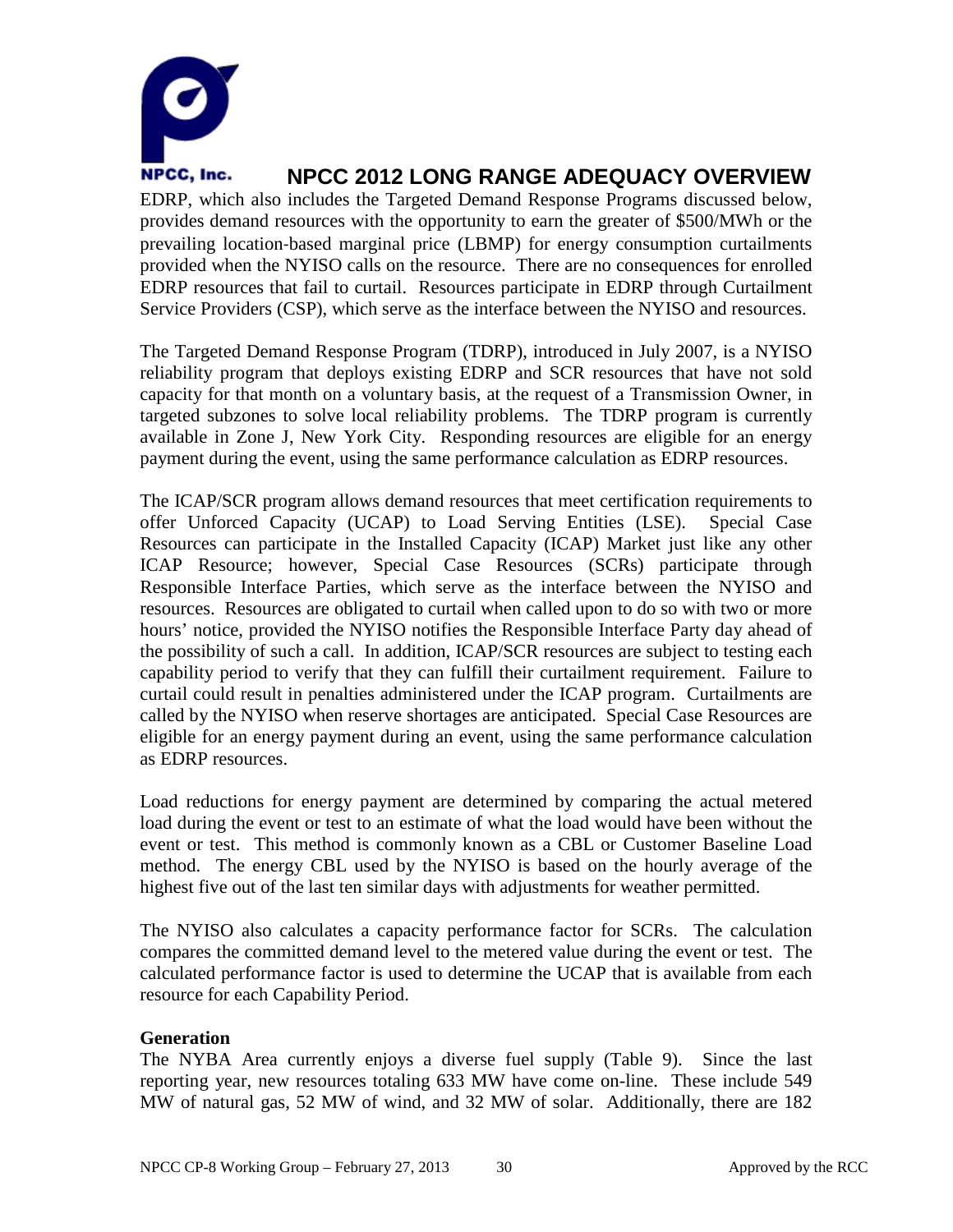

EDRP, which also includes the Targeted Demand Response Programs discussed below, provides demand resources with the opportunity to earn the greater of \$500/MWh or the prevailing location‐based marginal price (LBMP) for energy consumption curtailments provided when the NYISO calls on the resource. There are no consequences for enrolled EDRP resources that fail to curtail. Resources participate in EDRP through Curtailment Service Providers (CSP), which serve as the interface between the NYISO and resources.

The Targeted Demand Response Program (TDRP), introduced in July 2007, is a NYISO reliability program that deploys existing EDRP and SCR resources that have not sold capacity for that month on a voluntary basis, at the request of a Transmission Owner, in targeted subzones to solve local reliability problems. The TDRP program is currently available in Zone J, New York City. Responding resources are eligible for an energy payment during the event, using the same performance calculation as EDRP resources.

The ICAP/SCR program allows demand resources that meet certification requirements to offer Unforced Capacity (UCAP) to Load Serving Entities (LSE). Special Case Resources can participate in the Installed Capacity (ICAP) Market just like any other ICAP Resource; however, Special Case Resources (SCRs) participate through Responsible Interface Parties, which serve as the interface between the NYISO and resources. Resources are obligated to curtail when called upon to do so with two or more hours' notice, provided the NYISO notifies the Responsible Interface Party day ahead of the possibility of such a call. In addition, ICAP/SCR resources are subject to testing each capability period to verify that they can fulfill their curtailment requirement. Failure to curtail could result in penalties administered under the ICAP program. Curtailments are called by the NYISO when reserve shortages are anticipated. Special Case Resources are eligible for an energy payment during an event, using the same performance calculation as EDRP resources.

Load reductions for energy payment are determined by comparing the actual metered load during the event or test to an estimate of what the load would have been without the event or test. This method is commonly known as a CBL or Customer Baseline Load method. The energy CBL used by the NYISO is based on the hourly average of the highest five out of the last ten similar days with adjustments for weather permitted.

The NYISO also calculates a capacity performance factor for SCRs. The calculation compares the committed demand level to the metered value during the event or test. The calculated performance factor is used to determine the UCAP that is available from each resource for each Capability Period.

#### **Generation**

The NYBA Area currently enjoys a diverse fuel supply (Table 9). Since the last reporting year, new resources totaling 633 MW have come on-line. These include 549 MW of natural gas, 52 MW of wind, and 32 MW of solar. Additionally, there are 182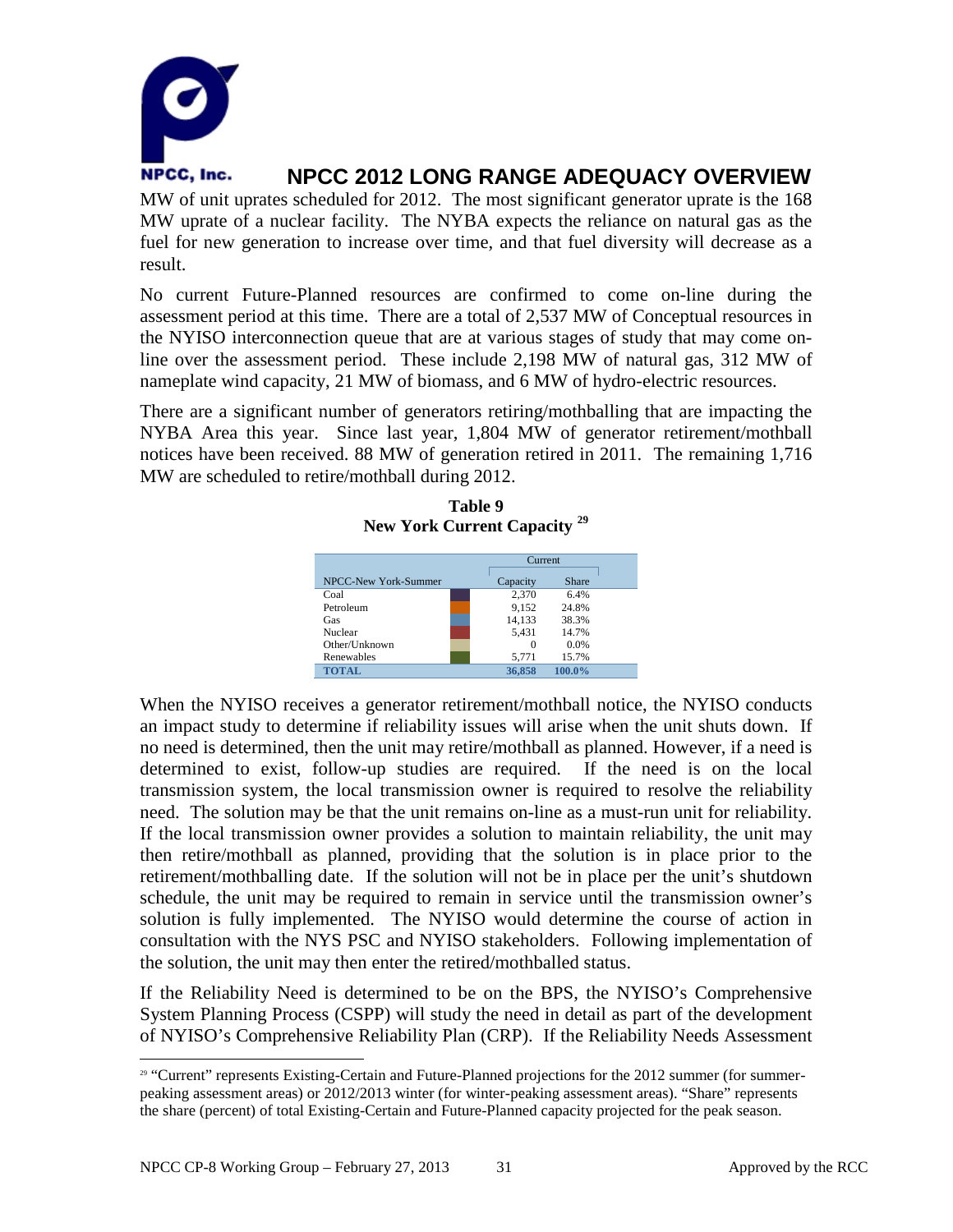

MW of unit uprates scheduled for 2012. The most significant generator uprate is the 168 MW uprate of a nuclear facility. The NYBA expects the reliance on natural gas as the fuel for new generation to increase over time, and that fuel diversity will decrease as a result.

No current Future-Planned resources are confirmed to come on-line during the assessment period at this time. There are a total of 2,537 MW of Conceptual resources in the NYISO interconnection queue that are at various stages of study that may come online over the assessment period. These include 2,198 MW of natural gas, 312 MW of nameplate wind capacity, 21 MW of biomass, and 6 MW of hydro-electric resources.

There are a significant number of generators retiring/mothballing that are impacting the NYBA Area this year. Since last year, 1,804 MW of generator retirement/mothball notices have been received. 88 MW of generation retired in 2011. The remaining 1,716 MW are scheduled to retire/mothball during 2012.

**Table 9 New York Current Capacity [29](#page-32-0)**

|                      | Current           |
|----------------------|-------------------|
| NPCC-New York-Summer | Share<br>Capacity |
| Coal                 | 2,370<br>6.4%     |
| Petroleum            | 9.152<br>24.8%    |
| Gas                  | 14,133<br>38.3%   |
| Nuclear              | 5.431<br>14.7%    |
| Other/Unknown        | $0.0\%$<br>0      |
| Renewables           | 15.7%<br>5,771    |
| TOTAL                | 36,858<br>100.0%  |

When the NYISO receives a generator retirement/mothball notice, the NYISO conducts an impact study to determine if reliability issues will arise when the unit shuts down. If no need is determined, then the unit may retire/mothball as planned. However, if a need is determined to exist, follow-up studies are required. If the need is on the local transmission system, the local transmission owner is required to resolve the reliability need. The solution may be that the unit remains on-line as a must-run unit for reliability. If the local transmission owner provides a solution to maintain reliability, the unit may then retire/mothball as planned, providing that the solution is in place prior to the retirement/mothballing date. If the solution will not be in place per the unit's shutdown schedule, the unit may be required to remain in service until the transmission owner's solution is fully implemented. The NYISO would determine the course of action in consultation with the NYS PSC and NYISO stakeholders. Following implementation of the solution, the unit may then enter the retired/mothballed status.

If the Reliability Need is determined to be on the BPS, the NYISO's Comprehensive System Planning Process (CSPP) will study the need in detail as part of the development of NYISO's Comprehensive Reliability Plan (CRP). If the Reliability Needs Assessment

<span id="page-32-0"></span> <sup>29</sup> "Current" represents Existing-Certain and Future-Planned projections for the 2012 summer (for summerpeaking assessment areas) or 2012/2013 winter (for winter-peaking assessment areas). "Share" represents the share (percent) of total Existing-Certain and Future-Planned capacity projected for the peak season.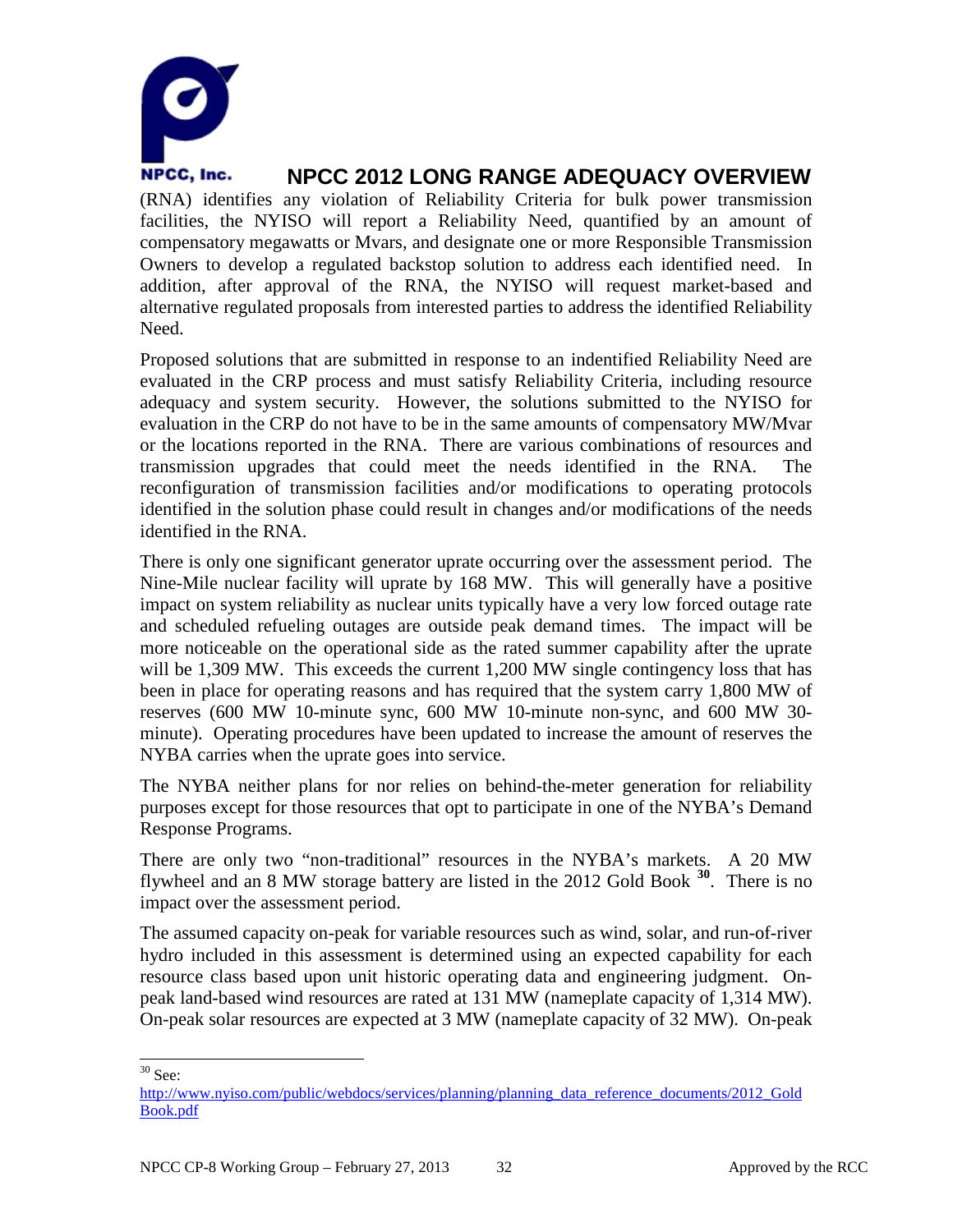

(RNA) identifies any violation of Reliability Criteria for bulk power transmission facilities, the NYISO will report a Reliability Need, quantified by an amount of compensatory megawatts or Mvars, and designate one or more Responsible Transmission Owners to develop a regulated backstop solution to address each identified need. In addition, after approval of the RNA, the NYISO will request market-based and alternative regulated proposals from interested parties to address the identified Reliability Need.

Proposed solutions that are submitted in response to an indentified Reliability Need are evaluated in the CRP process and must satisfy Reliability Criteria, including resource adequacy and system security. However, the solutions submitted to the NYISO for evaluation in the CRP do not have to be in the same amounts of compensatory MW/Mvar or the locations reported in the RNA. There are various combinations of resources and transmission upgrades that could meet the needs identified in the RNA. The reconfiguration of transmission facilities and/or modifications to operating protocols identified in the solution phase could result in changes and/or modifications of the needs identified in the RNA.

There is only one significant generator uprate occurring over the assessment period. The Nine-Mile nuclear facility will uprate by 168 MW. This will generally have a positive impact on system reliability as nuclear units typically have a very low forced outage rate and scheduled refueling outages are outside peak demand times. The impact will be more noticeable on the operational side as the rated summer capability after the uprate will be 1,309 MW. This exceeds the current 1,200 MW single contingency loss that has been in place for operating reasons and has required that the system carry 1,800 MW of reserves (600 MW 10-minute sync, 600 MW 10-minute non-sync, and 600 MW 30 minute). Operating procedures have been updated to increase the amount of reserves the NYBA carries when the uprate goes into service.

The NYBA neither plans for nor relies on behind-the-meter generation for reliability purposes except for those resources that opt to participate in one of the NYBA's Demand Response Programs.

There are only two "non-traditional" resources in the NYBA's markets. A 20 MW flywheel and an 8 MW storage battery are listed in the 2012 Gold Book **[30](#page-33-0)**. There is no impact over the assessment period.

The assumed capacity on-peak for variable resources such as wind, solar, and run-of-river hydro included in this assessment is determined using an expected capability for each resource class based upon unit historic operating data and engineering judgment. Onpeak land-based wind resources are rated at 131 MW (nameplate capacity of 1,314 MW). On-peak solar resources are expected at 3 MW (nameplate capacity of 32 MW). On-peak

<span id="page-33-0"></span> $30$  See:

[http://www.nyiso.com/public/webdocs/services/planning/planning\\_data\\_reference\\_documents/2012\\_Gold](http://www.nyiso.com/public/webdocs/services/planning/planning_data_reference_documents/2012_GoldBook.pdf) [Book.pdf](http://www.nyiso.com/public/webdocs/services/planning/planning_data_reference_documents/2012_GoldBook.pdf)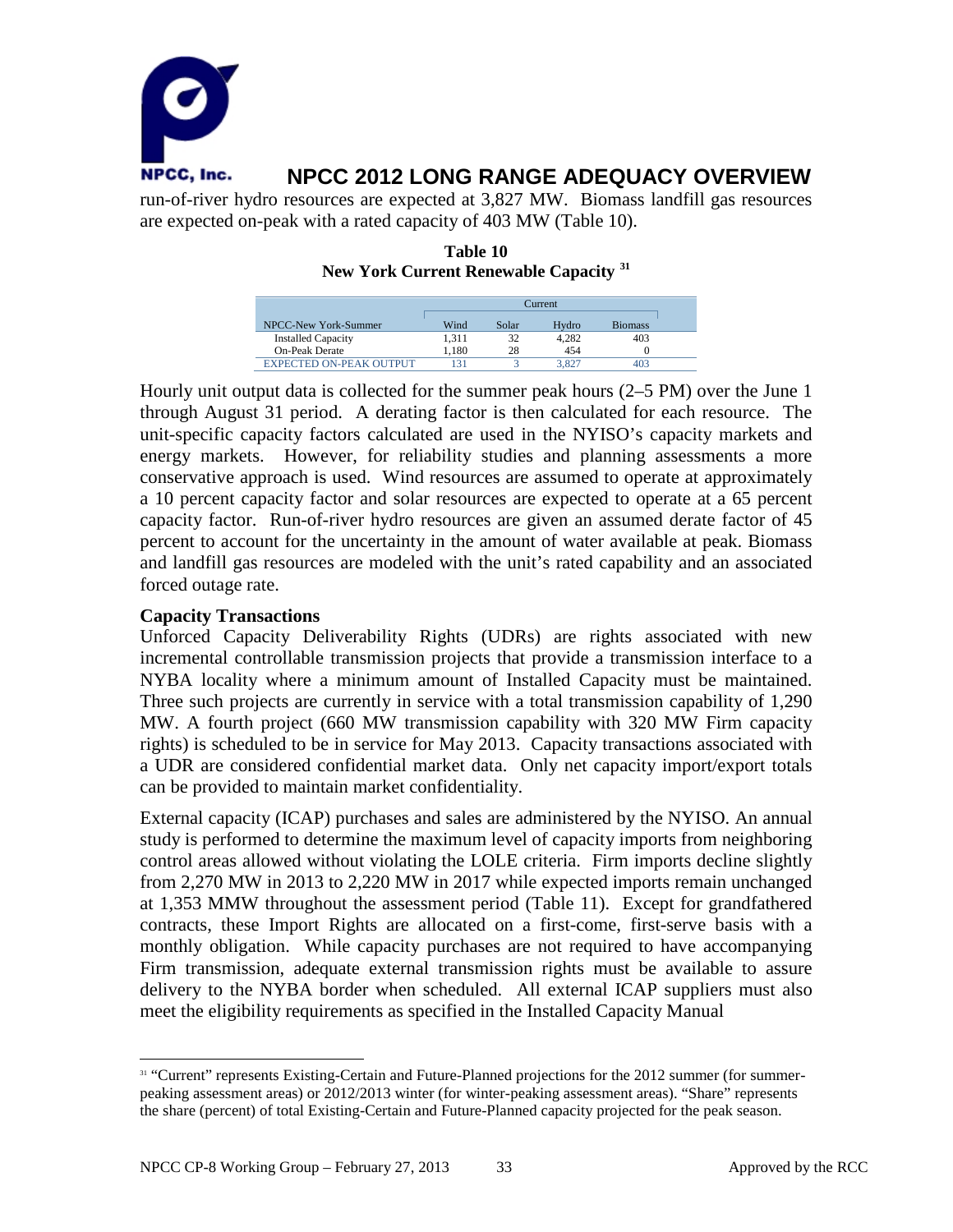

are expected on-peak with a rated capacity of 403 MW (Table 10).

| Table 10 |  |                                                   |  |  |
|----------|--|---------------------------------------------------|--|--|
|          |  | New York Current Renewable Capacity <sup>31</sup> |  |  |

|                                | <b>Turrent</b> |       |       |                |
|--------------------------------|----------------|-------|-------|----------------|
| NPCC-New York-Summer           | Wind           | Solar | Hydro | <b>Biomass</b> |
| <b>Installed Capacity</b>      | 1.311          | 32    | 4.282 | 403            |
| <b>On-Peak Derate</b>          | 1.180          | 28    | 454   |                |
| <b>EXPECTED ON-PEAK OUTPUT</b> | 131            |       | 3.827 | 403            |

Hourly unit output data is collected for the summer peak hours (2–5 PM) over the June 1 through August 31 period. A derating factor is then calculated for each resource. The unit-specific capacity factors calculated are used in the NYISO's capacity markets and energy markets. However, for reliability studies and planning assessments a more conservative approach is used. Wind resources are assumed to operate at approximately a 10 percent capacity factor and solar resources are expected to operate at a 65 percent capacity factor. Run-of-river hydro resources are given an assumed derate factor of 45 percent to account for the uncertainty in the amount of water available at peak. Biomass and landfill gas resources are modeled with the unit's rated capability and an associated forced outage rate.

#### **Capacity Transactions**

Unforced Capacity Deliverability Rights (UDRs) are rights associated with new incremental controllable transmission projects that provide a transmission interface to a NYBA locality where a minimum amount of Installed Capacity must be maintained. Three such projects are currently in service with a total transmission capability of 1,290 MW. A fourth project (660 MW transmission capability with 320 MW Firm capacity rights) is scheduled to be in service for May 2013. Capacity transactions associated with a UDR are considered confidential market data. Only net capacity import/export totals can be provided to maintain market confidentiality.

External capacity (ICAP) purchases and sales are administered by the NYISO. An annual study is performed to determine the maximum level of capacity imports from neighboring control areas allowed without violating the LOLE criteria. Firm imports decline slightly from 2,270 MW in 2013 to 2,220 MW in 2017 while expected imports remain unchanged at 1,353 MMW throughout the assessment period (Table 11). Except for grandfathered contracts, these Import Rights are allocated on a first-come, first-serve basis with a monthly obligation. While capacity purchases are not required to have accompanying Firm transmission, adequate external transmission rights must be available to assure delivery to the NYBA border when scheduled. All external ICAP suppliers must also meet the eligibility requirements as specified in the Installed Capacity Manual

<span id="page-34-0"></span><sup>&</sup>lt;sup>31</sup> "Current" represents Existing-Certain and Future-Planned projections for the 2012 summer (for summerpeaking assessment areas) or 2012/2013 winter (for winter-peaking assessment areas). "Share" represents the share (percent) of total Existing-Certain and Future-Planned capacity projected for the peak season.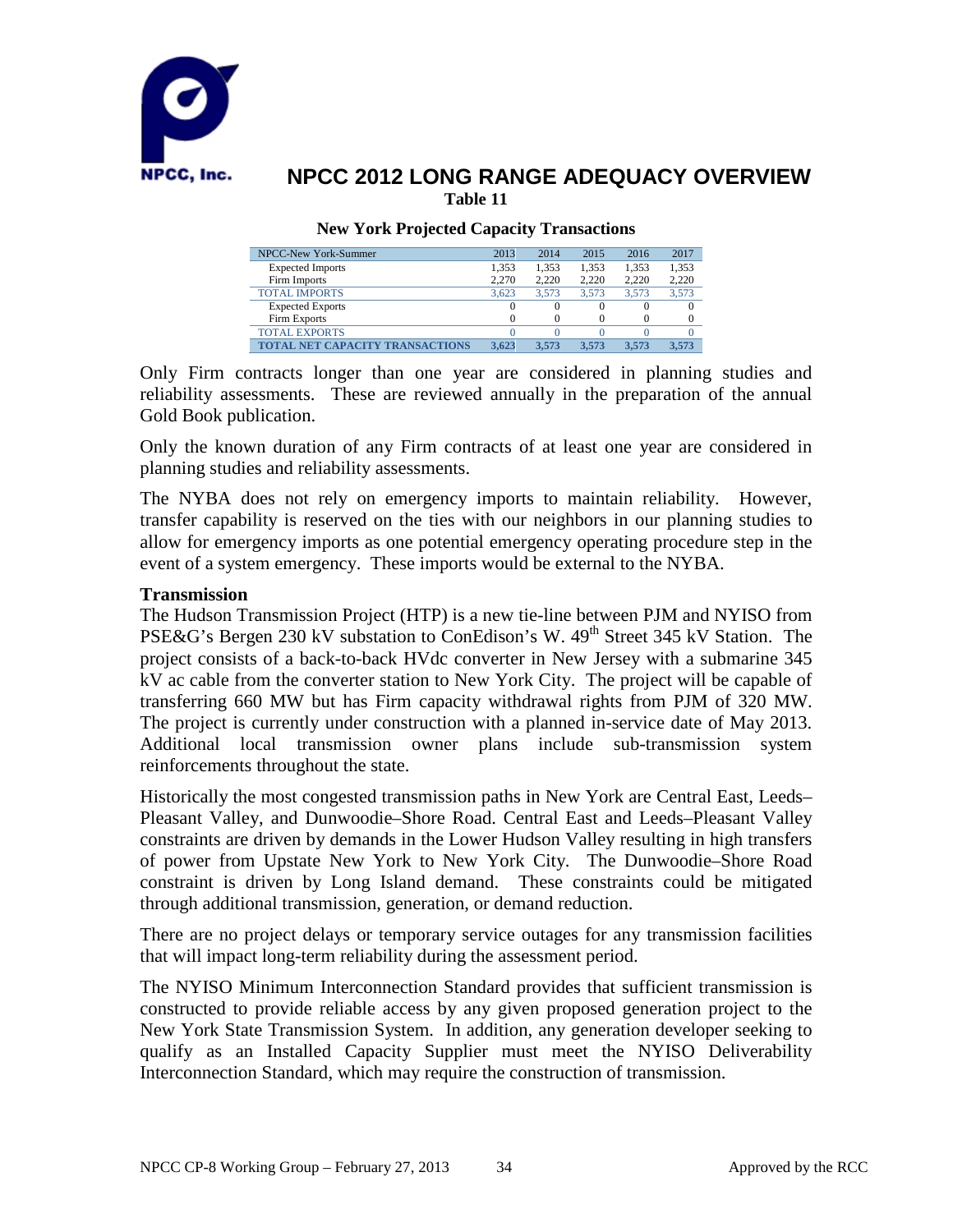

#### **New York Projected Capacity Transactions**

| NPCC-New York-Summer            | 2013  | 2014             | 2015  | 2016  | 2017  |
|---------------------------------|-------|------------------|-------|-------|-------|
| <b>Expected Imports</b>         | 1.353 | 1.353            | 1.353 | 1.353 | 1,353 |
| Firm Imports                    | 2.270 | 2.220            | 2.220 | 2.220 | 2,220 |
| <b>TOTAL IMPORTS</b>            | 3.623 | 3.573            | 3.573 | 3.573 | 3.573 |
| <b>Expected Exports</b>         |       | $\left( \right)$ |       |       |       |
| Firm Exports                    |       |                  |       |       |       |
| <b>TOTAL EXPORTS</b>            |       |                  |       |       |       |
| TOTAL NET CAPACITY TRANSACTIONS | 3.623 | 3.573            | 3.573 | 3.573 | 3.573 |

Only Firm contracts longer than one year are considered in planning studies and reliability assessments. These are reviewed annually in the preparation of the annual Gold Book publication.

Only the known duration of any Firm contracts of at least one year are considered in planning studies and reliability assessments.

The NYBA does not rely on emergency imports to maintain reliability. However, transfer capability is reserved on the ties with our neighbors in our planning studies to allow for emergency imports as one potential emergency operating procedure step in the event of a system emergency. These imports would be external to the NYBA.

#### **Transmission**

The Hudson Transmission Project (HTP) is a new tie-line between PJM and NYISO from PSE&G's Bergen 230 kV substation to ConEdison's W. 49<sup>th</sup> Street 345 kV Station. The project consists of a back-to-back HVdc converter in New Jersey with a submarine 345 kV ac cable from the converter station to New York City. The project will be capable of transferring 660 MW but has Firm capacity withdrawal rights from PJM of 320 MW. The project is currently under construction with a planned in-service date of May 2013. Additional local transmission owner plans include sub-transmission system reinforcements throughout the state.

Historically the most congested transmission paths in New York are Central East, Leeds– Pleasant Valley, and Dunwoodie–Shore Road. Central East and Leeds–Pleasant Valley constraints are driven by demands in the Lower Hudson Valley resulting in high transfers of power from Upstate New York to New York City. The Dunwoodie–Shore Road constraint is driven by Long Island demand. These constraints could be mitigated through additional transmission, generation, or demand reduction.

There are no project delays or temporary service outages for any transmission facilities that will impact long-term reliability during the assessment period.

The NYISO Minimum Interconnection Standard provides that sufficient transmission is constructed to provide reliable access by any given proposed generation project to the New York State Transmission System. In addition, any generation developer seeking to qualify as an Installed Capacity Supplier must meet the NYISO Deliverability Interconnection Standard, which may require the construction of transmission.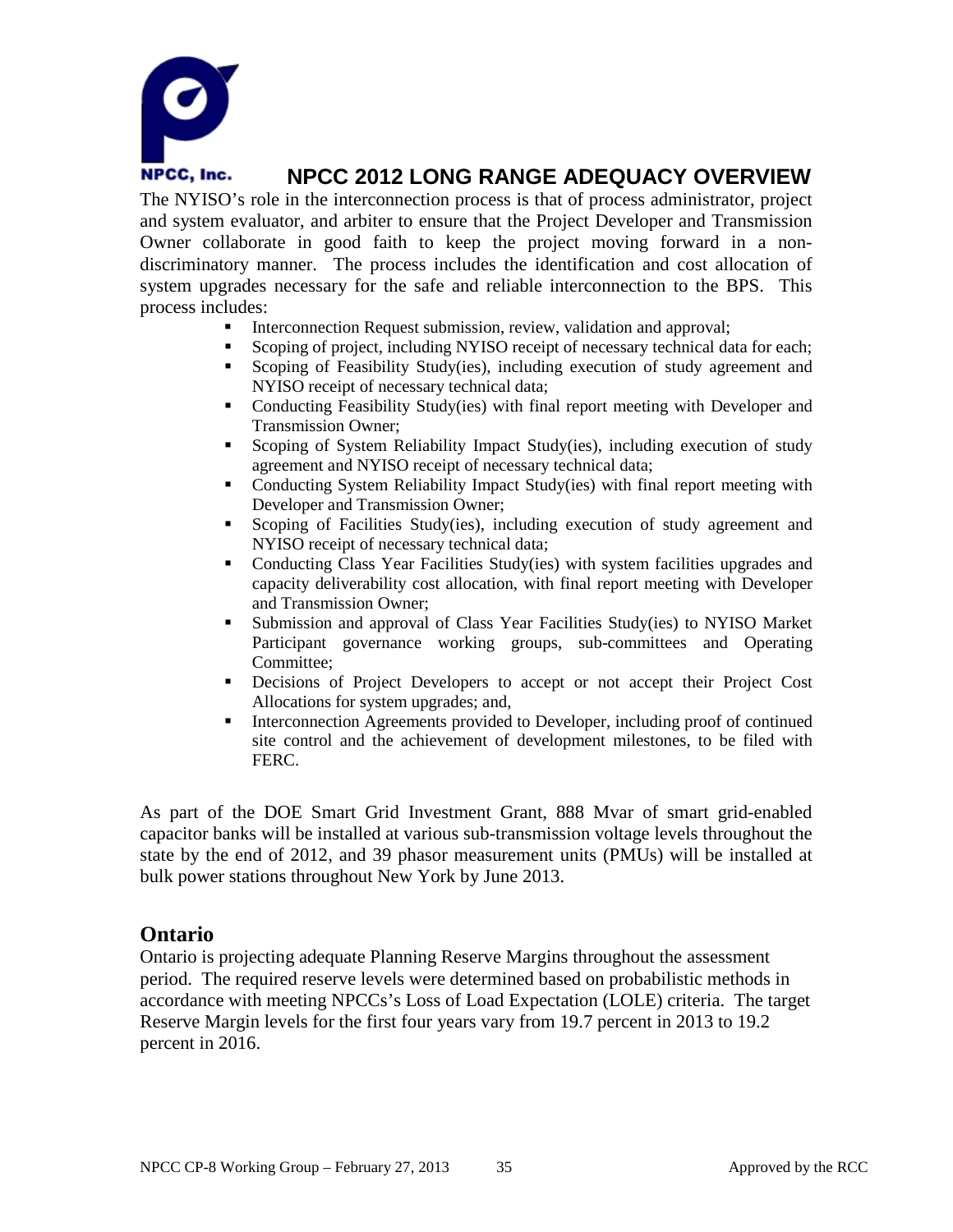

The NYISO's role in the interconnection process is that of process administrator, project and system evaluator, and arbiter to ensure that the Project Developer and Transmission Owner collaborate in good faith to keep the project moving forward in a nondiscriminatory manner. The process includes the identification and cost allocation of system upgrades necessary for the safe and reliable interconnection to the BPS. This process includes:

- Interconnection Request submission, review, validation and approval;<br>Scoping of project including NYISO receipt of necessary technical day
- Scoping of project, including NYISO receipt of necessary technical data for each;
- Scoping of Feasibility Study(ies), including execution of study agreement and NYISO receipt of necessary technical data;
- Conducting Feasibility Study(ies) with final report meeting with Developer and Transmission Owner;
- Scoping of System Reliability Impact Study(ies), including execution of study agreement and NYISO receipt of necessary technical data;
- Conducting System Reliability Impact Study(ies) with final report meeting with Developer and Transmission Owner;
- Scoping of Facilities Study(ies), including execution of study agreement and NYISO receipt of necessary technical data;
- Conducting Class Year Facilities Study(ies) with system facilities upgrades and capacity deliverability cost allocation, with final report meeting with Developer and Transmission Owner;
- Submission and approval of Class Year Facilities Study(ies) to NYISO Market Participant governance working groups, sub-committees and Operating Committee;
- Decisions of Project Developers to accept or not accept their Project Cost Allocations for system upgrades; and,
- Interconnection Agreements provided to Developer, including proof of continued site control and the achievement of development milestones, to be filed with FERC.

As part of the DOE Smart Grid Investment Grant, 888 Mvar of smart grid-enabled capacitor banks will be installed at various sub-transmission voltage levels throughout the state by the end of 2012, and 39 phasor measurement units (PMUs) will be installed at bulk power stations throughout New York by June 2013.

### **Ontario**

Ontario is projecting adequate Planning Reserve Margins throughout the assessment period. The required reserve levels were determined based on probabilistic methods in accordance with meeting NPCCs's Loss of Load Expectation (LOLE) criteria. The target Reserve Margin levels for the first four years vary from 19.7 percent in 2013 to 19.2 percent in 2016.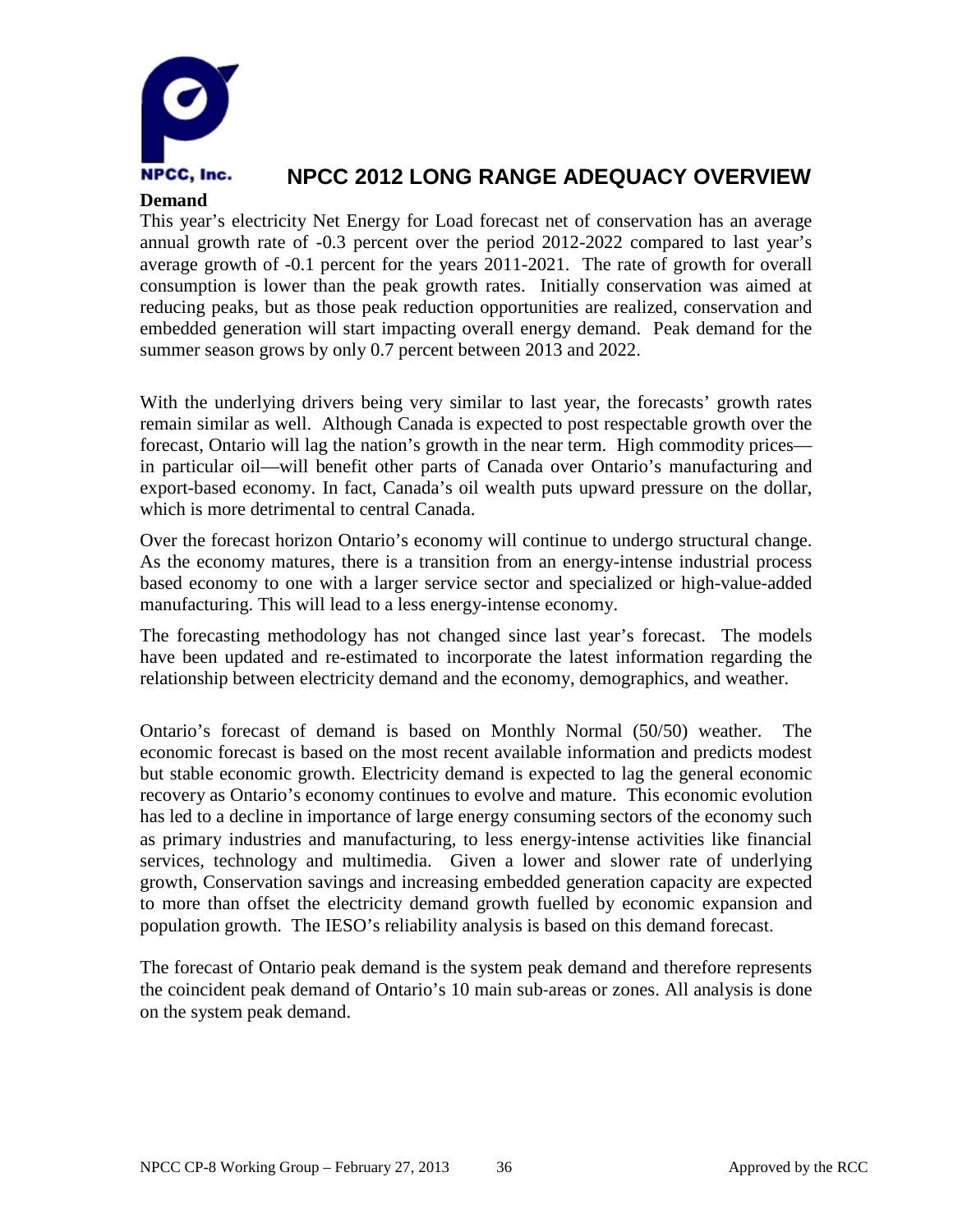

### **Demand**

This year's electricity Net Energy for Load forecast net of conservation has an average annual growth rate of -0.3 percent over the period 2012-2022 compared to last year's average growth of -0.1 percent for the years 2011-2021. The rate of growth for overall consumption is lower than the peak growth rates. Initially conservation was aimed at reducing peaks, but as those peak reduction opportunities are realized, conservation and embedded generation will start impacting overall energy demand. Peak demand for the summer season grows by only 0.7 percent between 2013 and 2022.

With the underlying drivers being very similar to last year, the forecasts' growth rates remain similar as well. Although Canada is expected to post respectable growth over the forecast, Ontario will lag the nation's growth in the near term. High commodity prices in particular oil—will benefit other parts of Canada over Ontario's manufacturing and export-based economy. In fact, Canada's oil wealth puts upward pressure on the dollar, which is more detrimental to central Canada.

Over the forecast horizon Ontario's economy will continue to undergo structural change. As the economy matures, there is a transition from an energy-intense industrial process based economy to one with a larger service sector and specialized or high-value-added manufacturing. This will lead to a less energy-intense economy.

The forecasting methodology has not changed since last year's forecast. The models have been updated and re-estimated to incorporate the latest information regarding the relationship between electricity demand and the economy, demographics, and weather.

Ontario's forecast of demand is based on Monthly Normal (50/50) weather. The economic forecast is based on the most recent available information and predicts modest but stable economic growth. Electricity demand is expected to lag the general economic recovery as Ontario's economy continues to evolve and mature. This economic evolution has led to a decline in importance of large energy consuming sectors of the economy such as primary industries and manufacturing, to less energy‐intense activities like financial services, technology and multimedia. Given a lower and slower rate of underlying growth, Conservation savings and increasing embedded generation capacity are expected to more than offset the electricity demand growth fuelled by economic expansion and population growth. The IESO's reliability analysis is based on this demand forecast.

The forecast of Ontario peak demand is the system peak demand and therefore represents the coincident peak demand of Ontario's 10 main sub‐areas or zones. All analysis is done on the system peak demand.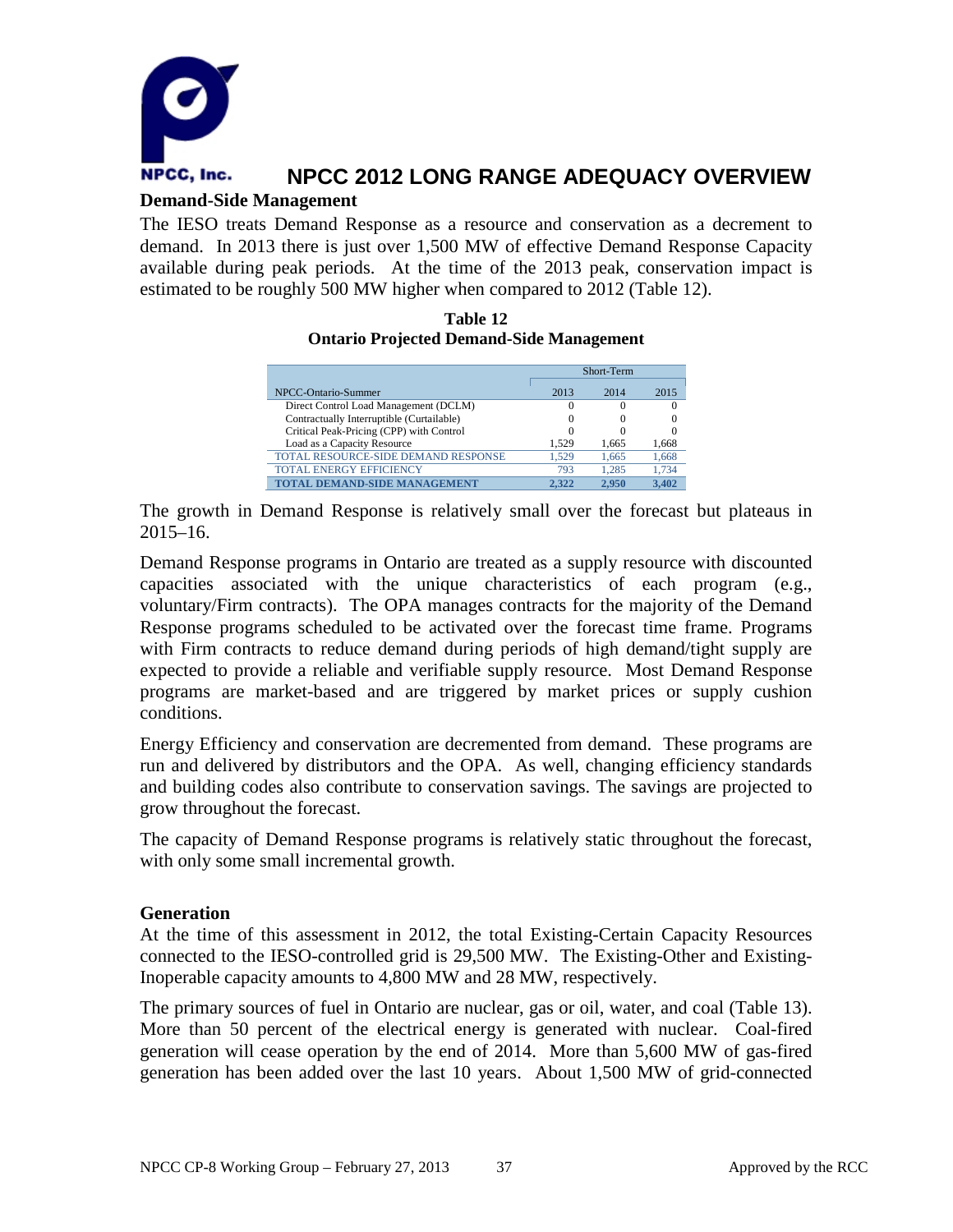

### **Demand-Side Management**

The IESO treats Demand Response as a resource and conservation as a decrement to demand. In 2013 there is just over 1,500 MW of effective Demand Response Capacity available during peak periods. At the time of the 2013 peak, conservation impact is estimated to be roughly 500 MW higher when compared to 2012 (Table 12).

#### **Table 12 Ontario Projected Demand-Side Management**

|                                           | Short-Term |       |       |
|-------------------------------------------|------------|-------|-------|
| NPCC-Ontario-Summer                       | 2013       | 2014  | 2015  |
| Direct Control Load Management (DCLM)     |            |       |       |
| Contractually Interruptible (Curtailable) | $\theta$   |       |       |
| Critical Peak-Pricing (CPP) with Control  | 0          |       |       |
| Load as a Capacity Resource               | 1.529      | 1.665 | 1,668 |
| TOTAL RESOURCE-SIDE DEMAND RESPONSE       | 1.529      | 1.665 | 1,668 |
| <b>TOTAL ENERGY EFFICIENCY</b>            | 793        | 1.285 | 1.734 |
| TOTAL DEMAND-SIDE MANAGEMENT              | 2.322      | 2.950 | 3.402 |

The growth in Demand Response is relatively small over the forecast but plateaus in 2015–16.

Demand Response programs in Ontario are treated as a supply resource with discounted capacities associated with the unique characteristics of each program (e.g., voluntary/Firm contracts). The OPA manages contracts for the majority of the Demand Response programs scheduled to be activated over the forecast time frame. Programs with Firm contracts to reduce demand during periods of high demand/tight supply are expected to provide a reliable and verifiable supply resource. Most Demand Response programs are market-based and are triggered by market prices or supply cushion conditions.

Energy Efficiency and conservation are decremented from demand. These programs are run and delivered by distributors and the OPA. As well, changing efficiency standards and building codes also contribute to conservation savings. The savings are projected to grow throughout the forecast.

The capacity of Demand Response programs is relatively static throughout the forecast, with only some small incremental growth.

### **Generation**

At the time of this assessment in 2012, the total Existing-Certain Capacity Resources connected to the IESO-controlled grid is 29,500 MW. The Existing-Other and Existing-Inoperable capacity amounts to 4,800 MW and 28 MW, respectively.

The primary sources of fuel in Ontario are nuclear, gas or oil, water, and coal (Table 13). More than 50 percent of the electrical energy is generated with nuclear. Coal-fired generation will cease operation by the end of 2014. More than 5,600 MW of gas-fired generation has been added over the last 10 years. About 1,500 MW of grid-connected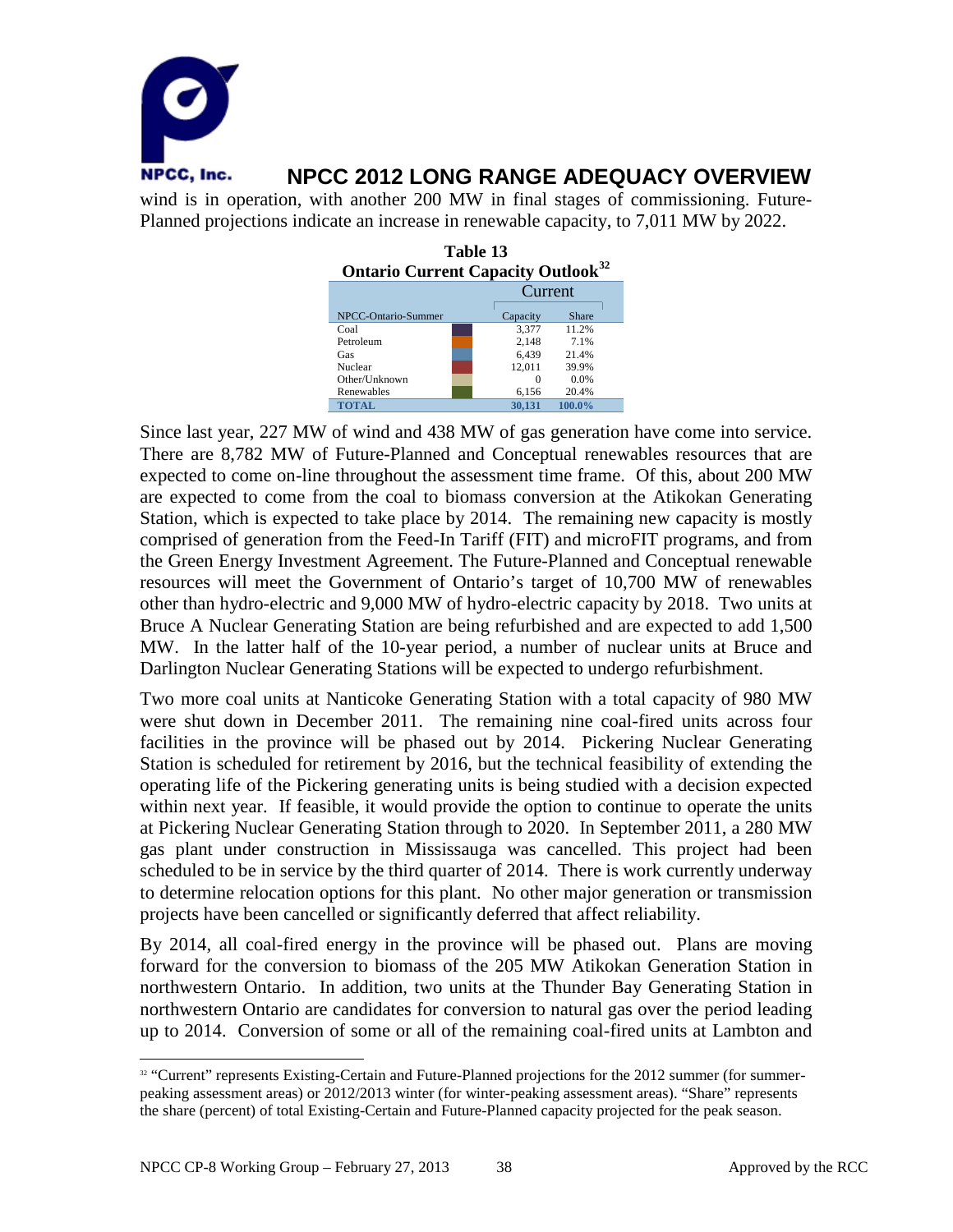

Planned projections indicate an increase in renewable capacity, to 7,011 MW by 2022.

| Table 13<br><b>Ontario Current Capacity Outlook</b> <sup>32</sup> |  |          |        |  |  |
|-------------------------------------------------------------------|--|----------|--------|--|--|
|                                                                   |  | Current  |        |  |  |
| NPCC-Ontario-Summer                                               |  | Capacity | Share  |  |  |
| Coal                                                              |  | 3,377    | 11.2%  |  |  |
| Petroleum                                                         |  | 2,148    | 7.1%   |  |  |
| Gas                                                               |  | 6,439    | 21.4%  |  |  |
| Nuclear                                                           |  | 12,011   | 39.9%  |  |  |
| Other/Unknown                                                     |  | $\Omega$ | 0.0%   |  |  |
| Renewables                                                        |  | 6,156    | 20.4%  |  |  |
| <b>TOTAL</b>                                                      |  | 30.131   | 100.0% |  |  |

Since last year, 227 MW of wind and 438 MW of gas generation have come into service. There are 8,782 MW of Future-Planned and Conceptual renewables resources that are expected to come on-line throughout the assessment time frame. Of this, about 200 MW are expected to come from the coal to biomass conversion at the Atikokan Generating Station, which is expected to take place by 2014. The remaining new capacity is mostly comprised of generation from the Feed-In Tariff (FIT) and microFIT programs, and from the Green Energy Investment Agreement. The Future-Planned and Conceptual renewable resources will meet the Government of Ontario's target of 10,700 MW of renewables other than hydro-electric and 9,000 MW of hydro-electric capacity by 2018. Two units at Bruce A Nuclear Generating Station are being refurbished and are expected to add 1,500 MW. In the latter half of the 10-year period, a number of nuclear units at Bruce and Darlington Nuclear Generating Stations will be expected to undergo refurbishment.

Two more coal units at Nanticoke Generating Station with a total capacity of 980 MW were shut down in December 2011. The remaining nine coal-fired units across four facilities in the province will be phased out by 2014. Pickering Nuclear Generating Station is scheduled for retirement by 2016, but the technical feasibility of extending the operating life of the Pickering generating units is being studied with a decision expected within next year. If feasible, it would provide the option to continue to operate the units at Pickering Nuclear Generating Station through to 2020. In September 2011, a 280 MW gas plant under construction in Mississauga was cancelled. This project had been scheduled to be in service by the third quarter of 2014. There is work currently underway to determine relocation options for this plant. No other major generation or transmission projects have been cancelled or significantly deferred that affect reliability.

By 2014, all coal-fired energy in the province will be phased out. Plans are moving forward for the conversion to biomass of the 205 MW Atikokan Generation Station in northwestern Ontario. In addition, two units at the Thunder Bay Generating Station in northwestern Ontario are candidates for conversion to natural gas over the period leading up to 2014. Conversion of some or all of the remaining coal-fired units at Lambton and

<span id="page-39-0"></span><sup>&</sup>lt;sup>32</sup> "Current" represents Existing-Certain and Future-Planned projections for the 2012 summer (for summerpeaking assessment areas) or 2012/2013 winter (for winter-peaking assessment areas). "Share" represents the share (percent) of total Existing-Certain and Future-Planned capacity projected for the peak season.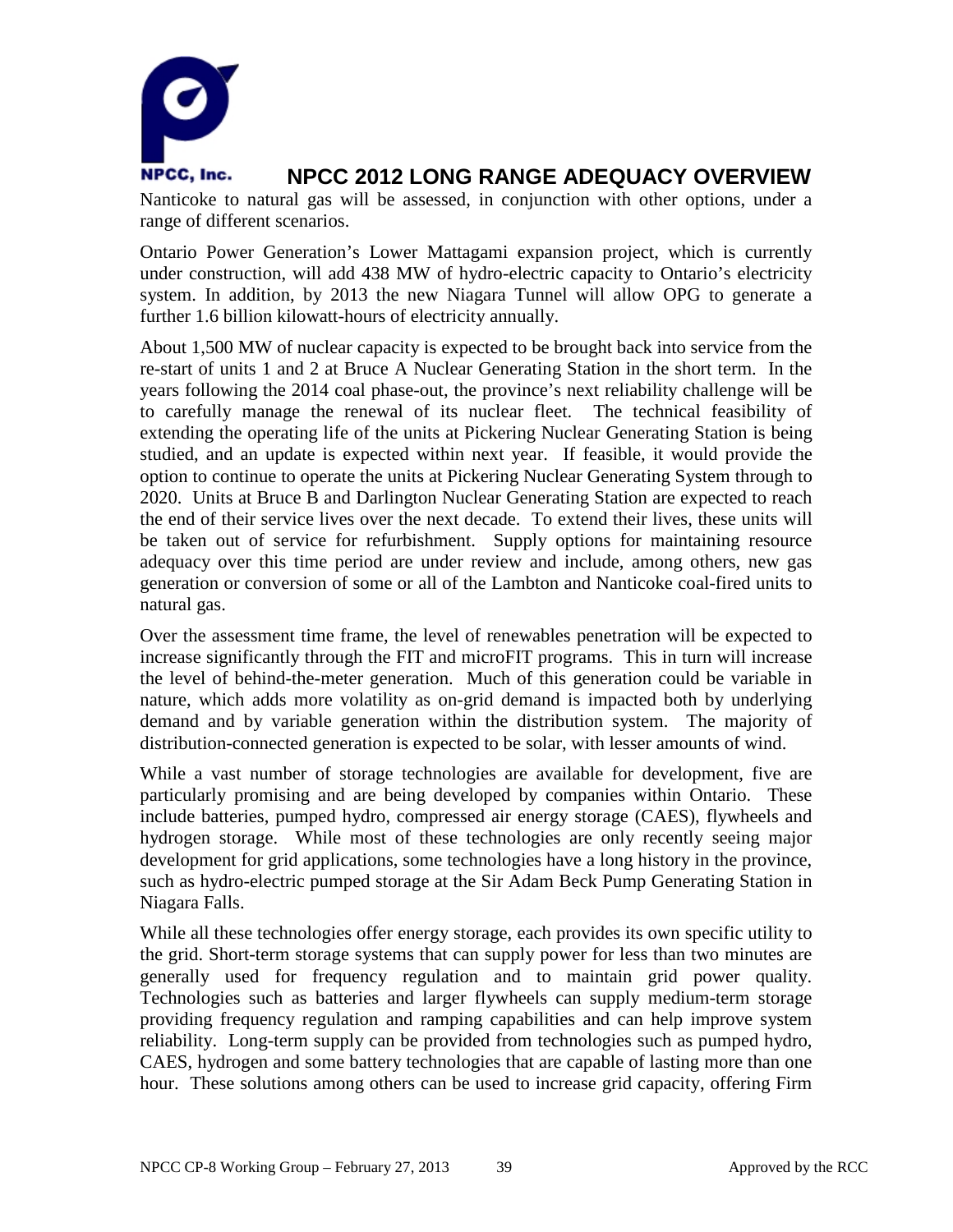

Nanticoke to natural gas will be assessed, in conjunction with other options, under a range of different scenarios.

Ontario Power Generation's Lower Mattagami expansion project, which is currently under construction, will add 438 MW of hydro-electric capacity to Ontario's electricity system. In addition, by 2013 the new Niagara Tunnel will allow OPG to generate a further 1.6 billion kilowatt-hours of electricity annually.

About 1,500 MW of nuclear capacity is expected to be brought back into service from the re-start of units 1 and 2 at Bruce A Nuclear Generating Station in the short term. In the years following the 2014 coal phase-out, the province's next reliability challenge will be to carefully manage the renewal of its nuclear fleet. The technical feasibility of extending the operating life of the units at Pickering Nuclear Generating Station is being studied, and an update is expected within next year. If feasible, it would provide the option to continue to operate the units at Pickering Nuclear Generating System through to 2020. Units at Bruce B and Darlington Nuclear Generating Station are expected to reach the end of their service lives over the next decade. To extend their lives, these units will be taken out of service for refurbishment. Supply options for maintaining resource adequacy over this time period are under review and include, among others, new gas generation or conversion of some or all of the Lambton and Nanticoke coal-fired units to natural gas.

Over the assessment time frame, the level of renewables penetration will be expected to increase significantly through the FIT and microFIT programs. This in turn will increase the level of behind-the-meter generation. Much of this generation could be variable in nature, which adds more volatility as on-grid demand is impacted both by underlying demand and by variable generation within the distribution system. The majority of distribution-connected generation is expected to be solar, with lesser amounts of wind.

While a vast number of storage technologies are available for development, five are particularly promising and are being developed by companies within Ontario. These include batteries, pumped hydro, compressed air energy storage (CAES), flywheels and hydrogen storage. While most of these technologies are only recently seeing major development for grid applications, some technologies have a long history in the province, such as hydro-electric pumped storage at the Sir Adam Beck Pump Generating Station in Niagara Falls.

While all these technologies offer energy storage, each provides its own specific utility to the grid. Short-term storage systems that can supply power for less than two minutes are generally used for frequency regulation and to maintain grid power quality. Technologies such as batteries and larger flywheels can supply medium-term storage providing frequency regulation and ramping capabilities and can help improve system reliability. Long-term supply can be provided from technologies such as pumped hydro, CAES, hydrogen and some battery technologies that are capable of lasting more than one hour. These solutions among others can be used to increase grid capacity, offering Firm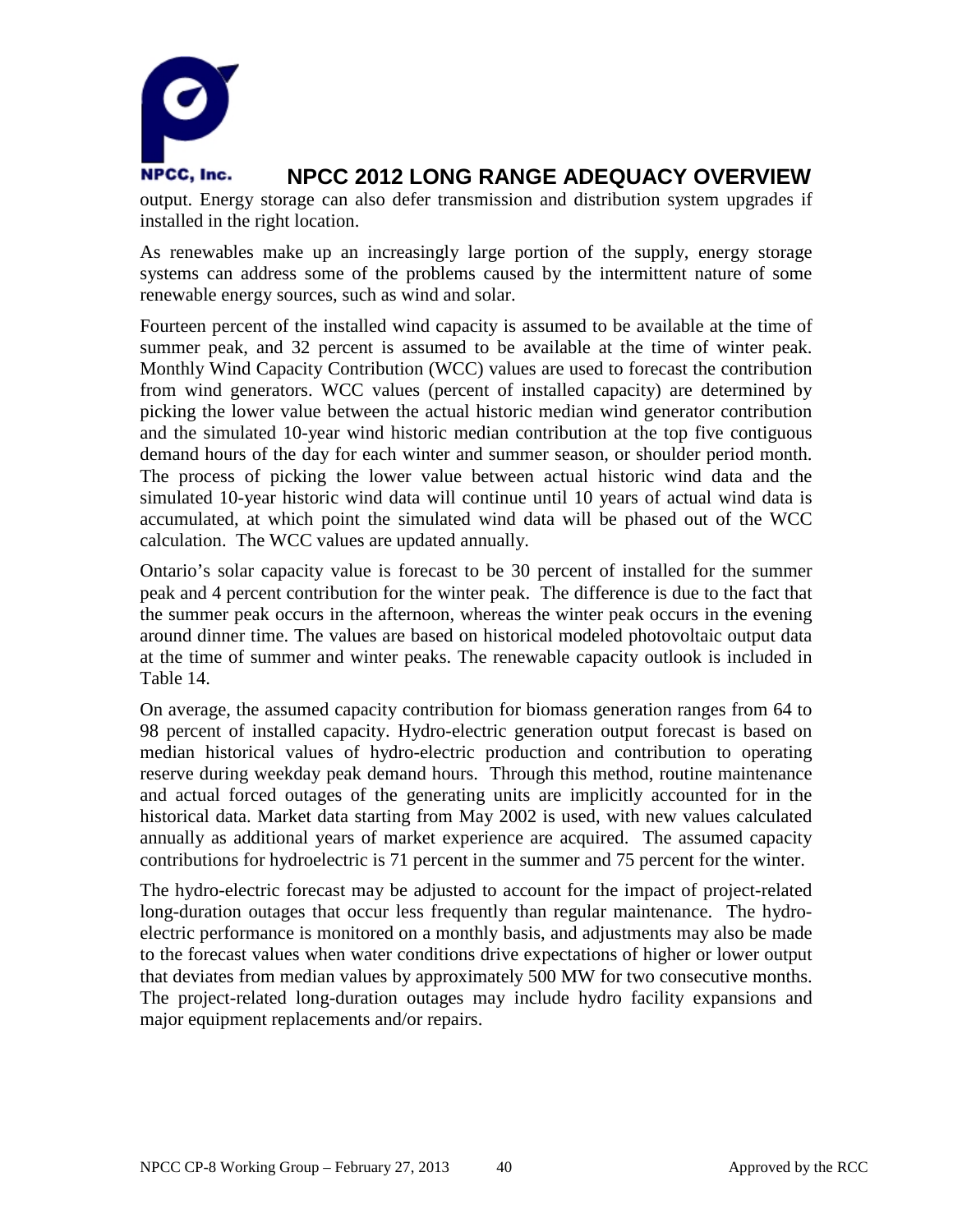

output. Energy storage can also defer transmission and distribution system upgrades if installed in the right location.

As renewables make up an increasingly large portion of the supply, energy storage systems can address some of the problems caused by the intermittent nature of some renewable energy sources, such as wind and solar.

Fourteen percent of the installed wind capacity is assumed to be available at the time of summer peak, and 32 percent is assumed to be available at the time of winter peak. Monthly Wind Capacity Contribution (WCC) values are used to forecast the contribution from wind generators. WCC values (percent of installed capacity) are determined by picking the lower value between the actual historic median wind generator contribution and the simulated 10-year wind historic median contribution at the top five contiguous demand hours of the day for each winter and summer season, or shoulder period month. The process of picking the lower value between actual historic wind data and the simulated 10-year historic wind data will continue until 10 years of actual wind data is accumulated, at which point the simulated wind data will be phased out of the WCC calculation. The WCC values are updated annually.

Ontario's solar capacity value is forecast to be 30 percent of installed for the summer peak and 4 percent contribution for the winter peak. The difference is due to the fact that the summer peak occurs in the afternoon, whereas the winter peak occurs in the evening around dinner time. The values are based on historical modeled photovoltaic output data at the time of summer and winter peaks. The renewable capacity outlook is included in Table 14.

On average, the assumed capacity contribution for biomass generation ranges from 64 to 98 percent of installed capacity. Hydro-electric generation output forecast is based on median historical values of hydro-electric production and contribution to operating reserve during weekday peak demand hours. Through this method, routine maintenance and actual forced outages of the generating units are implicitly accounted for in the historical data. Market data starting from May 2002 is used, with new values calculated annually as additional years of market experience are acquired. The assumed capacity contributions for hydroelectric is 71 percent in the summer and 75 percent for the winter.

The hydro-electric forecast may be adjusted to account for the impact of project-related long-duration outages that occur less frequently than regular maintenance. The hydroelectric performance is monitored on a monthly basis, and adjustments may also be made to the forecast values when water conditions drive expectations of higher or lower output that deviates from median values by approximately 500 MW for two consecutive months. The project-related long-duration outages may include hydro facility expansions and major equipment replacements and/or repairs.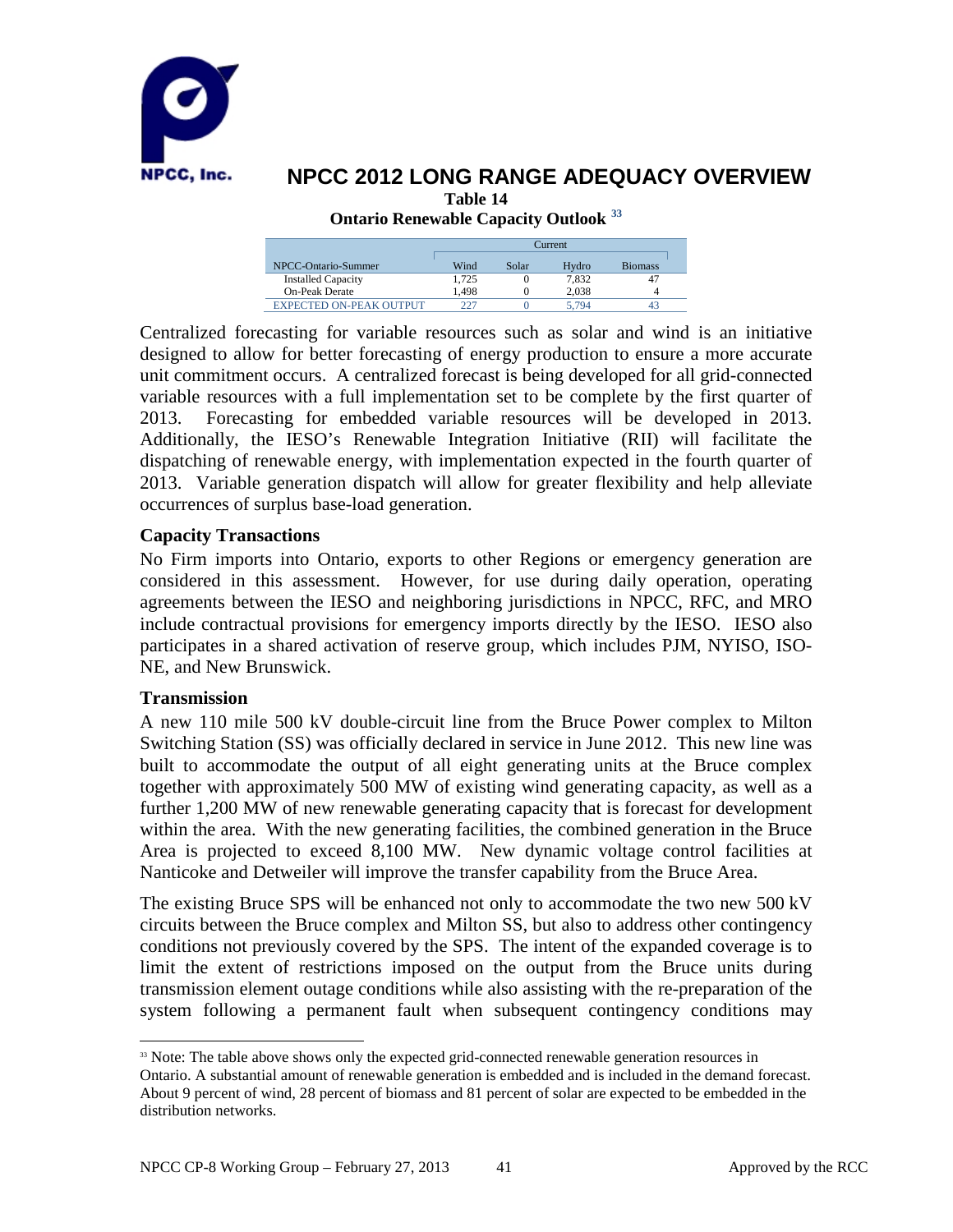

**Table 14**

**Ontario Renewable Capacity Outlook [33](#page-42-0)**

|                                | $T$ urrent |       |       |                |  |  |
|--------------------------------|------------|-------|-------|----------------|--|--|
| NPCC-Ontario-Summer            | Wind       | Solar | Hydro | <b>Biomass</b> |  |  |
| <b>Installed Capacity</b>      | 1.725      |       | 7.832 |                |  |  |
| <b>On-Peak Derate</b>          | 1.498      |       | 2.038 |                |  |  |
| <b>EXPECTED ON-PEAK OUTPUT</b> | ววา        |       | 5.794 |                |  |  |

Centralized forecasting for variable resources such as solar and wind is an initiative designed to allow for better forecasting of energy production to ensure a more accurate unit commitment occurs. A centralized forecast is being developed for all grid-connected variable resources with a full implementation set to be complete by the first quarter of 2013. Forecasting for embedded variable resources will be developed in 2013. Additionally, the IESO's Renewable Integration Initiative (RII) will facilitate the dispatching of renewable energy, with implementation expected in the fourth quarter of 2013. Variable generation dispatch will allow for greater flexibility and help alleviate occurrences of surplus base-load generation.

### **Capacity Transactions**

No Firm imports into Ontario, exports to other Regions or emergency generation are considered in this assessment. However, for use during daily operation, operating agreements between the IESO and neighboring jurisdictions in NPCC, RFC, and MRO include contractual provisions for emergency imports directly by the IESO. IESO also participates in a shared activation of reserve group, which includes PJM, NYISO, ISO-NE, and New Brunswick.

### **Transmission**

A new 110 mile 500 kV double-circuit line from the Bruce Power complex to Milton Switching Station (SS) was officially declared in service in June 2012. This new line was built to accommodate the output of all eight generating units at the Bruce complex together with approximately 500 MW of existing wind generating capacity, as well as a further 1,200 MW of new renewable generating capacity that is forecast for development within the area. With the new generating facilities, the combined generation in the Bruce Area is projected to exceed 8,100 MW. New dynamic voltage control facilities at Nanticoke and Detweiler will improve the transfer capability from the Bruce Area.

The existing Bruce SPS will be enhanced not only to accommodate the two new 500 kV circuits between the Bruce complex and Milton SS, but also to address other contingency conditions not previously covered by the SPS. The intent of the expanded coverage is to limit the extent of restrictions imposed on the output from the Bruce units during transmission element outage conditions while also assisting with the re-preparation of the system following a permanent fault when subsequent contingency conditions may

<span id="page-42-0"></span><sup>&</sup>lt;sup>33</sup> Note: The table above shows only the expected grid-connected renewable generation resources in Ontario. A substantial amount of renewable generation is embedded and is included in the demand forecast. About 9 percent of wind, 28 percent of biomass and 81 percent of solar are expected to be embedded in the distribution networks.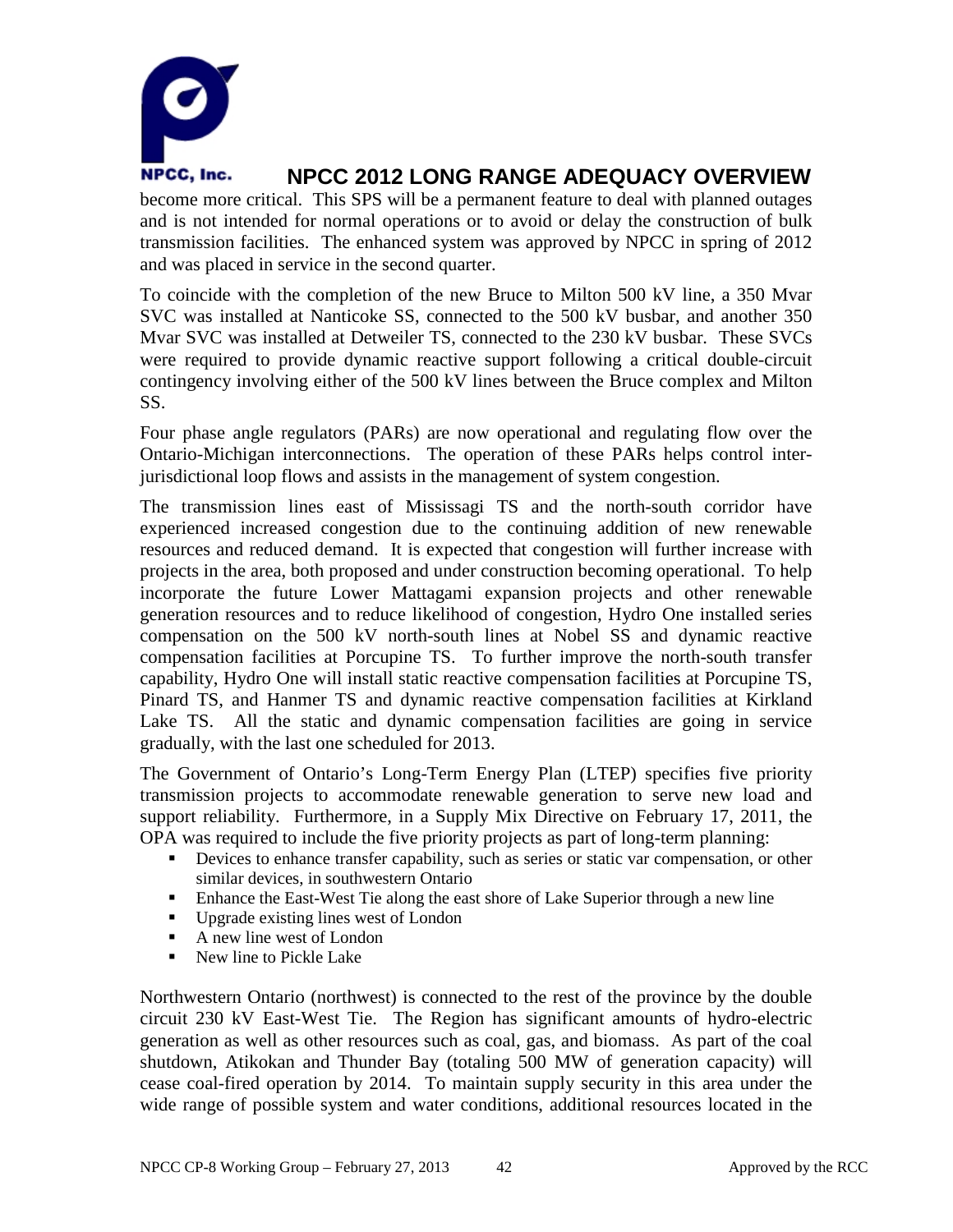

become more critical. This SPS will be a permanent feature to deal with planned outages and is not intended for normal operations or to avoid or delay the construction of bulk transmission facilities. The enhanced system was approved by NPCC in spring of 2012 and was placed in service in the second quarter.

To coincide with the completion of the new Bruce to Milton 500 kV line, a 350 Mvar SVC was installed at Nanticoke SS, connected to the 500 kV busbar, and another 350 Mvar SVC was installed at Detweiler TS, connected to the 230 kV busbar. These SVCs were required to provide dynamic reactive support following a critical double-circuit contingency involving either of the 500 kV lines between the Bruce complex and Milton SS.

Four phase angle regulators (PARs) are now operational and regulating flow over the Ontario-Michigan interconnections. The operation of these PARs helps control interjurisdictional loop flows and assists in the management of system congestion.

The transmission lines east of Mississagi TS and the north-south corridor have experienced increased congestion due to the continuing addition of new renewable resources and reduced demand. It is expected that congestion will further increase with projects in the area, both proposed and under construction becoming operational. To help incorporate the future Lower Mattagami expansion projects and other renewable generation resources and to reduce likelihood of congestion, Hydro One installed series compensation on the 500 kV north-south lines at Nobel SS and dynamic reactive compensation facilities at Porcupine TS. To further improve the north-south transfer capability, Hydro One will install static reactive compensation facilities at Porcupine TS, Pinard TS, and Hanmer TS and dynamic reactive compensation facilities at Kirkland Lake TS. All the static and dynamic compensation facilities are going in service gradually, with the last one scheduled for 2013.

The Government of Ontario's Long-Term Energy Plan (LTEP) specifies five priority transmission projects to accommodate renewable generation to serve new load and support reliability. Furthermore, in a Supply Mix Directive on February 17, 2011, the OPA was required to include the five priority projects as part of long-term planning:

- Devices to enhance transfer capability, such as series or static var compensation, or other similar devices, in southwestern Ontario
- Enhance the East-West Tie along the east shore of Lake Superior through a new line
- Upgrade existing lines west of London
- A new line west of London
- New line to Pickle Lake

Northwestern Ontario (northwest) is connected to the rest of the province by the double circuit 230 kV East-West Tie. The Region has significant amounts of hydro-electric generation as well as other resources such as coal, gas, and biomass. As part of the coal shutdown, Atikokan and Thunder Bay (totaling 500 MW of generation capacity) will cease coal-fired operation by 2014. To maintain supply security in this area under the wide range of possible system and water conditions, additional resources located in the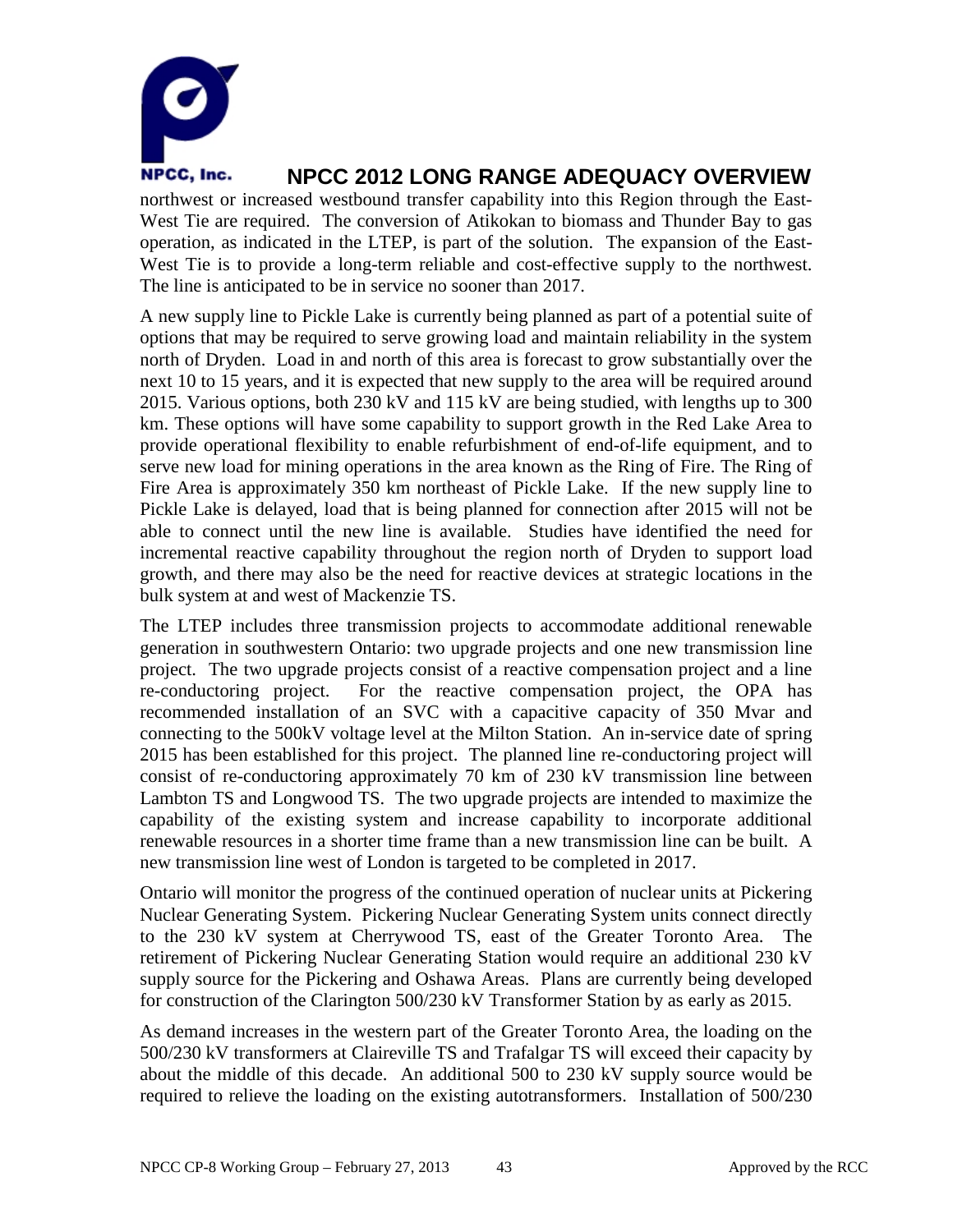

northwest or increased westbound transfer capability into this Region through the East-West Tie are required. The conversion of Atikokan to biomass and Thunder Bay to gas operation, as indicated in the LTEP, is part of the solution. The expansion of the East-West Tie is to provide a long-term reliable and cost-effective supply to the northwest. The line is anticipated to be in service no sooner than 2017.

A new supply line to Pickle Lake is currently being planned as part of a potential suite of options that may be required to serve growing load and maintain reliability in the system north of Dryden. Load in and north of this area is forecast to grow substantially over the next 10 to 15 years, and it is expected that new supply to the area will be required around 2015. Various options, both 230 kV and 115 kV are being studied, with lengths up to 300 km. These options will have some capability to support growth in the Red Lake Area to provide operational flexibility to enable refurbishment of end-of-life equipment, and to serve new load for mining operations in the area known as the Ring of Fire. The Ring of Fire Area is approximately 350 km northeast of Pickle Lake. If the new supply line to Pickle Lake is delayed, load that is being planned for connection after 2015 will not be able to connect until the new line is available. Studies have identified the need for incremental reactive capability throughout the region north of Dryden to support load growth, and there may also be the need for reactive devices at strategic locations in the bulk system at and west of Mackenzie TS.

The LTEP includes three transmission projects to accommodate additional renewable generation in southwestern Ontario: two upgrade projects and one new transmission line project. The two upgrade projects consist of a reactive compensation project and a line re-conductoring project. For the reactive compensation project, the OPA has recommended installation of an SVC with a capacitive capacity of 350 Mvar and connecting to the 500kV voltage level at the Milton Station. An in-service date of spring 2015 has been established for this project. The planned line re-conductoring project will consist of re-conductoring approximately 70 km of 230 kV transmission line between Lambton TS and Longwood TS. The two upgrade projects are intended to maximize the capability of the existing system and increase capability to incorporate additional renewable resources in a shorter time frame than a new transmission line can be built. A new transmission line west of London is targeted to be completed in 2017.

Ontario will monitor the progress of the continued operation of nuclear units at Pickering Nuclear Generating System. Pickering Nuclear Generating System units connect directly to the 230 kV system at Cherrywood TS, east of the Greater Toronto Area. The retirement of Pickering Nuclear Generating Station would require an additional 230 kV supply source for the Pickering and Oshawa Areas. Plans are currently being developed for construction of the Clarington 500/230 kV Transformer Station by as early as 2015.

As demand increases in the western part of the Greater Toronto Area, the loading on the 500/230 kV transformers at Claireville TS and Trafalgar TS will exceed their capacity by about the middle of this decade. An additional 500 to 230 kV supply source would be required to relieve the loading on the existing autotransformers. Installation of 500/230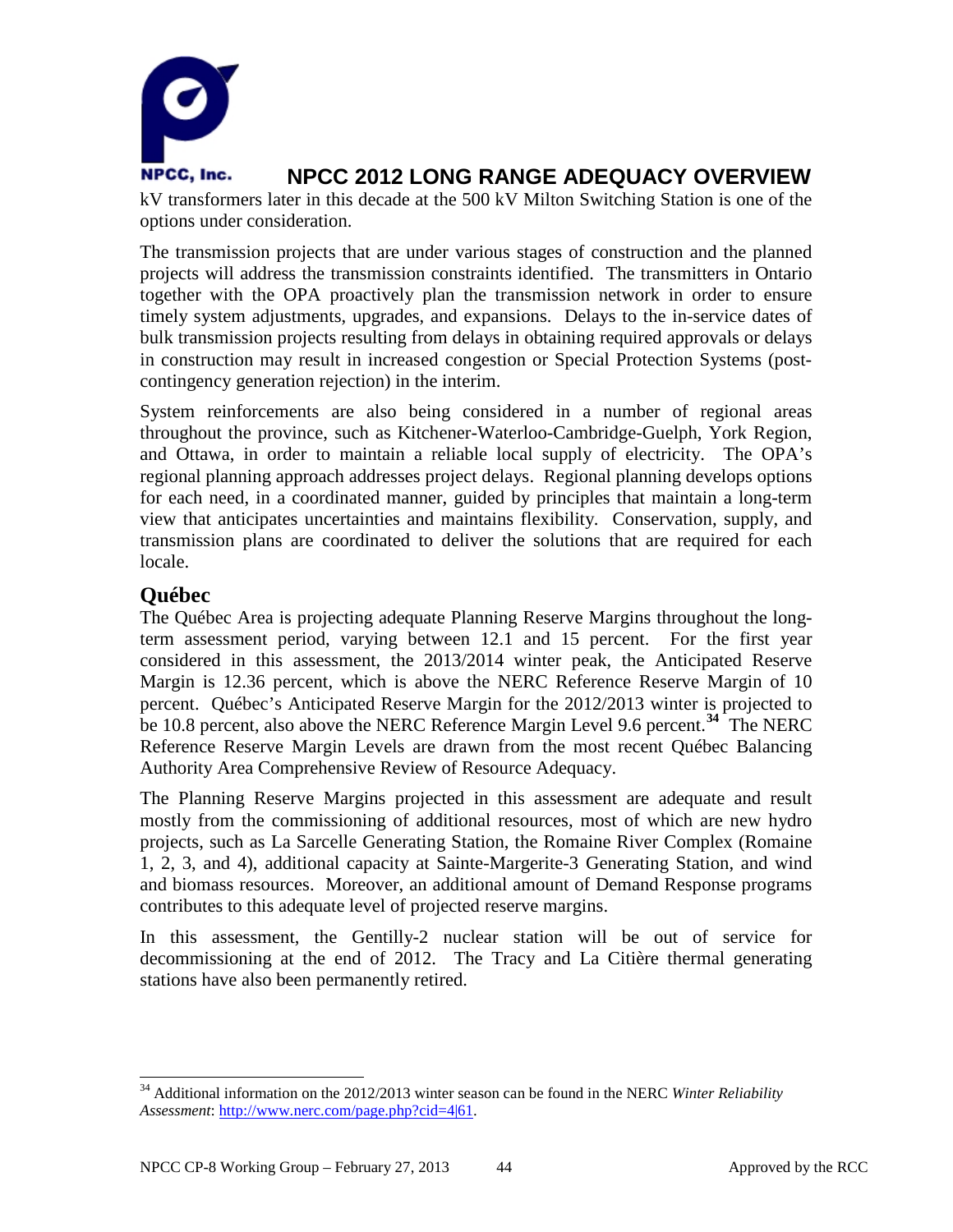

kV transformers later in this decade at the 500 kV Milton Switching Station is one of the options under consideration.

The transmission projects that are under various stages of construction and the planned projects will address the transmission constraints identified. The transmitters in Ontario together with the OPA proactively plan the transmission network in order to ensure timely system adjustments, upgrades, and expansions. Delays to the in-service dates of bulk transmission projects resulting from delays in obtaining required approvals or delays in construction may result in increased congestion or Special Protection Systems (postcontingency generation rejection) in the interim.

System reinforcements are also being considered in a number of regional areas throughout the province, such as Kitchener-Waterloo-Cambridge-Guelph, York Region, and Ottawa, in order to maintain a reliable local supply of electricity. The OPA's regional planning approach addresses project delays. Regional planning develops options for each need, in a coordinated manner, guided by principles that maintain a long-term view that anticipates uncertainties and maintains flexibility. Conservation, supply, and transmission plans are coordinated to deliver the solutions that are required for each locale.

### **Québec**

The Québec Area is projecting adequate Planning Reserve Margins throughout the longterm assessment period, varying between 12.1 and 15 percent. For the first year considered in this assessment, the 2013/2014 winter peak, the Anticipated Reserve Margin is 12.36 percent, which is above the NERC Reference Reserve Margin of 10 percent. Québec's Anticipated Reserve Margin for the 2012/2013 winter is projected to be 10.8 percent, also above the NERC Reference Margin Level 9.6 percent.**[34](#page-45-0)** The NERC Reference Reserve Margin Levels are drawn from the most recent Québec Balancing Authority Area Comprehensive Review of Resource Adequacy.

The Planning Reserve Margins projected in this assessment are adequate and result mostly from the commissioning of additional resources, most of which are new hydro projects, such as La Sarcelle Generating Station, the Romaine River Complex (Romaine 1, 2, 3, and 4), additional capacity at Sainte-Margerite-3 Generating Station, and wind and biomass resources. Moreover, an additional amount of Demand Response programs contributes to this adequate level of projected reserve margins.

In this assessment, the Gentilly-2 nuclear station will be out of service for decommissioning at the end of 2012. The Tracy and La Citière thermal generating stations have also been permanently retired.

<span id="page-45-0"></span> <sup>34</sup> Additional information on the 2012/2013 winter season can be found in the NERC *Winter Reliability Assessment*: [http://www.nerc.com/page.php?cid=4|61.](http://www.nerc.com/page.php?cid=4|61)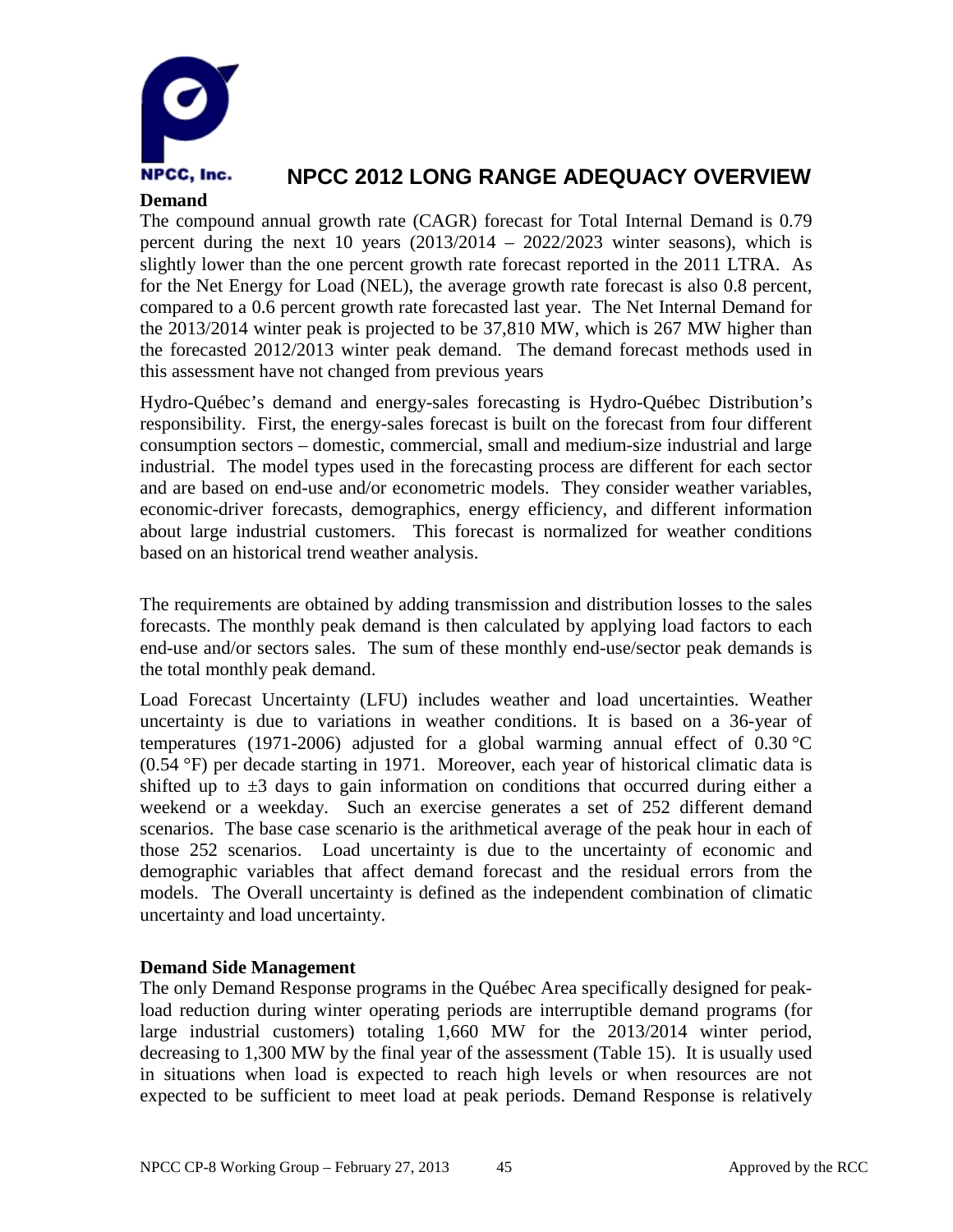

### **Demand**

The compound annual growth rate (CAGR) forecast for Total Internal Demand is 0.79 percent during the next 10 years  $(2013/2014 - 2022/2023)$  winter seasons), which is slightly lower than the one percent growth rate forecast reported in the 2011 LTRA. As for the Net Energy for Load (NEL), the average growth rate forecast is also 0.8 percent, compared to a 0.6 percent growth rate forecasted last year. The Net Internal Demand for the 2013/2014 winter peak is projected to be 37,810 MW, which is 267 MW higher than the forecasted 2012/2013 winter peak demand. The demand forecast methods used in this assessment have not changed from previous years

Hydro-Québec's demand and energy-sales forecasting is Hydro-Québec Distribution's responsibility. First, the energy-sales forecast is built on the forecast from four different consumption sectors – domestic, commercial, small and medium-size industrial and large industrial. The model types used in the forecasting process are different for each sector and are based on end-use and/or econometric models. They consider weather variables, economic-driver forecasts, demographics, energy efficiency, and different information about large industrial customers. This forecast is normalized for weather conditions based on an historical trend weather analysis.

The requirements are obtained by adding transmission and distribution losses to the sales forecasts. The monthly peak demand is then calculated by applying load factors to each end-use and/or sectors sales. The sum of these monthly end-use/sector peak demands is the total monthly peak demand.

Load Forecast Uncertainty (LFU) includes weather and load uncertainties. Weather uncertainty is due to variations in weather conditions. It is based on a 36-year of temperatures (1971-2006) adjusted for a global warming annual effect of  $0.30 \text{ °C}$ (0.54 °F) per decade starting in 1971. Moreover, each year of historical climatic data is shifted up to  $\pm 3$  days to gain information on conditions that occurred during either a weekend or a weekday. Such an exercise generates a set of 252 different demand scenarios. The base case scenario is the arithmetical average of the peak hour in each of those 252 scenarios. Load uncertainty is due to the uncertainty of economic and demographic variables that affect demand forecast and the residual errors from the models. The Overall uncertainty is defined as the independent combination of climatic uncertainty and load uncertainty.

### **Demand Side Management**

The only Demand Response programs in the Québec Area specifically designed for peakload reduction during winter operating periods are interruptible demand programs (for large industrial customers) totaling 1,660 MW for the 2013/2014 winter period, decreasing to 1,300 MW by the final year of the assessment (Table 15). It is usually used in situations when load is expected to reach high levels or when resources are not expected to be sufficient to meet load at peak periods. Demand Response is relatively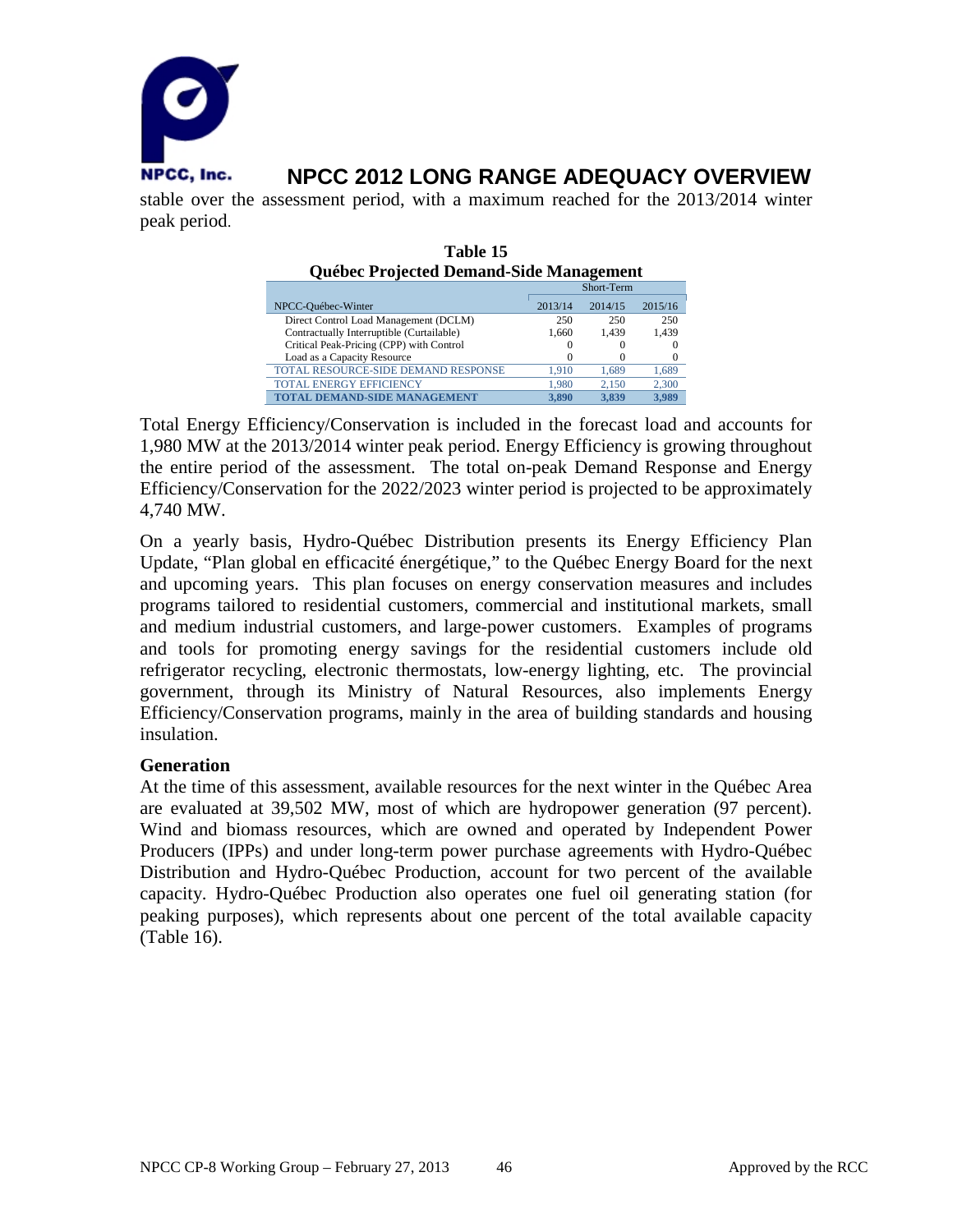

stable over the assessment period, with a maximum reached for the 2013/2014 winter peak period.

| Québec Projected Demand-Side Management   |            |         |          |  |  |
|-------------------------------------------|------------|---------|----------|--|--|
|                                           | Short-Term |         |          |  |  |
| NPCC-Québec-Winter                        | 2013/14    | 2014/15 | 2015/16  |  |  |
| Direct Control Load Management (DCLM)     | 250        | 250     | 250      |  |  |
| Contractually Interruptible (Curtailable) | 1.660      | 1.439   | 1.439    |  |  |
| Critical Peak-Pricing (CPP) with Control  |            |         |          |  |  |
| Load as a Capacity Resource               | $^{(+)}$   |         | $\Omega$ |  |  |
| TOTAL RESOURCE-SIDE DEMAND RESPONSE       | 1.910      | 1.689   | 1,689    |  |  |
| <b>TOTAL ENERGY EFFICIENCY</b>            | 1.980      | 2.150   | 2.300    |  |  |
| <b>TOTAL DEMAND-SIDE MANAGEMENT</b>       | 3.890      | 3.839   | 3.989    |  |  |

#### **Table 15 Québec Projected Demand-Side Management**

Total Energy Efficiency/Conservation is included in the forecast load and accounts for 1,980 MW at the 2013/2014 winter peak period. Energy Efficiency is growing throughout the entire period of the assessment. The total on-peak Demand Response and Energy Efficiency/Conservation for the 2022/2023 winter period is projected to be approximately 4,740 MW.

On a yearly basis, Hydro-Québec Distribution presents its Energy Efficiency Plan Update, "Plan global en efficacité énergétique," to the Québec Energy Board for the next and upcoming years. This plan focuses on energy conservation measures and includes programs tailored to residential customers, commercial and institutional markets, small and medium industrial customers, and large-power customers. Examples of programs and tools for promoting energy savings for the residential customers include old refrigerator recycling, electronic thermostats, low-energy lighting, etc. The provincial government, through its Ministry of Natural Resources, also implements Energy Efficiency/Conservation programs, mainly in the area of building standards and housing insulation.

### **Generation**

At the time of this assessment, available resources for the next winter in the Québec Area are evaluated at 39,502 MW, most of which are hydropower generation (97 percent). Wind and biomass resources, which are owned and operated by Independent Power Producers (IPPs) and under long-term power purchase agreements with Hydro-Québec Distribution and Hydro-Québec Production, account for two percent of the available capacity. Hydro-Québec Production also operates one fuel oil generating station (for peaking purposes), which represents about one percent of the total available capacity (Table 16).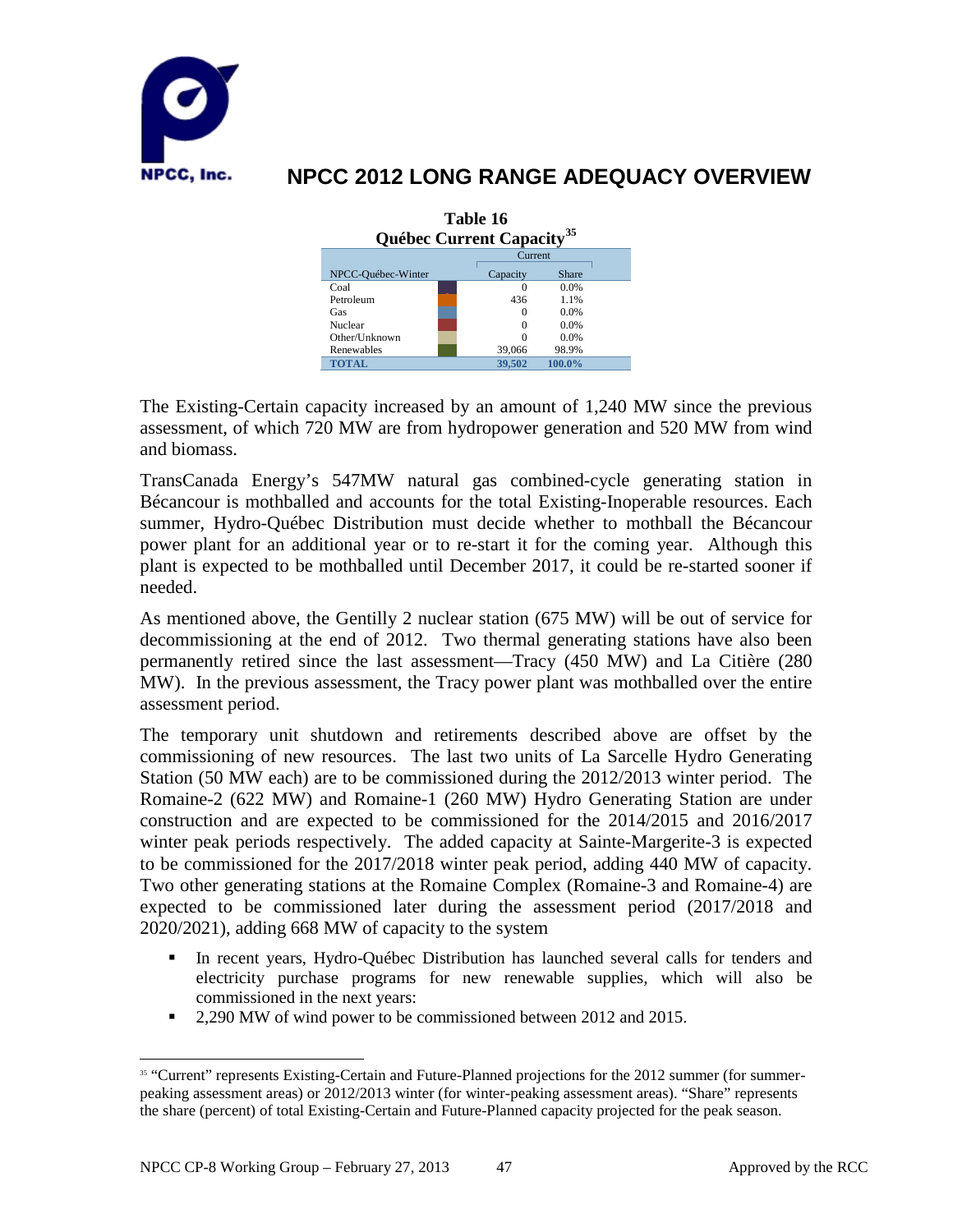

| Table 16<br><b>Québec Current Capacity</b> <sup>35</sup> |          |           |  |  |  |
|----------------------------------------------------------|----------|-----------|--|--|--|
|                                                          |          | Current   |  |  |  |
| NPCC-Québec-Winter                                       | Capacity | Share     |  |  |  |
| Coal                                                     |          | 0.0%      |  |  |  |
| Petroleum                                                | 436      | 1.1%      |  |  |  |
| Gas                                                      | $\Omega$ | 0.0%      |  |  |  |
| Nuclear                                                  |          | 0.0%      |  |  |  |
| Other/Unknown                                            |          | 0.0%      |  |  |  |
| Renewables                                               | 39,066   | 98.9%     |  |  |  |
| <b>TOTAL</b>                                             | 39,502   | $100.0\%$ |  |  |  |

The Existing-Certain capacity increased by an amount of 1,240 MW since the previous assessment, of which 720 MW are from hydropower generation and 520 MW from wind and biomass.

TransCanada Energy's 547MW natural gas combined-cycle generating station in Bécancour is mothballed and accounts for the total Existing-Inoperable resources. Each summer, Hydro-Québec Distribution must decide whether to mothball the Bécancour power plant for an additional year or to re-start it for the coming year. Although this plant is expected to be mothballed until December 2017, it could be re-started sooner if needed.

As mentioned above, the Gentilly 2 nuclear station (675 MW) will be out of service for decommissioning at the end of 2012. Two thermal generating stations have also been permanently retired since the last assessment—Tracy (450 MW) and La Citière (280 MW). In the previous assessment, the Tracy power plant was mothballed over the entire assessment period.

The temporary unit shutdown and retirements described above are offset by the commissioning of new resources. The last two units of La Sarcelle Hydro Generating Station (50 MW each) are to be commissioned during the 2012/2013 winter period. The Romaine-2 (622 MW) and Romaine-1 (260 MW) Hydro Generating Station are under construction and are expected to be commissioned for the 2014/2015 and 2016/2017 winter peak periods respectively. The added capacity at Sainte-Margerite-3 is expected to be commissioned for the 2017/2018 winter peak period, adding 440 MW of capacity. Two other generating stations at the Romaine Complex (Romaine-3 and Romaine-4) are expected to be commissioned later during the assessment period (2017/2018 and 2020/2021), adding 668 MW of capacity to the system

- In recent years, Hydro-Québec Distribution has launched several calls for tenders and electricity purchase programs for new renewable supplies, which will also be commissioned in the next years:
- <sup>2</sup> 2,290 MW of wind power to be commissioned between 2012 and 2015.

<span id="page-48-0"></span><sup>&</sup>lt;sup>35</sup> "Current" represents Existing-Certain and Future-Planned projections for the 2012 summer (for summerpeaking assessment areas) or 2012/2013 winter (for winter-peaking assessment areas). "Share" represents the share (percent) of total Existing-Certain and Future-Planned capacity projected for the peak season.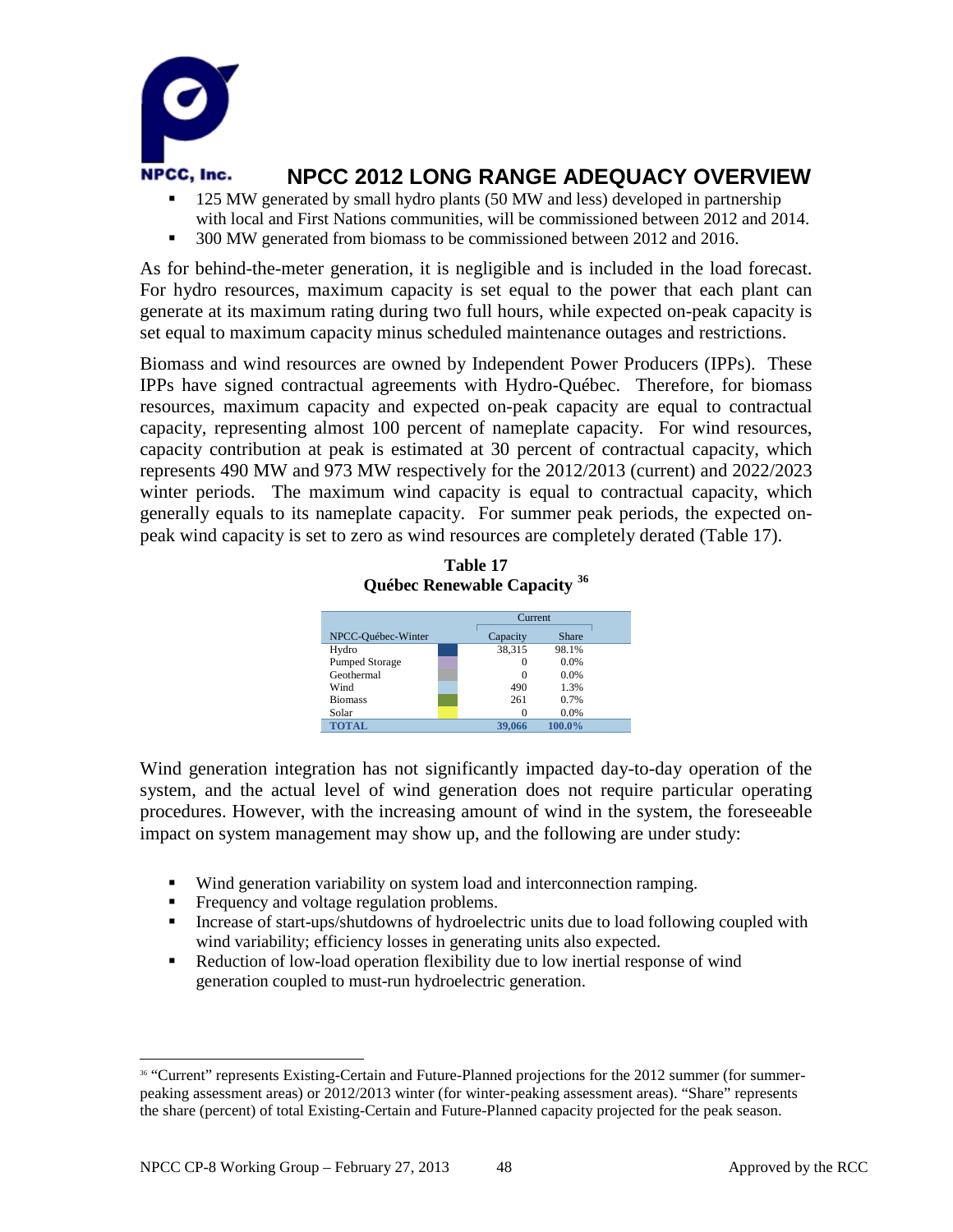

- 125 MW generated by small hydro plants (50 MW and less) developed in partnership with local and First Nations communities, will be commissioned between 2012 and 2014.
- <sup>300</sup> MW generated from biomass to be commissioned between 2012 and 2016.

As for behind-the-meter generation, it is negligible and is included in the load forecast. For hydro resources, maximum capacity is set equal to the power that each plant can generate at its maximum rating during two full hours, while expected on-peak capacity is set equal to maximum capacity minus scheduled maintenance outages and restrictions.

Biomass and wind resources are owned by Independent Power Producers (IPPs). These IPPs have signed contractual agreements with Hydro-Québec. Therefore, for biomass resources, maximum capacity and expected on-peak capacity are equal to contractual capacity, representing almost 100 percent of nameplate capacity. For wind resources, capacity contribution at peak is estimated at 30 percent of contractual capacity, which represents 490 MW and 973 MW respectively for the 2012/2013 (current) and 2022/2023 winter periods. The maximum wind capacity is equal to contractual capacity, which generally equals to its nameplate capacity. For summer peak periods, the expected onpeak wind capacity is set to zero as wind resources are completely derated (Table 17).

| Québec Renewable Capacity <sup>36</sup> |          |        |  |  |
|-----------------------------------------|----------|--------|--|--|
|                                         | Current  |        |  |  |
| NPCC-Québec-Winter                      | Capacity | Share  |  |  |
| Hydro                                   | 38.315   | 98.1%  |  |  |
| <b>Pumped Storage</b>                   | $\Omega$ | 0.0%   |  |  |
| Geothermal                              | $\Omega$ | 0.0%   |  |  |
| Wind                                    | 490      | 1.3%   |  |  |
| <b>Biomass</b>                          | 261      | 0.7%   |  |  |
| Solar                                   | $\Omega$ | 0.0%   |  |  |
| <b>TOTAL</b>                            | 39,066   | 100.0% |  |  |

**Table 17**

Wind generation integration has not significantly impacted day-to-day operation of the system, and the actual level of wind generation does not require particular operating procedures. However, with the increasing amount of wind in the system, the foreseeable impact on system management may show up, and the following are under study:

- Wind generation variability on system load and interconnection ramping.
- Frequency and voltage regulation problems.
- Increase of start-ups/shutdowns of hydroelectric units due to load following coupled with wind variability; efficiency losses in generating units also expected.
- Reduction of low-load operation flexibility due to low inertial response of wind generation coupled to must-run hydroelectric generation.

<span id="page-49-0"></span> <sup>36</sup> "Current" represents Existing-Certain and Future-Planned projections for the 2012 summer (for summerpeaking assessment areas) or 2012/2013 winter (for winter-peaking assessment areas). "Share" represents the share (percent) of total Existing-Certain and Future-Planned capacity projected for the peak season.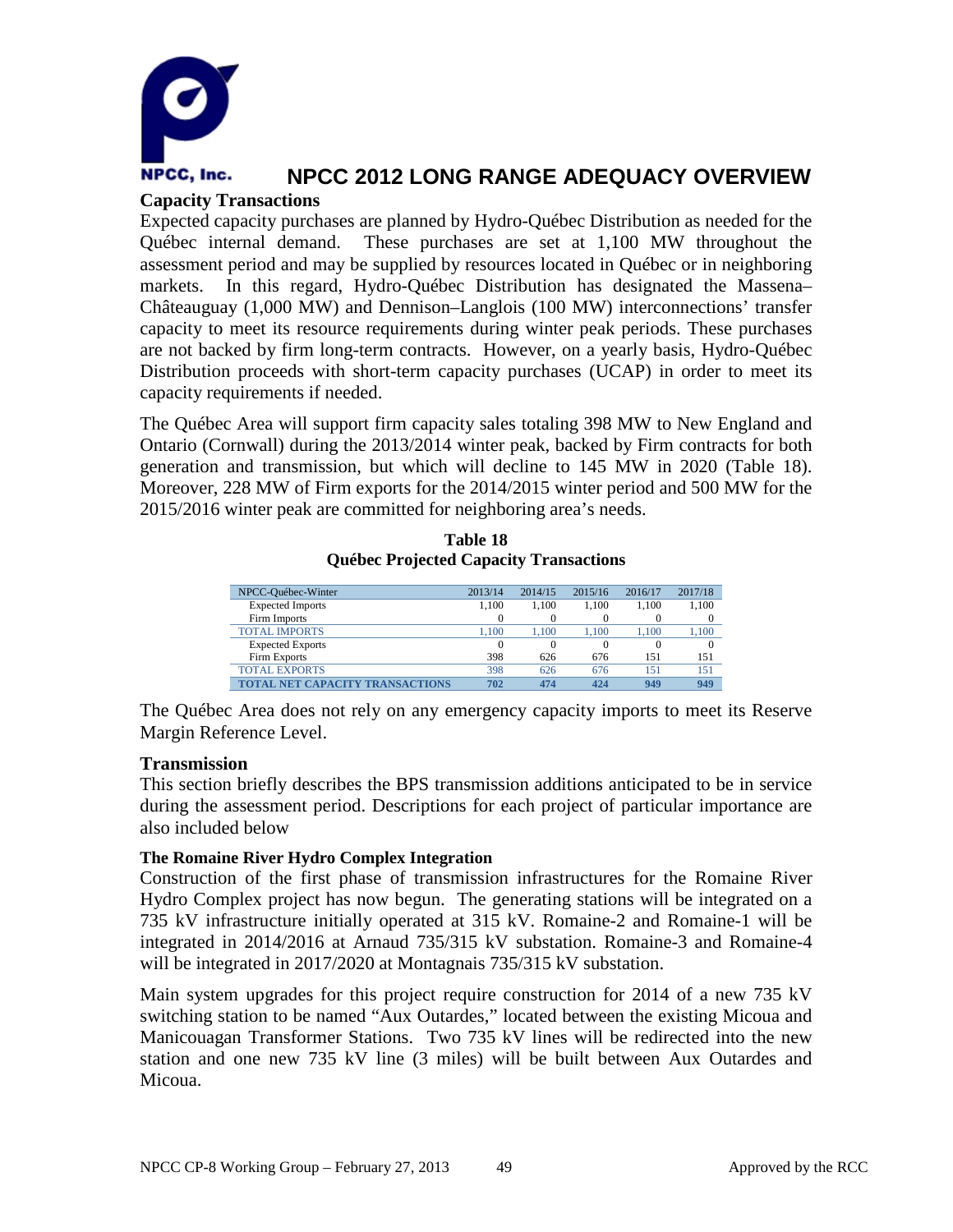

### **Capacity Transactions**

Expected capacity purchases are planned by Hydro-Québec Distribution as needed for the Québec internal demand. These purchases are set at 1,100 MW throughout the assessment period and may be supplied by resources located in Québec or in neighboring markets. In this regard, Hydro-Québec Distribution has designated the Massena– Châteauguay (1,000 MW) and Dennison–Langlois (100 MW) interconnections' transfer capacity to meet its resource requirements during winter peak periods. These purchases are not backed by firm long-term contracts. However, on a yearly basis, Hydro-Québec Distribution proceeds with short-term capacity purchases (UCAP) in order to meet its capacity requirements if needed.

The Québec Area will support firm capacity sales totaling 398 MW to New England and Ontario (Cornwall) during the 2013/2014 winter peak, backed by Firm contracts for both generation and transmission, but which will decline to 145 MW in 2020 (Table 18). Moreover, 228 MW of Firm exports for the 2014/2015 winter period and 500 MW for the 2015/2016 winter peak are committed for neighboring area's needs.

| NPCC-Québec-Winter                     | 2013/14 | 2014/15 | 2015/16  | 2016/17  | 2017/18 |
|----------------------------------------|---------|---------|----------|----------|---------|
| <b>Expected Imports</b>                | 1.100   | 1.100   | 1.100    | 1.100    | 1.100   |
| <b>Firm Imports</b>                    |         |         | $\Omega$ | $\Omega$ | 0       |
| <b>TOTAL IMPORTS</b>                   | 1.100   | 1.100   | 1.100    | 1.100    | 1,100   |
| <b>Expected Exports</b>                |         |         | 0        | 0        | 0       |
| Firm Exports                           | 398     | 626     | 676      | 151      | 151     |
| TOTAL EXPORTS                          | 398     | 626     | 676      | 151      | 151     |
| <b>TOTAL NET CAPACITY TRANSACTIONS</b> | 702     | 474     | 424      | 949      | 949     |

**Table 18 Québec Projected Capacity Transactions**

The Québec Area does not rely on any emergency capacity imports to meet its Reserve Margin Reference Level.

### **Transmission**

This section briefly describes the BPS transmission additions anticipated to be in service during the assessment period. Descriptions for each project of particular importance are also included below

### **The Romaine River Hydro Complex Integration**

Construction of the first phase of transmission infrastructures for the Romaine River Hydro Complex project has now begun. The generating stations will be integrated on a 735 kV infrastructure initially operated at 315 kV. Romaine-2 and Romaine-1 will be integrated in 2014/2016 at Arnaud 735/315 kV substation. Romaine-3 and Romaine-4 will be integrated in 2017/2020 at Montagnais 735/315 kV substation.

Main system upgrades for this project require construction for 2014 of a new 735 kV switching station to be named "Aux Outardes," located between the existing Micoua and Manicouagan Transformer Stations. Two 735 kV lines will be redirected into the new station and one new 735 kV line (3 miles) will be built between Aux Outardes and Micoua.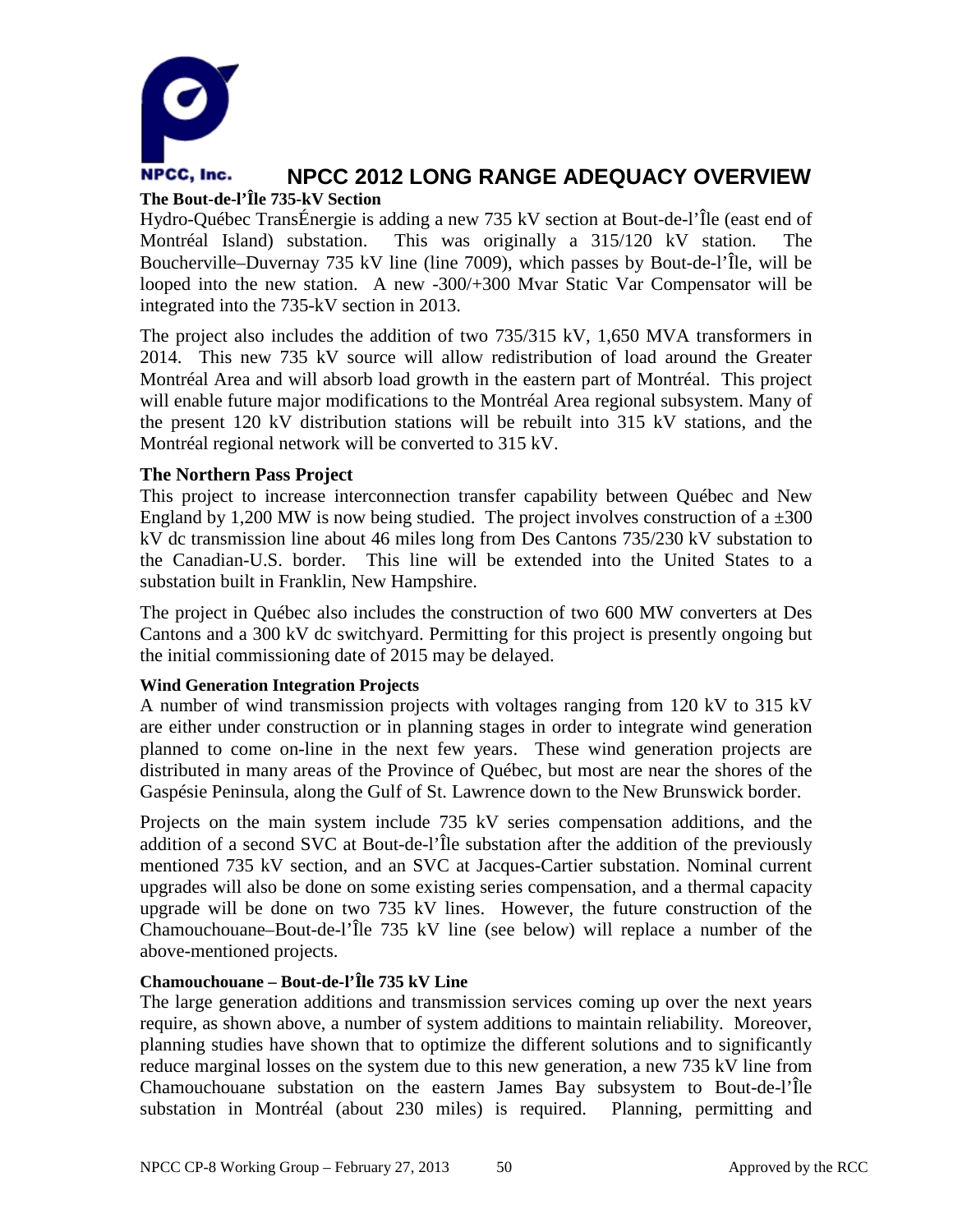

# **The Bout-de-l'Île 735-kV Section**

Hydro-Québec TransÉnergie is adding a new 735 kV section at Bout-de-l'Île (east end of Montréal Island) substation. This was originally a 315/120 kV station. The Boucherville–Duvernay 735 kV line (line 7009), which passes by Bout-de-l'Île, will be looped into the new station. A new -300/+300 Mvar Static Var Compensator will be integrated into the 735-kV section in 2013.

The project also includes the addition of two 735/315 kV, 1,650 MVA transformers in 2014. This new 735 kV source will allow redistribution of load around the Greater Montréal Area and will absorb load growth in the eastern part of Montréal. This project will enable future major modifications to the Montréal Area regional subsystem. Many of the present 120 kV distribution stations will be rebuilt into 315 kV stations, and the Montréal regional network will be converted to 315 kV.

### **The Northern Pass Project**

This project to increase interconnection transfer capability between Québec and New England by 1,200 MW is now being studied. The project involves construction of a  $\pm 300$ kV dc transmission line about 46 miles long from Des Cantons 735/230 kV substation to the Canadian-U.S. border. This line will be extended into the United States to a substation built in Franklin, New Hampshire.

The project in Québec also includes the construction of two 600 MW converters at Des Cantons and a 300 kV dc switchyard. Permitting for this project is presently ongoing but the initial commissioning date of 2015 may be delayed.

### **Wind Generation Integration Projects**

A number of wind transmission projects with voltages ranging from 120 kV to 315 kV are either under construction or in planning stages in order to integrate wind generation planned to come on-line in the next few years. These wind generation projects are distributed in many areas of the Province of Québec, but most are near the shores of the Gaspésie Peninsula, along the Gulf of St. Lawrence down to the New Brunswick border.

Projects on the main system include 735 kV series compensation additions, and the addition of a second SVC at Bout-de-l'Île substation after the addition of the previously mentioned 735 kV section, and an SVC at Jacques-Cartier substation. Nominal current upgrades will also be done on some existing series compensation, and a thermal capacity upgrade will be done on two 735 kV lines. However, the future construction of the Chamouchouane–Bout-de-l'Île 735 kV line (see below) will replace a number of the above-mentioned projects.

### **Chamouchouane – Bout-de-l'Île 735 kV Line**

The large generation additions and transmission services coming up over the next years require, as shown above, a number of system additions to maintain reliability. Moreover, planning studies have shown that to optimize the different solutions and to significantly reduce marginal losses on the system due to this new generation, a new 735 kV line from Chamouchouane substation on the eastern James Bay subsystem to Bout-de-l'Île substation in Montréal (about 230 miles) is required. Planning, permitting and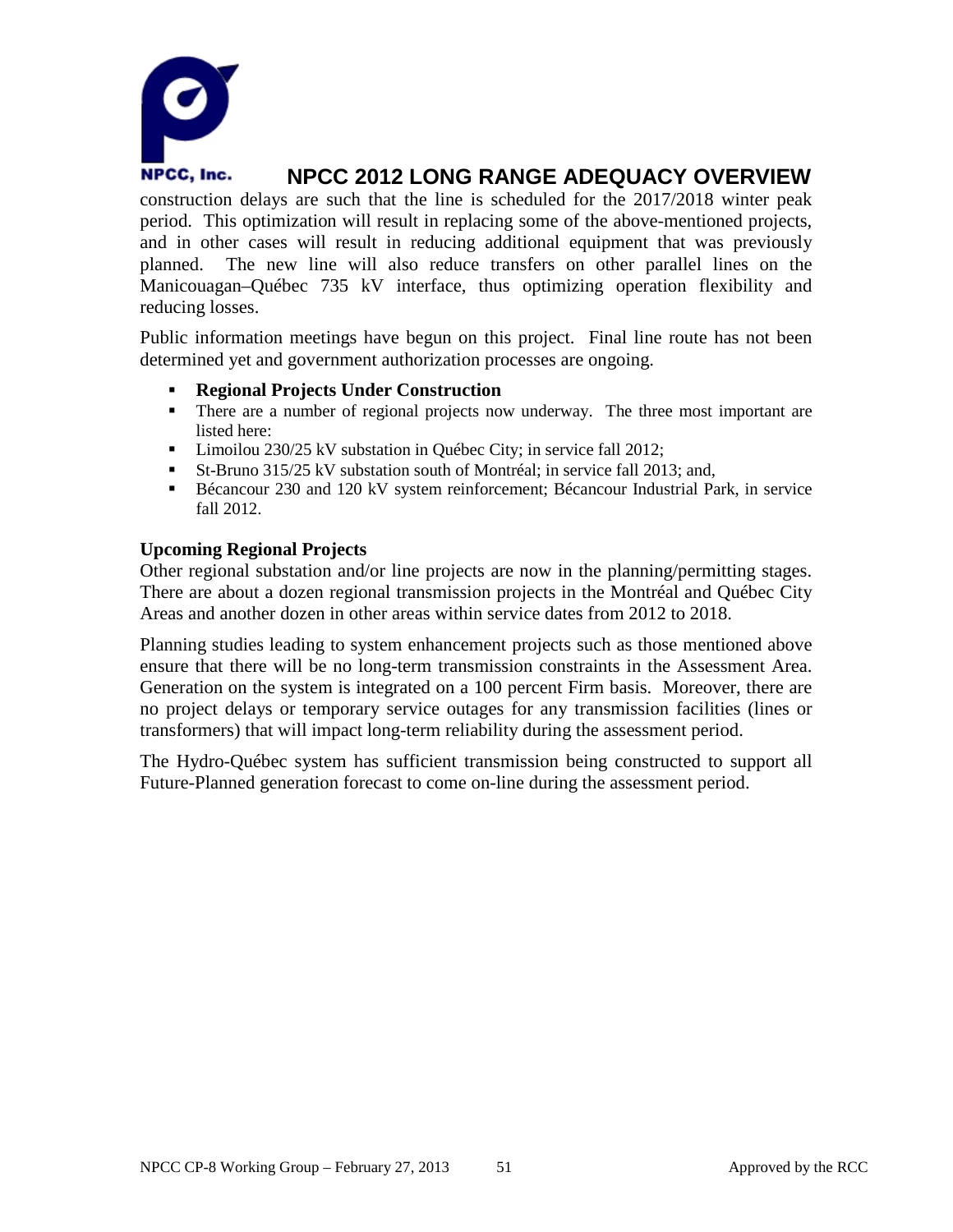

construction delays are such that the line is scheduled for the 2017/2018 winter peak period. This optimization will result in replacing some of the above-mentioned projects, and in other cases will result in reducing additional equipment that was previously planned. The new line will also reduce transfers on other parallel lines on the Manicouagan–Québec 735 kV interface, thus optimizing operation flexibility and reducing losses.

Public information meetings have begun on this project. Final line route has not been determined yet and government authorization processes are ongoing.

- **Regional Projects Under Construction**
- There are a number of regional projects now underway. The three most important are listed here:
- **Limoilou 230/25 kV substation in Québec City; in service fall 2012;**
- St-Bruno 315/25 kV substation south of Montréal; in service fall 2013; and,
- Bécancour 230 and 120 kV system reinforcement; Bécancour Industrial Park, in service fall 2012.

### **Upcoming Regional Projects**

Other regional substation and/or line projects are now in the planning/permitting stages. There are about a dozen regional transmission projects in the Montréal and Québec City Areas and another dozen in other areas within service dates from 2012 to 2018.

Planning studies leading to system enhancement projects such as those mentioned above ensure that there will be no long-term transmission constraints in the Assessment Area. Generation on the system is integrated on a 100 percent Firm basis. Moreover, there are no project delays or temporary service outages for any transmission facilities (lines or transformers) that will impact long-term reliability during the assessment period.

The Hydro-Québec system has sufficient transmission being constructed to support all Future-Planned generation forecast to come on-line during the assessment period.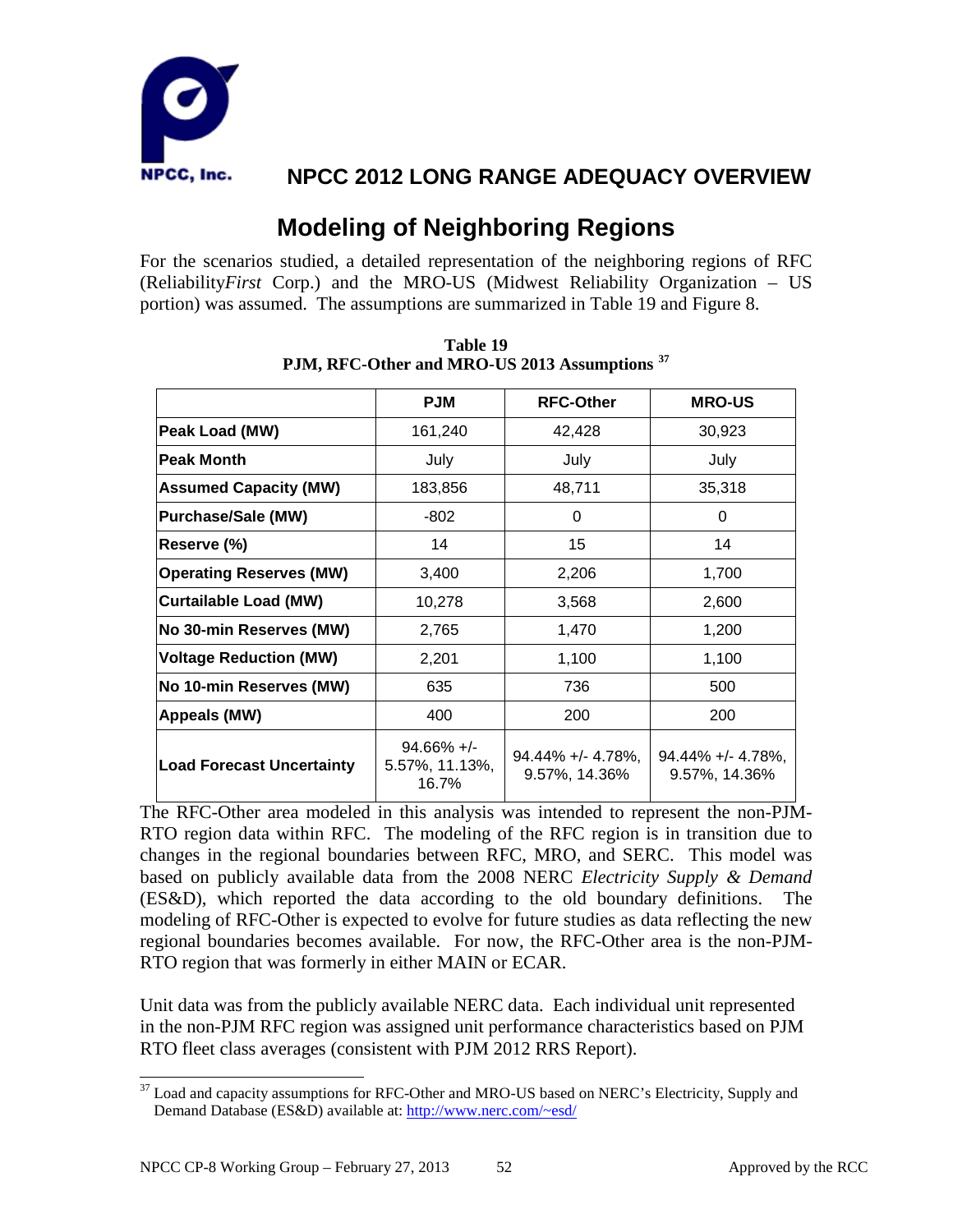

# **Modeling of Neighboring Regions**

For the scenarios studied, a detailed representation of the neighboring regions of RFC (Reliability*First* Corp.) and the MRO-US (Midwest Reliability Organization – US portion) was assumed. The assumptions are summarized in Table 19 and Figure 8.

|                                  | <b>PJM</b>                               | <b>RFC-Other</b>                   | <b>MRO-US</b>                         |
|----------------------------------|------------------------------------------|------------------------------------|---------------------------------------|
| Peak Load (MW)                   | 161,240                                  | 42,428                             | 30,923                                |
| <b>Peak Month</b>                | July                                     | July                               | July                                  |
| <b>Assumed Capacity (MW)</b>     | 183,856                                  | 48,711                             | 35,318                                |
| <b>Purchase/Sale (MW)</b>        | $-802$                                   | 0                                  | 0                                     |
| Reserve (%)                      | 14                                       | 15                                 | 14                                    |
| <b>Operating Reserves (MW)</b>   | 3,400                                    | 2,206                              | 1,700                                 |
| <b>Curtailable Load (MW)</b>     | 10,278                                   | 3,568                              | 2,600                                 |
| No 30-min Reserves (MW)          | 2,765                                    | 1,470                              | 1,200                                 |
| <b>Voltage Reduction (MW)</b>    | 2,201                                    | 1,100                              | 1,100                                 |
| No 10-min Reserves (MW)          | 635                                      | 736                                | 500                                   |
| Appeals (MW)                     | 400                                      | 200                                | 200                                   |
| <b>Load Forecast Uncertainty</b> | $94.66\% +/-$<br>5.57%, 11.13%,<br>16.7% | 94.44% +/- 4.78%,<br>9.57%, 14.36% | $94.44\% + (-4.78\%$<br>9.57%, 14.36% |

**Table 19 PJM, RFC-Other and MRO-US 2013 Assumptions [37](#page-53-0)**

The RFC-Other area modeled in this analysis was intended to represent the non-PJM-RTO region data within RFC. The modeling of the RFC region is in transition due to changes in the regional boundaries between RFC, MRO, and SERC. This model was based on publicly available data from the 2008 NERC *Electricity Supply & Demand* (ES&D), which reported the data according to the old boundary definitions. The modeling of RFC-Other is expected to evolve for future studies as data reflecting the new regional boundaries becomes available. For now, the RFC-Other area is the non-PJM-RTO region that was formerly in either MAIN or ECAR.

Unit data was from the publicly available NERC data. Each individual unit represented in the non-PJM RFC region was assigned unit performance characteristics based on PJM RTO fleet class averages (consistent with PJM 2012 RRS Report).

<span id="page-53-0"></span> $37$  Load and capacity assumptions for RFC-Other and MRO-US based on NERC's Electricity, Supply and Demand Database (ES&D) available at:<http://www.nerc.com/~esd/>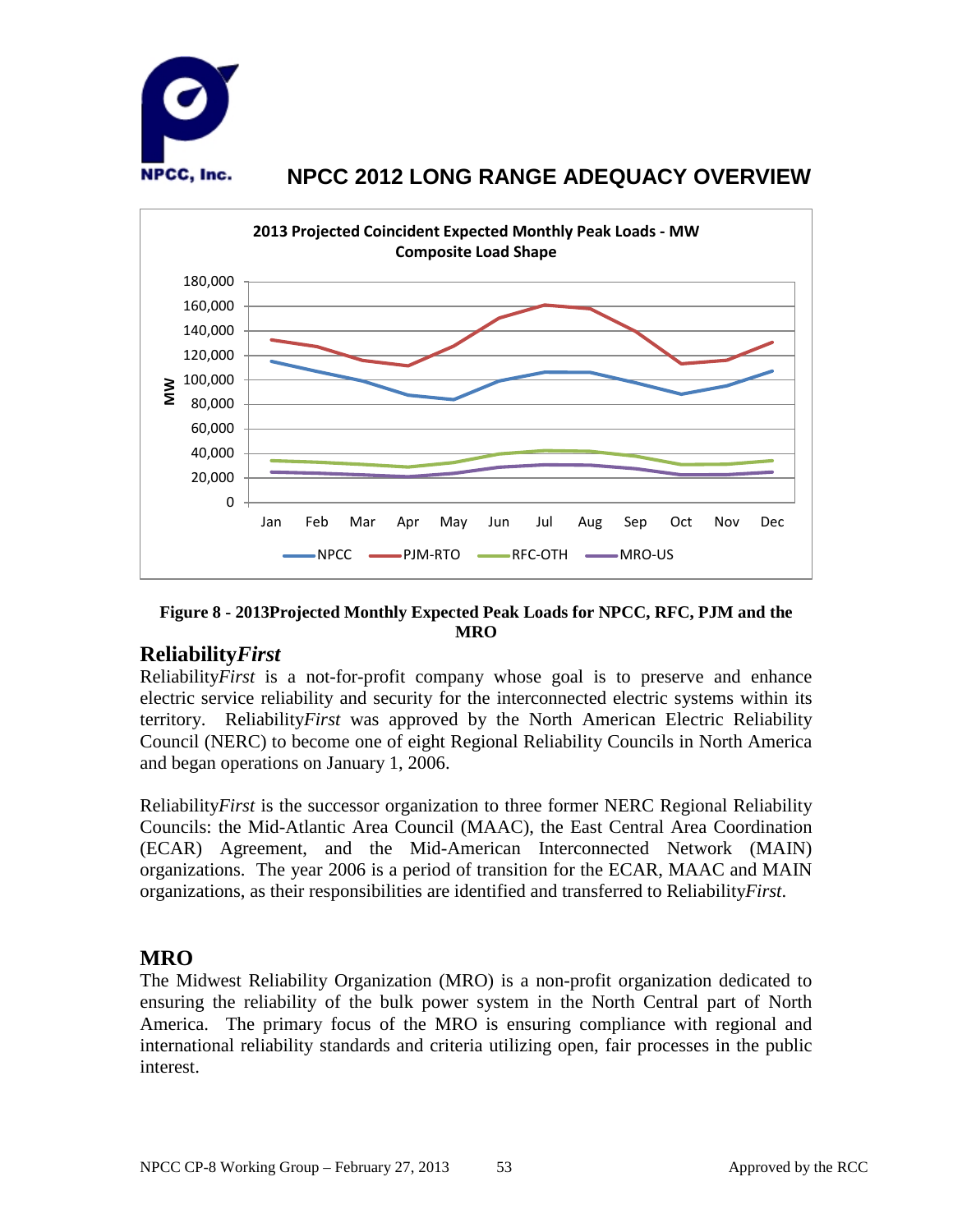



**Figure 8 - 2013Projected Monthly Expected Peak Loads for NPCC, RFC, PJM and the MRO**

### **Reliability***First*

Reliability*First* is a not-for-profit company whose goal is to preserve and enhance electric service reliability and security for the interconnected electric systems within its territory. Reliability*First* was approved by the North American Electric Reliability Council (NERC) to become one of eight Regional Reliability Councils in North America and began operations on January 1, 2006.

Reliability*First* is the successor organization to three former NERC Regional Reliability Councils: the Mid-Atlantic Area Council (MAAC), the East Central Area Coordination (ECAR) Agreement, and the Mid-American Interconnected Network (MAIN) organizations. The year 2006 is a period of transition for the ECAR, MAAC and MAIN organizations, as their responsibilities are identified and transferred to Reliability*First*.

### **MRO**

The Midwest Reliability Organization (MRO) is a non-profit organization dedicated to ensuring the reliability of the bulk power system in the North Central part of North America. The primary focus of the MRO is ensuring compliance with regional and international reliability standards and criteria utilizing open, fair processes in the public interest.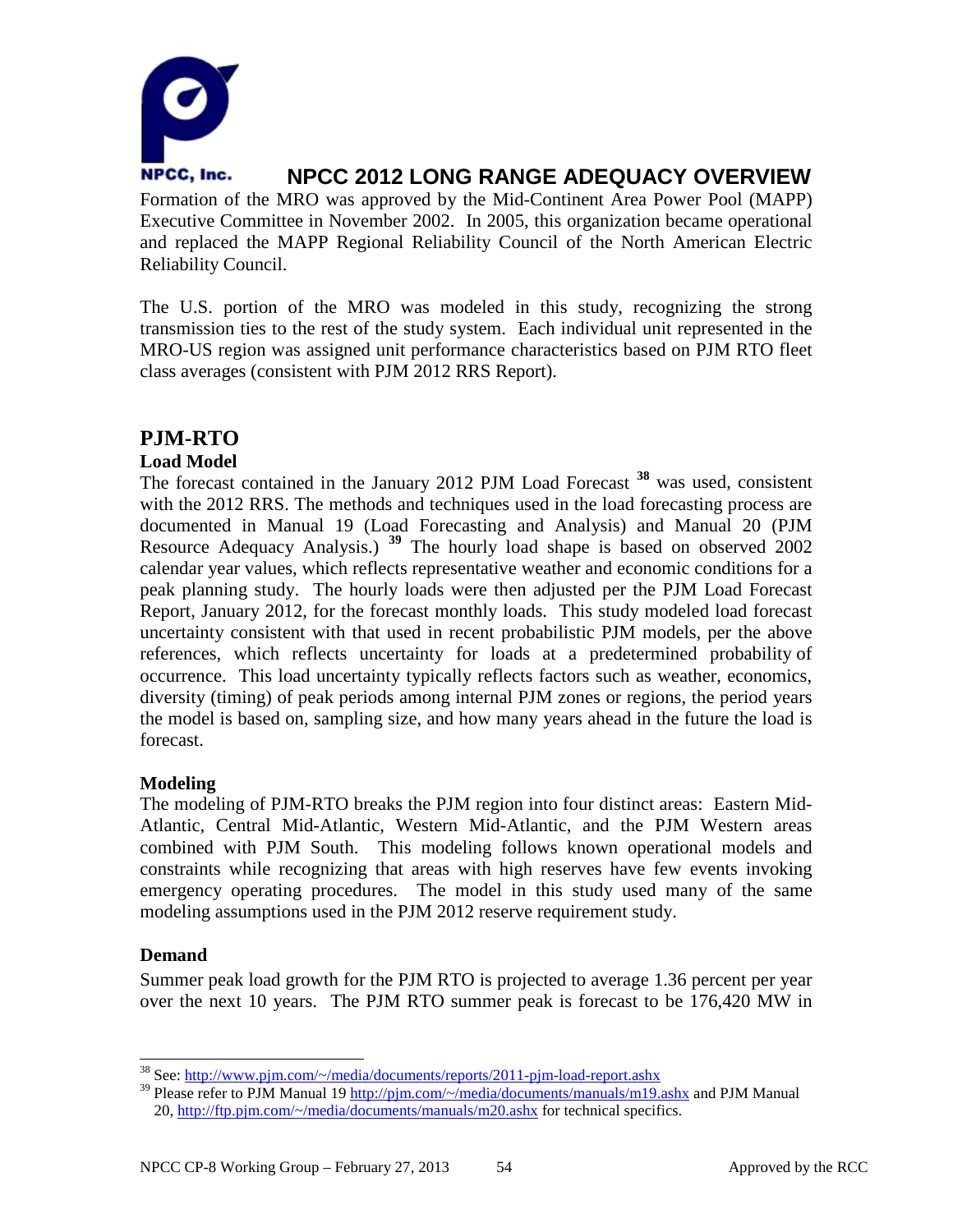

Formation of the MRO was approved by the Mid-Continent Area Power Pool (MAPP) Executive Committee in November 2002. In 2005, this organization became operational and replaced the MAPP Regional Reliability Council of the North American Electric Reliability Council.

The U.S. portion of the MRO was modeled in this study, recognizing the strong transmission ties to the rest of the study system. Each individual unit represented in the MRO-US region was assigned unit performance characteristics based on PJM RTO fleet class averages (consistent with PJM 2012 RRS Report).

### **PJM-RTO**

### **Load Model**

The forecast contained in the January 2012 PJM Load Forecast **[38](#page-55-0)** was used, consistent with the 2012 RRS. The methods and techniques used in the load forecasting process are documented in Manual 19 (Load Forecasting and Analysis) and Manual 20 (PJM Resource Adequacy Analysis.) **[39](#page-55-1)** The hourly load shape is based on observed 2002 calendar year values, which reflects representative weather and economic conditions for a peak planning study. The hourly loads were then adjusted per the PJM Load Forecast Report, January 2012, for the forecast monthly loads. This study modeled load forecast uncertainty consistent with that used in recent probabilistic PJM models, per the above references, which reflects uncertainty for loads at a predetermined probability of occurrence. This load uncertainty typically reflects factors such as weather, economics, diversity (timing) of peak periods among internal PJM zones or regions, the period years the model is based on, sampling size, and how many years ahead in the future the load is forecast.

### **Modeling**

The modeling of PJM-RTO breaks the PJM region into four distinct areas: Eastern Mid-Atlantic, Central Mid-Atlantic, Western Mid-Atlantic, and the PJM Western areas combined with PJM South. This modeling follows known operational models and constraints while recognizing that areas with high reserves have few events invoking emergency operating procedures. The model in this study used many of the same modeling assumptions used in the PJM 2012 reserve requirement study.

### **Demand**

Summer peak load growth for the PJM RTO is projected to average 1.36 percent per year over the next 10 years. The PJM RTO summer peak is forecast to be 176,420 MW in

<span id="page-55-0"></span> <sup>38</sup> See[: http://www.pjm.com/~/media/documents/reports/2011-pjm-load-report.ashx](http://www.pjm.com/~/media/documents/reports/2011-pjm-load-report.ashx)

<span id="page-55-1"></span><sup>&</sup>lt;sup>39</sup> Please refer to PJM Manual 19<http://pjm.com/~/media/documents/manuals/m19.ashx> and PJM Manual 20,<http://ftp.pjm.com/~/media/documents/manuals/m20.ashx> for technical specifics.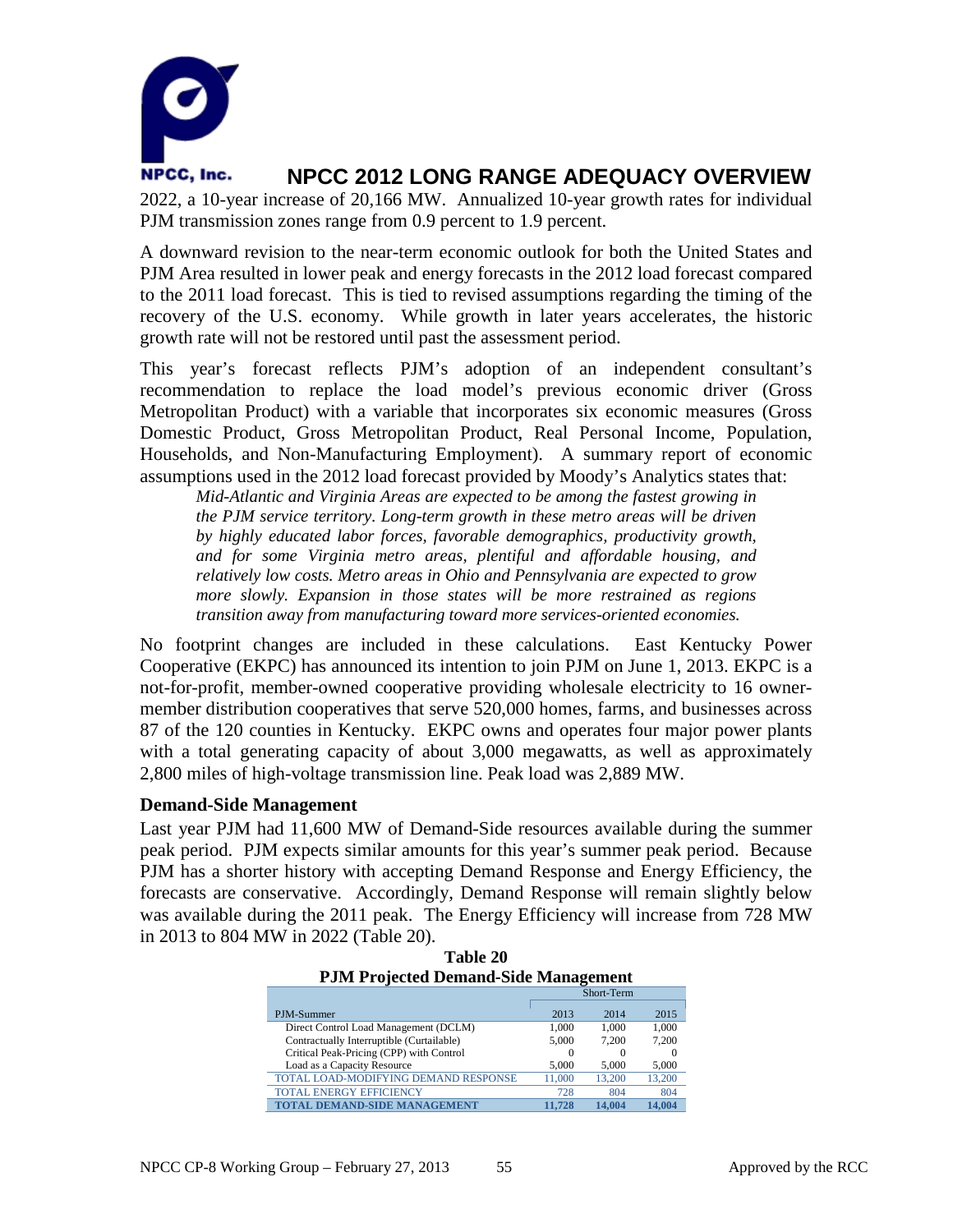

2022, a 10-year increase of 20,166 MW. Annualized 10-year growth rates for individual PJM transmission zones range from 0.9 percent to 1.9 percent.

A downward revision to the near-term economic outlook for both the United States and PJM Area resulted in lower peak and energy forecasts in the 2012 load forecast compared to the 2011 load forecast. This is tied to revised assumptions regarding the timing of the recovery of the U.S. economy. While growth in later years accelerates, the historic growth rate will not be restored until past the assessment period.

This year's forecast reflects PJM's adoption of an independent consultant's recommendation to replace the load model's previous economic driver (Gross Metropolitan Product) with a variable that incorporates six economic measures (Gross Domestic Product, Gross Metropolitan Product, Real Personal Income, Population, Households, and Non-Manufacturing Employment). A summary report of economic assumptions used in the 2012 load forecast provided by Moody's Analytics states that:

*Mid-Atlantic and Virginia Areas are expected to be among the fastest growing in the PJM service territory. Long-term growth in these metro areas will be driven by highly educated labor forces, favorable demographics, productivity growth, and for some Virginia metro areas, plentiful and affordable housing, and relatively low costs. Metro areas in Ohio and Pennsylvania are expected to grow more slowly. Expansion in those states will be more restrained as regions transition away from manufacturing toward more services-oriented economies.*

No footprint changes are included in these calculations. East Kentucky Power Cooperative (EKPC) has announced its intention to join PJM on June 1, 2013. EKPC is a not-for-profit, member-owned cooperative providing wholesale electricity to 16 ownermember distribution cooperatives that serve 520,000 homes, farms, and businesses across 87 of the 120 counties in Kentucky. EKPC owns and operates four major power plants with a total generating capacity of about 3,000 megawatts, as well as approximately 2,800 miles of high-voltage transmission line. Peak load was 2,889 MW.

### **Demand-Side Management**

Last year PJM had 11,600 MW of Demand-Side resources available during the summer peak period. PJM expects similar amounts for this year's summer peak period. Because PJM has a shorter history with accepting Demand Response and Energy Efficiency, the forecasts are conservative. Accordingly, Demand Response will remain slightly below was available during the 2011 peak. The Energy Efficiency will increase from 728 MW in 2013 to 804 MW in 2022 (Table 20).

| 1 JIM I Fojected Demand-Slue Management   |        |            |        |  |
|-------------------------------------------|--------|------------|--------|--|
|                                           |        | Short-Term |        |  |
|                                           |        |            |        |  |
| PJM-Summer                                | 2013   | 2014       | 2015   |  |
| Direct Control Load Management (DCLM)     | 1.000  | 1.000      | 1.000  |  |
| Contractually Interruptible (Curtailable) | 5.000  | 7.200      | 7.200  |  |
| Critical Peak-Pricing (CPP) with Control  |        | $\Omega$   |        |  |
| Load as a Capacity Resource               | 5.000  | 5.000      | 5,000  |  |
| TOTAL LOAD-MODIFYING DEMAND RESPONSE      | 11,000 | 13,200     | 13.200 |  |
| <b>TOTAL ENERGY EFFICIENCY</b>            | 728    | 804        | 804    |  |
| <b>TOTAL DEMAND-SIDE MANAGEMENT</b>       | 11.728 | 14.004     | 14.004 |  |

| Table 20                                    |
|---------------------------------------------|
| <b>PJM Projected Demand-Side Management</b> |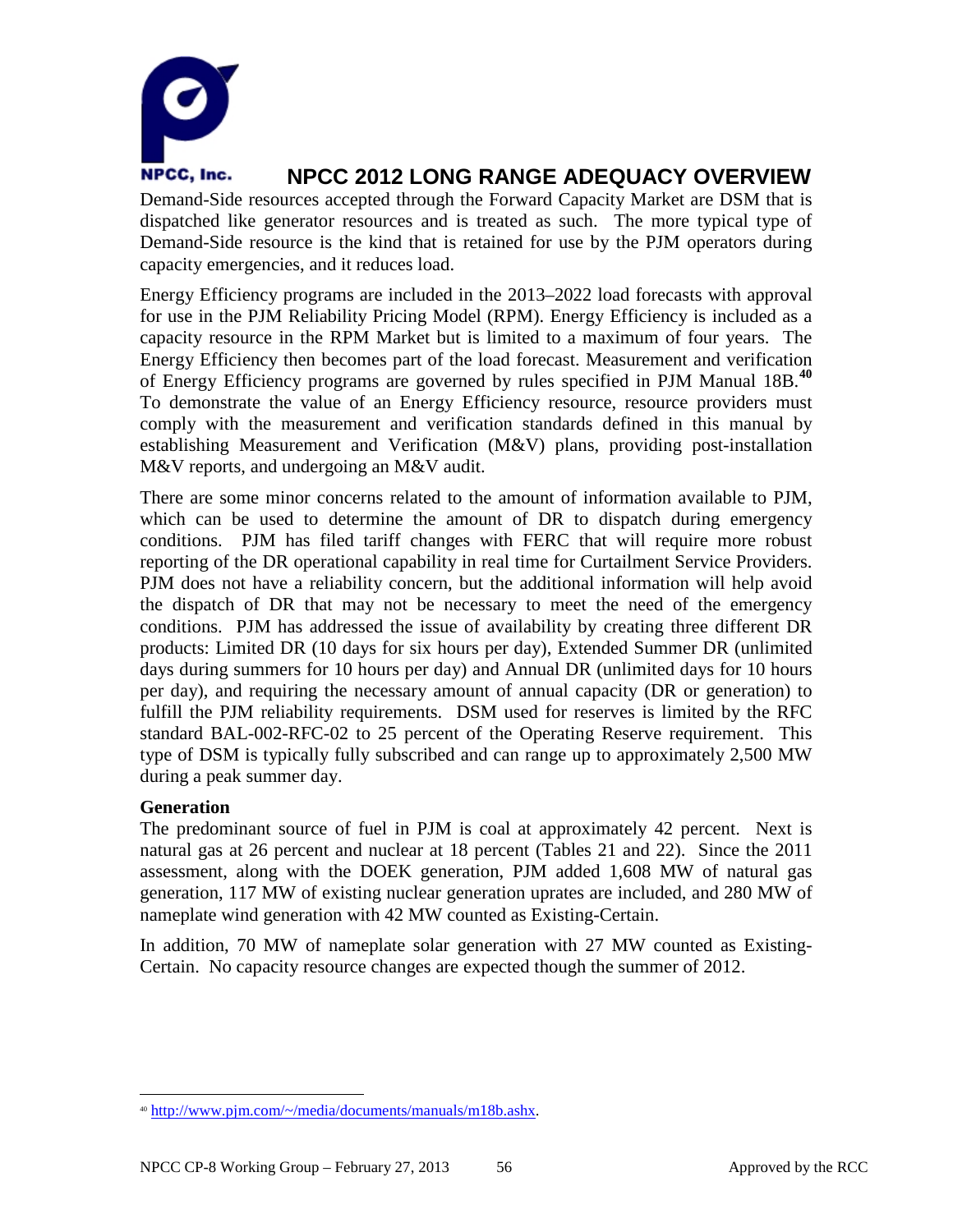

Demand-Side resources accepted through the Forward Capacity Market are DSM that is dispatched like generator resources and is treated as such. The more typical type of Demand-Side resource is the kind that is retained for use by the PJM operators during capacity emergencies, and it reduces load.

Energy Efficiency programs are included in the 2013–2022 load forecasts with approval for use in the PJM Reliability Pricing Model (RPM). Energy Efficiency is included as a capacity resource in the RPM Market but is limited to a maximum of four years. The Energy Efficiency then becomes part of the load forecast. Measurement and verification of Energy Efficiency programs are governed by rules specified in PJM Manual 18B.**[40](#page-57-0)** To demonstrate the value of an Energy Efficiency resource, resource providers must comply with the measurement and verification standards defined in this manual by establishing Measurement and Verification (M&V) plans, providing post-installation M&V reports, and undergoing an M&V audit.

There are some minor concerns related to the amount of information available to PJM, which can be used to determine the amount of DR to dispatch during emergency conditions. PJM has filed tariff changes with FERC that will require more robust reporting of the DR operational capability in real time for Curtailment Service Providers. PJM does not have a reliability concern, but the additional information will help avoid the dispatch of DR that may not be necessary to meet the need of the emergency conditions. PJM has addressed the issue of availability by creating three different DR products: Limited DR (10 days for six hours per day), Extended Summer DR (unlimited days during summers for 10 hours per day) and Annual DR (unlimited days for 10 hours per day), and requiring the necessary amount of annual capacity (DR or generation) to fulfill the PJM reliability requirements. DSM used for reserves is limited by the RFC standard BAL-002-RFC-02 to 25 percent of the Operating Reserve requirement. This type of DSM is typically fully subscribed and can range up to approximately 2,500 MW during a peak summer day.

### **Generation**

The predominant source of fuel in PJM is coal at approximately 42 percent. Next is natural gas at 26 percent and nuclear at 18 percent (Tables 21 and 22). Since the 2011 assessment, along with the DOEK generation, PJM added 1,608 MW of natural gas generation, 117 MW of existing nuclear generation uprates are included, and 280 MW of nameplate wind generation with 42 MW counted as Existing-Certain.

In addition, 70 MW of nameplate solar generation with 27 MW counted as Existing-Certain. No capacity resource changes are expected though the summer of 2012.

<span id="page-57-0"></span> <sup>40</sup> [http://www.pjm.com/~/media/documents/manuals/m18b.ashx.](http://www.pjm.com/~/media/documents/manuals/m18b.ashx)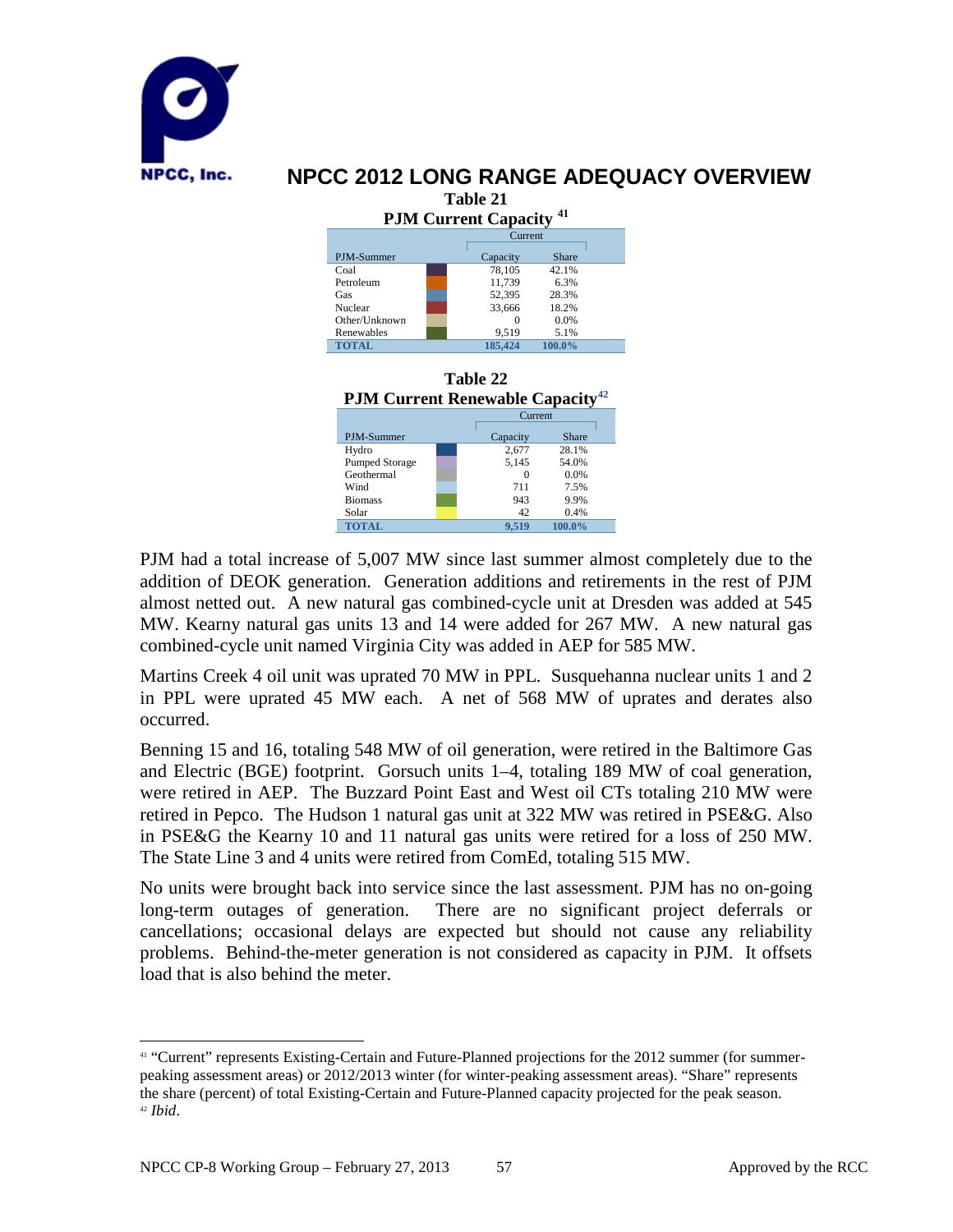

| 1 апп. 41                                |          |                  |  |  |  |
|------------------------------------------|----------|------------------|--|--|--|
| <b>PJM Current Capacity<sup>41</sup></b> |          |                  |  |  |  |
| Current                                  |          |                  |  |  |  |
| PJM-Summer                               | Capacity | Share            |  |  |  |
| Coal                                     | 78,105   | 42.1%            |  |  |  |
| Petroleum                                | 11.739   | 6.3%             |  |  |  |
| Gas                                      | 52,395   | 28.3%            |  |  |  |
| Nuclear                                  | 33,666   | 18.2%            |  |  |  |
| Other/Unknown                            |          | 0.0%<br>$\Omega$ |  |  |  |
| Renewables                               | 9.519    | 5.1%             |  |  |  |
| <b>TOTAL</b>                             | 185,424  | 100.0%           |  |  |  |



PJM had a total increase of 5,007 MW since last summer almost completely due to the addition of DEOK generation. Generation additions and retirements in the rest of PJM almost netted out. A new natural gas combined-cycle unit at Dresden was added at 545 MW. Kearny natural gas units 13 and 14 were added for 267 MW. A new natural gas combined-cycle unit named Virginia City was added in AEP for 585 MW.

Martins Creek 4 oil unit was uprated 70 MW in PPL. Susquehanna nuclear units 1 and 2 in PPL were uprated 45 MW each. A net of 568 MW of uprates and derates also occurred.

Benning 15 and 16, totaling 548 MW of oil generation, were retired in the Baltimore Gas and Electric (BGE) footprint. Gorsuch units 1–4, totaling 189 MW of coal generation, were retired in AEP. The Buzzard Point East and West oil CTs totaling 210 MW were retired in Pepco. The Hudson 1 natural gas unit at 322 MW was retired in PSE&G. Also in PSE&G the Kearny 10 and 11 natural gas units were retired for a loss of 250 MW. The State Line 3 and 4 units were retired from ComEd, totaling 515 MW.

No units were brought back into service since the last assessment. PJM has no on-going long-term outages of generation. There are no significant project deferrals or cancellations; occasional delays are expected but should not cause any reliability problems. Behind-the-meter generation is not considered as capacity in PJM. It offsets load that is also behind the meter.

<span id="page-58-1"></span><span id="page-58-0"></span> <sup>41</sup> "Current" represents Existing-Certain and Future-Planned projections for the 2012 summer (for summerpeaking assessment areas) or 2012/2013 winter (for winter-peaking assessment areas). "Share" represents the share (percent) of total Existing-Certain and Future-Planned capacity projected for the peak season. <sup>42</sup> *Ibid*.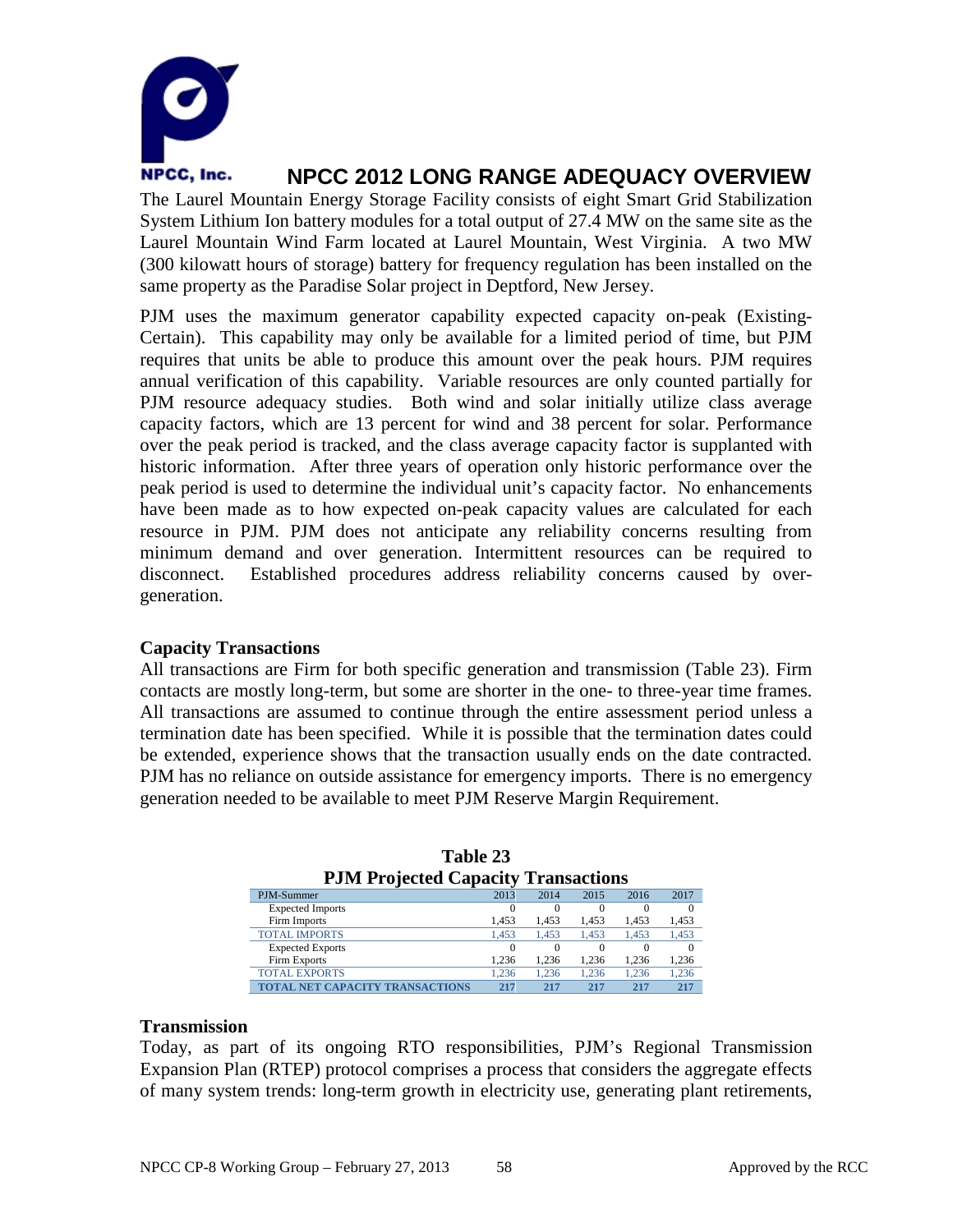

The Laurel Mountain Energy Storage Facility consists of eight Smart Grid Stabilization System Lithium Ion battery modules for a total output of 27.4 MW on the same site as the Laurel Mountain Wind Farm located at Laurel Mountain, West Virginia. A two MW (300 kilowatt hours of storage) battery for frequency regulation has been installed on the same property as the Paradise Solar project in Deptford, New Jersey.

PJM uses the maximum generator capability expected capacity on-peak (Existing-Certain). This capability may only be available for a limited period of time, but PJM requires that units be able to produce this amount over the peak hours. PJM requires annual verification of this capability. Variable resources are only counted partially for PJM resource adequacy studies. Both wind and solar initially utilize class average capacity factors, which are 13 percent for wind and 38 percent for solar. Performance over the peak period is tracked, and the class average capacity factor is supplanted with historic information. After three years of operation only historic performance over the peak period is used to determine the individual unit's capacity factor. No enhancements have been made as to how expected on-peak capacity values are calculated for each resource in PJM. PJM does not anticipate any reliability concerns resulting from minimum demand and over generation. Intermittent resources can be required to disconnect. Established procedures address reliability concerns caused by overgeneration.

### **Capacity Transactions**

All transactions are Firm for both specific generation and transmission (Table 23). Firm contacts are mostly long-term, but some are shorter in the one- to three-year time frames. All transactions are assumed to continue through the entire assessment period unless a termination date has been specified. While it is possible that the termination dates could be extended, experience shows that the transaction usually ends on the date contracted. PJM has no reliance on outside assistance for emergency imports. There is no emergency generation needed to be available to meet PJM Reserve Margin Requirement.

| PJM Projected Capacity Transactions    |       |          |          |       |          |
|----------------------------------------|-------|----------|----------|-------|----------|
| PJM-Summer                             | 2013  | 2014     | 2015     | 2016  | 2017     |
| <b>Expected Imports</b>                |       | $\Omega$ | $\Omega$ |       |          |
| Firm Imports                           | 1,453 | 1.453    | 1.453    | 1,453 | 1,453    |
| <b>TOTAL IMPORTS</b>                   | 1.453 | 1.453    | 1.453    | 1.453 | 1,453    |
| <b>Expected Exports</b>                | 0     | $\Omega$ | $\Omega$ |       | $\Omega$ |
| Firm Exports                           | 1.236 | 1.236    | 1.236    | 1.236 | 1,236    |
| <b>TOTAL EXPORTS</b>                   | 1.236 | 1.236    | 1.236    | 1.236 | 1,236    |
| <b>TOTAL NET CAPACITY TRANSACTIONS</b> | 217   | 217      | 217      | 217   | 217      |

| Table 23                                   |
|--------------------------------------------|
| <b>PJM Projected Capacity Transactions</b> |

### **Transmission**

Today, as part of its ongoing RTO responsibilities, PJM's Regional Transmission Expansion Plan (RTEP) protocol comprises a process that considers the aggregate effects of many system trends: long-term growth in electricity use, generating plant retirements,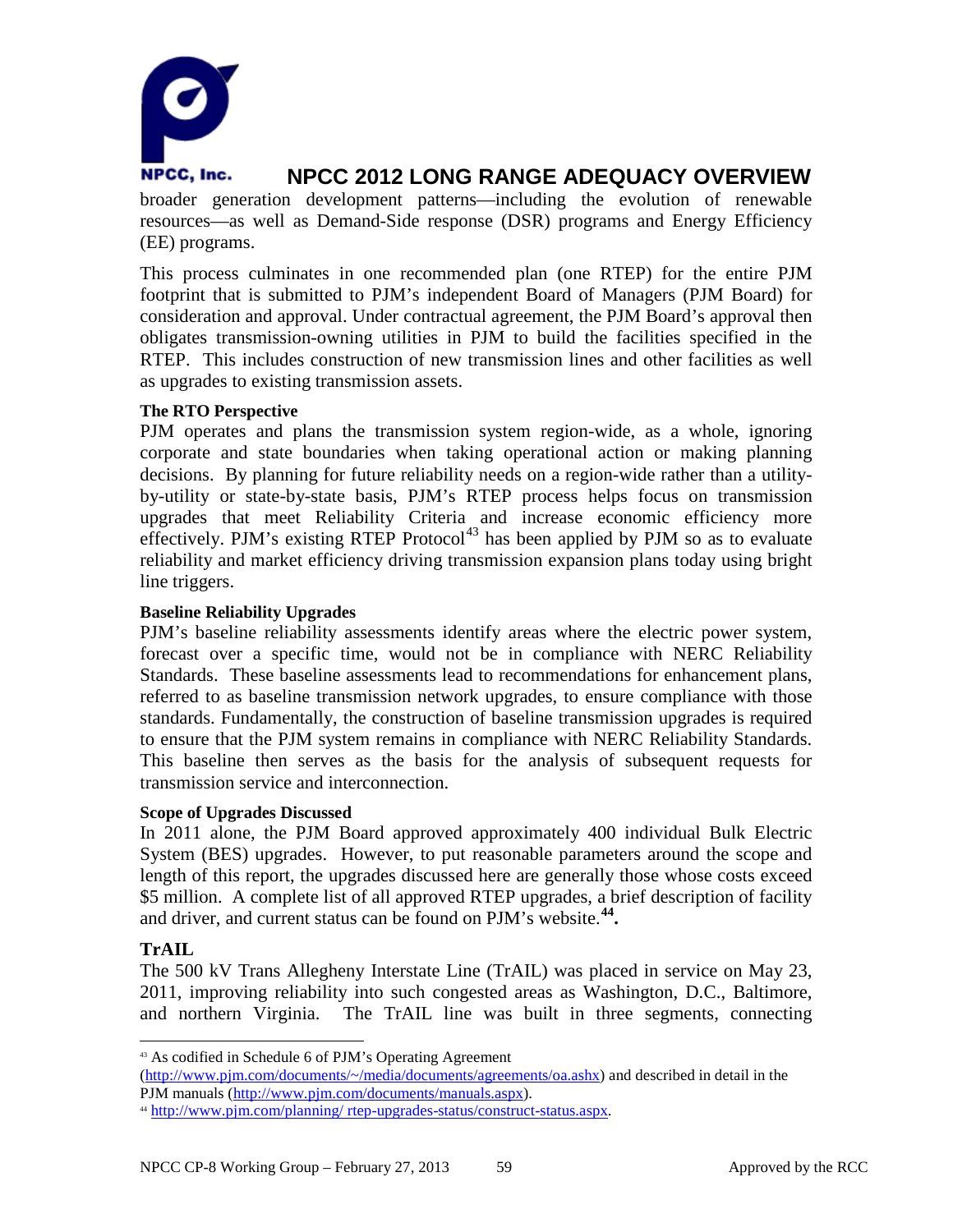

broader generation development patterns—including the evolution of renewable resources—as well as Demand-Side response (DSR) programs and Energy Efficiency (EE) programs.

This process culminates in one recommended plan (one RTEP) for the entire PJM footprint that is submitted to PJM's independent Board of Managers (PJM Board) for consideration and approval. Under contractual agreement, the PJM Board's approval then obligates transmission-owning utilities in PJM to build the facilities specified in the RTEP. This includes construction of new transmission lines and other facilities as well as upgrades to existing transmission assets.

### **The RTO Perspective**

PJM operates and plans the transmission system region-wide, as a whole, ignoring corporate and state boundaries when taking operational action or making planning decisions. By planning for future reliability needs on a region-wide rather than a utilityby-utility or state-by-state basis, PJM's RTEP process helps focus on transmission upgrades that meet Reliability Criteria and increase economic efficiency more effectively. PJM's existing RTEP Protocol<sup>[43](#page-60-0)</sup> has been applied by PJM so as to evaluate reliability and market efficiency driving transmission expansion plans today using bright line triggers.

### **Baseline Reliability Upgrades**

PJM's baseline reliability assessments identify areas where the electric power system, forecast over a specific time, would not be in compliance with NERC Reliability Standards. These baseline assessments lead to recommendations for enhancement plans, referred to as baseline transmission network upgrades, to ensure compliance with those standards. Fundamentally, the construction of baseline transmission upgrades is required to ensure that the PJM system remains in compliance with NERC Reliability Standards. This baseline then serves as the basis for the analysis of subsequent requests for transmission service and interconnection.

### **Scope of Upgrades Discussed**

In 2011 alone, the PJM Board approved approximately 400 individual Bulk Electric System (BES) upgrades. However, to put reasonable parameters around the scope and length of this report, the upgrades discussed here are generally those whose costs exceed \$5 million. A complete list of all approved RTEP upgrades, a brief description of facility and driver, and current status can be found on PJM's website.**[44.](#page-60-1)**

### **TrAIL**

The 500 kV Trans Allegheny Interstate Line (TrAIL) was placed in service on May 23, 2011, improving reliability into such congested areas as Washington, D.C., Baltimore, and northern Virginia. The TrAIL line was built in three segments, connecting

<span id="page-60-0"></span> <sup>43</sup> As codified in Schedule 6 of PJM's Operating Agreement

[<sup>\(</sup>http://www.pjm.com/documents/~/media/documents/agreements/oa.ashx\)](http://www.pjm.com/documents/~/media/documents/agreements/oa.ashx) and described in detail in the PJM manuals [\(http://www.pjm.com/documents/manuals.aspx\)](http://www.pjm.com/documents/manuals.aspx).

<span id="page-60-1"></span><sup>44</sup> http://www.pjm.com/planning/ rtep-upgrades-status/construct-status.aspx.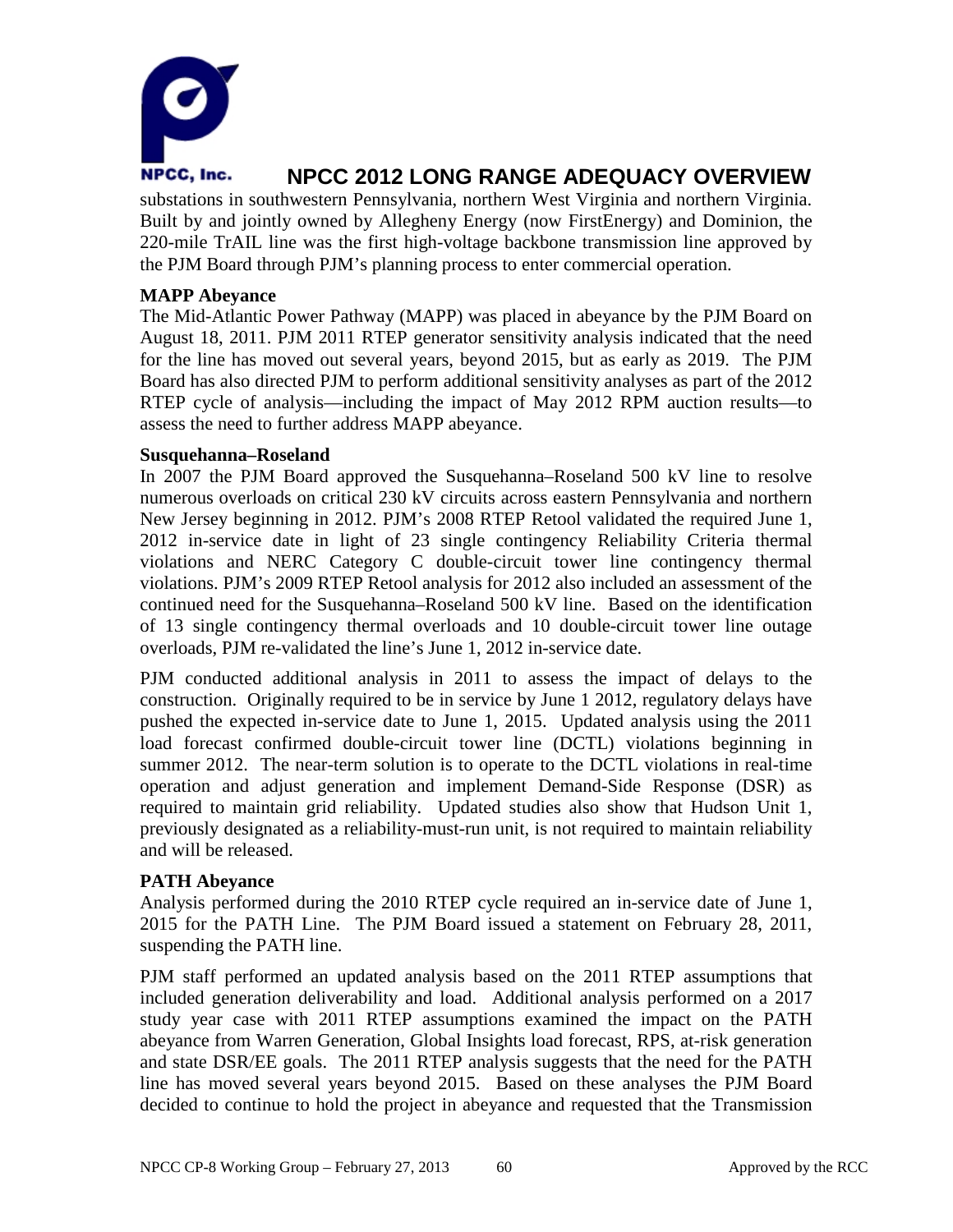

substations in southwestern Pennsylvania, northern West Virginia and northern Virginia. Built by and jointly owned by Allegheny Energy (now FirstEnergy) and Dominion, the 220-mile TrAIL line was the first high-voltage backbone transmission line approved by the PJM Board through PJM's planning process to enter commercial operation.

### **MAPP Abeyance**

The Mid-Atlantic Power Pathway (MAPP) was placed in abeyance by the PJM Board on August 18, 2011. PJM 2011 RTEP generator sensitivity analysis indicated that the need for the line has moved out several years, beyond 2015, but as early as 2019. The PJM Board has also directed PJM to perform additional sensitivity analyses as part of the 2012 RTEP cycle of analysis—including the impact of May 2012 RPM auction results—to assess the need to further address MAPP abeyance.

### **Susquehanna–Roseland**

In 2007 the PJM Board approved the Susquehanna–Roseland 500 kV line to resolve numerous overloads on critical 230 kV circuits across eastern Pennsylvania and northern New Jersey beginning in 2012. PJM's 2008 RTEP Retool validated the required June 1, 2012 in-service date in light of 23 single contingency Reliability Criteria thermal violations and NERC Category C double-circuit tower line contingency thermal violations. PJM's 2009 RTEP Retool analysis for 2012 also included an assessment of the continued need for the Susquehanna–Roseland 500 kV line. Based on the identification of 13 single contingency thermal overloads and 10 double-circuit tower line outage overloads, PJM re-validated the line's June 1, 2012 in-service date.

PJM conducted additional analysis in 2011 to assess the impact of delays to the construction. Originally required to be in service by June 1 2012, regulatory delays have pushed the expected in-service date to June 1, 2015. Updated analysis using the 2011 load forecast confirmed double-circuit tower line (DCTL) violations beginning in summer 2012. The near-term solution is to operate to the DCTL violations in real-time operation and adjust generation and implement Demand-Side Response (DSR) as required to maintain grid reliability. Updated studies also show that Hudson Unit 1, previously designated as a reliability-must-run unit, is not required to maintain reliability and will be released.

### **PATH Abeyance**

Analysis performed during the 2010 RTEP cycle required an in-service date of June 1, 2015 for the PATH Line. The PJM Board issued a statement on February 28, 2011, suspending the PATH line.

PJM staff performed an updated analysis based on the 2011 RTEP assumptions that included generation deliverability and load. Additional analysis performed on a 2017 study year case with 2011 RTEP assumptions examined the impact on the PATH abeyance from Warren Generation, Global Insights load forecast, RPS, at-risk generation and state DSR/EE goals. The 2011 RTEP analysis suggests that the need for the PATH line has moved several years beyond 2015. Based on these analyses the PJM Board decided to continue to hold the project in abeyance and requested that the Transmission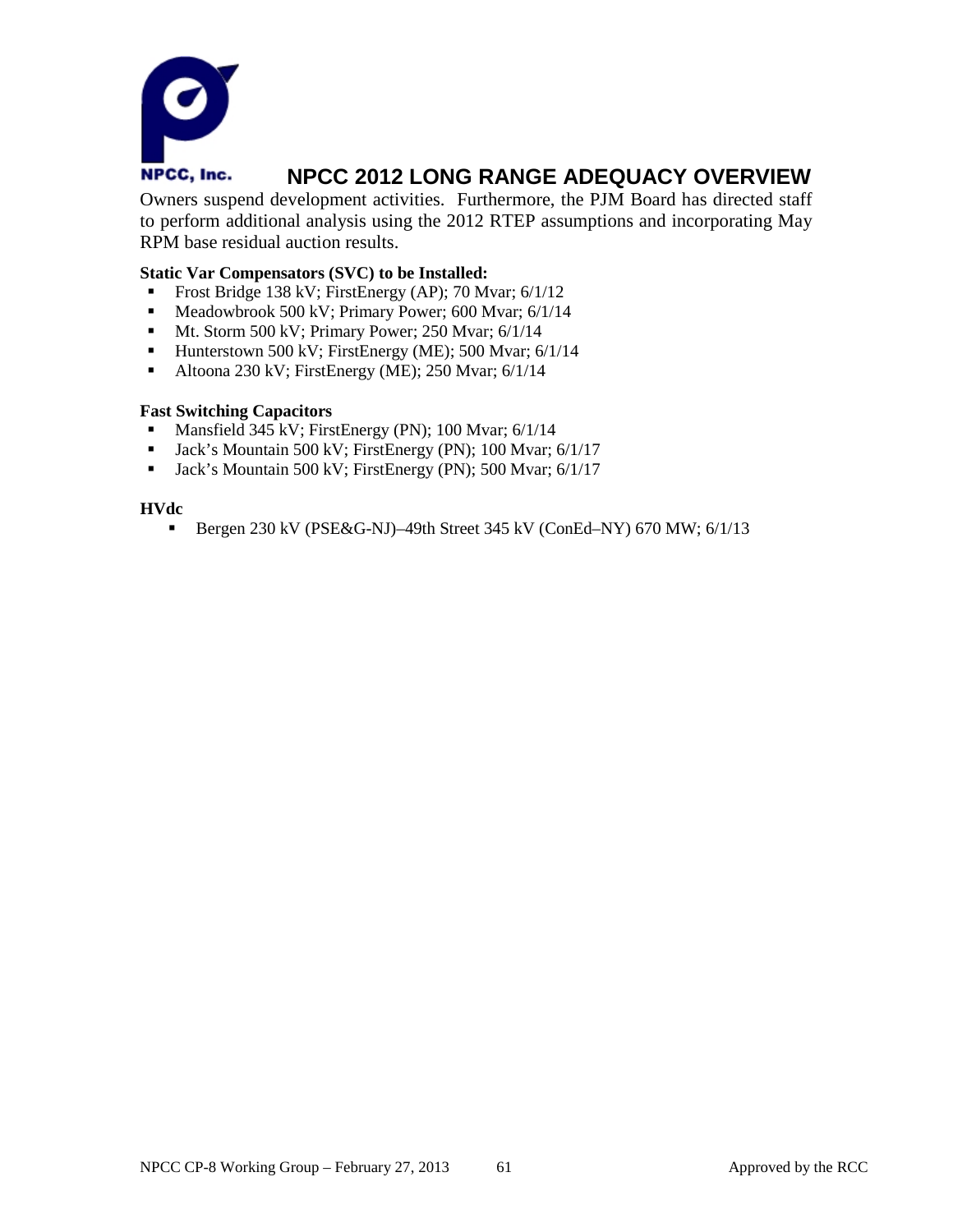

Owners suspend development activities. Furthermore, the PJM Board has directed staff to perform additional analysis using the 2012 RTEP assumptions and incorporating May RPM base residual auction results.

#### **Static Var Compensators (SVC) to be Installed:**

- Frost Bridge 138 kV; FirstEnergy (AP); 70 Mvar; 6/1/12
- Meadowbrook 500 kV; Primary Power; 600 Mvar;  $6/1/14$
- Mt. Storm 500 kV; Primary Power; 250 Mvar; 6/1/14
- Hunterstown 500 kV; FirstEnergy (ME); 500 Mvar;  $6/1/14$
- Altoona 230 kV; FirstEnergy (ME); 250 Mvar;  $6/1/14$

#### **Fast Switching Capacitors**

- Mansfield 345 kV; FirstEnergy (PN); 100 Mvar;  $6/1/14$
- **Jack's Mountain 500 kV; FirstEnergy (PN); 100 Mvar; 6/1/17**
- **Jack's Mountain 500 kV; FirstEnergy (PN); 500 Mvar; 6/1/17**

#### **HVdc**

Bergen 230 kV (PSE&G-NJ)–49th Street 345 kV (ConEd–NY) 670 MW; 6/1/13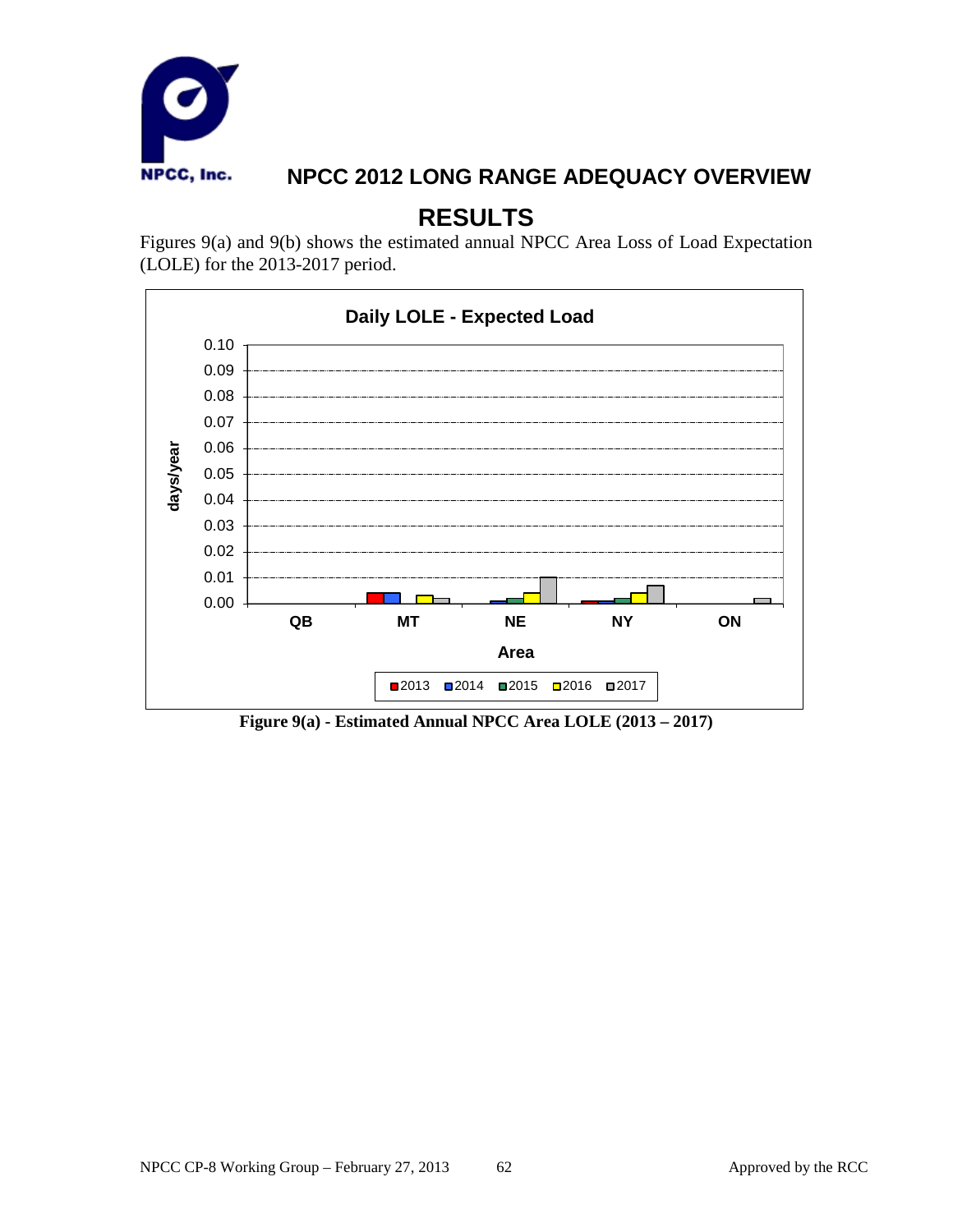

# **RESULTS**

Figures 9(a) and 9(b) shows the estimated annual NPCC Area Loss of Load Expectation (LOLE) for the 2013-2017 period.



**Figure 9(a) - Estimated Annual NPCC Area LOLE (2013 – 2017)**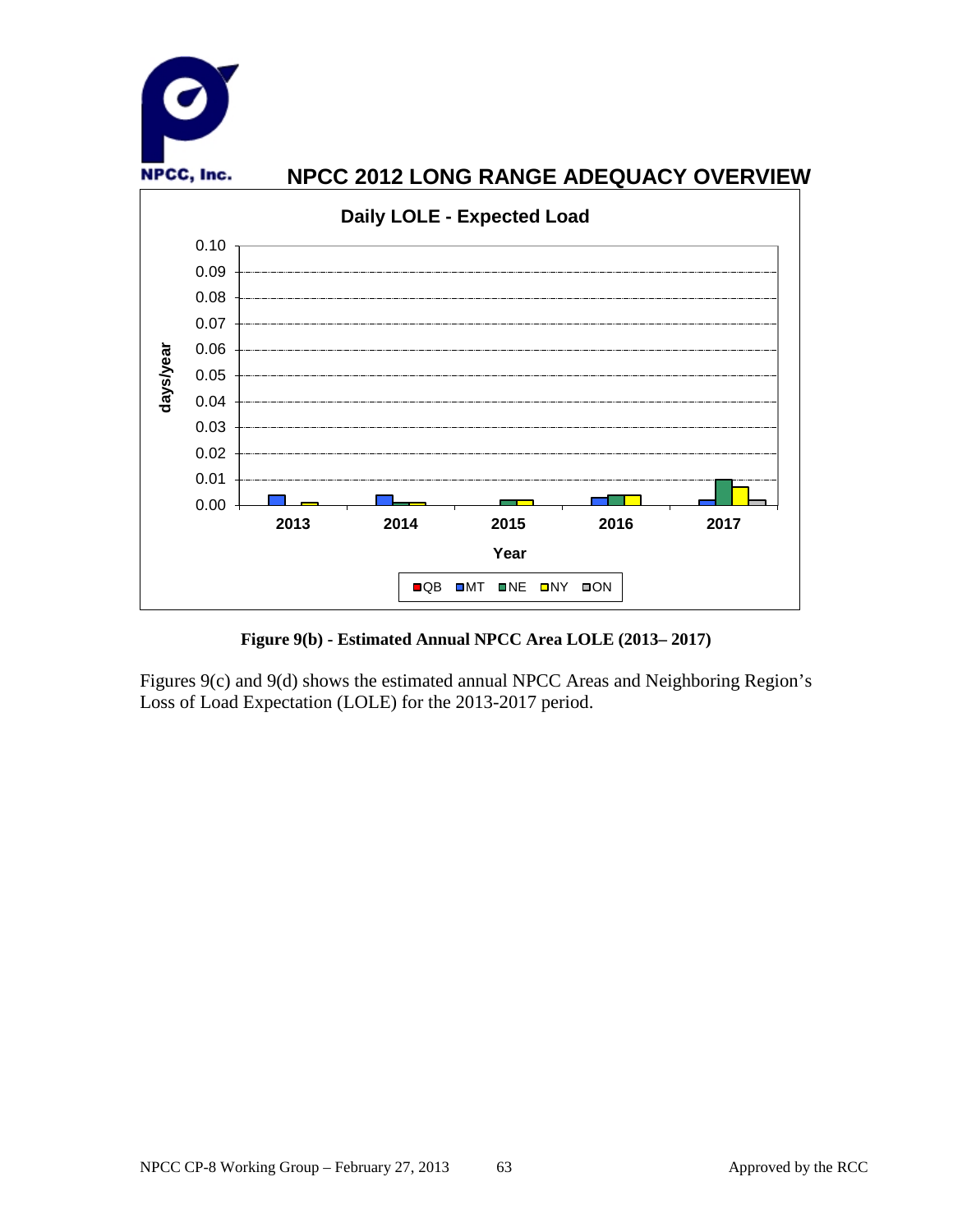

**Figure 9(b) - Estimated Annual NPCC Area LOLE (2013– 2017)**

Figures 9(c) and 9(d) shows the estimated annual NPCC Areas and Neighboring Region's Loss of Load Expectation (LOLE) for the 2013-2017 period.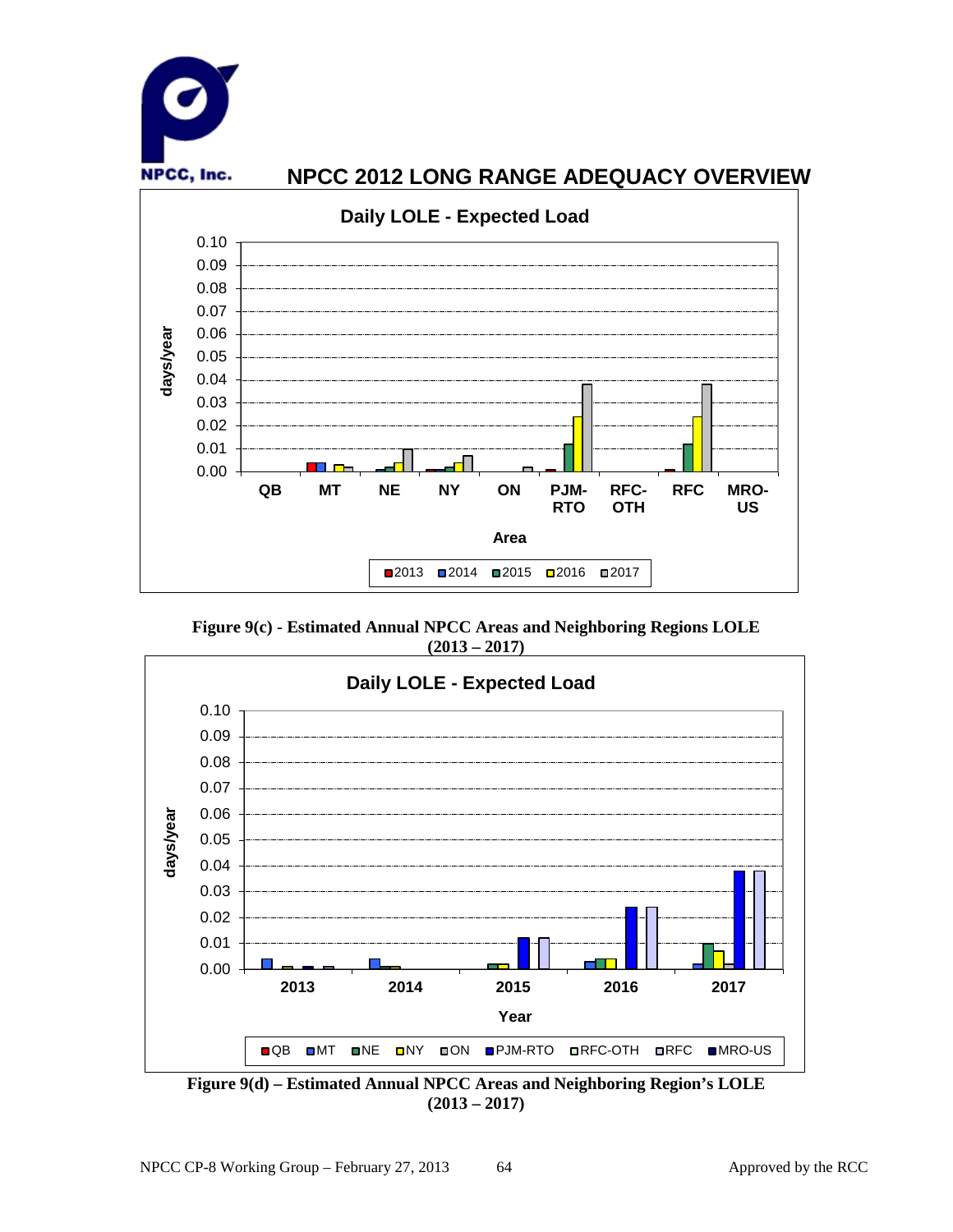

**Figure 9(c) - Estimated Annual NPCC Areas and Neighboring Regions LOLE (2013 – 2017)**



**Figure 9(d) – Estimated Annual NPCC Areas and Neighboring Region's LOLE (2013 – 2017)**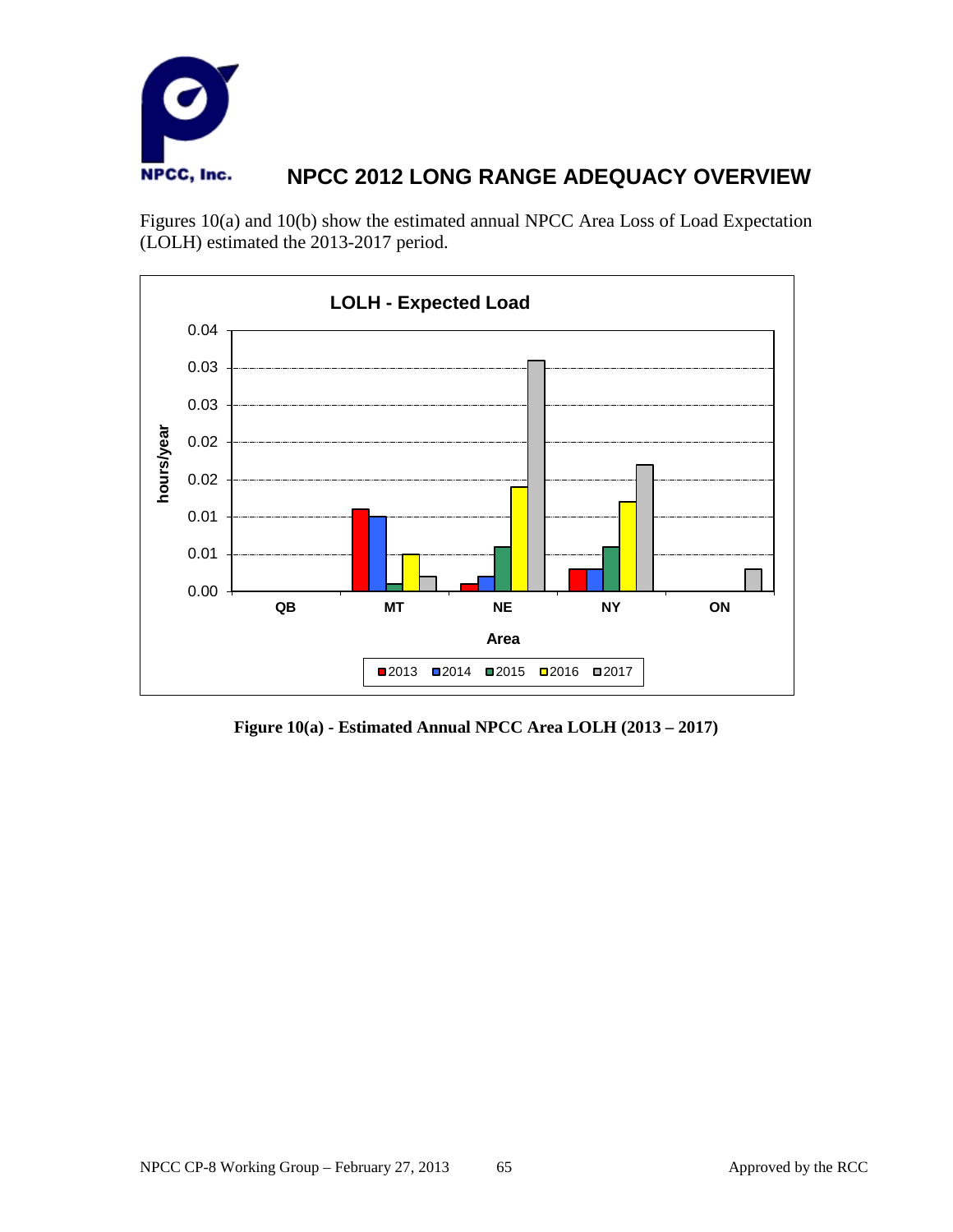

Figures 10(a) and 10(b) show the estimated annual NPCC Area Loss of Load Expectation (LOLH) estimated the 2013-2017 period.



**Figure 10(a) - Estimated Annual NPCC Area LOLH (2013 – 2017)**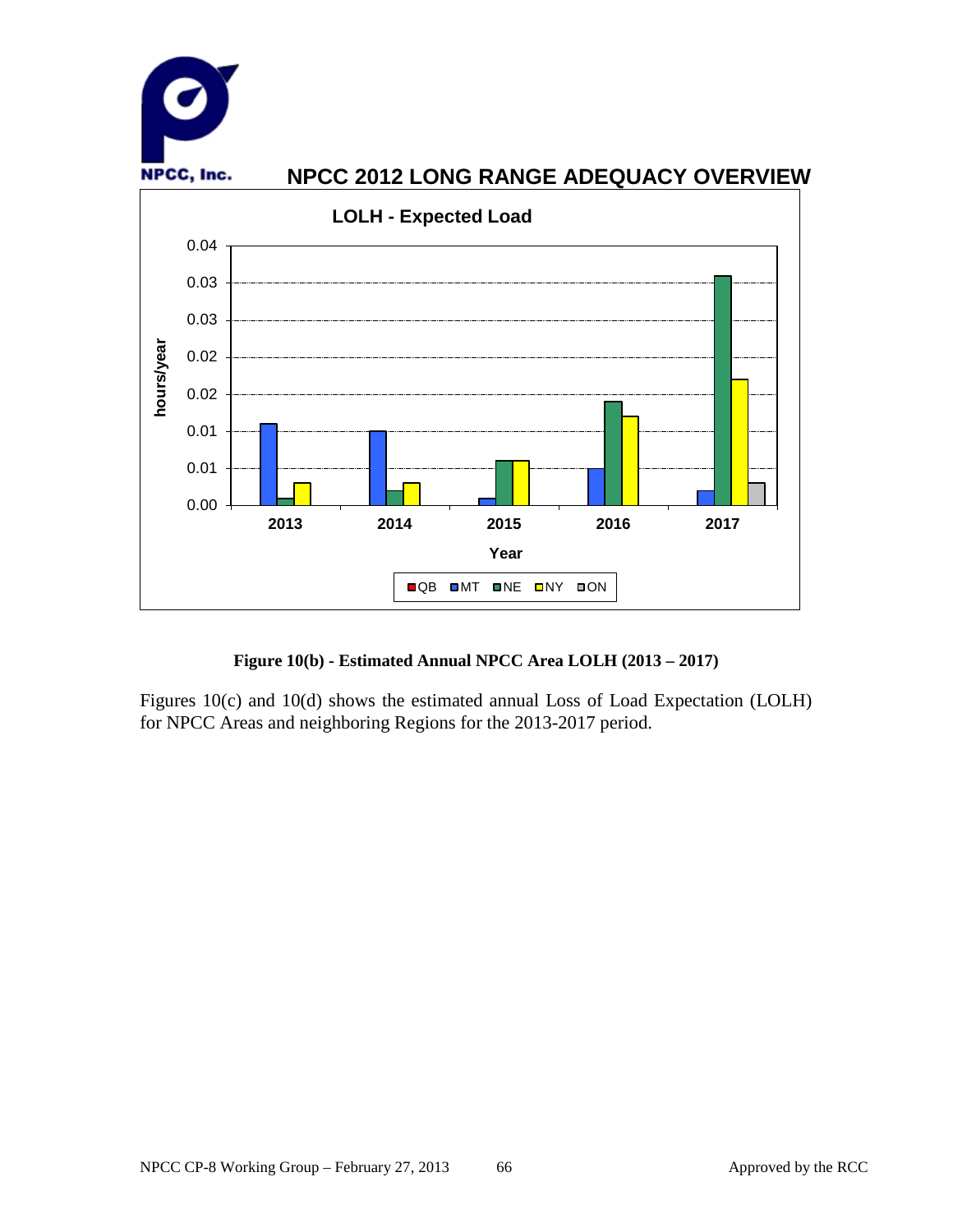

### **Figure 10(b) - Estimated Annual NPCC Area LOLH (2013 – 2017)**

Figures 10(c) and 10(d) shows the estimated annual Loss of Load Expectation (LOLH) for NPCC Areas and neighboring Regions for the 2013-2017 period.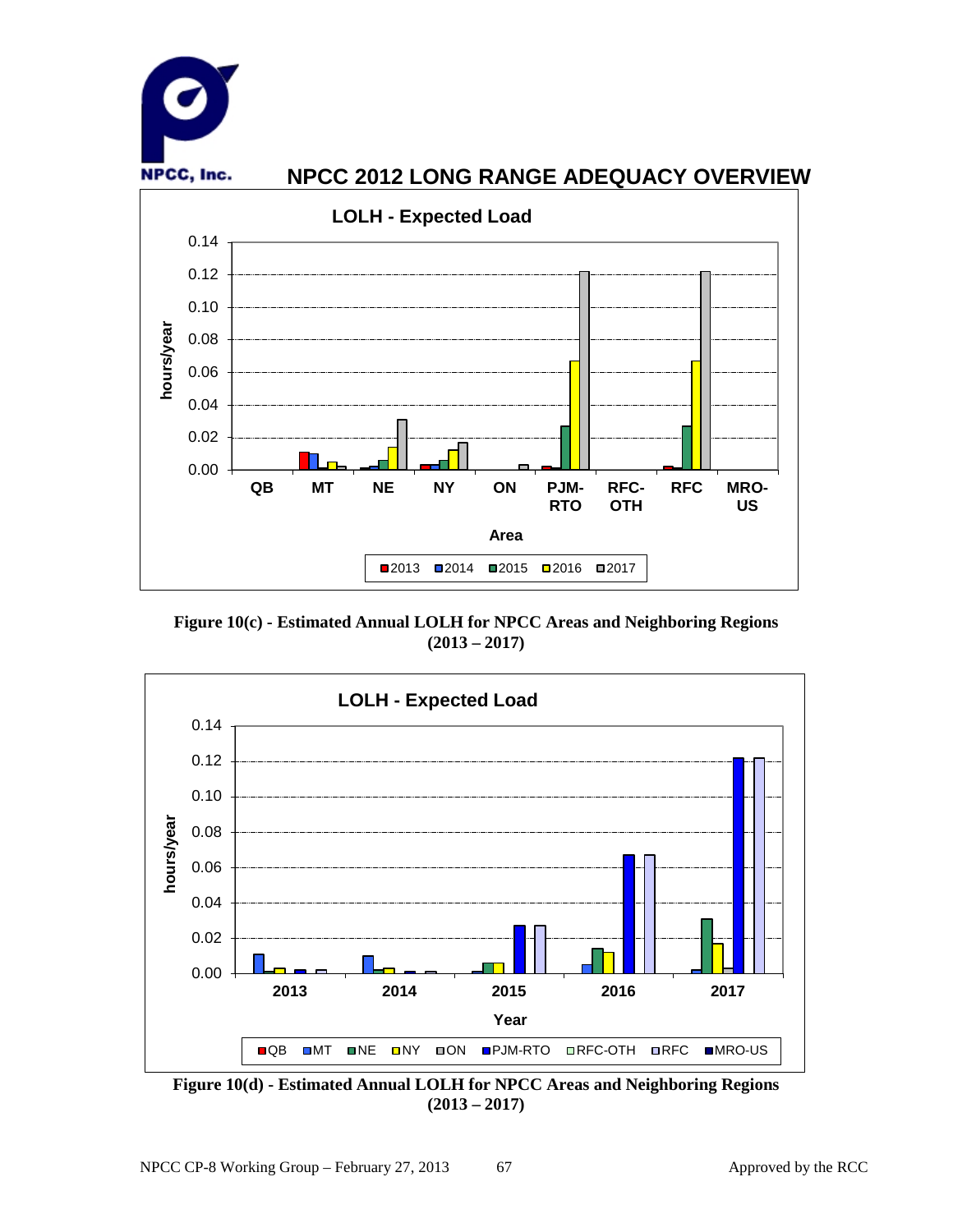

**Figure 10(c) - Estimated Annual LOLH for NPCC Areas and Neighboring Regions (2013 – 2017)**



**Figure 10(d) - Estimated Annual LOLH for NPCC Areas and Neighboring Regions (2013 – 2017)**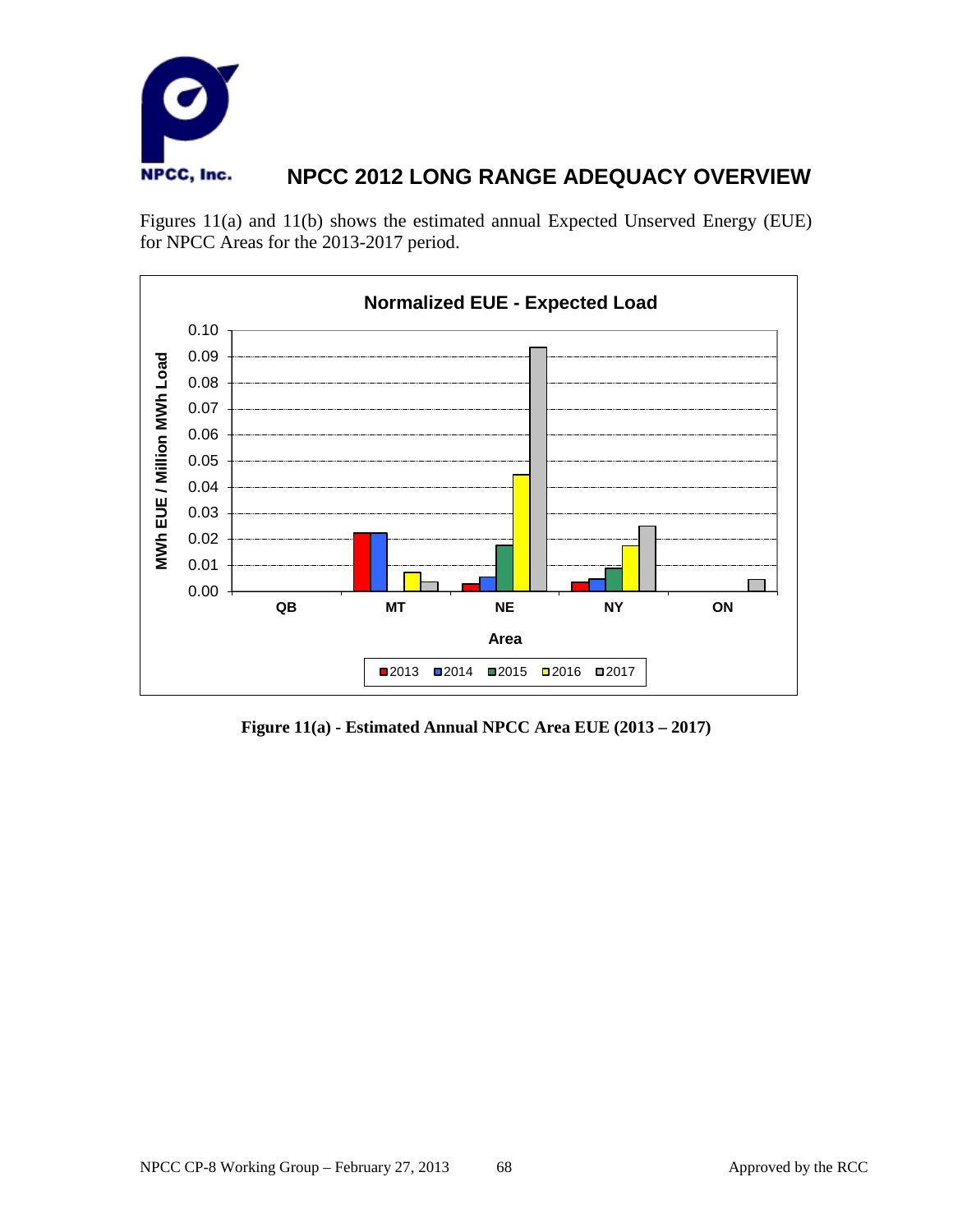

Figures 11(a) and 11(b) shows the estimated annual Expected Unserved Energy (EUE) for NPCC Areas for the 2013-2017 period.



**Figure 11(a) - Estimated Annual NPCC Area EUE (2013 – 2017)**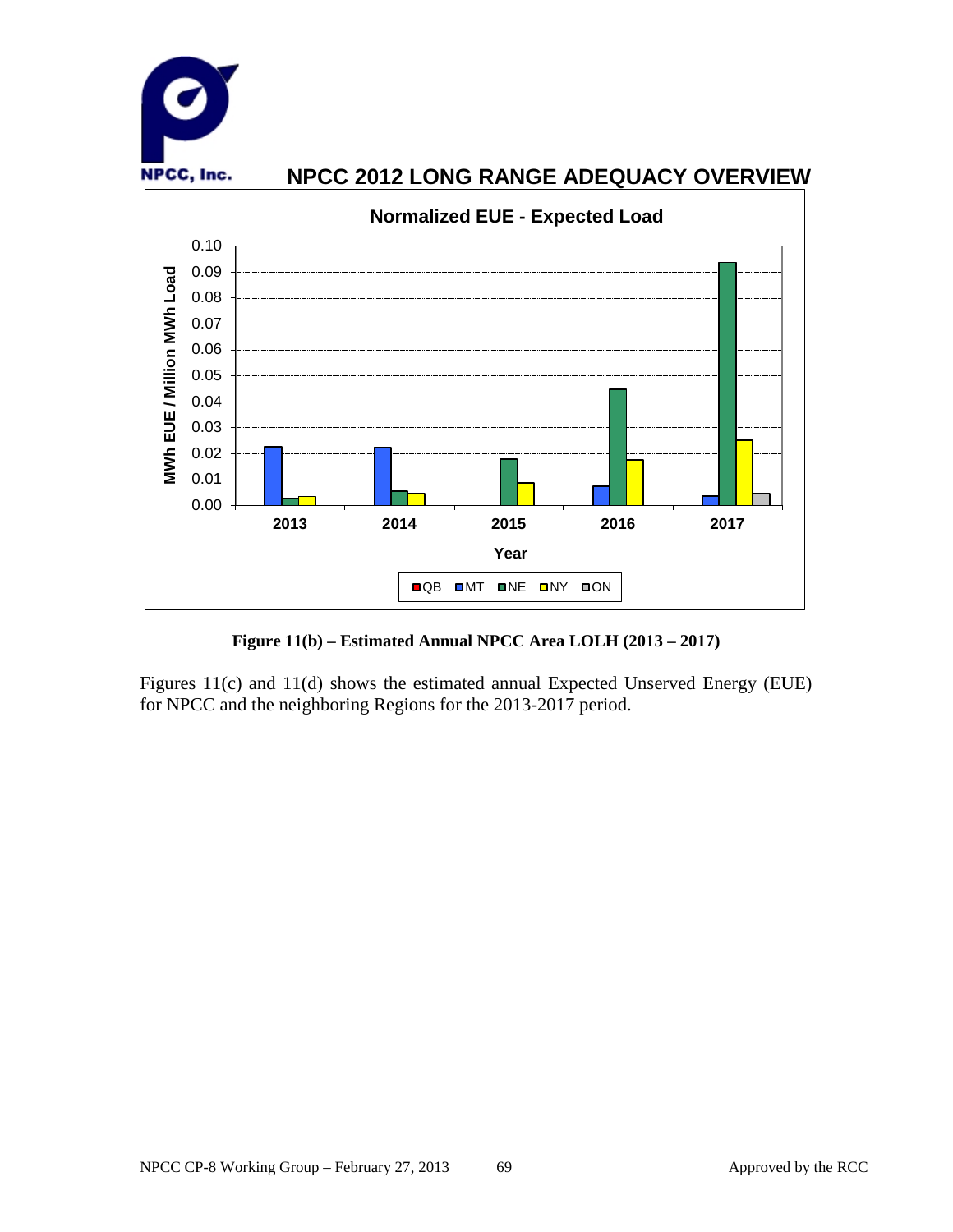

**Figure 11(b) – Estimated Annual NPCC Area LOLH (2013 – 2017)**

Figures 11(c) and 11(d) shows the estimated annual Expected Unserved Energy (EUE) for NPCC and the neighboring Regions for the 2013-2017 period.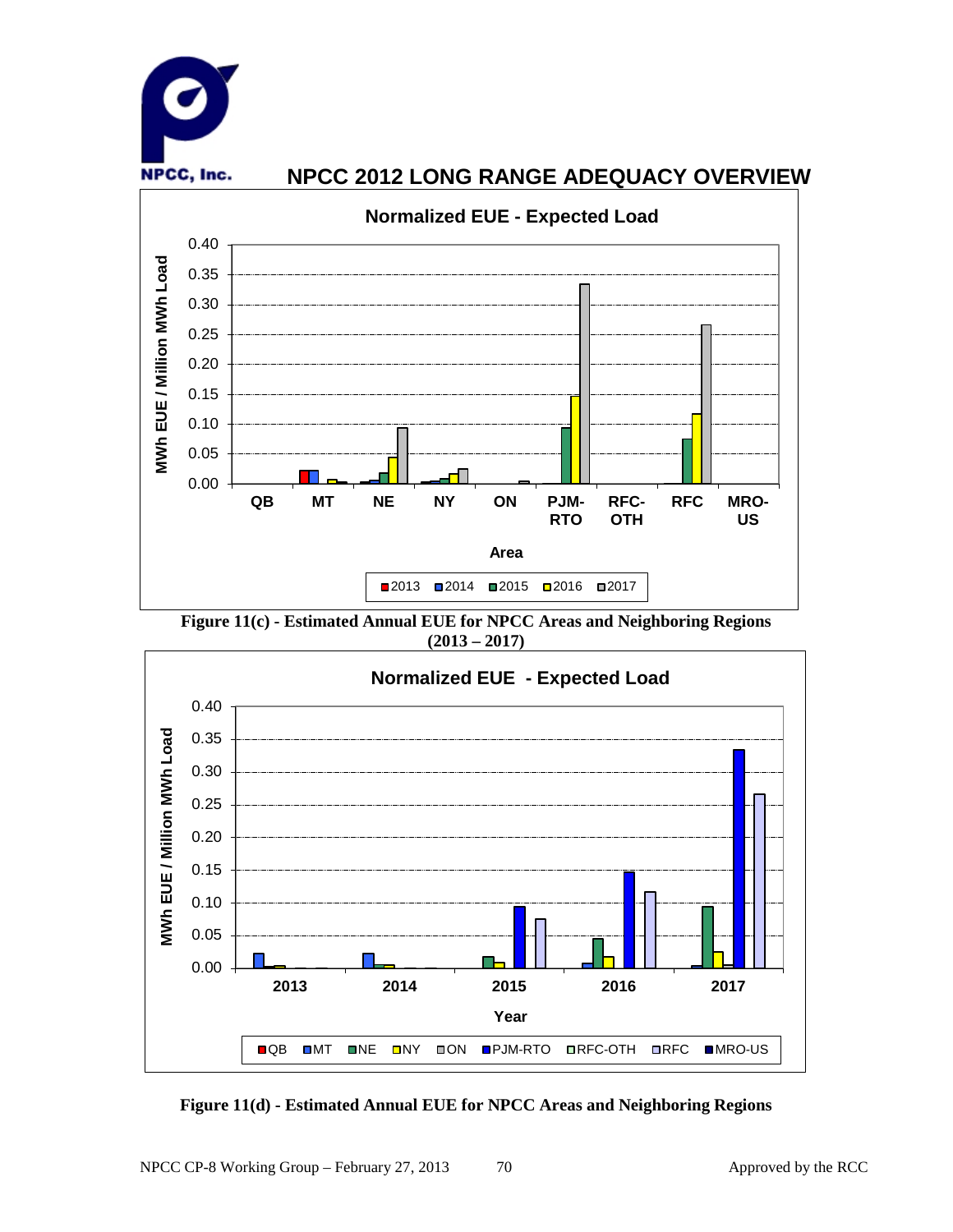

**Figure 11(c) - Estimated Annual EUE for NPCC Areas and Neighboring Regions (2013 – 2017)**



**Figure 11(d) - Estimated Annual EUE for NPCC Areas and Neighboring Regions**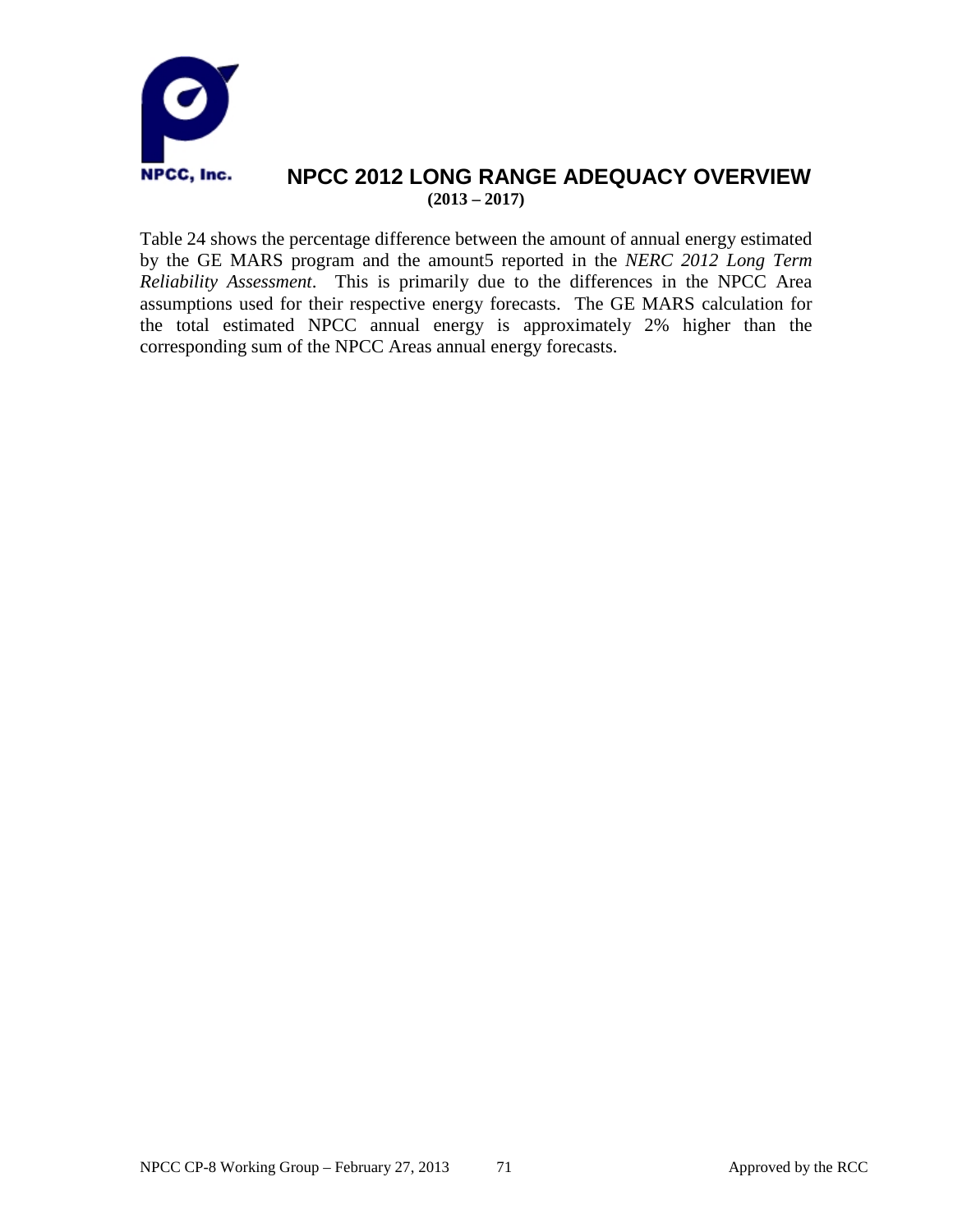

### **NPCC 2012 LONG RANGE ADEQUACY OVERVIEW (2013 – 2017)**

Table 24 shows the percentage difference between the amount of annual energy estimated by the GE MARS program and the amount5 reported in the *NERC 2012 Long Term Reliability Assessment*. This is primarily due to the differences in the NPCC Area assumptions used for their respective energy forecasts. The GE MARS calculation for the total estimated NPCC annual energy is approximately 2% higher than the corresponding sum of the NPCC Areas annual energy forecasts.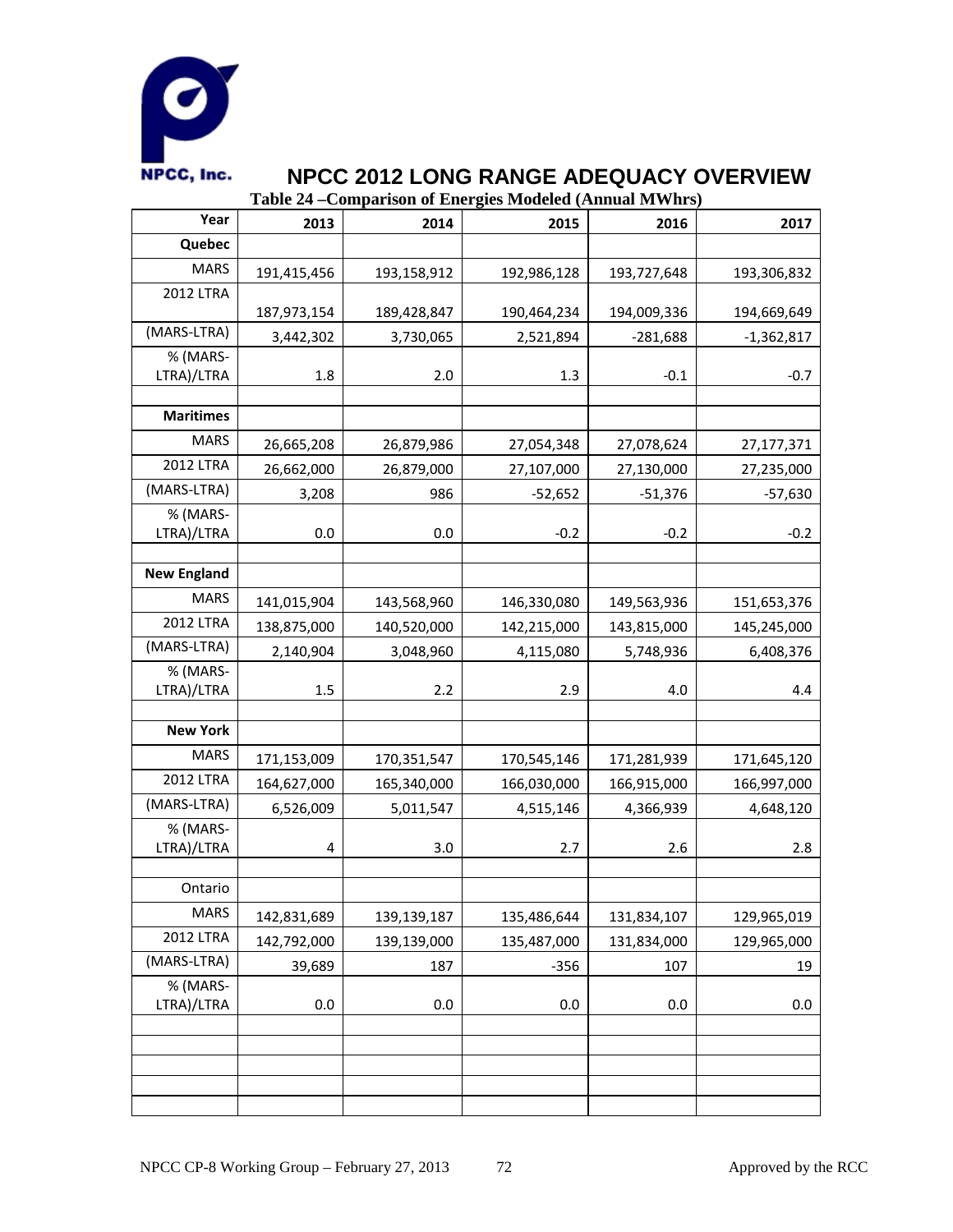

**Table 24 –Comparison of Energies Modeled (Annual MWhrs)**

| Year                   | 2013        | 2014        | 2015        | 2016        | 2017         |
|------------------------|-------------|-------------|-------------|-------------|--------------|
| Quebec                 |             |             |             |             |              |
| <b>MARS</b>            | 191,415,456 | 193,158,912 | 192,986,128 | 193,727,648 | 193,306,832  |
| <b>2012 LTRA</b>       |             |             |             |             |              |
|                        | 187,973,154 | 189,428,847 | 190,464,234 | 194,009,336 | 194,669,649  |
| (MARS-LTRA)            | 3,442,302   | 3,730,065   | 2,521,894   | $-281,688$  | $-1,362,817$ |
| % (MARS-<br>LTRA)/LTRA | 1.8         | 2.0         | 1.3         | $-0.1$      | $-0.7$       |
|                        |             |             |             |             |              |
| <b>Maritimes</b>       |             |             |             |             |              |
| <b>MARS</b>            | 26,665,208  | 26,879,986  | 27,054,348  | 27,078,624  | 27,177,371   |
| <b>2012 LTRA</b>       | 26,662,000  | 26,879,000  | 27,107,000  | 27,130,000  | 27,235,000   |
| (MARS-LTRA)            | 3,208       | 986         | $-52,652$   | $-51,376$   | $-57,630$    |
| % (MARS-               |             |             |             |             |              |
| LTRA)/LTRA             | 0.0         | 0.0         | $-0.2$      | $-0.2$      | $-0.2$       |
| <b>New England</b>     |             |             |             |             |              |
| <b>MARS</b>            |             |             |             |             |              |
| <b>2012 LTRA</b>       | 141,015,904 | 143,568,960 | 146,330,080 | 149,563,936 | 151,653,376  |
|                        | 138,875,000 | 140,520,000 | 142,215,000 | 143,815,000 | 145,245,000  |
| (MARS-LTRA)            | 2,140,904   | 3,048,960   | 4,115,080   | 5,748,936   | 6,408,376    |
| % (MARS-<br>LTRA)/LTRA | 1.5         | 2.2         | 2.9         | 4.0         | 4.4          |
|                        |             |             |             |             |              |
| <b>New York</b>        |             |             |             |             |              |
| <b>MARS</b>            | 171,153,009 | 170,351,547 | 170,545,146 | 171,281,939 | 171,645,120  |
| 2012 LTRA              | 164,627,000 | 165,340,000 | 166,030,000 | 166,915,000 | 166,997,000  |
| (MARS-LTRA)            | 6,526,009   | 5,011,547   | 4,515,146   | 4,366,939   | 4,648,120    |
| % (MARS-               |             |             |             |             |              |
| LTRA)/LTRA             | 4           | 3.0         | 2.7         | 2.6         | 2.8          |
|                        |             |             |             |             |              |
| Ontario                |             |             |             |             |              |
| <b>MARS</b>            | 142,831,689 | 139,139,187 | 135,486,644 | 131,834,107 | 129,965,019  |
| <b>2012 LTRA</b>       | 142,792,000 | 139,139,000 | 135,487,000 | 131,834,000 | 129,965,000  |
| (MARS-LTRA)            | 39,689      | 187         | $-356$      | 107         | 19           |
| % (MARS-               |             |             |             |             |              |
| LTRA)/LTRA             | 0.0         | 0.0         | 0.0         | 0.0         | 0.0          |
|                        |             |             |             |             |              |
|                        |             |             |             |             |              |
|                        |             |             |             |             |              |
|                        |             |             |             |             |              |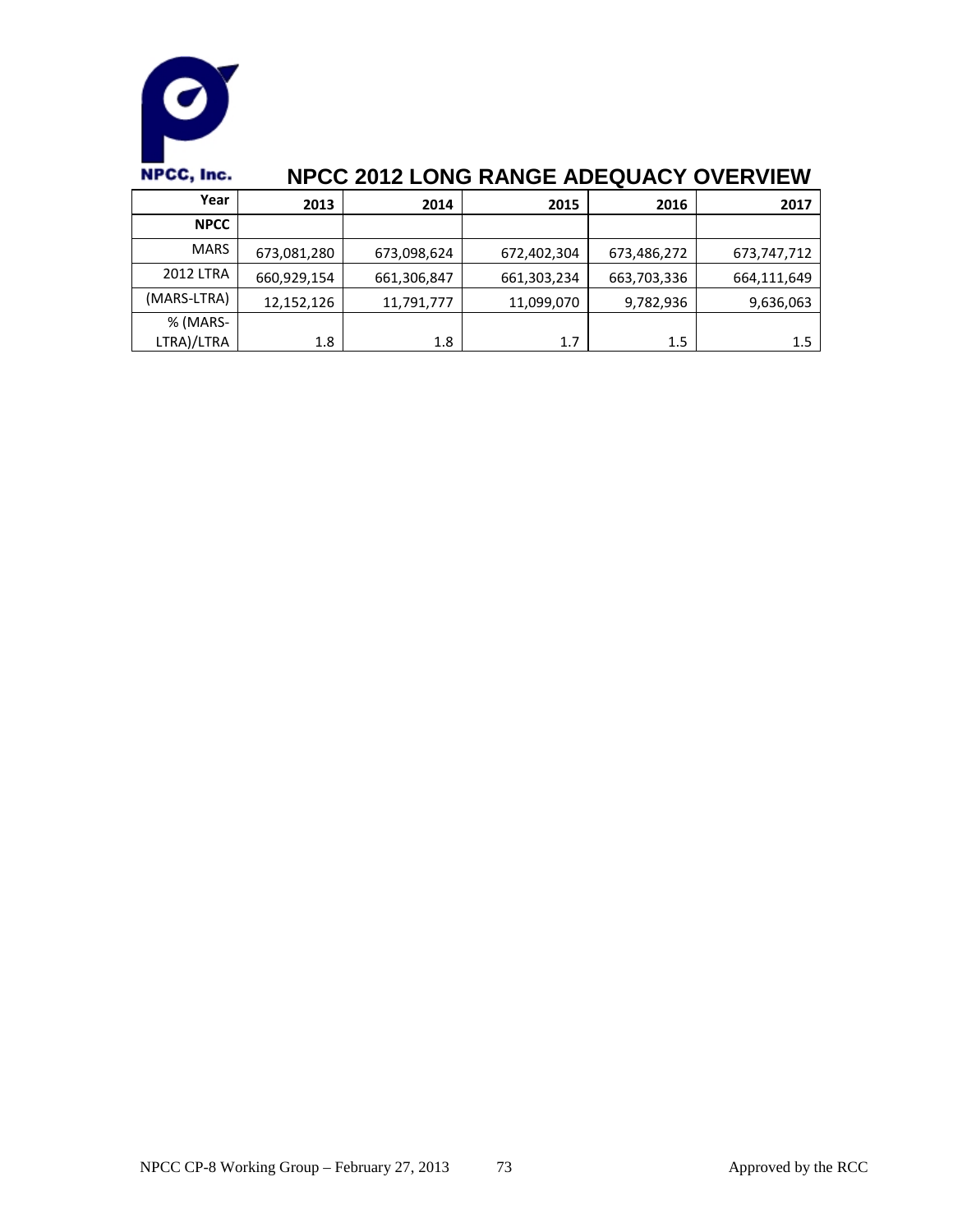

| Year                   | 2013        | 2014        | 2015        | 2016        | 2017        |
|------------------------|-------------|-------------|-------------|-------------|-------------|
| <b>NPCC</b>            |             |             |             |             |             |
| <b>MARS</b>            | 673,081,280 | 673,098,624 | 672,402,304 | 673,486,272 | 673,747,712 |
| 2012 LTRA              | 660,929,154 | 661,306,847 | 661,303,234 | 663,703,336 | 664,111,649 |
| (MARS-LTRA)            | 12,152,126  | 11,791,777  | 11,099,070  | 9,782,936   | 9,636,063   |
| % (MARS-<br>LTRA)/LTRA | 1.8         | 1.8         | 1.7         | $1.5\,$     | 1.5         |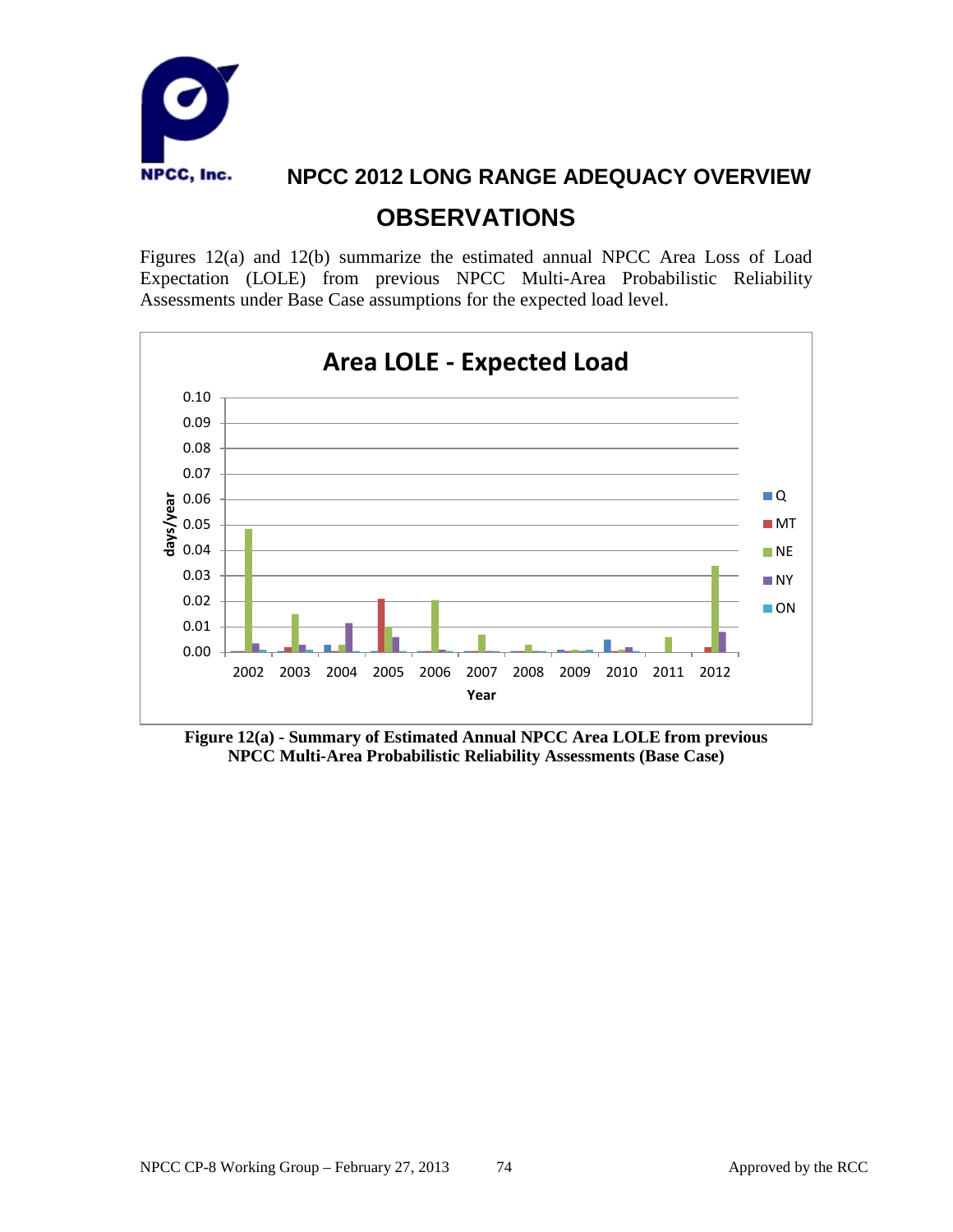

**OBSERVATIONS**

Figures 12(a) and 12(b) summarize the estimated annual NPCC Area Loss of Load Expectation (LOLE) from previous NPCC Multi-Area Probabilistic Reliability Assessments under Base Case assumptions for the expected load level.



**Figure 12(a) - Summary of Estimated Annual NPCC Area LOLE from previous NPCC Multi-Area Probabilistic Reliability Assessments (Base Case)**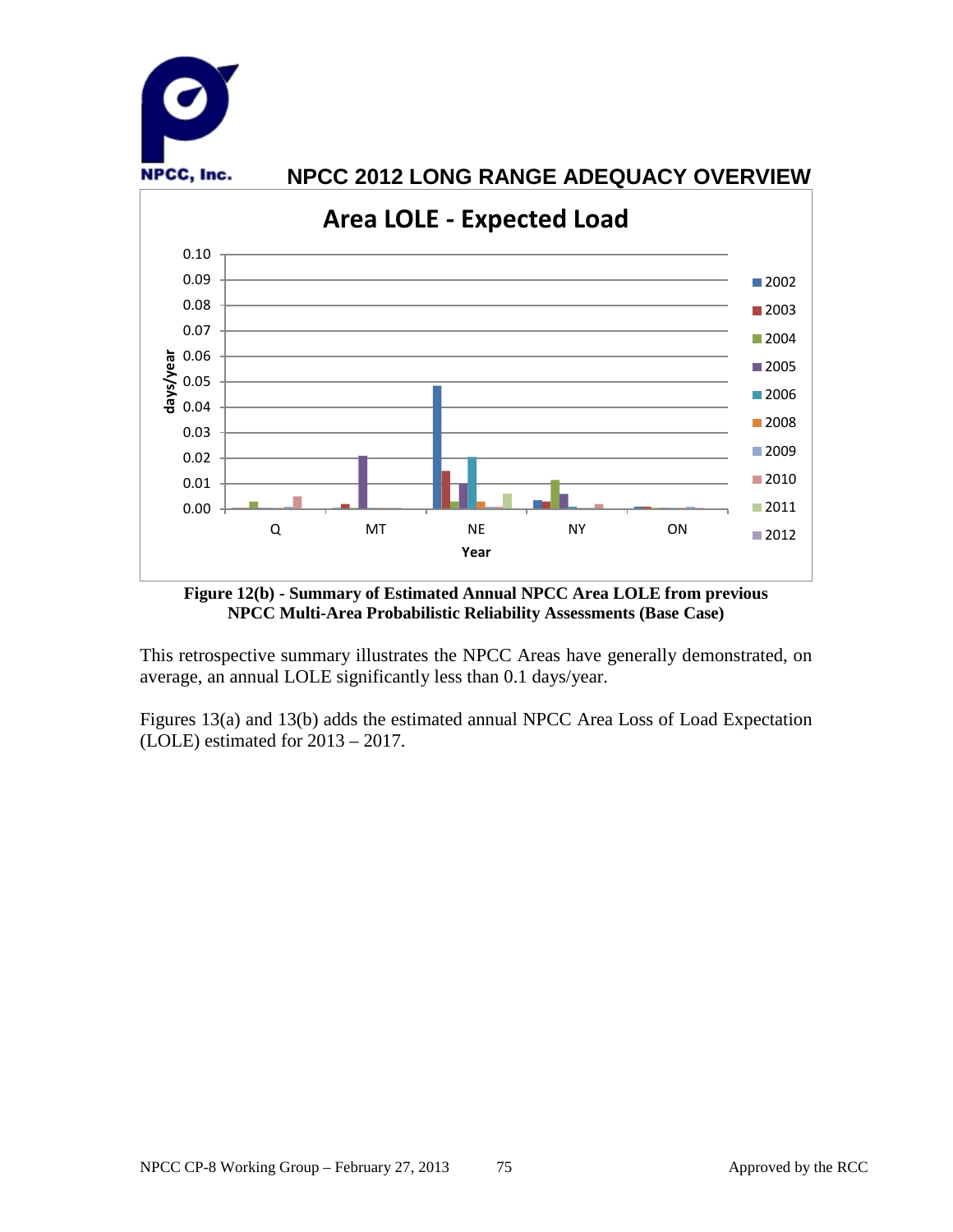

**Figure 12(b) - Summary of Estimated Annual NPCC Area LOLE from previous NPCC Multi-Area Probabilistic Reliability Assessments (Base Case)**

This retrospective summary illustrates the NPCC Areas have generally demonstrated, on average, an annual LOLE significantly less than 0.1 days/year.

Figures 13(a) and 13(b) adds the estimated annual NPCC Area Loss of Load Expectation (LOLE) estimated for 2013 – 2017.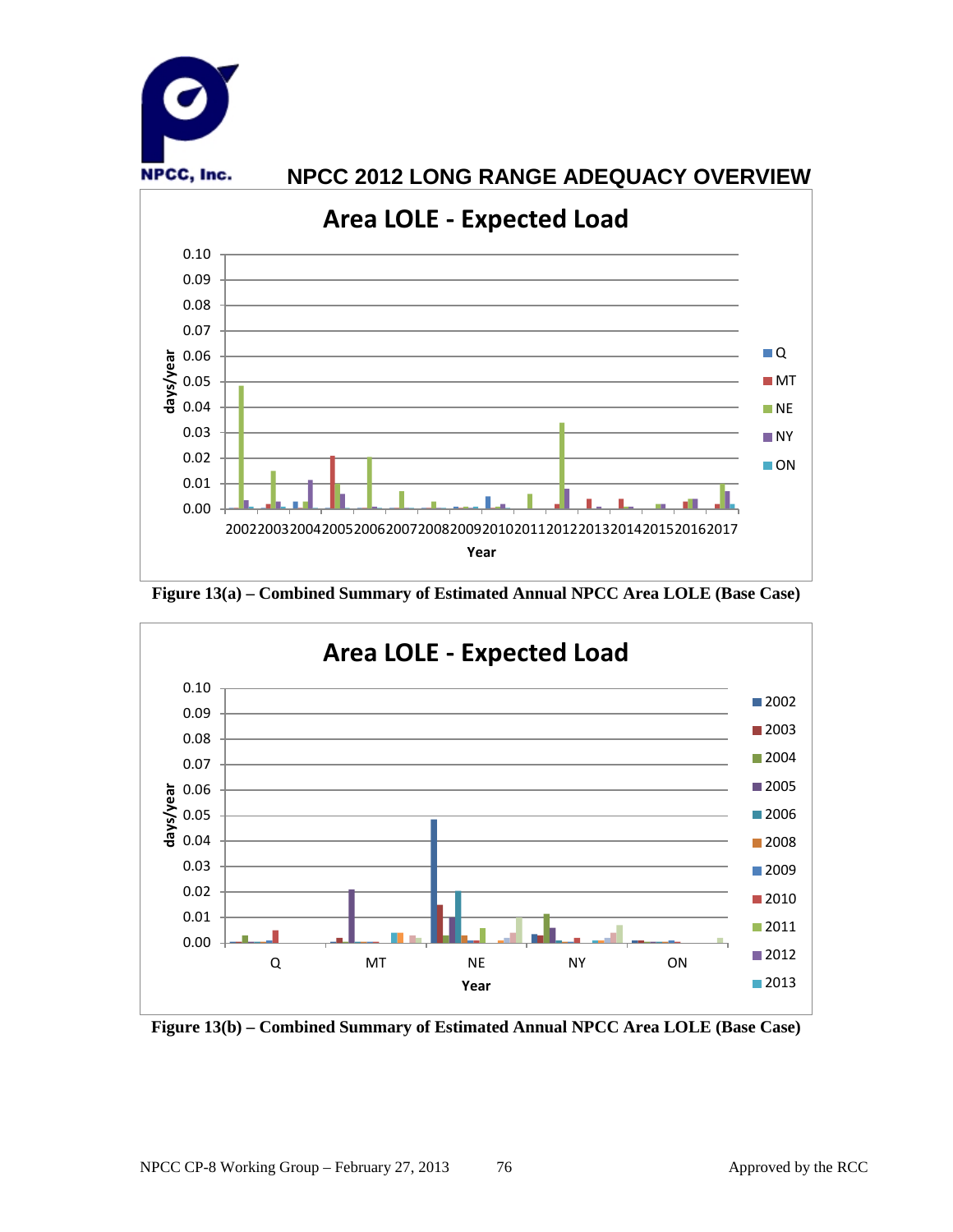

**Figure 13(a) – Combined Summary of Estimated Annual NPCC Area LOLE (Base Case)**



**Figure 13(b) – Combined Summary of Estimated Annual NPCC Area LOLE (Base Case)**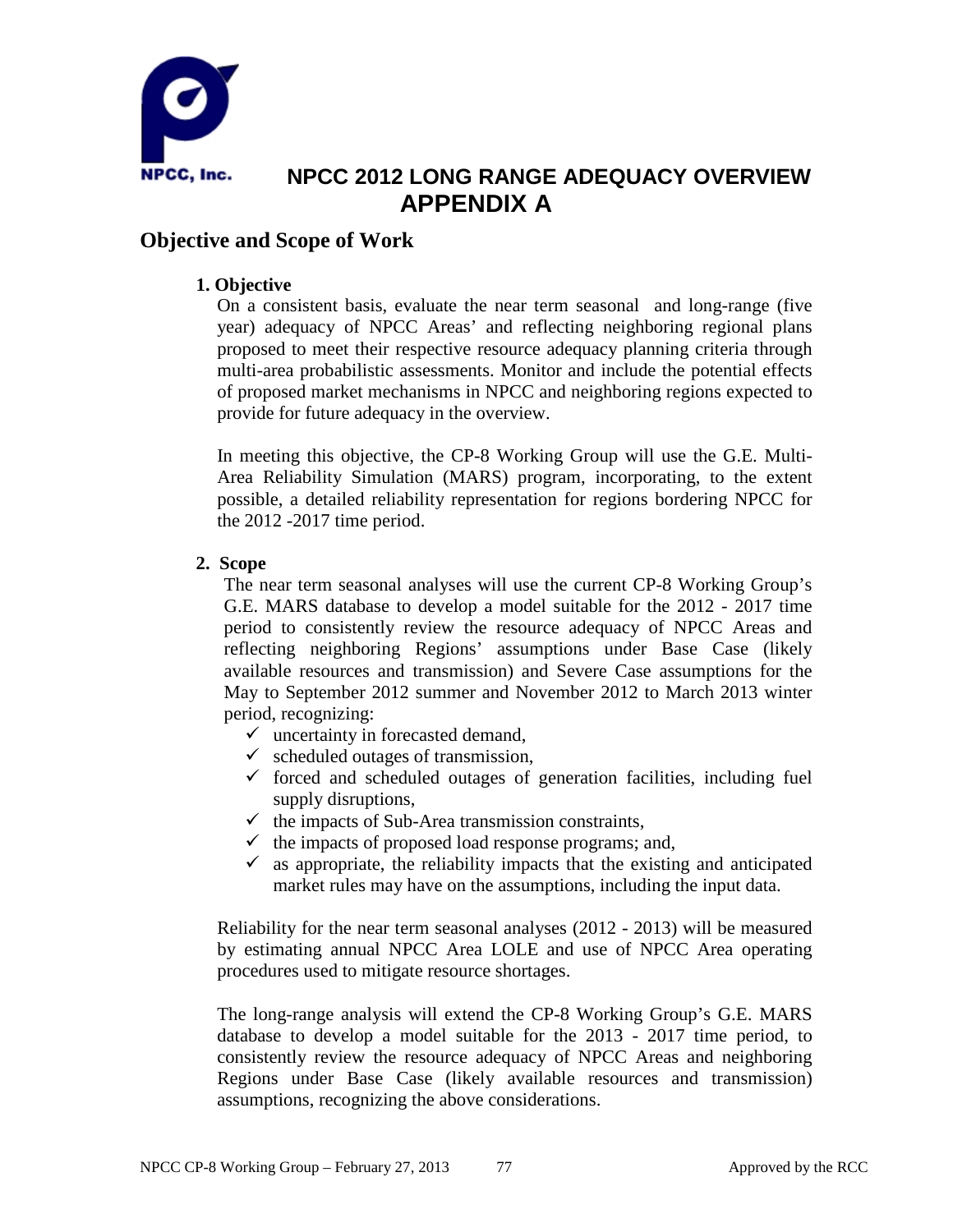

## **NPCC 2012 LONG RANGE ADEQUACY OVERVIEW APPENDIX A**

### **Objective and Scope of Work**

#### **1. Objective**

On a consistent basis, evaluate the near term seasonal and long-range (five year) adequacy of NPCC Areas' and reflecting neighboring regional plans proposed to meet their respective resource adequacy planning criteria through multi-area probabilistic assessments. Monitor and include the potential effects of proposed market mechanisms in NPCC and neighboring regions expected to provide for future adequacy in the overview.

In meeting this objective, the CP-8 Working Group will use the G.E. Multi-Area Reliability Simulation (MARS) program, incorporating, to the extent possible, a detailed reliability representation for regions bordering NPCC for the 2012 -2017 time period.

#### **2. Scope**

The near term seasonal analyses will use the current CP-8 Working Group's G.E. MARS database to develop a model suitable for the 2012 - 2017 time period to consistently review the resource adequacy of NPCC Areas and reflecting neighboring Regions' assumptions under Base Case (likely available resources and transmission) and Severe Case assumptions for the May to September 2012 summer and November 2012 to March 2013 winter period, recognizing:

- $\checkmark$  uncertainty in forecasted demand,
- $\checkmark$  scheduled outages of transmission,
- $\checkmark$  forced and scheduled outages of generation facilities, including fuel supply disruptions,
- $\checkmark$  the impacts of Sub-Area transmission constraints,
- $\checkmark$  the impacts of proposed load response programs; and,
- $\checkmark$  as appropriate, the reliability impacts that the existing and anticipated market rules may have on the assumptions, including the input data.

Reliability for the near term seasonal analyses (2012 - 2013) will be measured by estimating annual NPCC Area LOLE and use of NPCC Area operating procedures used to mitigate resource shortages.

The long-range analysis will extend the CP-8 Working Group's G.E. MARS database to develop a model suitable for the 2013 - 2017 time period, to consistently review the resource adequacy of NPCC Areas and neighboring Regions under Base Case (likely available resources and transmission) assumptions, recognizing the above considerations.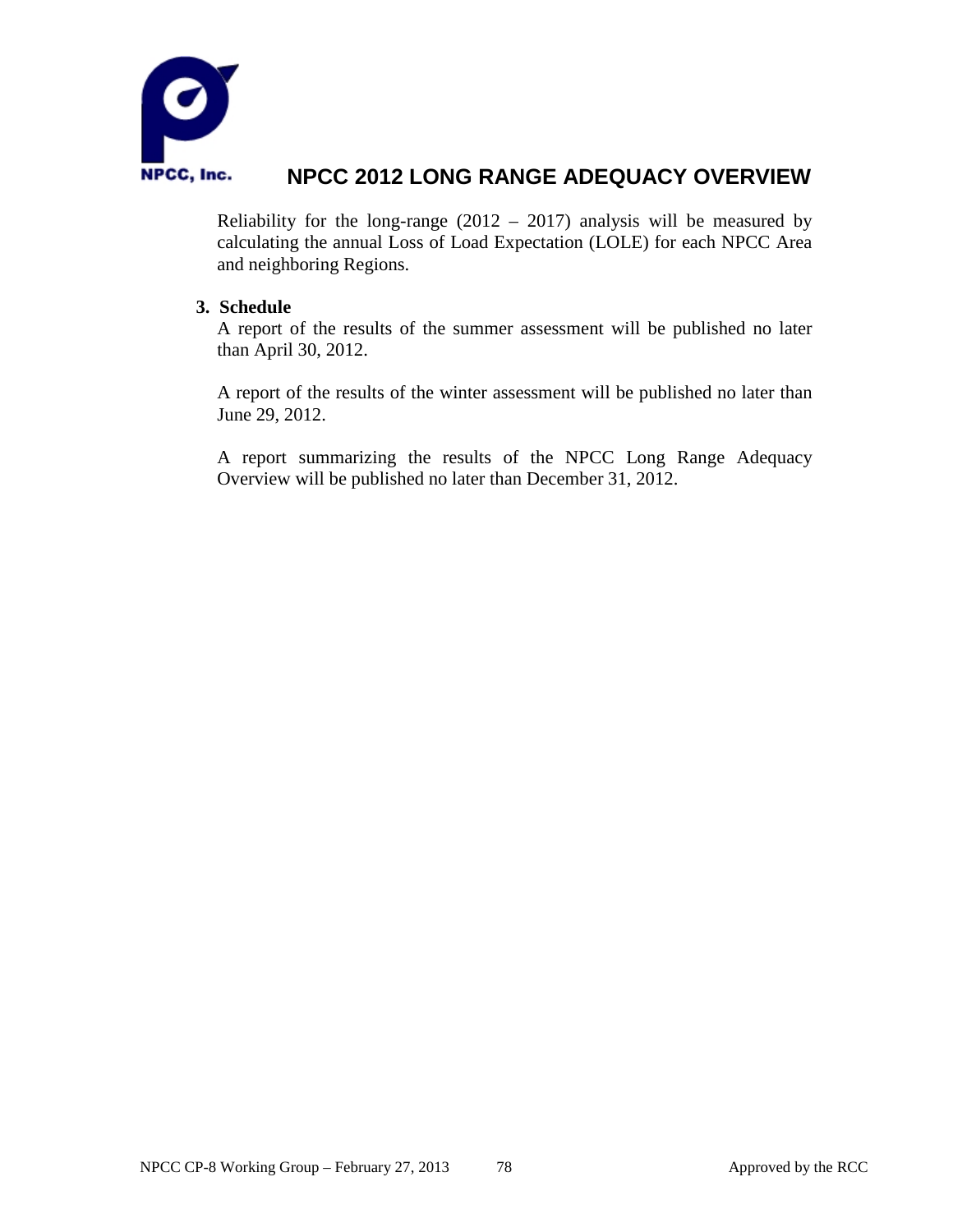

Reliability for the long-range  $(2012 - 2017)$  analysis will be measured by calculating the annual Loss of Load Expectation (LOLE) for each NPCC Area and neighboring Regions.

#### **3. Schedule**

A report of the results of the summer assessment will be published no later than April 30, 2012.

A report of the results of the winter assessment will be published no later than June 29, 2012.

A report summarizing the results of the NPCC Long Range Adequacy Overview will be published no later than December 31, 2012.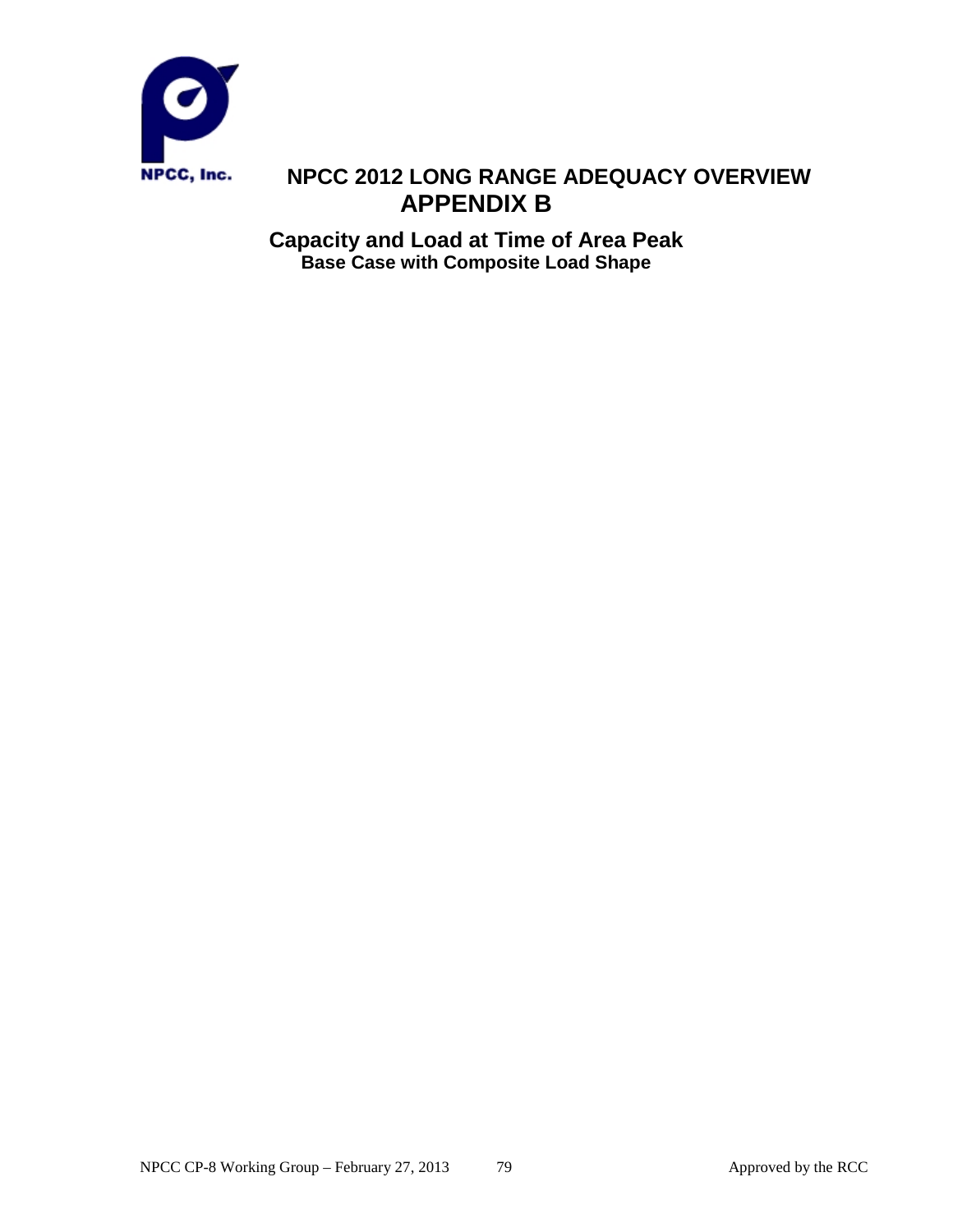

# **NPCC 2012 LONG RANGE ADEQUACY OVERVIEW APPENDIX B**

**Capacity and Load at Time of Area Peak Base Case with Composite Load Shape**